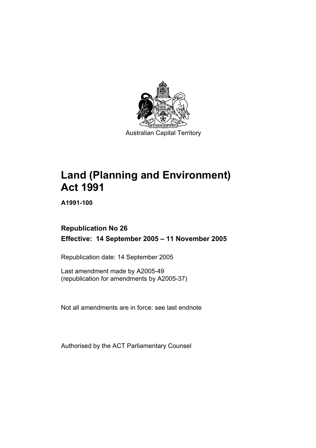

# **Land (Planning and Environment) Act 1991**

**A1991-100** 

## **Republication No 26 Effective: 14 September 2005 – 11 November 2005**

Republication date: 14 September 2005

Last amendment made by A2005-49 (republication for amendments by A2005-37)

Not all amendments are in force: see last endnote

Authorised by the ACT Parliamentary Counsel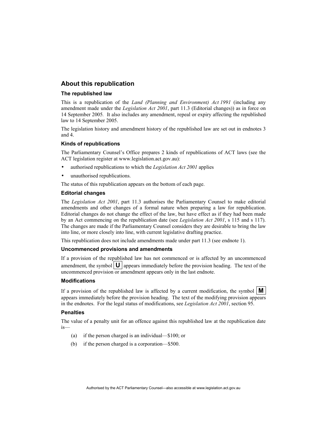#### **About this republication**

#### **The republished law**

This is a republication of the *Land (Planning and Environment) Act 1991* (including any amendment made under the *Legislation Act 2001*, part 11.3 (Editorial changes)) as in force on 14 September 2005*.* It also includes any amendment, repeal or expiry affecting the republished law to 14 September 2005.

The legislation history and amendment history of the republished law are set out in endnotes 3 and 4.

#### **Kinds of republications**

The Parliamentary Counsel's Office prepares 2 kinds of republications of ACT laws (see the ACT legislation register at www.legislation.act.gov.au):

- authorised republications to which the *Legislation Act 2001* applies
- unauthorised republications.

The status of this republication appears on the bottom of each page.

#### **Editorial changes**

The *Legislation Act 2001*, part 11.3 authorises the Parliamentary Counsel to make editorial amendments and other changes of a formal nature when preparing a law for republication. Editorial changes do not change the effect of the law, but have effect as if they had been made by an Act commencing on the republication date (see *Legislation Act 2001*, s 115 and s 117). The changes are made if the Parliamentary Counsel considers they are desirable to bring the law into line, or more closely into line, with current legislative drafting practice.

This republication does not include amendments made under part 11.3 (see endnote 1).

#### **Uncommenced provisions and amendments**

If a provision of the republished law has not commenced or is affected by an uncommenced amendment, the symbol  $\mathbf{U}$  appears immediately before the provision heading. The text of the uncommenced provision or amendment appears only in the last endnote.

#### **Modifications**

If a provision of the republished law is affected by a current modification, the symbol  $\mathbf{M}$ appears immediately before the provision heading. The text of the modifying provision appears in the endnotes. For the legal status of modifications, see *Legislation Act 2001*, section 95.

#### **Penalties**

The value of a penalty unit for an offence against this republished law at the republication date is—

- (a) if the person charged is an individual—\$100; or
- (b) if the person charged is a corporation—\$500.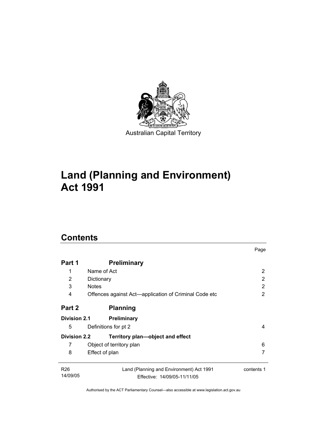

# **Land (Planning and Environment) Act 1991**

# **Contents**

| Part 1              | <b>Preliminary</b>                                    |            |
|---------------------|-------------------------------------------------------|------------|
| 1                   | Name of Act                                           | 2          |
| 2                   | Dictionary                                            | 2          |
| 3                   | <b>Notes</b>                                          | 2          |
| 4                   | Offences against Act—application of Criminal Code etc | 2          |
| Part 2              | <b>Planning</b>                                       |            |
| <b>Division 2.1</b> | <b>Preliminary</b>                                    |            |
| 5                   | Definitions for pt 2                                  | 4          |
| <b>Division 2.2</b> | Territory plan—object and effect                      |            |
| 7                   | Object of territory plan                              | 6          |
| 8                   | Effect of plan                                        |            |
| R <sub>26</sub>     | Land (Planning and Environment) Act 1991              | contents 1 |
| 14/09/05            | Effective: 14/09/05-11/11/05                          |            |

Page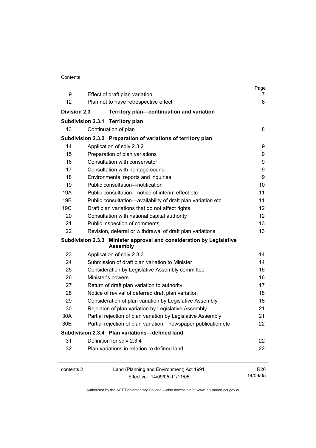| Contents |
|----------|
|----------|

|                     |                                                                                         | Page       |
|---------------------|-----------------------------------------------------------------------------------------|------------|
| 9                   | Effect of draft plan variation                                                          | 7          |
| 12                  | Plan not to have retrospective effect                                                   | 8          |
| <b>Division 2.3</b> | Territory plan-continuation and variation                                               |            |
|                     | Subdivision 2.3.1 Territory plan                                                        |            |
| 13                  | Continuation of plan                                                                    | 8          |
|                     | Subdivision 2.3.2 Preparation of variations of territory plan                           |            |
| 14                  | Application of sdiv 2.3.2                                                               | 9          |
| 15                  | Preparation of plan variations                                                          | 9          |
| 16                  | Consultation with conservator                                                           | 9          |
| 17                  | Consultation with heritage council                                                      | 9          |
| 18                  | Environmental reports and inquiries                                                     | 9          |
| 19                  | Public consultation-notification                                                        | 10         |
| 19A                 | Public consultation-notice of interim effect etc                                        | 11         |
| 19B                 | Public consultation-availability of draft plan variation etc                            | 11         |
| 19 <sub>C</sub>     | Draft plan variations that do not affect rights                                         | 12         |
| 20                  | Consultation with national capital authority                                            | 12         |
| 21                  | Public inspection of comments                                                           | 13         |
| 22                  | Revision, deferral or withdrawal of draft plan variations                               | 13         |
|                     | Subdivision 2.3.3 Minister approval and consideration by Legislative<br><b>Assembly</b> |            |
| 23                  | Application of sdiv 2.3.3                                                               | 14         |
| 24                  | Submission of draft plan variation to Minister                                          | 14         |
| 25                  | Consideration by Legislative Assembly committee                                         | 16         |
| 26                  | Minister's powers                                                                       | 16         |
| 27                  | Return of draft plan variation to authority                                             | 17         |
| 28                  | Notice of revival of deferred draft plan variation                                      | 18         |
| 29                  | Consideration of plan variation by Legislative Assembly                                 | 18         |
| 30                  | Rejection of plan variation by Legislative Assembly                                     | 21         |
| 30A                 | Partial rejection of plan variation by Legislative Assembly                             | 21         |
| 30B                 | Partial rejection of plan variation-newspaper publication etc                           | 22         |
|                     | Subdivision 2.3.4 Plan variations-defined land                                          |            |
| 31                  | Definition for sdiv 2.3.4                                                               | 22         |
| 32                  | Plan variations in relation to defined land                                             | 22         |
| contents 2          | Land (Planning and Environment) Act 1991                                                | <b>R26</b> |
|                     | Effective: 14/09/05-11/11/05                                                            | 14/09/05   |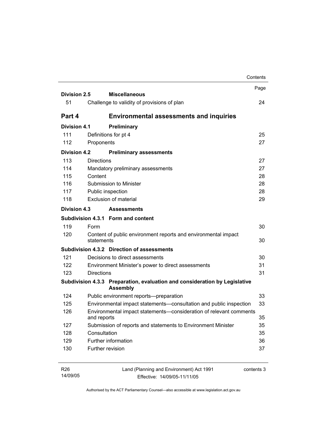|                     | Contents                                                                                      |      |
|---------------------|-----------------------------------------------------------------------------------------------|------|
|                     |                                                                                               | Page |
| <b>Division 2.5</b> | <b>Miscellaneous</b>                                                                          |      |
| 51                  | Challenge to validity of provisions of plan                                                   | 24   |
| Part 4              | <b>Environmental assessments and inquiries</b>                                                |      |
| <b>Division 4.1</b> | Preliminary                                                                                   |      |
| 111                 | Definitions for pt 4                                                                          | 25   |
| 112                 | Proponents                                                                                    | 27   |
| <b>Division 4.2</b> | <b>Preliminary assessments</b>                                                                |      |
| 113                 | <b>Directions</b>                                                                             | 27   |
| 114                 | Mandatory preliminary assessments                                                             | 27   |
| 115                 | Content                                                                                       | 28   |
| 116                 | Submission to Minister                                                                        | 28   |
| 117                 | Public inspection                                                                             | 28   |
| 118                 | Exclusion of material                                                                         | 29   |
| Division 4.3        | <b>Assessments</b>                                                                            |      |
|                     | Subdivision 4.3.1 Form and content                                                            |      |
| 119                 | Form                                                                                          | 30   |
| 120                 | Content of public environment reports and environmental impact<br>statements                  | 30   |
|                     | Subdivision 4.3.2 Direction of assessments                                                    |      |
| 121                 | Decisions to direct assessments                                                               | 30   |
| 122                 | Environment Minister's power to direct assessments                                            | 31   |
| 123                 | <b>Directions</b>                                                                             | 31   |
|                     | Subdivision 4.3.3 Preparation, evaluation and consideration by Legislative<br><b>Assembly</b> |      |
| 124                 | Public environment reports-preparation                                                        | 33   |
| 125                 | Environmental impact statements-consultation and public inspection                            | 33   |
| 126                 | Environmental impact statements-consideration of relevant comments<br>and reports             | 35   |
| 127                 | Submission of reports and statements to Environment Minister                                  | 35   |
| 128                 | Consultation                                                                                  | 35   |
| 129                 | Further information                                                                           | 36   |
| 130                 | Further revision                                                                              | 37   |
|                     |                                                                                               |      |
|                     |                                                                                               |      |

| R26      | Land (Planning and Environment) Act 1991 | contents 3 |
|----------|------------------------------------------|------------|
| 14/09/05 | Effective: 14/09/05-11/11/05             |            |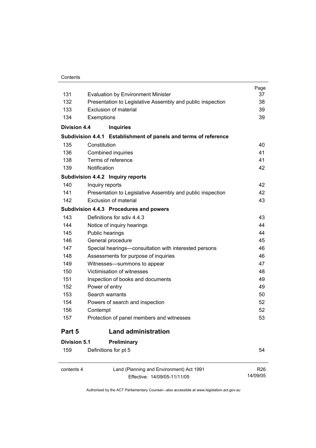#### **Contents**

|                     |                                                                  | Page |
|---------------------|------------------------------------------------------------------|------|
| 131                 | <b>Evaluation by Environment Minister</b>                        | 37   |
| 132                 | Presentation to Legislative Assembly and public inspection       | 38   |
| 133                 | Exclusion of material                                            | 39   |
| 134                 | Exemptions                                                       | 39   |
| <b>Division 4.4</b> | <b>Inquiries</b>                                                 |      |
|                     | Subdivision 4.4.1 Establishment of panels and terms of reference |      |
| 135                 | Constitution                                                     | 40   |
| 136                 | Combined inquiries                                               | 41   |
| 138                 | Terms of reference                                               | 41   |
| 139                 | Notification                                                     | 42   |
|                     | Subdivision 4.4.2 Inquiry reports                                |      |
| 140                 | Inquiry reports                                                  | 42   |
| 141                 | Presentation to Legislative Assembly and public inspection       | 42   |
| 142                 | Exclusion of material                                            | 43   |
|                     | Subdivision 4.4.3 Procedures and powers                          |      |
| 143                 | Definitions for sdiv 4.4.3                                       | 43   |
| 144                 | Notice of inquiry hearings                                       | 44   |
| 145                 | Public hearings                                                  | 44   |
| 146                 | General procedure                                                | 45   |
| 147                 | Special hearings-consultation with interested persons            | 46   |
| 148                 | Assessments for purpose of inquiries                             | 46   |
| 149                 | Witnesses-summons to appear                                      | 47   |
| 150                 | Victimisation of witnesses                                       | 48   |
| 151                 | Inspection of books and documents                                | 49   |
| 152                 | Power of entry                                                   | 49   |
| 153                 | Search warrants                                                  | 50   |
| 154                 | Powers of search and inspection                                  | 52   |
| 156                 | Contempt                                                         | 52   |
| 157                 | Protection of panel members and witnesses                        | 53   |
| Part 5              | <b>Land administration</b>                                       |      |
| Division 5.1        | Preliminary                                                      |      |
| 159                 | Definitions for pt 5                                             | 54   |
|                     |                                                                  |      |

 $\overline{a}$ 

contents 4 Land (Planning and Environment) Act 1991 Effective: 14/09/05-11/11/05

R26 14/09/05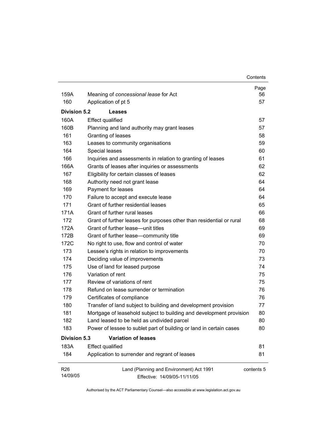| 159A                        | Meaning of concessional lease for Act                                    | Page<br>56 |
|-----------------------------|--------------------------------------------------------------------------|------------|
| 160                         | Application of pt 5                                                      | 57         |
|                             |                                                                          |            |
| <b>Division 5.2</b>         | Leases                                                                   |            |
| 160A                        | <b>Effect qualified</b>                                                  | 57         |
| 160B                        | Planning and land authority may grant leases                             | 57         |
| 161                         | Granting of leases                                                       | 58         |
| 163                         | Leases to community organisations                                        | 59         |
| 164                         | Special leases                                                           | 60         |
| 166                         | Inquiries and assessments in relation to granting of leases              | 61         |
| 166A                        | Grants of leases after inquiries or assessments                          | 62         |
| 167                         | Eligibility for certain classes of leases                                | 62         |
| 168                         | Authority need not grant lease                                           | 64         |
| 169                         | Payment for leases                                                       | 64         |
| 170                         | Failure to accept and execute lease                                      | 64         |
| 171                         | Grant of further residential leases                                      | 65         |
| 171A                        | Grant of further rural leases                                            | 66         |
| 172                         | Grant of further leases for purposes other than residential or rural     | 68         |
| 172A                        | Grant of further lease—unit titles                                       | 69         |
| 172B                        | Grant of further lease-community title                                   | 69         |
| 172C                        | No right to use, flow and control of water                               | 70         |
| 173                         | Lessee's rights in relation to improvements                              | 70         |
| 174                         | Deciding value of improvements                                           | 73         |
| 175                         | Use of land for leased purpose                                           | 74         |
| 176                         | Variation of rent                                                        | 75         |
| 177                         | Review of variations of rent                                             | 75         |
| 178                         | Refund on lease surrender or termination                                 | 76         |
| 179                         | Certificates of compliance                                               | 76         |
| 180                         | Transfer of land subject to building and development provision           | 77         |
| 181                         | Mortgage of leasehold subject to building and development provision      | 80         |
| 182                         | Land leased to be held as undivided parcel                               | 80         |
| 183                         | Power of lessee to sublet part of building or land in certain cases      | 80         |
| <b>Division 5.3</b>         | <b>Variation of leases</b>                                               |            |
| 183A                        | <b>Effect qualified</b>                                                  | 81         |
| 184                         | Application to surrender and regrant of leases                           | 81         |
| R <sub>26</sub><br>14/09/05 | Land (Planning and Environment) Act 1991<br>Effective: 14/09/05-11/11/05 | contents 5 |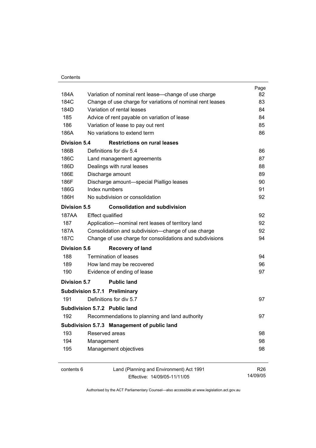|                     |                                                            | Page            |
|---------------------|------------------------------------------------------------|-----------------|
| 184A                | Variation of nominal rent lease-change of use charge       | 82              |
| 184C                | Change of use charge for variations of nominal rent leases | 83              |
| 184D                | Variation of rental leases                                 | 84              |
| 185                 | Advice of rent payable on variation of lease               | 84              |
| 186                 | Variation of lease to pay out rent                         | 85              |
| 186A                | No variations to extend term                               | 86              |
| Division 5.4        | <b>Restrictions on rural leases</b>                        |                 |
| 186B                | Definitions for div 5.4                                    | 86              |
| 186C                | Land management agreements                                 | 87              |
| 186D                | Dealings with rural leases                                 | 88              |
| 186E                | Discharge amount                                           | 89              |
| 186F                | Discharge amount-special Pialligo leases                   | 90              |
| 186G                | Index numbers                                              | 91              |
| 186H                | No subdivision or consolidation                            | 92              |
| <b>Division 5.5</b> | <b>Consolidation and subdivision</b>                       |                 |
| 187AA               | <b>Effect qualified</b>                                    | 92              |
| 187                 | Application-nominal rent leases of territory land          | 92              |
| 187A                | Consolidation and subdivision--change of use charge        | 92              |
| 187C                | Change of use charge for consolidations and subdivisions   | 94              |
| Division 5.6        | <b>Recovery of land</b>                                    |                 |
| 188                 | Termination of leases                                      | 94              |
| 189                 | How land may be recovered                                  | 96              |
| 190                 | Evidence of ending of lease                                | 97              |
| Division 5.7        | <b>Public land</b>                                         |                 |
|                     | <b>Subdivision 5.7.1 Preliminary</b>                       |                 |
| 191                 | Definitions for div 5.7                                    | 97              |
|                     | Subdivision 5.7.2 Public land                              |                 |
| 192                 | Recommendations to planning and land authority             | 97              |
|                     | Subdivision 5.7.3 Management of public land                |                 |
| 193                 | Reserved areas                                             | 98              |
| 194                 | Management                                                 | 98              |
| 195                 | Management objectives                                      | 98              |
| contents 6          | Land (Planning and Environment) Act 1991                   | R <sub>26</sub> |
|                     | Effective: 14/09/05-11/11/05                               | 14/09/05        |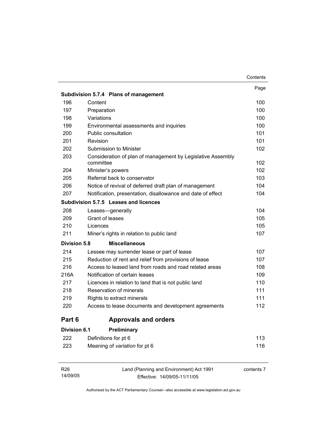|                     |                                                                          | Contents |
|---------------------|--------------------------------------------------------------------------|----------|
|                     |                                                                          | Page     |
|                     | Subdivision 5.7.4 Plans of management                                    |          |
| 196                 | Content                                                                  | 100      |
| 197                 | Preparation                                                              | 100      |
| 198                 | Variations                                                               | 100      |
| 199                 | Environmental assessments and inquiries                                  | 100      |
| 200                 | <b>Public consultation</b>                                               | 101      |
| 201                 | Revision                                                                 | 101      |
| 202                 | Submission to Minister                                                   | 102      |
| 203                 | Consideration of plan of management by Legislative Assembly<br>committee | 102      |
| 204                 | Minister's powers                                                        | 102      |
| 205                 | Referral back to conservator                                             | 103      |
| 206                 | Notice of revival of deferred draft plan of management                   | 104      |
| 207                 | Notification, presentation, disallowance and date of effect              | 104      |
|                     | Subdivision 5.7.5 Leases and licences                                    |          |
| 208                 | Leases-generally                                                         | 104      |
| 209                 | Grant of leases                                                          | 105      |
| 210                 | Licences                                                                 | 105      |
| 211                 | Miner's rights in relation to public land                                | 107      |
| <b>Division 5.8</b> | <b>Miscellaneous</b>                                                     |          |
| 214                 | Lessee may surrender lease or part of lease                              | 107      |
| 215                 | Reduction of rent and relief from provisions of lease                    | 107      |
| 216                 | Access to leased land from roads and road related areas                  | 108      |
| 216A                | Notification of certain leases                                           | 109      |
| 217                 | Licences in relation to land that is not public land                     | 110      |
| 218                 | Reservation of minerals                                                  | 111      |
| 219                 | Rights to extract minerals                                               | 111      |
| 220                 | Access to lease documents and development agreements                     | 112      |
| Part 6              | <b>Approvals and orders</b>                                              |          |
| <b>Division 6.1</b> | Preliminary                                                              |          |
| 222                 | Definitions for pt 6                                                     | 113      |
| 223                 | Meaning of variation for pt 6                                            | 116      |

| R26      | Land (Planning and Environment) Act 1991 | contents 7 |
|----------|------------------------------------------|------------|
| 14/09/05 | Effective: 14/09/05-11/11/05             |            |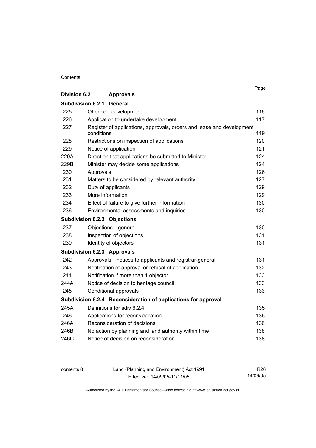#### **Contents**

|                     |                                                                                     | Page |
|---------------------|-------------------------------------------------------------------------------------|------|
| <b>Division 6.2</b> | <b>Approvals</b>                                                                    |      |
| Subdivision 6.2.1   | General                                                                             |      |
| 225                 | Offence-development                                                                 | 116  |
| 226                 | Application to undertake development                                                | 117  |
| 227                 | Register of applications, approvals, orders and lease and development<br>conditions | 119  |
| 228                 | Restrictions on inspection of applications                                          | 120  |
| 229                 | Notice of application                                                               | 121  |
| 229A                | Direction that applications be submitted to Minister                                | 124  |
| 229B                | Minister may decide some applications                                               | 124  |
| 230                 | Approvals                                                                           | 126  |
| 231                 | Matters to be considered by relevant authority                                      | 127  |
| 232                 | Duty of applicants                                                                  | 129  |
| 233                 | More information                                                                    | 129  |
| 234                 | Effect of failure to give further information                                       | 130  |
| 236                 | Environmental assessments and inquiries                                             | 130  |
|                     | <b>Subdivision 6.2.2 Objections</b>                                                 |      |
| 237                 | Objections-general                                                                  | 130  |
| 238                 | Inspection of objections                                                            | 131  |
| 239                 | Identity of objectors                                                               | 131  |
|                     | <b>Subdivision 6.2.3 Approvals</b>                                                  |      |
| 242                 | Approvals—notices to applicants and registrar-general                               | 131  |
| 243                 | Notification of approval or refusal of application                                  | 132  |
| 244                 | Notification if more than 1 objector                                                | 133  |
| 244A                | Notice of decision to heritage council                                              | 133  |
| 245                 | Conditional approvals                                                               | 133  |
|                     | Subdivision 6.2.4 Reconsideration of applications for approval                      |      |
| 245A                | Definitions for sdiv 6.2.4                                                          | 135  |
| 246                 | Applications for reconsideration                                                    | 136  |
| 246A                | Reconsideration of decisions                                                        | 136  |
| 246B                | No action by planning and land authority within time                                | 138  |
| 246C                | Notice of decision on reconsideration                                               | 138  |

contents 8 Land (Planning and Environment) Act 1991 Effective: 14/09/05-11/11/05

R26 14/09/05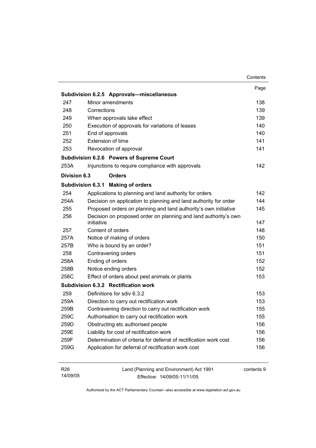|                             |                                                                               | Contents   |
|-----------------------------|-------------------------------------------------------------------------------|------------|
|                             |                                                                               | Page       |
|                             | Subdivision 6.2.5 Approvals-miscellaneous                                     |            |
| 247                         | Minor amendments                                                              | 138        |
| 248                         | Corrections                                                                   | 139        |
| 249                         | When approvals take effect                                                    | 139        |
| 250                         | Execution of approvals for variations of leases                               | 140        |
| 251                         | End of approvals                                                              | 140        |
| 252                         | Extension of time                                                             | 141        |
| 253                         | Revocation of approval                                                        | 141        |
|                             | Subdivision 6.2.6 Powers of Supreme Court                                     |            |
| 253A                        | Injunctions to require compliance with approvals                              | 142        |
| Division 6.3                | <b>Orders</b>                                                                 |            |
|                             | Subdivision 6.3.1 Making of orders                                            |            |
| 254                         | Applications to planning and land authority for orders                        | 142        |
| 254A                        | Decision on application to planning and land authority for order              | 144        |
| 255                         | Proposed orders on planning and land authority's own initiative               | 145        |
| 256                         | Decision on proposed order on planning and land authority's own<br>initiative | 147        |
| 257                         | Content of orders                                                             | 148        |
| 257A                        | Notice of making of orders                                                    | 150        |
| 257B                        | Who is bound by an order?                                                     | 151        |
| 258                         | Contravening orders                                                           | 151        |
| 258A                        | Ending of orders                                                              | 152        |
| 258B                        | Notice ending orders                                                          | 152        |
| 258C                        | Effect of orders about pest animals or plants                                 | 153        |
|                             | Subdivision 6.3.2 Rectification work                                          |            |
| 259                         | Definitions for sdiv 6.3.2                                                    | 153        |
| 259A                        | Direction to carry out rectification work                                     | 153        |
| 259B                        | Contravening direction to carry out rectification work                        | 155        |
| 259C                        | Authorisation to carry out rectification work                                 | 155        |
| 259D                        | Obstructing etc authorised people                                             | 156        |
| 259E                        | Liability for cost of rectification work                                      | 156        |
| 259F                        | Determination of criteria for deferral of rectification work cost             | 156        |
| 259G                        | Application for deferral of rectification work cost                           | 156        |
| R <sub>26</sub><br>14/09/05 | Land (Planning and Environment) Act 1991<br>Fffective: 14/09/05-11/11/05      | contents 9 |

Effective: 14/09/05-11/11/05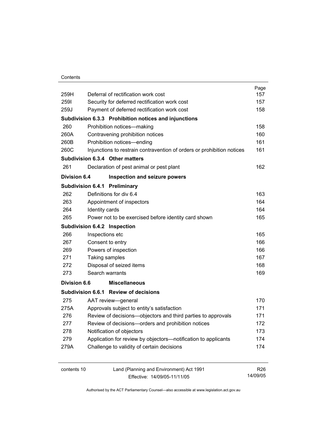#### **Contents**

| 259H                | Deferral of rectification work cost                                    | Page<br>157 |
|---------------------|------------------------------------------------------------------------|-------------|
| 2591                | Security for deferred rectification work cost                          | 157         |
| 259J                | Payment of deferred rectification work cost                            | 158         |
|                     | Subdivision 6.3.3 Prohibition notices and injunctions                  |             |
| 260                 | Prohibition notices-making                                             | 158         |
| 260A                | Contravening prohibition notices                                       | 160         |
| 260B                | Prohibition notices-ending                                             | 161         |
| 260C                | Injunctions to restrain contravention of orders or prohibition notices | 161         |
|                     | Subdivision 6.3.4 Other matters                                        |             |
| 261                 | Declaration of pest animal or pest plant                               | 162         |
| <b>Division 6.4</b> | Inspection and seizure powers                                          |             |
|                     | Subdivision 6.4.1 Preliminary                                          |             |
| 262                 | Definitions for div 6.4                                                | 163         |
| 263                 | Appointment of inspectors                                              | 164         |
| 264                 | Identity cards                                                         | 164         |
| 265                 | Power not to be exercised before identity card shown                   | 165         |
|                     | Subdivision 6.4.2 Inspection                                           |             |
| 266                 | Inspections etc                                                        | 165         |
| 267                 | Consent to entry                                                       | 166         |
| 269                 | Powers of inspection                                                   | 166         |
| 271                 | Taking samples                                                         | 167         |
| 272                 | Disposal of seized items                                               | 168         |
| 273                 | Search warrants                                                        | 169         |
| <b>Division 6.6</b> | <b>Miscellaneous</b>                                                   |             |
|                     | Subdivision 6.6.1 Review of decisions                                  |             |
| 275                 | AAT review-general                                                     | 170         |
| 275A                | Approvals subject to entity's satisfaction                             | 171         |
| 276                 | Review of decisions-objectors and third parties to approvals           | 171         |
| 277                 | Review of decisions-orders and prohibition notices                     | 172         |
| 278                 | Notification of objectors                                              | 173         |
| 279                 | Application for review by objectors-notification to applicants         | 174         |
| 279A                | Challenge to validity of certain decisions                             | 174         |
|                     |                                                                        |             |

contents 10 Land (Planning and Environment) Act 1991 Effective: 14/09/05-11/11/05

R26 14/09/05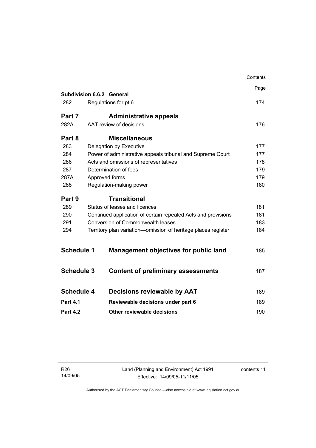|                   |                                                               | Contents |
|-------------------|---------------------------------------------------------------|----------|
|                   |                                                               | Page     |
|                   | <b>Subdivision 6.6.2 General</b>                              |          |
| 282               | Regulations for pt 6                                          | 174      |
| Part 7            | <b>Administrative appeals</b>                                 |          |
| 282A              | AAT review of decisions                                       | 176      |
| Part 8            | <b>Miscellaneous</b>                                          |          |
| 283               | Delegation by Executive                                       | 177      |
| 284               | Power of administrative appeals tribunal and Supreme Court    | 177      |
| 286               | Acts and omissions of representatives                         | 178      |
| 287               | Determination of fees                                         | 179      |
| 287A              | Approved forms                                                | 179      |
| 288               | Regulation-making power                                       | 180      |
| Part 9            | <b>Transitional</b>                                           |          |
| 289               | Status of leases and licences                                 | 181      |
| 290               | Continued application of certain repealed Acts and provisions | 181      |
| 291               | <b>Conversion of Commonwealth leases</b>                      | 183      |
| 294               | Territory plan variation-omission of heritage places register | 184      |
|                   |                                                               |          |
| <b>Schedule 1</b> | <b>Management objectives for public land</b>                  | 185      |
| <b>Schedule 3</b> | <b>Content of preliminary assessments</b>                     | 187      |
|                   |                                                               |          |
| <b>Schedule 4</b> | <b>Decisions reviewable by AAT</b>                            | 189      |
| <b>Part 4.1</b>   |                                                               | 189      |
|                   | Reviewable decisions under part 6                             |          |
| <b>Part 4.2</b>   | Other reviewable decisions                                    | 190      |
|                   |                                                               |          |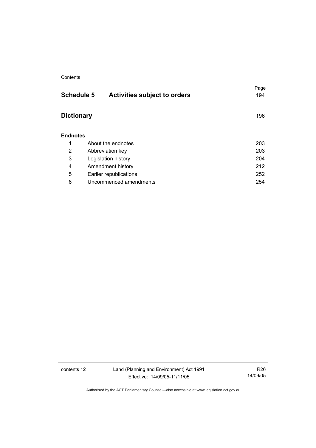#### **Contents**

| 194 |
|-----|
| 196 |
|     |
| 203 |
| 203 |
| 204 |
| 212 |
| 252 |
| 254 |
|     |

contents 12 Land (Planning and Environment) Act 1991 Effective: 14/09/05-11/11/05

R26 14/09/05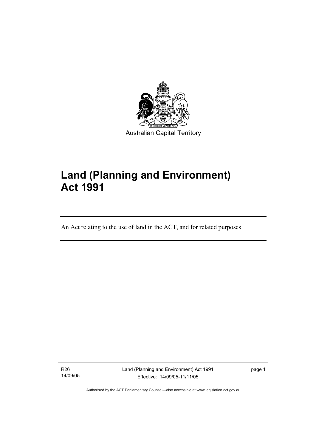

# **Land (Planning and Environment) Act 1991**

An Act relating to the use of land in the ACT, and for related purposes

R26 14/09/05

I

Land (Planning and Environment) Act 1991 Effective: 14/09/05-11/11/05

page 1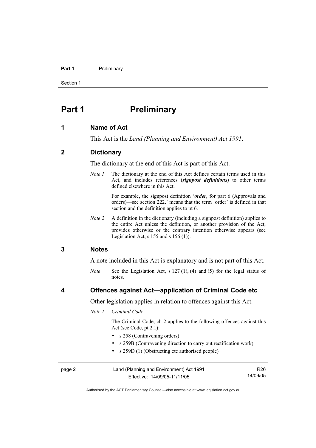#### Part 1 **Preliminary**

Section 1

## **Part 1** Preliminary

#### **1 Name of Act**

This Act is the *Land (Planning and Environment) Act 1991*.

#### **2 Dictionary**

The dictionary at the end of this Act is part of this Act.

*Note 1* The dictionary at the end of this Act defines certain terms used in this Act, and includes references (*signpost definitions*) to other terms defined elsewhere in this Act.

> For example, the signpost definition '*order*, for part 6 (Approvals and orders)—see section 222.' means that the term 'order' is defined in that section and the definition applies to pt 6.

*Note 2* A definition in the dictionary (including a signpost definition) applies to the entire Act unless the definition, or another provision of the Act, provides otherwise or the contrary intention otherwise appears (see Legislation Act,  $s$  155 and  $s$  156 (1)).

#### **3 Notes**

A note included in this Act is explanatory and is not part of this Act.

*Note* See the Legislation Act, s 127 (1), (4) and (5) for the legal status of notes.

#### **4 Offences against Act—application of Criminal Code etc**

Other legislation applies in relation to offences against this Act.

#### *Note 1 Criminal Code*

 The Criminal Code, ch 2 applies to the following offences against this Act (see Code, pt 2.1):

- s 258 (Contravening orders)
- s 259B (Contravening direction to carry out rectification work)
- s 259D (1) (Obstructing etc authorised people)

| page 2 | Land (Planning and Environment) Act 1991 | R26      |
|--------|------------------------------------------|----------|
|        | Effective: 14/09/05-11/11/05             | 14/09/05 |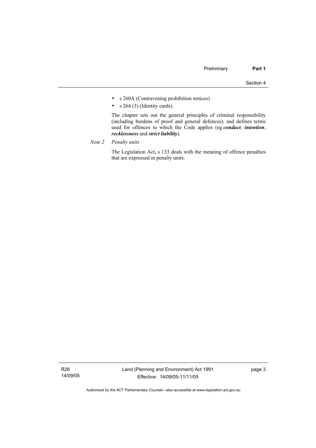- s 260A (Contravening prohibition notices)
- $s$  264 (3) (Identity cards).

 The chapter sets out the general principles of criminal responsibility (including burdens of proof and general defences), and defines terms used for offences to which the Code applies (eg *conduct*, *intention*, *recklessness* and *strict liability*).

*Note 2 Penalty units*

 The Legislation Act, s 133 deals with the meaning of offence penalties that are expressed in penalty units.

R26 14/09/05 page 3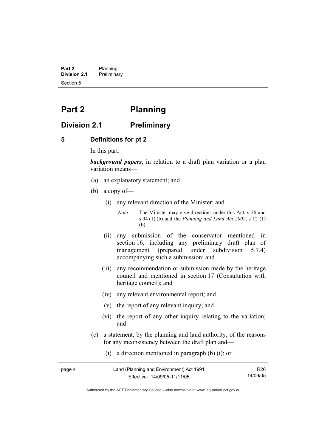**Part 2** Planning<br>**Division 2.1** Prelimina **Division 2.1** Preliminary Section 5

## **Part 2 Planning**

## **Division 2.1 Preliminary**

#### **5 Definitions for pt 2**

In this part:

*background papers*, in relation to a draft plan variation or a plan variation means—

- (a) an explanatory statement; and
- (b) a copy of—
	- (i) any relevant direction of the Minister; and

*Note* The Minister may give directions under this Act, s 26 and s 94 (1) (b) and the *Planning and Land Act 2002*, s 12 (1) (b).

- (ii) any submission of the conservator mentioned in section 16, including any preliminary draft plan of management (prepared under subdivision 5.7.4) accompanying such a submission; and
- (iii) any recommendation or submission made by the heritage council and mentioned in section 17 (Consultation with heritage council); and
- (iv) any relevant environmental report; and
- (v) the report of any relevant inquiry; and
- (vi) the report of any other inquiry relating to the variation; and
- (c) a statement, by the planning and land authority, of the reasons for any inconsistency between the draft plan and—
	- (i) a direction mentioned in paragraph (b) (i); or

| page 4 | Land (Planning and Environment) Act 1991 | R26.     |
|--------|------------------------------------------|----------|
|        | Effective: 14/09/05-11/11/05             | 14/09/05 |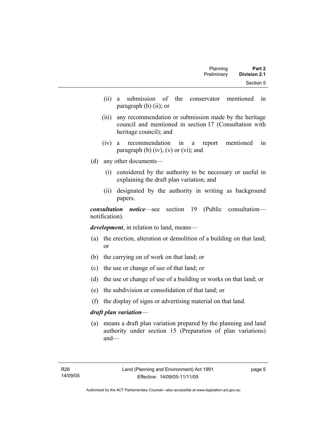| Part 2              | Planning    |
|---------------------|-------------|
| <b>Division 2.1</b> | Preliminary |
| Section 5           |             |

- (ii) a submission of the conservator mentioned in paragraph (b) (ii); or
- (iii) any recommendation or submission made by the heritage council and mentioned in section 17 (Consultation with heritage council); and
- (iv) a recommendation in a report mentioned in paragraph (b)  $(iv)$ ,  $(v)$  or  $(vi)$ ; and
- (d) any other documents—
	- (i) considered by the authority to be necessary or useful in explaining the draft plan variation; and
	- (ii) designated by the authority in writing as background papers.

*consultation notice*—see section 19 (Public consultation notification).

*development*, in relation to land, means—

- (a) the erection, alteration or demolition of a building on that land; or
- (b) the carrying on of work on that land; or
- (c) the use or change of use of that land; or
- (d) the use or change of use of a building or works on that land; or
- (e) the subdivision or consolidation of that land; or
- (f) the display of signs or advertising material on that land.

#### *draft plan variation*—

 (a) means a draft plan variation prepared by the planning and land authority under section 15 (Preparation of plan variations) and—

page 5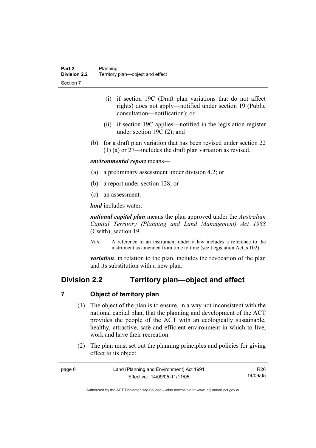- (i) if section 19C (Draft plan variations that do not affect rights) does not apply—notified under section 19 (Public consultation—notification); or
- (ii) if section 19C applies—notified in the legislation register under section 19C (2); and
- (b) for a draft plan variation that has been revised under section 22 (1) (a) or 27—includes the draft plan variation as revised.

#### *environmental report* means—

- (a) a preliminary assessment under division 4.2; or
- (b) a report under section 128; or
- (c) an assessment.

*land* includes water.

*national capital plan* means the plan approved under the *Australian Capital Territory (Planning and Land Management) Act 1988* (Cwlth), section 19.

*Note* A reference to an instrument under a law includes a reference to the instrument as amended from time to time (see Legislation Act, s 102)

*variation*, in relation to the plan, includes the revocation of the plan and its substitution with a new plan.

## **Division 2.2 Territory plan—object and effect**

#### **7 Object of territory plan**

- (1) The object of the plan is to ensure, in a way not inconsistent with the national capital plan, that the planning and development of the ACT provides the people of the ACT with an ecologically sustainable, healthy, attractive, safe and efficient environment in which to live, work and have their recreation.
- (2) The plan must set out the planning principles and policies for giving effect to its object.

| page 6 | Land (Planning and Environment) Act 1991 | R26      |
|--------|------------------------------------------|----------|
|        | Effective: 14/09/05-11/11/05             | 14/09/05 |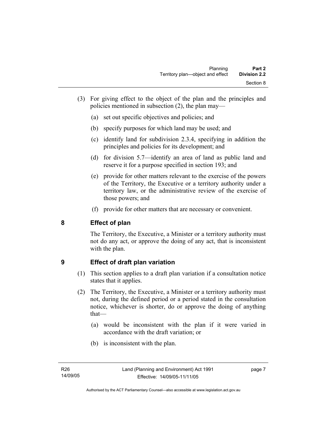- (3) For giving effect to the object of the plan and the principles and policies mentioned in subsection (2), the plan may—
	- (a) set out specific objectives and policies; and
	- (b) specify purposes for which land may be used; and
	- (c) identify land for subdivision 2.3.4, specifying in addition the principles and policies for its development; and
	- (d) for division 5.7—identify an area of land as public land and reserve it for a purpose specified in section 193; and
	- (e) provide for other matters relevant to the exercise of the powers of the Territory, the Executive or a territory authority under a territory law, or the administrative review of the exercise of those powers; and
	- (f) provide for other matters that are necessary or convenient.

## **8 Effect of plan**

The Territory, the Executive, a Minister or a territory authority must not do any act, or approve the doing of any act, that is inconsistent with the plan.

## **9 Effect of draft plan variation**

- (1) This section applies to a draft plan variation if a consultation notice states that it applies.
- (2) The Territory, the Executive, a Minister or a territory authority must not, during the defined period or a period stated in the consultation notice, whichever is shorter, do or approve the doing of anything that—
	- (a) would be inconsistent with the plan if it were varied in accordance with the draft variation; or
	- (b) is inconsistent with the plan.

page 7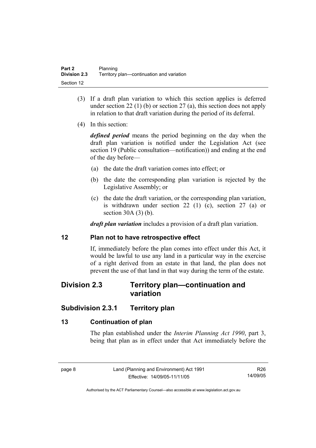- (3) If a draft plan variation to which this section applies is deferred under section 22 (1) (b) or section 27 (a), this section does not apply in relation to that draft variation during the period of its deferral.
- (4) In this section:

*defined period* means the period beginning on the day when the draft plan variation is notified under the Legislation Act (see section 19 (Public consultation—notification)) and ending at the end of the day before—

- (a) the date the draft variation comes into effect; or
- (b) the date the corresponding plan variation is rejected by the Legislative Assembly; or
- (c) the date the draft variation, or the corresponding plan variation, is withdrawn under section 22 (1) (c), section 27 (a) or section 30A (3) (b).

*draft plan variation* includes a provision of a draft plan variation.

#### **12 Plan not to have retrospective effect**

If, immediately before the plan comes into effect under this Act, it would be lawful to use any land in a particular way in the exercise of a right derived from an estate in that land, the plan does not prevent the use of that land in that way during the term of the estate.

## **Division 2.3 Territory plan—continuation and variation**

## **Subdivision 2.3.1 Territory plan**

## **13 Continuation of plan**

The plan established under the *Interim Planning Act 1990*, part 3, being that plan as in effect under that Act immediately before the

R26 14/09/05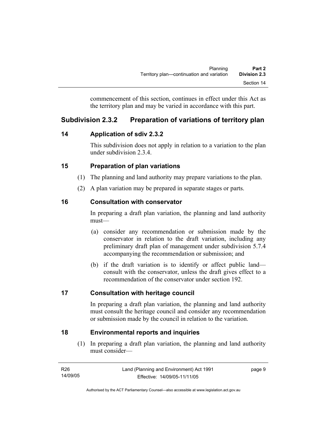commencement of this section, continues in effect under this Act as the territory plan and may be varied in accordance with this part.

## **Subdivision 2.3.2 Preparation of variations of territory plan**

## **14 Application of sdiv 2.3.2**

This subdivision does not apply in relation to a variation to the plan under subdivision 2.3.4.

## **15 Preparation of plan variations**

- (1) The planning and land authority may prepare variations to the plan.
- (2) A plan variation may be prepared in separate stages or parts.

## **16 Consultation with conservator**

In preparing a draft plan variation, the planning and land authority must—

- (a) consider any recommendation or submission made by the conservator in relation to the draft variation, including any preliminary draft plan of management under subdivision 5.7.4 accompanying the recommendation or submission; and
- (b) if the draft variation is to identify or affect public land consult with the conservator, unless the draft gives effect to a recommendation of the conservator under section 192.

## **17 Consultation with heritage council**

In preparing a draft plan variation, the planning and land authority must consult the heritage council and consider any recommendation or submission made by the council in relation to the variation.

## **18 Environmental reports and inquiries**

 (1) In preparing a draft plan variation, the planning and land authority must consider—

| R26      | Land (Planning and Environment) Act 1991 | page 9 |
|----------|------------------------------------------|--------|
| 14/09/05 | Effective: 14/09/05-11/11/05             |        |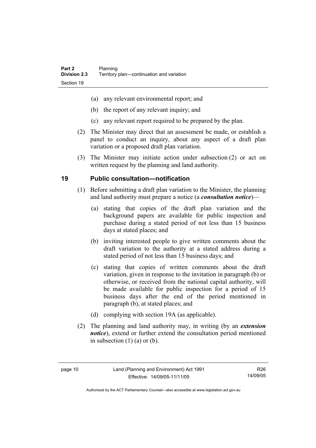- (a) any relevant environmental report; and
- (b) the report of any relevant inquiry; and
- (c) any relevant report required to be prepared by the plan.
- (2) The Minister may direct that an assessment be made, or establish a panel to conduct an inquiry, about any aspect of a draft plan variation or a proposed draft plan variation.
- (3) The Minister may initiate action under subsection (2) or act on written request by the planning and land authority.

## **19 Public consultation—notification**

- (1) Before submitting a draft plan variation to the Minister, the planning and land authority must prepare a notice (a *consultation notice*)—
	- (a) stating that copies of the draft plan variation and the background papers are available for public inspection and purchase during a stated period of not less than 15 business days at stated places; and
	- (b) inviting interested people to give written comments about the draft variation to the authority at a stated address during a stated period of not less than 15 business days; and
	- (c) stating that copies of written comments about the draft variation, given in response to the invitation in paragraph (b) or otherwise, or received from the national capital authority, will be made available for public inspection for a period of 15 business days after the end of the period mentioned in paragraph (b), at stated places; and
	- (d) complying with section 19A (as applicable).
- (2) The planning and land authority may, in writing (by an *extension notice*), extend or further extend the consultation period mentioned in subsection  $(1)$   $(a)$  or  $(b)$ .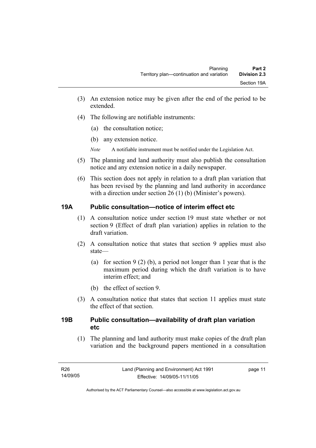- (3) An extension notice may be given after the end of the period to be extended.
- (4) The following are notifiable instruments:
	- (a) the consultation notice;
	- (b) any extension notice.
	- *Note* A notifiable instrument must be notified under the Legislation Act.
- (5) The planning and land authority must also publish the consultation notice and any extension notice in a daily newspaper.
- (6) This section does not apply in relation to a draft plan variation that has been revised by the planning and land authority in accordance with a direction under section 26 (1) (b) (Minister's powers).

## **19A Public consultation—notice of interim effect etc**

- (1) A consultation notice under section 19 must state whether or not section 9 (Effect of draft plan variation) applies in relation to the draft variation.
- (2) A consultation notice that states that section 9 applies must also state—
	- (a) for section 9 (2) (b), a period not longer than 1 year that is the maximum period during which the draft variation is to have interim effect; and
	- (b) the effect of section 9.
- (3) A consultation notice that states that section 11 applies must state the effect of that section.

## **19B Public consultation—availability of draft plan variation etc**

(1) The planning and land authority must make copies of the draft plan variation and the background papers mentioned in a consultation

page 11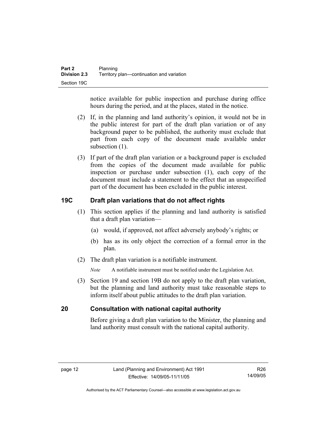notice available for public inspection and purchase during office hours during the period, and at the places, stated in the notice.

- (2) If, in the planning and land authority's opinion, it would not be in the public interest for part of the draft plan variation or of any background paper to be published, the authority must exclude that part from each copy of the document made available under subsection  $(1)$ .
- (3) If part of the draft plan variation or a background paper is excluded from the copies of the document made available for public inspection or purchase under subsection (1), each copy of the document must include a statement to the effect that an unspecified part of the document has been excluded in the public interest.

## **19C Draft plan variations that do not affect rights**

- (1) This section applies if the planning and land authority is satisfied that a draft plan variation—
	- (a) would, if approved, not affect adversely anybody's rights; or
	- (b) has as its only object the correction of a formal error in the plan.
- (2) The draft plan variation is a notifiable instrument.

*Note* A notifiable instrument must be notified under the Legislation Act.

 (3) Section 19 and section 19B do not apply to the draft plan variation, but the planning and land authority must take reasonable steps to inform itself about public attitudes to the draft plan variation.

## **20 Consultation with national capital authority**

Before giving a draft plan variation to the Minister, the planning and land authority must consult with the national capital authority.

R26 14/09/05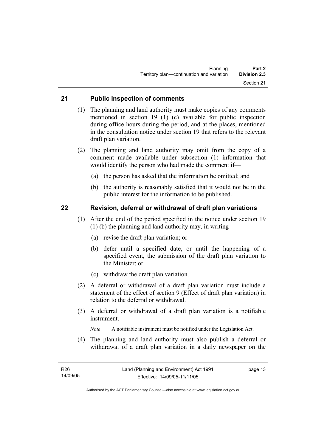#### **21 Public inspection of comments**

- (1) The planning and land authority must make copies of any comments mentioned in section 19 (1) (c) available for public inspection during office hours during the period, and at the places, mentioned in the consultation notice under section 19 that refers to the relevant draft plan variation.
- (2) The planning and land authority may omit from the copy of a comment made available under subsection (1) information that would identify the person who had made the comment if—
	- (a) the person has asked that the information be omitted; and
	- (b) the authority is reasonably satisfied that it would not be in the public interest for the information to be published.

#### **22 Revision, deferral or withdrawal of draft plan variations**

- (1) After the end of the period specified in the notice under section 19 (1) (b) the planning and land authority may, in writing—
	- (a) revise the draft plan variation; or
	- (b) defer until a specified date, or until the happening of a specified event, the submission of the draft plan variation to the Minister; or
	- (c) withdraw the draft plan variation.
- (2) A deferral or withdrawal of a draft plan variation must include a statement of the effect of section 9 (Effect of draft plan variation) in relation to the deferral or withdrawal.
- (3) A deferral or withdrawal of a draft plan variation is a notifiable instrument.

*Note* A notifiable instrument must be notified under the Legislation Act.

(4) The planning and land authority must also publish a deferral or withdrawal of a draft plan variation in a daily newspaper on the

page 13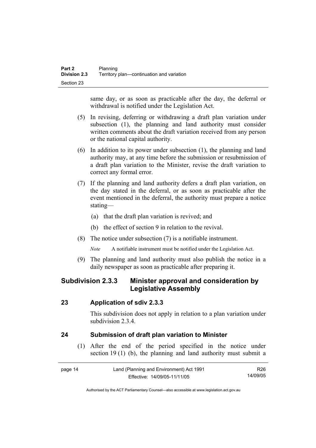same day, or as soon as practicable after the day, the deferral or withdrawal is notified under the Legislation Act.

- (5) In revising, deferring or withdrawing a draft plan variation under subsection (1), the planning and land authority must consider written comments about the draft variation received from any person or the national capital authority.
- (6) In addition to its power under subsection (1), the planning and land authority may, at any time before the submission or resubmission of a draft plan variation to the Minister, revise the draft variation to correct any formal error.
- (7) If the planning and land authority defers a draft plan variation, on the day stated in the deferral, or as soon as practicable after the event mentioned in the deferral, the authority must prepare a notice stating—
	- (a) that the draft plan variation is revived; and
	- (b) the effect of section 9 in relation to the revival.
- (8) The notice under subsection (7) is a notifiable instrument.

*Note* A notifiable instrument must be notified under the Legislation Act.

(9) The planning and land authority must also publish the notice in a daily newspaper as soon as practicable after preparing it.

## **Subdivision 2.3.3 Minister approval and consideration by Legislative Assembly**

#### **23 Application of sdiv 2.3.3**

This subdivision does not apply in relation to a plan variation under subdivision 2.3.4

## **24 Submission of draft plan variation to Minister**

 (1) After the end of the period specified in the notice under section 19 (1) (b), the planning and land authority must submit a

| page 14 | Land (Planning and Environment) Act 1991 | R26.     |
|---------|------------------------------------------|----------|
|         | Effective: 14/09/05-11/11/05             | 14/09/05 |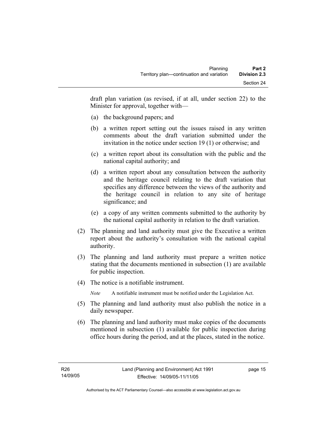draft plan variation (as revised, if at all, under section 22) to the Minister for approval, together with—

- (a) the background papers; and
- (b) a written report setting out the issues raised in any written comments about the draft variation submitted under the invitation in the notice under section 19 (1) or otherwise; and
- (c) a written report about its consultation with the public and the national capital authority; and
- (d) a written report about any consultation between the authority and the heritage council relating to the draft variation that specifies any difference between the views of the authority and the heritage council in relation to any site of heritage significance; and
- (e) a copy of any written comments submitted to the authority by the national capital authority in relation to the draft variation.
- (2) The planning and land authority must give the Executive a written report about the authority's consultation with the national capital authority.
- (3) The planning and land authority must prepare a written notice stating that the documents mentioned in subsection (1) are available for public inspection.
- (4) The notice is a notifiable instrument.

*Note* A notifiable instrument must be notified under the Legislation Act.

- (5) The planning and land authority must also publish the notice in a daily newspaper.
- (6) The planning and land authority must make copies of the documents mentioned in subsection (1) available for public inspection during office hours during the period, and at the places, stated in the notice.

page 15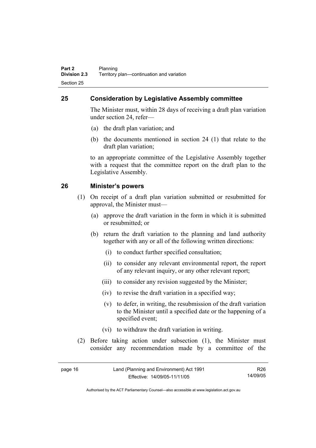## **25 Consideration by Legislative Assembly committee**

The Minister must, within 28 days of receiving a draft plan variation under section 24, refer—

- (a) the draft plan variation; and
- (b) the documents mentioned in section 24 (1) that relate to the draft plan variation;

to an appropriate committee of the Legislative Assembly together with a request that the committee report on the draft plan to the Legislative Assembly.

#### **26 Minister's powers**

- (1) On receipt of a draft plan variation submitted or resubmitted for approval, the Minister must—
	- (a) approve the draft variation in the form in which it is submitted or resubmitted; or
	- (b) return the draft variation to the planning and land authority together with any or all of the following written directions:
		- (i) to conduct further specified consultation;
		- (ii) to consider any relevant environmental report, the report of any relevant inquiry, or any other relevant report;
		- (iii) to consider any revision suggested by the Minister;
		- (iv) to revise the draft variation in a specified way;
		- (v) to defer, in writing, the resubmission of the draft variation to the Minister until a specified date or the happening of a specified event;
		- (vi) to withdraw the draft variation in writing.
- (2) Before taking action under subsection (1), the Minister must consider any recommendation made by a committee of the

| page 16 | Land (Planning and Environment) Act 1991 | R <sub>26</sub> |
|---------|------------------------------------------|-----------------|
|         | Effective: 14/09/05-11/11/05             | 14/09/05        |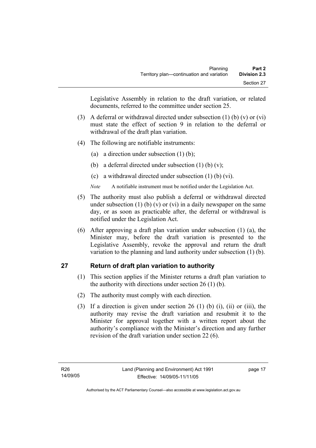Legislative Assembly in relation to the draft variation, or related documents, referred to the committee under section 25.

- (3) A deferral or withdrawal directed under subsection (1) (b) (v) or (vi) must state the effect of section 9 in relation to the deferral or withdrawal of the draft plan variation.
- (4) The following are notifiable instruments:
	- (a) a direction under subsection (1) (b);
	- (b) a deferral directed under subsection  $(1)$  (b)  $(v)$ ;
	- (c) a withdrawal directed under subsection (1) (b) (vi).
	- *Note* A notifiable instrument must be notified under the Legislation Act.
- (5) The authority must also publish a deferral or withdrawal directed under subsection (1) (b) (v) or (vi) in a daily newspaper on the same day, or as soon as practicable after, the deferral or withdrawal is notified under the Legislation Act.
- (6) After approving a draft plan variation under subsection (1) (a), the Minister may, before the draft variation is presented to the Legislative Assembly, revoke the approval and return the draft variation to the planning and land authority under subsection (1) (b).

## **27 Return of draft plan variation to authority**

- (1) This section applies if the Minister returns a draft plan variation to the authority with directions under section 26 (1) (b).
- (2) The authority must comply with each direction.
- (3) If a direction is given under section 26 (1) (b) (i), (ii) or (iii), the authority may revise the draft variation and resubmit it to the Minister for approval together with a written report about the authority's compliance with the Minister's direction and any further revision of the draft variation under section 22 (6).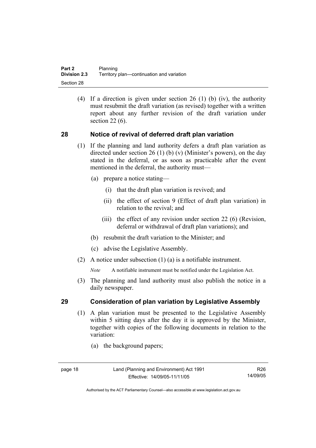(4) If a direction is given under section 26 (1) (b) (iv), the authority must resubmit the draft variation (as revised) together with a written report about any further revision of the draft variation under section 22 (6).

#### **28 Notice of revival of deferred draft plan variation**

- (1) If the planning and land authority defers a draft plan variation as directed under section 26 (1) (b) (v) (Minister's powers), on the day stated in the deferral, or as soon as practicable after the event mentioned in the deferral, the authority must—
	- (a) prepare a notice stating—
		- (i) that the draft plan variation is revived; and
		- (ii) the effect of section 9 (Effect of draft plan variation) in relation to the revival; and
		- (iii) the effect of any revision under section 22 (6) (Revision, deferral or withdrawal of draft plan variations); and
	- (b) resubmit the draft variation to the Minister; and
	- (c) advise the Legislative Assembly.
- (2) A notice under subsection (1) (a) is a notifiable instrument.

*Note* A notifiable instrument must be notified under the Legislation Act.

(3) The planning and land authority must also publish the notice in a daily newspaper.

#### **29 Consideration of plan variation by Legislative Assembly**

- (1) A plan variation must be presented to the Legislative Assembly within 5 sitting days after the day it is approved by the Minister, together with copies of the following documents in relation to the variation:
	- (a) the background papers;

R26 14/09/05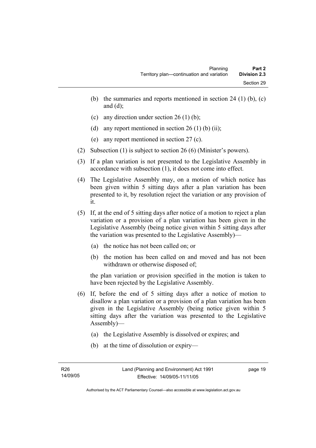- (b) the summaries and reports mentioned in section 24 (1) (b),  $(c)$ and  $(d)$ ;
- (c) any direction under section 26 (1) (b);
- (d) any report mentioned in section  $26(1)$  (b) (ii);
- (e) any report mentioned in section 27 (c).
- (2) Subsection (1) is subject to section 26 (6) (Minister's powers).
- (3) If a plan variation is not presented to the Legislative Assembly in accordance with subsection (1), it does not come into effect.
- (4) The Legislative Assembly may, on a motion of which notice has been given within 5 sitting days after a plan variation has been presented to it, by resolution reject the variation or any provision of it.
- (5) If, at the end of 5 sitting days after notice of a motion to reject a plan variation or a provision of a plan variation has been given in the Legislative Assembly (being notice given within 5 sitting days after the variation was presented to the Legislative Assembly)—
	- (a) the notice has not been called on; or
	- (b) the motion has been called on and moved and has not been withdrawn or otherwise disposed of;

the plan variation or provision specified in the motion is taken to have been rejected by the Legislative Assembly.

- (6) If, before the end of 5 sitting days after a notice of motion to disallow a plan variation or a provision of a plan variation has been given in the Legislative Assembly (being notice given within 5 sitting days after the variation was presented to the Legislative Assembly)—
	- (a) the Legislative Assembly is dissolved or expires; and
	- (b) at the time of dissolution or expiry—

page 19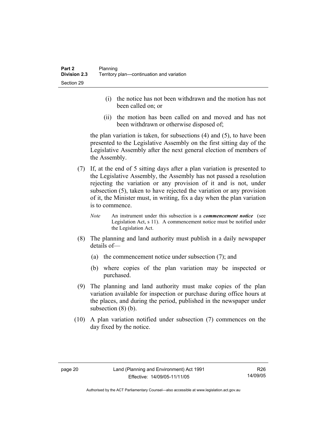- (i) the notice has not been withdrawn and the motion has not been called on; or
- (ii) the motion has been called on and moved and has not been withdrawn or otherwise disposed of;

the plan variation is taken, for subsections (4) and (5), to have been presented to the Legislative Assembly on the first sitting day of the Legislative Assembly after the next general election of members of the Assembly.

- (7) If, at the end of 5 sitting days after a plan variation is presented to the Legislative Assembly, the Assembly has not passed a resolution rejecting the variation or any provision of it and is not, under subsection (5), taken to have rejected the variation or any provision of it, the Minister must, in writing, fix a day when the plan variation is to commence.
	- *Note* An instrument under this subsection is a *commencement notice* (see Legislation Act, s 11). A commencement notice must be notified under the Legislation Act.
- (8) The planning and land authority must publish in a daily newspaper details of—
	- (a) the commencement notice under subsection (7); and
	- (b) where copies of the plan variation may be inspected or purchased.
- (9) The planning and land authority must make copies of the plan variation available for inspection or purchase during office hours at the places, and during the period, published in the newspaper under subsection  $(8)$  (b).
- (10) A plan variation notified under subsection (7) commences on the day fixed by the notice.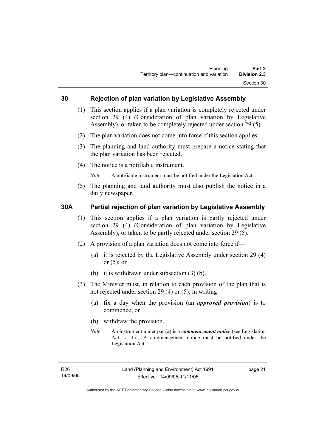#### **30 Rejection of plan variation by Legislative Assembly**

- (1) This section applies if a plan variation is completely rejected under section 29 (4) (Consideration of plan variation by Legislative Assembly), or taken to be completely rejected under section 29 (5).
- (2) The plan variation does not come into force if this section applies.
- (3) The planning and land authority must prepare a notice stating that the plan variation has been rejected.
- (4) The notice is a notifiable instrument.

*Note* A notifiable instrument must be notified under the Legislation Act.

(5) The planning and land authority must also publish the notice in a daily newspaper.

#### **30A Partial rejection of plan variation by Legislative Assembly**

- (1) This section applies if a plan variation is partly rejected under section 29 (4) (Consideration of plan variation by Legislative Assembly), or taken to be partly rejected under section 29 (5).
- (2) A provision of a plan variation does not come into force if—
	- (a) it is rejected by the Legislative Assembly under section 29 (4) or  $(5)$ ; or
	- (b) it is withdrawn under subsection (3) (b).
- (3) The Minister must, in relation to each provision of the plan that is not rejected under section 29 (4) or (5), in writing—
	- (a) fix a day when the provision (an *approved provision*) is to commence; or
	- (b) withdraw the provision.
	- *Note* An instrument under par (a) is a *commencement notice* (see Legislation Act, s 11). A commencement notice must be notified under the Legislation Act.

page 21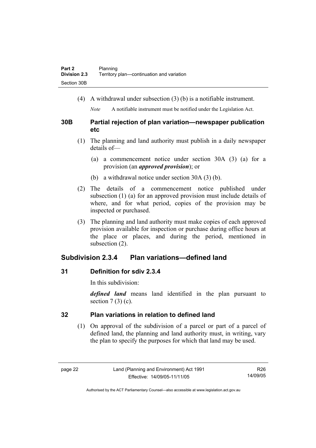(4) A withdrawal under subsection (3) (b) is a notifiable instrument.

*Note* A notifiable instrument must be notified under the Legislation Act.

#### **30B Partial rejection of plan variation—newspaper publication etc**

- (1) The planning and land authority must publish in a daily newspaper details of—
	- (a) a commencement notice under section 30A (3) (a) for a provision (an *approved provision*); or
	- (b) a withdrawal notice under section 30A (3) (b).
- (2) The details of a commencement notice published under subsection (1) (a) for an approved provision must include details of where, and for what period, copies of the provision may be inspected or purchased.
- (3) The planning and land authority must make copies of each approved provision available for inspection or purchase during office hours at the place or places, and during the period, mentioned in subsection (2).

## **Subdivision 2.3.4 Plan variations—defined land**

## **31 Definition for sdiv 2.3.4**

In this subdivision:

*defined land* means land identified in the plan pursuant to section  $7(3)(c)$ .

## **32 Plan variations in relation to defined land**

 (1) On approval of the subdivision of a parcel or part of a parcel of defined land, the planning and land authority must, in writing, vary the plan to specify the purposes for which that land may be used.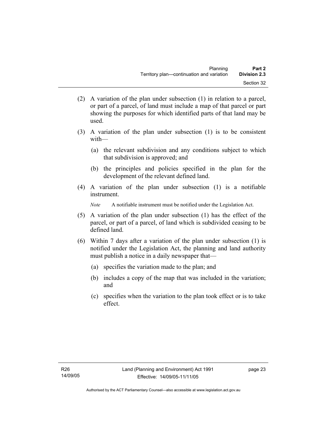- (2) A variation of the plan under subsection (1) in relation to a parcel, or part of a parcel, of land must include a map of that parcel or part showing the purposes for which identified parts of that land may be used.
- (3) A variation of the plan under subsection (1) is to be consistent with—
	- (a) the relevant subdivision and any conditions subject to which that subdivision is approved; and
	- (b) the principles and policies specified in the plan for the development of the relevant defined land.
- (4) A variation of the plan under subsection (1) is a notifiable instrument.

*Note* A notifiable instrument must be notified under the Legislation Act.

- (5) A variation of the plan under subsection (1) has the effect of the parcel, or part of a parcel, of land which is subdivided ceasing to be defined land.
- (6) Within 7 days after a variation of the plan under subsection (1) is notified under the Legislation Act, the planning and land authority must publish a notice in a daily newspaper that—
	- (a) specifies the variation made to the plan; and
	- (b) includes a copy of the map that was included in the variation; and
	- (c) specifies when the variation to the plan took effect or is to take effect.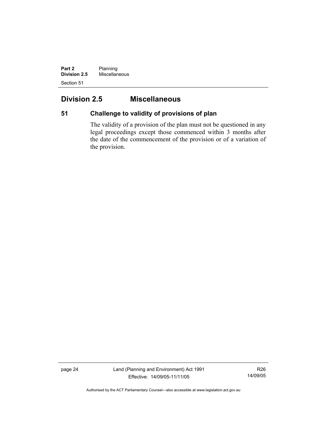**Part 2** Planning **Division 2.5** Miscellaneous Section 51

# **Division 2.5 Miscellaneous**

## **51 Challenge to validity of provisions of plan**

The validity of a provision of the plan must not be questioned in any legal proceedings except those commenced within 3 months after the date of the commencement of the provision or of a variation of the provision.

page 24 Land (Planning and Environment) Act 1991 Effective: 14/09/05-11/11/05

R26 14/09/05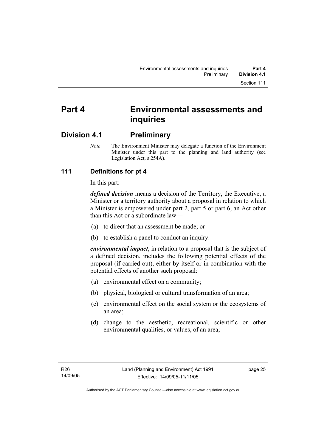# **Part 4 Environmental assessments and inquiries**

## **Division 4.1 Preliminary**

*Note* The Environment Minister may delegate a function of the Environment Minister under this part to the planning and land authority (see Legislation Act, s 254A).

## **111 Definitions for pt 4**

In this part:

*defined decision* means a decision of the Territory, the Executive, a Minister or a territory authority about a proposal in relation to which a Minister is empowered under part 2, part 5 or part 6, an Act other than this Act or a subordinate law—

- (a) to direct that an assessment be made; or
- (b) to establish a panel to conduct an inquiry.

*environmental impact*, in relation to a proposal that is the subject of a defined decision, includes the following potential effects of the proposal (if carried out), either by itself or in combination with the potential effects of another such proposal:

- (a) environmental effect on a community;
- (b) physical, biological or cultural transformation of an area;
- (c) environmental effect on the social system or the ecosystems of an area;
- (d) change to the aesthetic, recreational, scientific or other environmental qualities, or values, of an area;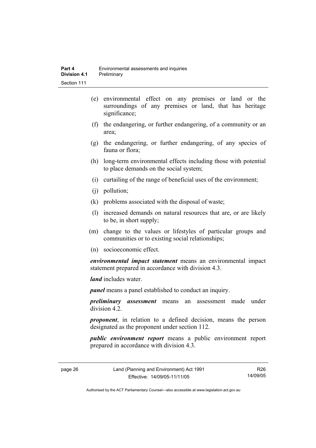- (e) environmental effect on any premises or land or the surroundings of any premises or land, that has heritage significance;
- (f) the endangering, or further endangering, of a community or an area;
- (g) the endangering, or further endangering, of any species of fauna or flora;
- (h) long-term environmental effects including those with potential to place demands on the social system;
- (i) curtailing of the range of beneficial uses of the environment;
- (j) pollution;
- (k) problems associated with the disposal of waste;
- (l) increased demands on natural resources that are, or are likely to be, in short supply;
- (m) change to the values or lifestyles of particular groups and communities or to existing social relationships;
- (n) socioeconomic effect.

*environmental impact statement* means an environmental impact statement prepared in accordance with division 4.3.

*land* includes water.

*panel* means a panel established to conduct an inquiry.

*preliminary assessment* means an assessment made under division 4.2.

*proponent*, in relation to a defined decision, means the person designated as the proponent under section 112.

*public environment report* means a public environment report prepared in accordance with division 4.3.

page 26 Land (Planning and Environment) Act 1991 Effective: 14/09/05-11/11/05

R26 14/09/05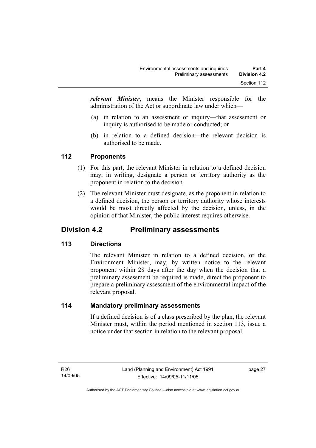*relevant Minister*, means the Minister responsible for the administration of the Act or subordinate law under which—

- (a) in relation to an assessment or inquiry—that assessment or inquiry is authorised to be made or conducted; or
- (b) in relation to a defined decision—the relevant decision is authorised to be made.

## **112 Proponents**

- (1) For this part, the relevant Minister in relation to a defined decision may, in writing, designate a person or territory authority as the proponent in relation to the decision.
- (2) The relevant Minister must designate, as the proponent in relation to a defined decision, the person or territory authority whose interests would be most directly affected by the decision, unless, in the opinion of that Minister, the public interest requires otherwise.

## **Division 4.2 Preliminary assessments**

## **113 Directions**

The relevant Minister in relation to a defined decision, or the Environment Minister, may, by written notice to the relevant proponent within 28 days after the day when the decision that a preliminary assessment be required is made, direct the proponent to prepare a preliminary assessment of the environmental impact of the relevant proposal.

#### **114 Mandatory preliminary assessments**

If a defined decision is of a class prescribed by the plan, the relevant Minister must, within the period mentioned in section 113, issue a notice under that section in relation to the relevant proposal.

page 27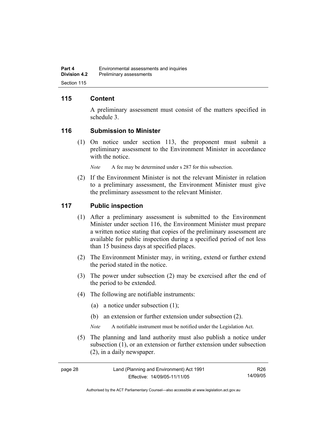## **115 Content**

A preliminary assessment must consist of the matters specified in schedule 3.

#### **116 Submission to Minister**

 (1) On notice under section 113, the proponent must submit a preliminary assessment to the Environment Minister in accordance with the notice.

*Note* A fee may be determined under s 287 for this subsection.

 (2) If the Environment Minister is not the relevant Minister in relation to a preliminary assessment, the Environment Minister must give the preliminary assessment to the relevant Minister.

#### **117 Public inspection**

- (1) After a preliminary assessment is submitted to the Environment Minister under section 116, the Environment Minister must prepare a written notice stating that copies of the preliminary assessment are available for public inspection during a specified period of not less than 15 business days at specified places.
- (2) The Environment Minister may, in writing, extend or further extend the period stated in the notice.
- (3) The power under subsection (2) may be exercised after the end of the period to be extended.
- (4) The following are notifiable instruments:
	- (a) a notice under subsection (1);
	- (b) an extension or further extension under subsection (2).
	- *Note* A notifiable instrument must be notified under the Legislation Act.
- (5) The planning and land authority must also publish a notice under subsection (1), or an extension or further extension under subsection (2), in a daily newspaper.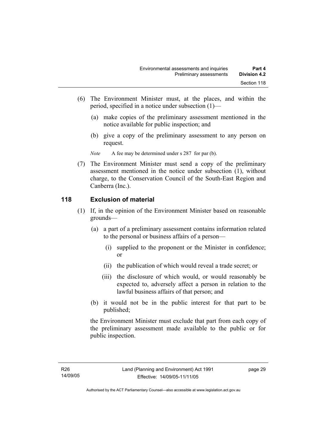- (6) The Environment Minister must, at the places, and within the period, specified in a notice under subsection (1)—
	- (a) make copies of the preliminary assessment mentioned in the notice available for public inspection; and
	- (b) give a copy of the preliminary assessment to any person on request.

*Note* A fee may be determined under s 287 for par (b).

 (7) The Environment Minister must send a copy of the preliminary assessment mentioned in the notice under subsection (1), without charge, to the Conservation Council of the South-East Region and Canberra (Inc.).

#### **118 Exclusion of material**

- (1) If, in the opinion of the Environment Minister based on reasonable grounds—
	- (a) a part of a preliminary assessment contains information related to the personal or business affairs of a person—
		- (i) supplied to the proponent or the Minister in confidence; or
		- (ii) the publication of which would reveal a trade secret; or
		- (iii) the disclosure of which would, or would reasonably be expected to, adversely affect a person in relation to the lawful business affairs of that person; and
	- (b) it would not be in the public interest for that part to be published;

the Environment Minister must exclude that part from each copy of the preliminary assessment made available to the public or for public inspection.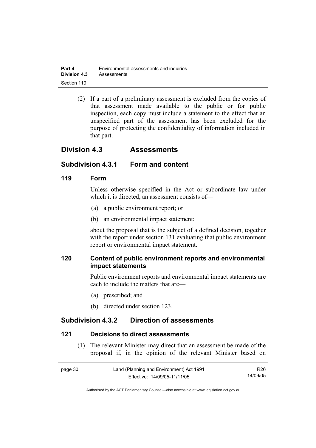| Part 4              | Environmental assessments and inquiries |
|---------------------|-----------------------------------------|
| <b>Division 4.3</b> | Assessments                             |
| Section 119         |                                         |

 (2) If a part of a preliminary assessment is excluded from the copies of that assessment made available to the public or for public inspection, each copy must include a statement to the effect that an unspecified part of the assessment has been excluded for the purpose of protecting the confidentiality of information included in that part.

## **Division 4.3 Assessments**

## **Subdivision 4.3.1 Form and content**

#### **119 Form**

Unless otherwise specified in the Act or subordinate law under which it is directed, an assessment consists of—

- (a) a public environment report; or
- (b) an environmental impact statement;

about the proposal that is the subject of a defined decision, together with the report under section 131 evaluating that public environment report or environmental impact statement.

## **120 Content of public environment reports and environmental impact statements**

Public environment reports and environmental impact statements are each to include the matters that are—

- (a) prescribed; and
- (b) directed under section 123.

## **Subdivision 4.3.2 Direction of assessments**

#### **121 Decisions to direct assessments**

 (1) The relevant Minister may direct that an assessment be made of the proposal if, in the opinion of the relevant Minister based on

| page 30 | Land (Planning and Environment) Act 1991 | R26      |
|---------|------------------------------------------|----------|
|         | Effective: 14/09/05-11/11/05             | 14/09/05 |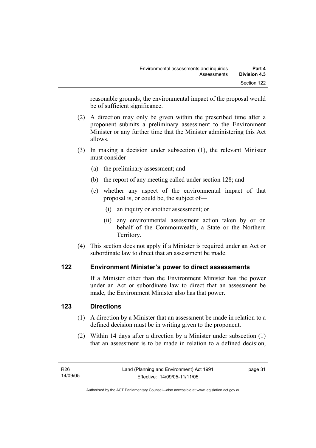reasonable grounds, the environmental impact of the proposal would be of sufficient significance.

- (2) A direction may only be given within the prescribed time after a proponent submits a preliminary assessment to the Environment Minister or any further time that the Minister administering this Act allows.
- (3) In making a decision under subsection (1), the relevant Minister must consider—
	- (a) the preliminary assessment; and
	- (b) the report of any meeting called under section 128; and
	- (c) whether any aspect of the environmental impact of that proposal is, or could be, the subject of—
		- (i) an inquiry or another assessment; or
		- (ii) any environmental assessment action taken by or on behalf of the Commonwealth, a State or the Northern Territory.
- (4) This section does not apply if a Minister is required under an Act or subordinate law to direct that an assessment be made.

## **122 Environment Minister's power to direct assessments**

If a Minister other than the Environment Minister has the power under an Act or subordinate law to direct that an assessment be made, the Environment Minister also has that power.

## **123 Directions**

- (1) A direction by a Minister that an assessment be made in relation to a defined decision must be in writing given to the proponent.
- (2) Within 14 days after a direction by a Minister under subsection (1) that an assessment is to be made in relation to a defined decision,

page 31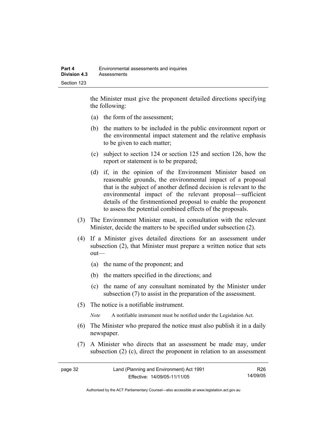the Minister must give the proponent detailed directions specifying the following:

- (a) the form of the assessment;
- (b) the matters to be included in the public environment report or the environmental impact statement and the relative emphasis to be given to each matter;
- (c) subject to section 124 or section 125 and section 126, how the report or statement is to be prepared;
- (d) if, in the opinion of the Environment Minister based on reasonable grounds, the environmental impact of a proposal that is the subject of another defined decision is relevant to the environmental impact of the relevant proposal—sufficient details of the firstmentioned proposal to enable the proponent to assess the potential combined effects of the proposals.
- (3) The Environment Minister must, in consultation with the relevant Minister, decide the matters to be specified under subsection (2).
- (4) If a Minister gives detailed directions for an assessment under subsection (2), that Minister must prepare a written notice that sets out—
	- (a) the name of the proponent; and
	- (b) the matters specified in the directions; and
	- (c) the name of any consultant nominated by the Minister under subsection (7) to assist in the preparation of the assessment.
- (5) The notice is a notifiable instrument.

*Note* A notifiable instrument must be notified under the Legislation Act.

- (6) The Minister who prepared the notice must also publish it in a daily newspaper.
- (7) A Minister who directs that an assessment be made may, under subsection (2) (c), direct the proponent in relation to an assessment

| page 32 | Land (Planning and Environment) Act 1991 | R26.     |
|---------|------------------------------------------|----------|
|         | Effective: 14/09/05-11/11/05             | 14/09/05 |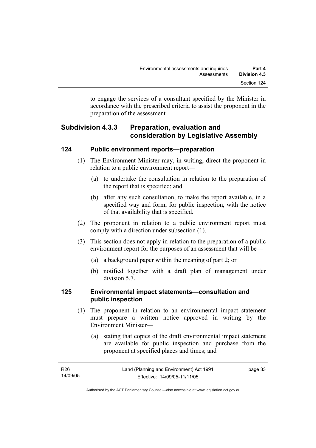to engage the services of a consultant specified by the Minister in accordance with the prescribed criteria to assist the proponent in the preparation of the assessment.

## **Subdivision 4.3.3 Preparation, evaluation and consideration by Legislative Assembly**

#### **124 Public environment reports—preparation**

- (1) The Environment Minister may, in writing, direct the proponent in relation to a public environment report—
	- (a) to undertake the consultation in relation to the preparation of the report that is specified; and
	- (b) after any such consultation, to make the report available, in a specified way and form, for public inspection, with the notice of that availability that is specified.
- (2) The proponent in relation to a public environment report must comply with a direction under subsection (1).
- (3) This section does not apply in relation to the preparation of a public environment report for the purposes of an assessment that will be—
	- (a) a background paper within the meaning of part 2; or
	- (b) notified together with a draft plan of management under division 5.7.

## **125 Environmental impact statements—consultation and public inspection**

- (1) The proponent in relation to an environmental impact statement must prepare a written notice approved in writing by the Environment Minister—
	- (a) stating that copies of the draft environmental impact statement are available for public inspection and purchase from the proponent at specified places and times; and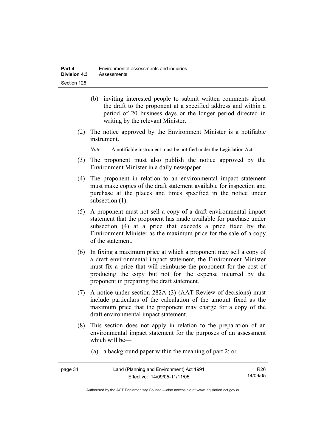- (b) inviting interested people to submit written comments about the draft to the proponent at a specified address and within a period of 20 business days or the longer period directed in writing by the relevant Minister.
- (2) The notice approved by the Environment Minister is a notifiable instrument.

*Note* A notifiable instrument must be notified under the Legislation Act.

- (3) The proponent must also publish the notice approved by the Environment Minister in a daily newspaper.
- (4) The proponent in relation to an environmental impact statement must make copies of the draft statement available for inspection and purchase at the places and times specified in the notice under subsection  $(1)$ .
- (5) A proponent must not sell a copy of a draft environmental impact statement that the proponent has made available for purchase under subsection (4) at a price that exceeds a price fixed by the Environment Minister as the maximum price for the sale of a copy of the statement.
- (6) In fixing a maximum price at which a proponent may sell a copy of a draft environmental impact statement, the Environment Minister must fix a price that will reimburse the proponent for the cost of producing the copy but not for the expense incurred by the proponent in preparing the draft statement.
- (7) A notice under section 282A (3) (AAT Review of decisions) must include particulars of the calculation of the amount fixed as the maximum price that the proponent may charge for a copy of the draft environmental impact statement.
- (8) This section does not apply in relation to the preparation of an environmental impact statement for the purposes of an assessment which will be—
	- (a) a background paper within the meaning of part 2; or

| page 34 | Land (Planning and Environment) Act 1991 | R26      |
|---------|------------------------------------------|----------|
|         | Effective: 14/09/05-11/11/05             | 14/09/05 |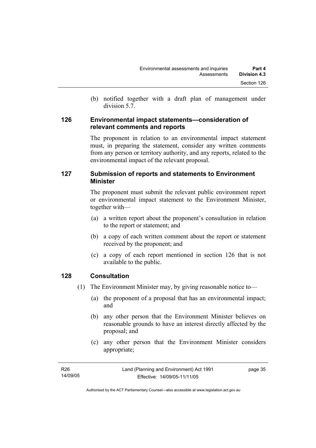(b) notified together with a draft plan of management under division 5.7.

#### **126 Environmental impact statements—consideration of relevant comments and reports**

The proponent in relation to an environmental impact statement must, in preparing the statement, consider any written comments from any person or territory authority, and any reports, related to the environmental impact of the relevant proposal.

## **127 Submission of reports and statements to Environment Minister**

The proponent must submit the relevant public environment report or environmental impact statement to the Environment Minister, together with—

- (a) a written report about the proponent's consultation in relation to the report or statement; and
- (b) a copy of each written comment about the report or statement received by the proponent; and
- (c) a copy of each report mentioned in section 126 that is not available to the public.

## **128 Consultation**

- (1) The Environment Minister may, by giving reasonable notice to—
	- (a) the proponent of a proposal that has an environmental impact; and
	- (b) any other person that the Environment Minister believes on reasonable grounds to have an interest directly affected by the proposal; and
	- (c) any other person that the Environment Minister considers appropriate;

| R26      | Land (Planning and Environment) Act 1991 | page 35 |
|----------|------------------------------------------|---------|
| 14/09/05 | Effective: 14/09/05-11/11/05             |         |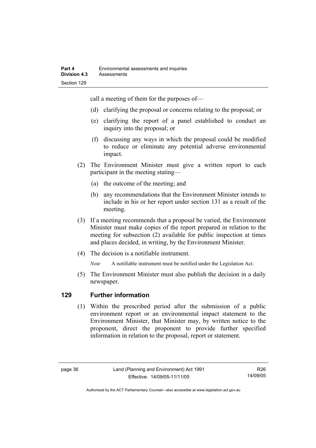call a meeting of them for the purposes of—

- (d) clarifying the proposal or concerns relating to the proposal; or
- (e) clarifying the report of a panel established to conduct an inquiry into the proposal; or
- (f) discussing any ways in which the proposal could be modified to reduce or eliminate any potential adverse environmental impact.
- (2) The Environment Minister must give a written report to each participant in the meeting stating—
	- (a) the outcome of the meeting; and
	- (b) any recommendations that the Environment Minister intends to include in his or her report under section 131 as a result of the meeting.
- (3) If a meeting recommends that a proposal be varied, the Environment Minister must make copies of the report prepared in relation to the meeting for subsection (2) available for public inspection at times and places decided, in writing, by the Environment Minister.
- (4) The decision is a notifiable instrument.

*Note* A notifiable instrument must be notified under the Legislation Act.

(5) The Environment Minister must also publish the decision in a daily newspaper.

## **129 Further information**

 (1) Within the prescribed period after the submission of a public environment report or an environmental impact statement to the Environment Minister, that Minister may, by written notice to the proponent, direct the proponent to provide further specified information in relation to the proposal, report or statement.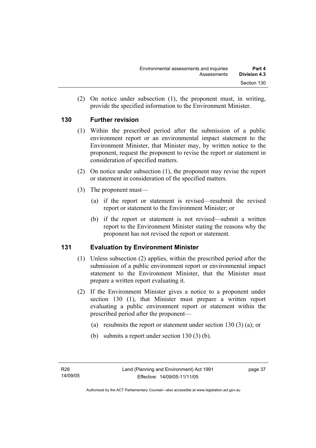(2) On notice under subsection (1), the proponent must, in writing, provide the specified information to the Environment Minister.

## **130 Further revision**

- (1) Within the prescribed period after the submission of a public environment report or an environmental impact statement to the Environment Minister, that Minister may, by written notice to the proponent, request the proponent to revise the report or statement in consideration of specified matters.
- (2) On notice under subsection (1), the proponent may revise the report or statement in consideration of the specified matters.
- (3) The proponent must—
	- (a) if the report or statement is revised—resubmit the revised report or statement to the Environment Minister; or
	- (b) if the report or statement is not revised—submit a written report to the Environment Minister stating the reasons why the proponent has not revised the report or statement.

## **131 Evaluation by Environment Minister**

- (1) Unless subsection (2) applies, within the prescribed period after the submission of a public environment report or environmental impact statement to the Environment Minister, that the Minister must prepare a written report evaluating it.
- (2) If the Environment Minister gives a notice to a proponent under section 130 (1), that Minister must prepare a written report evaluating a public environment report or statement within the prescribed period after the proponent—
	- (a) resubmits the report or statement under section 130 (3) (a); or
	- (b) submits a report under section 130 (3) (b).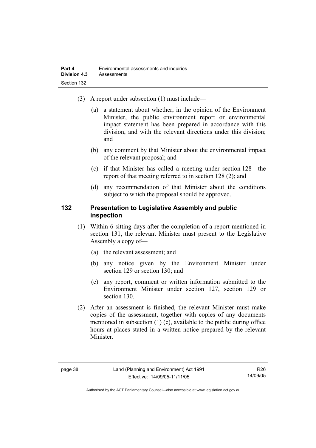- (3) A report under subsection (1) must include—
	- (a) a statement about whether, in the opinion of the Environment Minister, the public environment report or environmental impact statement has been prepared in accordance with this division, and with the relevant directions under this division; and
	- (b) any comment by that Minister about the environmental impact of the relevant proposal; and
	- (c) if that Minister has called a meeting under section 128—the report of that meeting referred to in section 128 (2); and
	- (d) any recommendation of that Minister about the conditions subject to which the proposal should be approved.

#### **132 Presentation to Legislative Assembly and public inspection**

- (1) Within 6 sitting days after the completion of a report mentioned in section 131, the relevant Minister must present to the Legislative Assembly a copy of—
	- (a) the relevant assessment; and
	- (b) any notice given by the Environment Minister under section 129 or section 130; and
	- (c) any report, comment or written information submitted to the Environment Minister under section 127, section 129 or section 130.
- (2) After an assessment is finished, the relevant Minister must make copies of the assessment, together with copies of any documents mentioned in subsection (1) (c), available to the public during office hours at places stated in a written notice prepared by the relevant Minister.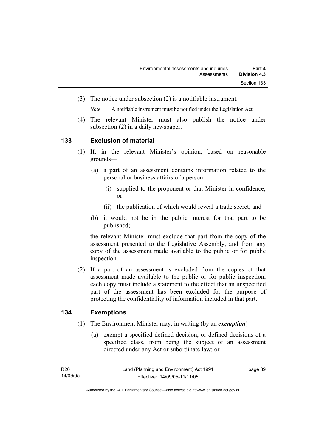(3) The notice under subsection (2) is a notifiable instrument.

*Note* A notifiable instrument must be notified under the Legislation Act.

(4) The relevant Minister must also publish the notice under subsection (2) in a daily newspaper.

#### **133 Exclusion of material**

- (1) If, in the relevant Minister's opinion, based on reasonable grounds—
	- (a) a part of an assessment contains information related to the personal or business affairs of a person—
		- (i) supplied to the proponent or that Minister in confidence; or
		- (ii) the publication of which would reveal a trade secret; and
	- (b) it would not be in the public interest for that part to be published;

the relevant Minister must exclude that part from the copy of the assessment presented to the Legislative Assembly, and from any copy of the assessment made available to the public or for public inspection.

 (2) If a part of an assessment is excluded from the copies of that assessment made available to the public or for public inspection, each copy must include a statement to the effect that an unspecified part of the assessment has been excluded for the purpose of protecting the confidentiality of information included in that part.

## **134 Exemptions**

- (1) The Environment Minister may, in writing (by an *exemption*)—
	- (a) exempt a specified defined decision, or defined decisions of a specified class, from being the subject of an assessment directed under any Act or subordinate law; or

page 39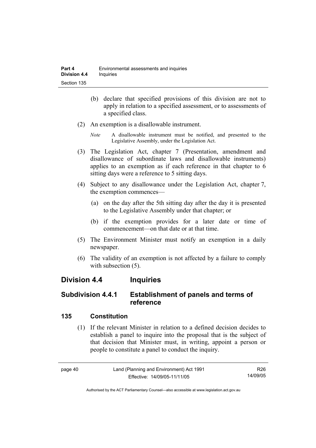- (b) declare that specified provisions of this division are not to apply in relation to a specified assessment, or to assessments of a specified class.
- (2) An exemption is a disallowable instrument.
	- *Note* A disallowable instrument must be notified, and presented to the Legislative Assembly, under the Legislation Act.
- (3) The Legislation Act, chapter 7 (Presentation, amendment and disallowance of subordinate laws and disallowable instruments) applies to an exemption as if each reference in that chapter to 6 sitting days were a reference to 5 sitting days.
- (4) Subject to any disallowance under the Legislation Act, chapter 7, the exemption commences—
	- (a) on the day after the 5th sitting day after the day it is presented to the Legislative Assembly under that chapter; or
	- (b) if the exemption provides for a later date or time of commencement—on that date or at that time.
- (5) The Environment Minister must notify an exemption in a daily newspaper.
- (6) The validity of an exemption is not affected by a failure to comply with subsection  $(5)$ .

## **Division 4.4 Inquiries**

## **Subdivision 4.4.1 Establishment of panels and terms of reference**

## **135 Constitution**

 (1) If the relevant Minister in relation to a defined decision decides to establish a panel to inquire into the proposal that is the subject of that decision that Minister must, in writing, appoint a person or people to constitute a panel to conduct the inquiry.

> R26 14/09/05

page 40 Land (Planning and Environment) Act 1991 Effective: 14/09/05-11/11/05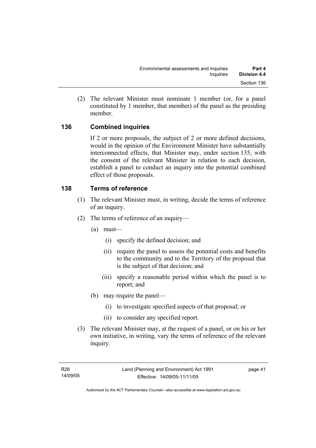(2) The relevant Minister must nominate 1 member (or, for a panel constituted by 1 member, that member) of the panel as the presiding member.

## **136 Combined inquiries**

If 2 or more proposals, the subject of 2 or more defined decisions, would in the opinion of the Environment Minister have substantially interconnected effects, that Minister may, under section 135, with the consent of the relevant Minister in relation to each decision, establish a panel to conduct an inquiry into the potential combined effect of those proposals.

## **138 Terms of reference**

- (1) The relevant Minister must, in writing, decide the terms of reference of an inquiry.
- (2) The terms of reference of an inquiry—
	- (a) must—
		- (i) specify the defined decision; and
		- (ii) require the panel to assess the potential costs and benefits to the community and to the Territory of the proposal that is the subject of that decision; and
		- (iii) specify a reasonable period within which the panel is to report; and
	- (b) may require the panel—
		- (i) to investigate specified aspects of that proposal; or
		- (ii) to consider any specified report.
- (3) The relevant Minister may, at the request of a panel, or on his or her own initiative, in writing, vary the terms of reference of the relevant inquiry.

page 41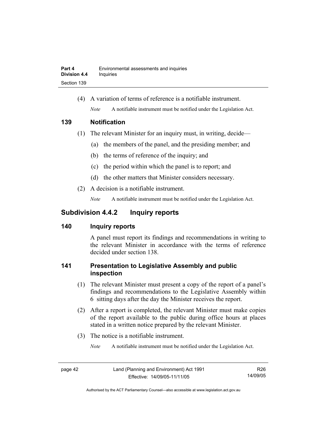(4) A variation of terms of reference is a notifiable instrument. *Note* A notifiable instrument must be notified under the Legislation Act.

#### **139 Notification**

- (1) The relevant Minister for an inquiry must, in writing, decide—
	- (a) the members of the panel, and the presiding member; and
	- (b) the terms of reference of the inquiry; and
	- (c) the period within which the panel is to report; and
	- (d) the other matters that Minister considers necessary.
- (2) A decision is a notifiable instrument.

*Note* A notifiable instrument must be notified under the Legislation Act.

## **Subdivision 4.4.2 Inquiry reports**

## **140 Inquiry reports**

A panel must report its findings and recommendations in writing to the relevant Minister in accordance with the terms of reference decided under section 138.

## **141 Presentation to Legislative Assembly and public inspection**

- (1) The relevant Minister must present a copy of the report of a panel's findings and recommendations to the Legislative Assembly within 6 sitting days after the day the Minister receives the report.
- (2) After a report is completed, the relevant Minister must make copies of the report available to the public during office hours at places stated in a written notice prepared by the relevant Minister.
- (3) The notice is a notifiable instrument.

*Note* A notifiable instrument must be notified under the Legislation Act.

R26 14/09/05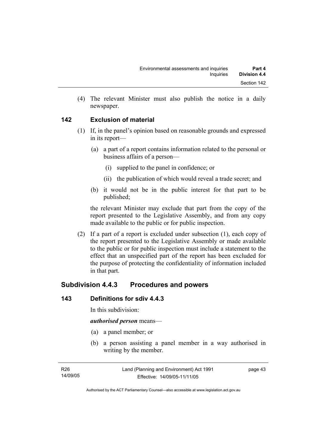(4) The relevant Minister must also publish the notice in a daily newspaper.

## **142 Exclusion of material**

- (1) If, in the panel's opinion based on reasonable grounds and expressed in its report—
	- (a) a part of a report contains information related to the personal or business affairs of a person—
		- (i) supplied to the panel in confidence; or
		- (ii) the publication of which would reveal a trade secret; and
	- (b) it would not be in the public interest for that part to be published;

the relevant Minister may exclude that part from the copy of the report presented to the Legislative Assembly, and from any copy made available to the public or for public inspection.

 (2) If a part of a report is excluded under subsection (1), each copy of the report presented to the Legislative Assembly or made available to the public or for public inspection must include a statement to the effect that an unspecified part of the report has been excluded for the purpose of protecting the confidentiality of information included in that part.

## **Subdivision 4.4.3 Procedures and powers**

## **143 Definitions for sdiv 4.4.3**

In this subdivision:

#### *authorised person* means—

- (a) a panel member; or
- (b) a person assisting a panel member in a way authorised in writing by the member.

page 43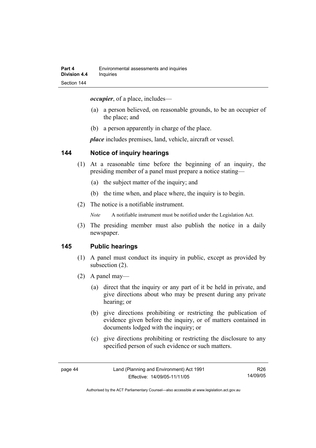*occupier*, of a place, includes—

- (a) a person believed, on reasonable grounds, to be an occupier of the place; and
- (b) a person apparently in charge of the place.

*place* includes premises, land, vehicle, aircraft or vessel.

#### **144 Notice of inquiry hearings**

- (1) At a reasonable time before the beginning of an inquiry, the presiding member of a panel must prepare a notice stating—
	- (a) the subject matter of the inquiry; and
	- (b) the time when, and place where, the inquiry is to begin.
- (2) The notice is a notifiable instrument.

*Note* A notifiable instrument must be notified under the Legislation Act.

(3) The presiding member must also publish the notice in a daily newspaper.

#### **145 Public hearings**

- (1) A panel must conduct its inquiry in public, except as provided by subsection (2).
- (2) A panel may—
	- (a) direct that the inquiry or any part of it be held in private, and give directions about who may be present during any private hearing; or
	- (b) give directions prohibiting or restricting the publication of evidence given before the inquiry, or of matters contained in documents lodged with the inquiry; or
	- (c) give directions prohibiting or restricting the disclosure to any specified person of such evidence or such matters.

R26 14/09/05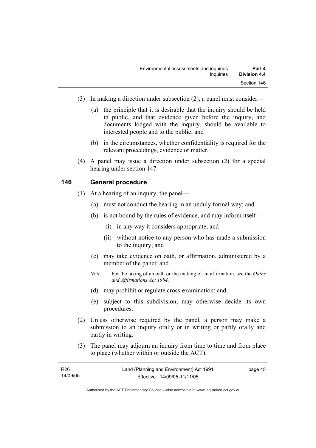- (3) In making a direction under subsection (2), a panel must consider—
	- (a) the principle that it is desirable that the inquiry should be held in public, and that evidence given before the inquiry, and documents lodged with the inquiry, should be available to interested people and to the public; and
	- (b) in the circumstances, whether confidentiality is required for the relevant proceedings, evidence or matter.
- (4) A panel may issue a direction under subsection (2) for a special hearing under section 147.

#### **146 General procedure**

- (1) At a hearing of an inquiry, the panel—
	- (a) must not conduct the hearing in an unduly formal way; and
	- (b) is not bound by the rules of evidence, and may inform itself—
		- (i) in any way it considers appropriate; and
		- (ii) without notice to any person who has made a submission to the inquiry; and
	- (c) may take evidence on oath, or affirmation, administered by a member of the panel; and
	- *Note* For the taking of an oath or the making of an affirmation, see the *Oaths and Affirmations Act 1984.*
	- (d) may prohibit or regulate cross-examination; and
	- (e) subject to this subdivision, may otherwise decide its own procedures.
- (2) Unless otherwise required by the panel, a person may make a submission to an inquiry orally or in writing or partly orally and partly in writing.
- (3) The panel may adjourn an inquiry from time to time and from place to place (whether within or outside the ACT).

| R <sub>26</sub> | Land (Planning and Environment) Act 1991 | page 45 |
|-----------------|------------------------------------------|---------|
| 14/09/05        | Effective: 14/09/05-11/11/05             |         |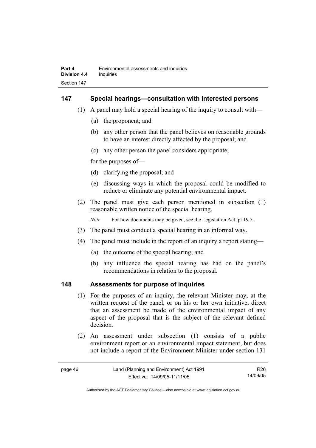#### **147 Special hearings—consultation with interested persons**

- (1) A panel may hold a special hearing of the inquiry to consult with—
	- (a) the proponent; and
	- (b) any other person that the panel believes on reasonable grounds to have an interest directly affected by the proposal; and
	- (c) any other person the panel considers appropriate;

for the purposes of—

- (d) clarifying the proposal; and
- (e) discussing ways in which the proposal could be modified to reduce or eliminate any potential environmental impact.
- (2) The panel must give each person mentioned in subsection (1) reasonable written notice of the special hearing.

*Note* For how documents may be given, see the Legislation Act, pt 19.5.

- (3) The panel must conduct a special hearing in an informal way.
- (4) The panel must include in the report of an inquiry a report stating—
	- (a) the outcome of the special hearing; and
	- (b) any influence the special hearing has had on the panel's recommendations in relation to the proposal.

#### **148 Assessments for purpose of inquiries**

- (1) For the purposes of an inquiry, the relevant Minister may, at the written request of the panel, or on his or her own initiative, direct that an assessment be made of the environmental impact of any aspect of the proposal that is the subject of the relevant defined decision.
- (2) An assessment under subsection (1) consists of a public environment report or an environmental impact statement, but does not include a report of the Environment Minister under section 131

| page 46 | Land (Planning and Environment) Act 1991 | R26.     |
|---------|------------------------------------------|----------|
|         | Effective: 14/09/05-11/11/05             | 14/09/05 |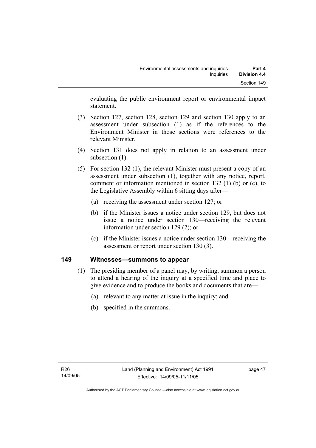evaluating the public environment report or environmental impact statement.

- (3) Section 127, section 128, section 129 and section 130 apply to an assessment under subsection (1) as if the references to the Environment Minister in those sections were references to the relevant Minister.
- (4) Section 131 does not apply in relation to an assessment under subsection  $(1)$ .
- (5) For section 132 (1), the relevant Minister must present a copy of an assessment under subsection (1), together with any notice, report, comment or information mentioned in section 132 (1) (b) or (c), to the Legislative Assembly within 6 sitting days after—
	- (a) receiving the assessment under section 127; or
	- (b) if the Minister issues a notice under section 129, but does not issue a notice under section 130—receiving the relevant information under section 129 (2); or
	- (c) if the Minister issues a notice under section 130—receiving the assessment or report under section 130 (3).

## **149 Witnesses—summons to appear**

- (1) The presiding member of a panel may, by writing, summon a person to attend a hearing of the inquiry at a specified time and place to give evidence and to produce the books and documents that are—
	- (a) relevant to any matter at issue in the inquiry; and
	- (b) specified in the summons.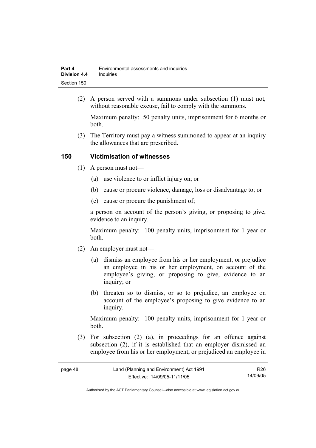| Part 4              | Environmental assessments and inquiries |
|---------------------|-----------------------------------------|
| <b>Division 4.4</b> | Inquiries                               |
| Section 150         |                                         |

 (2) A person served with a summons under subsection (1) must not, without reasonable excuse, fail to comply with the summons.

Maximum penalty: 50 penalty units, imprisonment for 6 months or both.

 (3) The Territory must pay a witness summoned to appear at an inquiry the allowances that are prescribed.

#### **150 Victimisation of witnesses**

- (1) A person must not—
	- (a) use violence to or inflict injury on; or
	- (b) cause or procure violence, damage, loss or disadvantage to; or
	- (c) cause or procure the punishment of;

a person on account of the person's giving, or proposing to give, evidence to an inquiry.

Maximum penalty: 100 penalty units, imprisonment for 1 year or both.

- (2) An employer must not—
	- (a) dismiss an employee from his or her employment, or prejudice an employee in his or her employment, on account of the employee's giving, or proposing to give, evidence to an inquiry; or
	- (b) threaten so to dismiss, or so to prejudice, an employee on account of the employee's proposing to give evidence to an inquiry.

Maximum penalty: 100 penalty units, imprisonment for 1 year or both.

 (3) For subsection (2) (a), in proceedings for an offence against subsection (2), if it is established that an employer dismissed an employee from his or her employment, or prejudiced an employee in

R26 14/09/05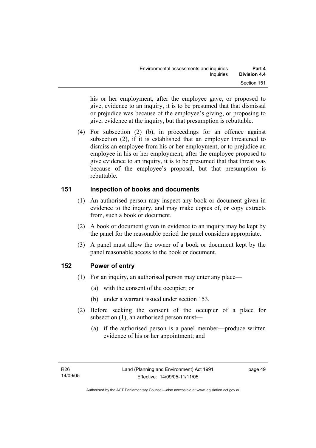his or her employment, after the employee gave, or proposed to give, evidence to an inquiry, it is to be presumed that that dismissal or prejudice was because of the employee's giving, or proposing to give, evidence at the inquiry, but that presumption is rebuttable.

 (4) For subsection (2) (b), in proceedings for an offence against subsection (2), if it is established that an employer threatened to dismiss an employee from his or her employment, or to prejudice an employee in his or her employment, after the employee proposed to give evidence to an inquiry, it is to be presumed that that threat was because of the employee's proposal, but that presumption is rebuttable.

## **151 Inspection of books and documents**

- (1) An authorised person may inspect any book or document given in evidence to the inquiry, and may make copies of, or copy extracts from, such a book or document.
- (2) A book or document given in evidence to an inquiry may be kept by the panel for the reasonable period the panel considers appropriate.
- (3) A panel must allow the owner of a book or document kept by the panel reasonable access to the book or document.

## **152 Power of entry**

- (1) For an inquiry, an authorised person may enter any place—
	- (a) with the consent of the occupier; or
	- (b) under a warrant issued under section 153.
- (2) Before seeking the consent of the occupier of a place for subsection (1), an authorised person must—
	- (a) if the authorised person is a panel member—produce written evidence of his or her appointment; and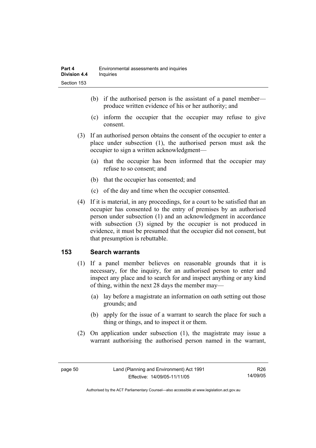- (b) if the authorised person is the assistant of a panel member produce written evidence of his or her authority; and
- (c) inform the occupier that the occupier may refuse to give consent.
- (3) If an authorised person obtains the consent of the occupier to enter a place under subsection (1), the authorised person must ask the occupier to sign a written acknowledgment—
	- (a) that the occupier has been informed that the occupier may refuse to so consent; and
	- (b) that the occupier has consented; and
	- (c) of the day and time when the occupier consented.
- (4) If it is material, in any proceedings, for a court to be satisfied that an occupier has consented to the entry of premises by an authorised person under subsection (1) and an acknowledgment in accordance with subsection (3) signed by the occupier is not produced in evidence, it must be presumed that the occupier did not consent, but that presumption is rebuttable.

## **153 Search warrants**

- (1) If a panel member believes on reasonable grounds that it is necessary, for the inquiry, for an authorised person to enter and inspect any place and to search for and inspect anything or any kind of thing, within the next 28 days the member may—
	- (a) lay before a magistrate an information on oath setting out those grounds; and
	- (b) apply for the issue of a warrant to search the place for such a thing or things, and to inspect it or them.
- (2) On application under subsection (1), the magistrate may issue a warrant authorising the authorised person named in the warrant,

R26 14/09/05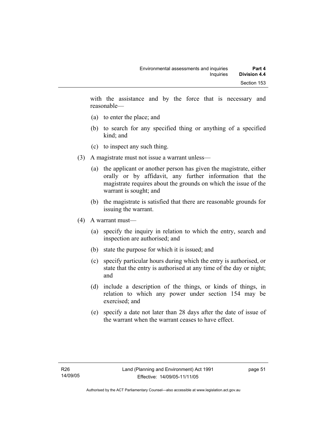with the assistance and by the force that is necessary and reasonable—

- (a) to enter the place; and
- (b) to search for any specified thing or anything of a specified kind; and
- (c) to inspect any such thing.
- (3) A magistrate must not issue a warrant unless—
	- (a) the applicant or another person has given the magistrate, either orally or by affidavit, any further information that the magistrate requires about the grounds on which the issue of the warrant is sought; and
	- (b) the magistrate is satisfied that there are reasonable grounds for issuing the warrant.
- (4) A warrant must—
	- (a) specify the inquiry in relation to which the entry, search and inspection are authorised; and
	- (b) state the purpose for which it is issued; and
	- (c) specify particular hours during which the entry is authorised, or state that the entry is authorised at any time of the day or night; and
	- (d) include a description of the things, or kinds of things, in relation to which any power under section 154 may be exercised; and
	- (e) specify a date not later than 28 days after the date of issue of the warrant when the warrant ceases to have effect.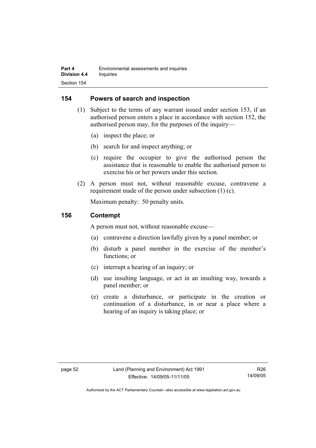## **154 Powers of search and inspection**

- (1) Subject to the terms of any warrant issued under section 153, if an authorised person enters a place in accordance with section 152, the authorised person may, for the purposes of the inquiry—
	- (a) inspect the place; or
	- (b) search for and inspect anything; or
	- (c) require the occupier to give the authorised person the assistance that is reasonable to enable the authorised person to exercise his or her powers under this section.
- (2) A person must not, without reasonable excuse, contravene a requirement made of the person under subsection (1) (c).

Maximum penalty: 50 penalty units.

#### **156 Contempt**

A person must not, without reasonable excuse—

- (a) contravene a direction lawfully given by a panel member; or
- (b) disturb a panel member in the exercise of the member's functions; or
- (c) interrupt a hearing of an inquiry; or
- (d) use insulting language, or act in an insulting way, towards a panel member; or
- (e) create a disturbance, or participate in the creation or continuation of a disturbance, in or near a place where a hearing of an inquiry is taking place; or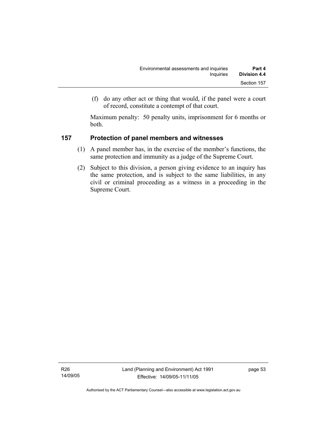(f) do any other act or thing that would, if the panel were a court of record, constitute a contempt of that court.

Maximum penalty: 50 penalty units, imprisonment for 6 months or both.

## **157 Protection of panel members and witnesses**

- (1) A panel member has, in the exercise of the member's functions, the same protection and immunity as a judge of the Supreme Court.
- (2) Subject to this division, a person giving evidence to an inquiry has the same protection, and is subject to the same liabilities, in any civil or criminal proceeding as a witness in a proceeding in the Supreme Court.

R26 14/09/05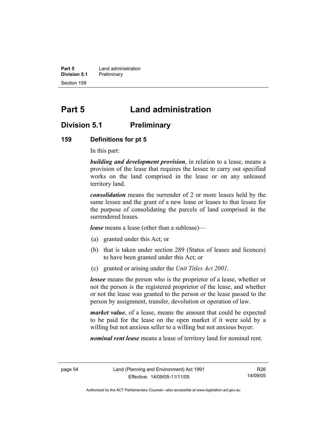**Part 5 Land administration Division 5.1** Preliminary Section 159

# **Part 5 Land administration**

## **Division 5.1 Preliminary**

#### **159 Definitions for pt 5**

In this part:

*building and development provision*, in relation to a lease, means a provision of the lease that requires the lessee to carry out specified works on the land comprised in the lease or on any unleased territory land.

*consolidation* means the surrender of 2 or more leases held by the same lessee and the grant of a new lease or leases to that lessee for the purpose of consolidating the parcels of land comprised in the surrendered leases.

*lease* means a lease (other than a sublease)—

- (a) granted under this Act; or
- (b) that is taken under section 289 (Status of leases and licences) to have been granted under this Act; or
- (c) granted or arising under the *Unit Titles Act 2001*.

*lessee* means the person who is the proprietor of a lease, whether or not the person is the registered proprietor of the lease, and whether or not the lease was granted to the person or the lease passed to the person by assignment, transfer, devolution or operation of law.

*market value*, of a lease, means the amount that could be expected to be paid for the lease on the open market if it were sold by a willing but not anxious seller to a willing but not anxious buyer.

*nominal rent lease* means a lease of territory land for nominal rent.

R26 14/09/05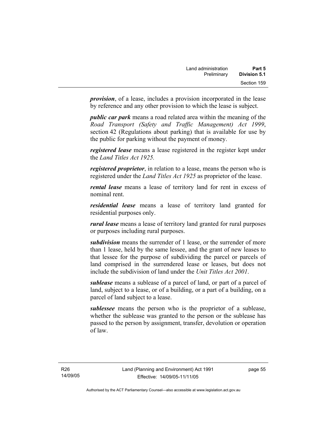*provision*, of a lease, includes a provision incorporated in the lease by reference and any other provision to which the lease is subject.

*public car park* means a road related area within the meaning of the *Road Transport (Safety and Traffic Management) Act 1999*, section 42 (Regulations about parking) that is available for use by the public for parking without the payment of money.

*registered lease* means a lease registered in the register kept under the *Land Titles Act 1925.*

*registered proprietor*, in relation to a lease, means the person who is registered under the *Land Titles Act 1925* as proprietor of the lease.

*rental lease* means a lease of territory land for rent in excess of nominal rent.

*residential lease* means a lease of territory land granted for residential purposes only.

*rural lease* means a lease of territory land granted for rural purposes or purposes including rural purposes.

*subdivision* means the surrender of 1 lease, or the surrender of more than 1 lease, held by the same lessee, and the grant of new leases to that lessee for the purpose of subdividing the parcel or parcels of land comprised in the surrendered lease or leases, but does not include the subdivision of land under the *Unit Titles Act 2001*.

*sublease* means a sublease of a parcel of land, or part of a parcel of land, subject to a lease, or of a building, or a part of a building, on a parcel of land subject to a lease.

*sublessee* means the person who is the proprietor of a sublease, whether the sublease was granted to the person or the sublease has passed to the person by assignment, transfer, devolution or operation of law.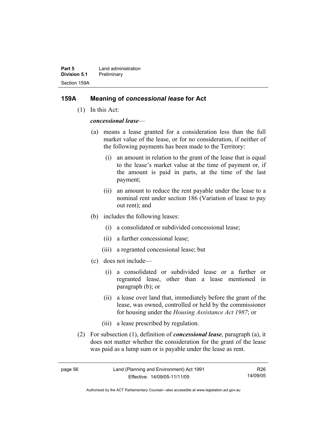**Part 5 Land administration Division 5.1** Preliminary Section 159A

#### **159A Meaning of** *concessional lease* **for Act**

(1) In this Act:

*concessional lease*—

- (a) means a lease granted for a consideration less than the full market value of the lease, or for no consideration, if neither of the following payments has been made to the Territory:
	- (i) an amount in relation to the grant of the lease that is equal to the lease's market value at the time of payment or, if the amount is paid in parts, at the time of the last payment;
	- (ii) an amount to reduce the rent payable under the lease to a nominal rent under section 186 (Variation of lease to pay out rent); and
- (b) includes the following leases:
	- (i) a consolidated or subdivided concessional lease;
	- (ii) a further concessional lease;
	- (iii) a regranted concessional lease; but
- (c) does not include—
	- (i) a consolidated or subdivided lease or a further or regranted lease, other than a lease mentioned in paragraph (b); or
	- (ii) a lease over land that, immediately before the grant of the lease, was owned, controlled or held by the commissioner for housing under the *Housing Assistance Act 1987*; or
	- (iii) a lease prescribed by regulation.
- (2) For subsection (1), definition of *concessional lease*, paragraph (a), it does not matter whether the consideration for the grant of the lease was paid as a lump sum or is payable under the lease as rent.

R26 14/09/05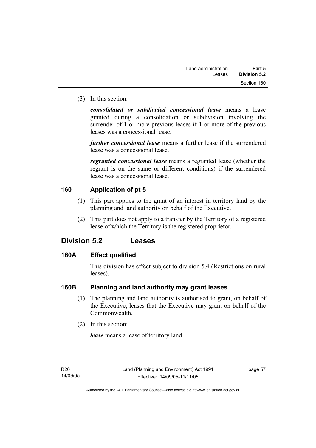(3) In this section:

*consolidated or subdivided concessional lease* means a lease granted during a consolidation or subdivision involving the surrender of 1 or more previous leases if 1 or more of the previous leases was a concessional lease.

*further concessional lease* means a further lease if the surrendered lease was a concessional lease.

*regranted concessional lease* means a regranted lease (whether the regrant is on the same or different conditions) if the surrendered lease was a concessional lease.

## **160 Application of pt 5**

- (1) This part applies to the grant of an interest in territory land by the planning and land authority on behalf of the Executive.
- (2) This part does not apply to a transfer by the Territory of a registered lease of which the Territory is the registered proprietor.

## **Division 5.2 Leases**

#### **160A Effect qualified**

This division has effect subject to division 5.4 (Restrictions on rural leases).

## **160B Planning and land authority may grant leases**

- (1) The planning and land authority is authorised to grant, on behalf of the Executive, leases that the Executive may grant on behalf of the Commonwealth.
- (2) In this section:

*lease* means a lease of territory land.

page 57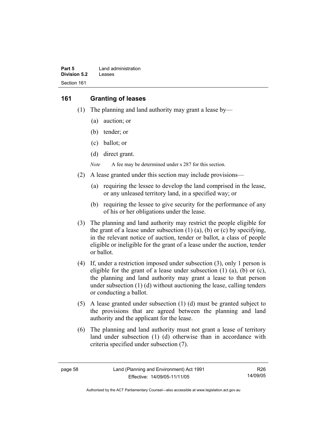| Part 5       | Land administration |
|--------------|---------------------|
| Division 5.2 | Leases              |
| Section 161  |                     |

#### **161 Granting of leases**

- (1) The planning and land authority may grant a lease by—
	- (a) auction; or
	- (b) tender; or
	- (c) ballot; or
	- (d) direct grant.

*Note* A fee may be determined under s 287 for this section.

- (2) A lease granted under this section may include provisions—
	- (a) requiring the lessee to develop the land comprised in the lease, or any unleased territory land, in a specified way; or
	- (b) requiring the lessee to give security for the performance of any of his or her obligations under the lease.
- (3) The planning and land authority may restrict the people eligible for the grant of a lease under subsection  $(1)$   $(a)$ ,  $(b)$  or  $(c)$  by specifying, in the relevant notice of auction, tender or ballot, a class of people eligible or ineligible for the grant of a lease under the auction, tender or ballot.
- (4) If, under a restriction imposed under subsection (3), only 1 person is eligible for the grant of a lease under subsection  $(1)$   $(a)$ ,  $(b)$  or  $(c)$ , the planning and land authority may grant a lease to that person under subsection (1) (d) without auctioning the lease, calling tenders or conducting a ballot.
- (5) A lease granted under subsection (1) (d) must be granted subject to the provisions that are agreed between the planning and land authority and the applicant for the lease.
- (6) The planning and land authority must not grant a lease of territory land under subsection (1) (d) otherwise than in accordance with criteria specified under subsection (7).

R26 14/09/05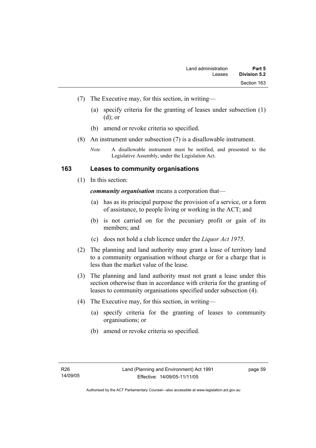- (7) The Executive may, for this section, in writing—
	- (a) specify criteria for the granting of leases under subsection (1) (d); or
	- (b) amend or revoke criteria so specified.
- (8) An instrument under subsection (7) is a disallowable instrument.

#### **163 Leases to community organisations**

(1) In this section:

*community organisation* means a corporation that—

- (a) has as its principal purpose the provision of a service, or a form of assistance, to people living or working in the ACT; and
- (b) is not carried on for the pecuniary profit or gain of its members; and
- (c) does not hold a club licence under the *Liquor Act 1975*.
- (2) The planning and land authority may grant a lease of territory land to a community organisation without charge or for a charge that is less than the market value of the lease.
- (3) The planning and land authority must not grant a lease under this section otherwise than in accordance with criteria for the granting of leases to community organisations specified under subsection (4).
- (4) The Executive may, for this section, in writing—
	- (a) specify criteria for the granting of leases to community organisations; or
	- (b) amend or revoke criteria so specified.

*Note* A disallowable instrument must be notified, and presented to the Legislative Assembly, under the Legislation Act.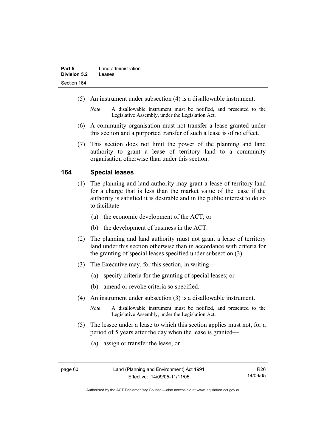- (5) An instrument under subsection (4) is a disallowable instrument.
	- *Note* A disallowable instrument must be notified, and presented to the Legislative Assembly, under the Legislation Act.
- (6) A community organisation must not transfer a lease granted under this section and a purported transfer of such a lease is of no effect.
- (7) This section does not limit the power of the planning and land authority to grant a lease of territory land to a community organisation otherwise than under this section.

### **164 Special leases**

- (1) The planning and land authority may grant a lease of territory land for a charge that is less than the market value of the lease if the authority is satisfied it is desirable and in the public interest to do so to facilitate—
	- (a) the economic development of the ACT; or
	- (b) the development of business in the ACT.
- (2) The planning and land authority must not grant a lease of territory land under this section otherwise than in accordance with criteria for the granting of special leases specified under subsection (3).
- (3) The Executive may, for this section, in writing—
	- (a) specify criteria for the granting of special leases; or
	- (b) amend or revoke criteria so specified.
- (4) An instrument under subsection (3) is a disallowable instrument.
	- *Note* A disallowable instrument must be notified, and presented to the Legislative Assembly, under the Legislation Act.
- (5) The lessee under a lease to which this section applies must not, for a period of 5 years after the day when the lease is granted—
	- (a) assign or transfer the lease; or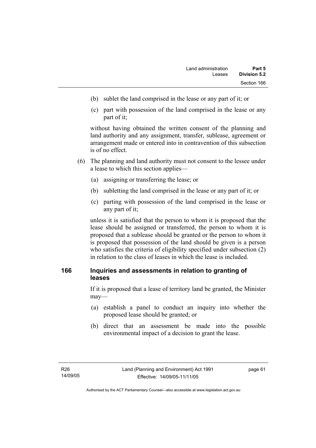- (b) sublet the land comprised in the lease or any part of it; or
- (c) part with possession of the land comprised in the lease or any part of it;

without having obtained the written consent of the planning and land authority and any assignment, transfer, sublease, agreement or arrangement made or entered into in contravention of this subsection is of no effect.

- (6) The planning and land authority must not consent to the lessee under a lease to which this section applies—
	- (a) assigning or transferring the lease; or
	- (b) subletting the land comprised in the lease or any part of it; or
	- (c) parting with possession of the land comprised in the lease or any part of it;

unless it is satisfied that the person to whom it is proposed that the lease should be assigned or transferred, the person to whom it is proposed that a sublease should be granted or the person to whom it is proposed that possession of the land should be given is a person who satisfies the criteria of eligibility specified under subsection (2) in relation to the class of leases in which the lease is included.

### **166 Inquiries and assessments in relation to granting of leases**

If it is proposed that a lease of territory land be granted, the Minister may—

- (a) establish a panel to conduct an inquiry into whether the proposed lease should be granted; or
- (b) direct that an assessment be made into the possible environmental impact of a decision to grant the lease.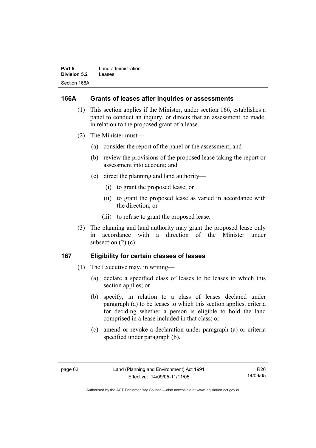| Part 5       | Land administration |
|--------------|---------------------|
| Division 5.2 | Leases              |
| Section 166A |                     |

#### **166A Grants of leases after inquiries or assessments**

- (1) This section applies if the Minister, under section 166, establishes a panel to conduct an inquiry, or directs that an assessment be made, in relation to the proposed grant of a lease.
- (2) The Minister must—
	- (a) consider the report of the panel or the assessment; and
	- (b) review the provisions of the proposed lease taking the report or assessment into account; and
	- (c) direct the planning and land authority—
		- (i) to grant the proposed lease; or
		- (ii) to grant the proposed lease as varied in accordance with the direction; or
		- (iii) to refuse to grant the proposed lease.
- (3) The planning and land authority may grant the proposed lease only in accordance with a direction of the Minister under subsection  $(2)$   $(c)$ .

#### **167 Eligibility for certain classes of leases**

- (1) The Executive may, in writing—
	- (a) declare a specified class of leases to be leases to which this section applies; or
	- (b) specify, in relation to a class of leases declared under paragraph (a) to be leases to which this section applies, criteria for deciding whether a person is eligible to hold the land comprised in a lease included in that class; or
	- (c) amend or revoke a declaration under paragraph (a) or criteria specified under paragraph (b).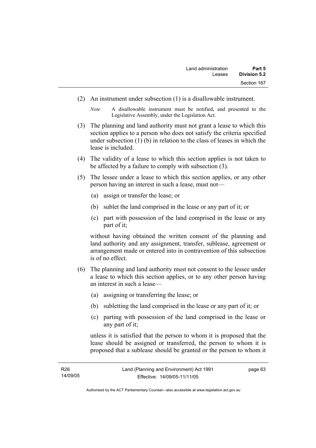(2) An instrument under subsection (1) is a disallowable instrument.

*Note* A disallowable instrument must be notified, and presented to the Legislative Assembly, under the Legislation Act.

- (3) The planning and land authority must not grant a lease to which this section applies to a person who does not satisfy the criteria specified under subsection (1) (b) in relation to the class of leases in which the lease is included.
- (4) The validity of a lease to which this section applies is not taken to be affected by a failure to comply with subsection (3).
- (5) The lessee under a lease to which this section applies, or any other person having an interest in such a lease, must not—
	- (a) assign or transfer the lease; or
	- (b) sublet the land comprised in the lease or any part of it; or
	- (c) part with possession of the land comprised in the lease or any part of it;

without having obtained the written consent of the planning and land authority and any assignment, transfer, sublease, agreement or arrangement made or entered into in contravention of this subsection is of no effect.

- (6) The planning and land authority must not consent to the lessee under a lease to which this section applies, or to any other person having an interest in such a lease—
	- (a) assigning or transferring the lease; or
	- (b) subletting the land comprised in the lease or any part of it; or
	- (c) parting with possession of the land comprised in the lease or any part of it;

unless it is satisfied that the person to whom it is proposed that the lease should be assigned or transferred, the person to whom it is proposed that a sublease should be granted or the person to whom it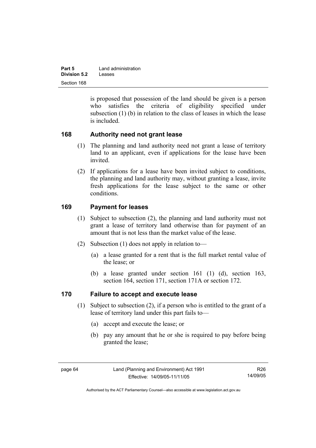| Part 5              | Land administration |
|---------------------|---------------------|
| <b>Division 5.2</b> | Leases              |
| Section 168         |                     |

is proposed that possession of the land should be given is a person who satisfies the criteria of eligibility specified under subsection (1) (b) in relation to the class of leases in which the lease is included.

### **168 Authority need not grant lease**

- (1) The planning and land authority need not grant a lease of territory land to an applicant, even if applications for the lease have been invited.
- (2) If applications for a lease have been invited subject to conditions, the planning and land authority may, without granting a lease, invite fresh applications for the lease subject to the same or other conditions.

### **169 Payment for leases**

- (1) Subject to subsection (2), the planning and land authority must not grant a lease of territory land otherwise than for payment of an amount that is not less than the market value of the lease.
- (2) Subsection (1) does not apply in relation to—
	- (a) a lease granted for a rent that is the full market rental value of the lease; or
	- (b) a lease granted under section 161 (1) (d), section 163, section 164, section 171, section 171A or section 172.

### **170 Failure to accept and execute lease**

- (1) Subject to subsection (2), if a person who is entitled to the grant of a lease of territory land under this part fails to—
	- (a) accept and execute the lease; or
	- (b) pay any amount that he or she is required to pay before being granted the lease;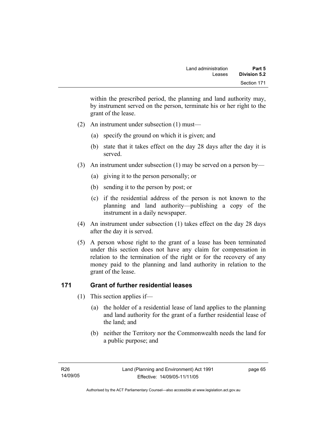within the prescribed period, the planning and land authority may, by instrument served on the person, terminate his or her right to the grant of the lease.

- (2) An instrument under subsection (1) must—
	- (a) specify the ground on which it is given; and
	- (b) state that it takes effect on the day 28 days after the day it is served.
- (3) An instrument under subsection (1) may be served on a person by—
	- (a) giving it to the person personally; or
	- (b) sending it to the person by post; or
	- (c) if the residential address of the person is not known to the planning and land authority—publishing a copy of the instrument in a daily newspaper.
- (4) An instrument under subsection (1) takes effect on the day 28 days after the day it is served.
- (5) A person whose right to the grant of a lease has been terminated under this section does not have any claim for compensation in relation to the termination of the right or for the recovery of any money paid to the planning and land authority in relation to the grant of the lease.

### **171 Grant of further residential leases**

- (1) This section applies if—
	- (a) the holder of a residential lease of land applies to the planning and land authority for the grant of a further residential lease of the land; and
	- (b) neither the Territory nor the Commonwealth needs the land for a public purpose; and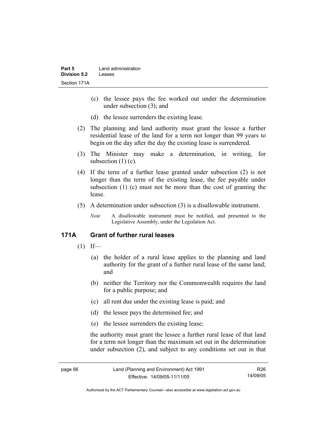- (c) the lessee pays the fee worked out under the determination under subsection (3); and
- (d) the lessee surrenders the existing lease.
- (2) The planning and land authority must grant the lessee a further residential lease of the land for a term not longer than 99 years to begin on the day after the day the existing lease is surrendered.
- (3) The Minister may make a determination, in writing, for subsection  $(1)(c)$ .
- (4) If the term of a further lease granted under subsection (2) is not longer than the term of the existing lease, the fee payable under subsection (1) (c) must not be more than the cost of granting the lease.
- (5) A determination under subsection (3) is a disallowable instrument.
	- *Note* A disallowable instrument must be notified, and presented to the Legislative Assembly, under the Legislation Act.

### **171A Grant of further rural leases**

- $(1)$  If—
	- (a) the holder of a rural lease applies to the planning and land authority for the grant of a further rural lease of the same land; and
	- (b) neither the Territory nor the Commonwealth requires the land for a public purpose; and
	- (c) all rent due under the existing lease is paid; and
	- (d) the lessee pays the determined fee; and
	- (e) the lessee surrenders the existing lease;

the authority must grant the lessee a further rural lease of that land for a term not longer than the maximum set out in the determination under subsection (2), and subject to any conditions set out in that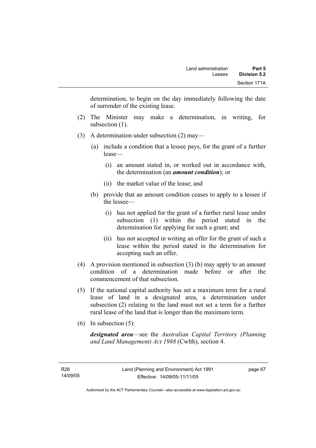determination, to begin on the day immediately following the date of surrender of the existing lease.

- (2) The Minister may make a determination, in writing, for subsection  $(1)$ .
- (3) A determination under subsection (2) may—
	- (a) include a condition that a lessee pays, for the grant of a further lease—
		- (i) an amount stated in, or worked out in accordance with, the determination (an *amount condition*); or
		- (ii) the market value of the lease; and
	- (b) provide that an amount condition ceases to apply to a lessee if the lessee—
		- (i) has not applied for the grant of a further rural lease under subsection (1) within the period stated in the determination for applying for such a grant; and
		- (ii) has not accepted in writing an offer for the grant of such a lease within the period stated in the determination for accepting such an offer.
- (4) A provision mentioned in subsection (3) (b) may apply to an amount condition of a determination made before or after the commencement of that subsection.
- (5) If the national capital authority has set a maximum term for a rural lease of land in a designated area, a determination under subsection (2) relating to the land must not set a term for a further rural lease of the land that is longer than the maximum term.
- (6) In subsection (5):

*designated area*—see the *Australian Capital Territory (Planning and Land Management) Act 1988* (Cwlth), section 4.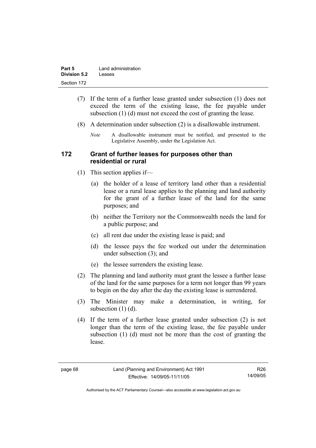| Part 5              | Land administration |
|---------------------|---------------------|
| <b>Division 5.2</b> | Leases              |
| Section 172         |                     |

- (7) If the term of a further lease granted under subsection (1) does not exceed the term of the existing lease, the fee payable under subsection (1) (d) must not exceed the cost of granting the lease.
- (8) A determination under subsection (2) is a disallowable instrument.
	- *Note* A disallowable instrument must be notified, and presented to the Legislative Assembly, under the Legislation Act.

#### **172 Grant of further leases for purposes other than residential or rural**

- (1) This section applies if—
	- (a) the holder of a lease of territory land other than a residential lease or a rural lease applies to the planning and land authority for the grant of a further lease of the land for the same purposes; and
	- (b) neither the Territory nor the Commonwealth needs the land for a public purpose; and
	- (c) all rent due under the existing lease is paid; and
	- (d) the lessee pays the fee worked out under the determination under subsection (3); and
	- (e) the lessee surrenders the existing lease.
- (2) The planning and land authority must grant the lessee a further lease of the land for the same purposes for a term not longer than 99 years to begin on the day after the day the existing lease is surrendered.
- (3) The Minister may make a determination, in writing, for subsection  $(1)$   $(d)$ .
- (4) If the term of a further lease granted under subsection (2) is not longer than the term of the existing lease, the fee payable under subsection (1) (d) must not be more than the cost of granting the lease.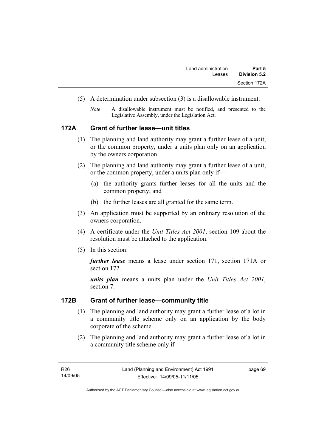- (5) A determination under subsection (3) is a disallowable instrument.
	- *Note* A disallowable instrument must be notified, and presented to the Legislative Assembly, under the Legislation Act.

#### **172A Grant of further lease—unit titles**

- (1) The planning and land authority may grant a further lease of a unit, or the common property, under a units plan only on an application by the owners corporation.
- (2) The planning and land authority may grant a further lease of a unit, or the common property, under a units plan only if—
	- (a) the authority grants further leases for all the units and the common property; and
	- (b) the further leases are all granted for the same term.
- (3) An application must be supported by an ordinary resolution of the owners corporation.
- (4) A certificate under the *Unit Titles Act 2001*, section 109 about the resolution must be attached to the application.
- (5) In this section:

*further lease* means a lease under section 171, section 171A or section 172.

*units plan* means a units plan under the *Unit Titles Act 2001*, section 7.

#### **172B Grant of further lease—community title**

- (1) The planning and land authority may grant a further lease of a lot in a community title scheme only on an application by the body corporate of the scheme.
- (2) The planning and land authority may grant a further lease of a lot in a community title scheme only if—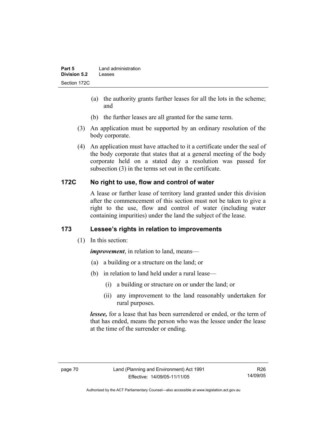- (a) the authority grants further leases for all the lots in the scheme; and
- (b) the further leases are all granted for the same term.
- (3) An application must be supported by an ordinary resolution of the body corporate.
- (4) An application must have attached to it a certificate under the seal of the body corporate that states that at a general meeting of the body corporate held on a stated day a resolution was passed for subsection (3) in the terms set out in the certificate.

## **172C No right to use, flow and control of water**

A lease or further lease of territory land granted under this division after the commencement of this section must not be taken to give a right to the use, flow and control of water (including water containing impurities) under the land the subject of the lease.

# **173 Lessee's rights in relation to improvements**

(1) In this section:

*improvement*, in relation to land, means—

- (a) a building or a structure on the land; or
- (b) in relation to land held under a rural lease—
	- (i) a building or structure on or under the land; or
	- (ii) any improvement to the land reasonably undertaken for rural purposes.

*lessee,* for a lease that has been surrendered or ended, or the term of that has ended, means the person who was the lessee under the lease at the time of the surrender or ending.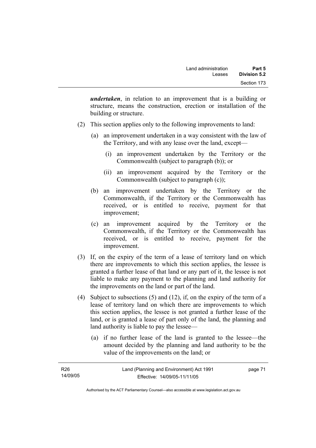*undertaken*, in relation to an improvement that is a building or structure, means the construction, erection or installation of the building or structure.

- (2) This section applies only to the following improvements to land:
	- (a) an improvement undertaken in a way consistent with the law of the Territory, and with any lease over the land, except—
		- (i) an improvement undertaken by the Territory or the Commonwealth (subject to paragraph (b)); or
		- (ii) an improvement acquired by the Territory or the Commonwealth (subject to paragraph (c));
	- (b) an improvement undertaken by the Territory or the Commonwealth, if the Territory or the Commonwealth has received, or is entitled to receive, payment for that improvement;
	- (c) an improvement acquired by the Territory or the Commonwealth, if the Territory or the Commonwealth has received, or is entitled to receive, payment for the improvement.
- (3) If, on the expiry of the term of a lease of territory land on which there are improvements to which this section applies, the lessee is granted a further lease of that land or any part of it, the lessee is not liable to make any payment to the planning and land authority for the improvements on the land or part of the land.
- (4) Subject to subsections (5) and (12), if, on the expiry of the term of a lease of territory land on which there are improvements to which this section applies, the lessee is not granted a further lease of the land, or is granted a lease of part only of the land, the planning and land authority is liable to pay the lessee—
	- (a) if no further lease of the land is granted to the lessee—the amount decided by the planning and land authority to be the value of the improvements on the land; or

| R26      | Land (Planning and Environment) Act 1991 | page 71 |
|----------|------------------------------------------|---------|
| 14/09/05 | Effective: 14/09/05-11/11/05             |         |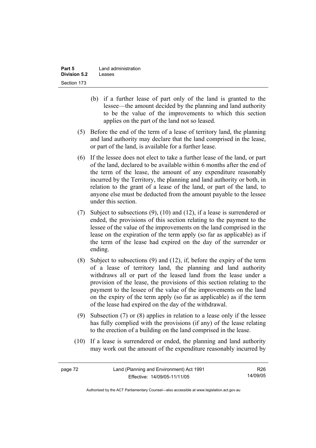| Part 5              | Land administration |
|---------------------|---------------------|
| <b>Division 5.2</b> | Leases              |
| Section 173         |                     |

- (b) if a further lease of part only of the land is granted to the lessee—the amount decided by the planning and land authority to be the value of the improvements to which this section applies on the part of the land not so leased.
- (5) Before the end of the term of a lease of territory land, the planning and land authority may declare that the land comprised in the lease, or part of the land, is available for a further lease.
- (6) If the lessee does not elect to take a further lease of the land, or part of the land, declared to be available within 6 months after the end of the term of the lease, the amount of any expenditure reasonably incurred by the Territory, the planning and land authority or both, in relation to the grant of a lease of the land, or part of the land, to anyone else must be deducted from the amount payable to the lessee under this section.
- (7) Subject to subsections (9), (10) and (12), if a lease is surrendered or ended, the provisions of this section relating to the payment to the lessee of the value of the improvements on the land comprised in the lease on the expiration of the term apply (so far as applicable) as if the term of the lease had expired on the day of the surrender or ending.
- (8) Subject to subsections (9) and (12), if, before the expiry of the term of a lease of territory land, the planning and land authority withdraws all or part of the leased land from the lease under a provision of the lease, the provisions of this section relating to the payment to the lessee of the value of the improvements on the land on the expiry of the term apply (so far as applicable) as if the term of the lease had expired on the day of the withdrawal.
- (9) Subsection (7) or (8) applies in relation to a lease only if the lessee has fully complied with the provisions (if any) of the lease relating to the erection of a building on the land comprised in the lease.
- (10) If a lease is surrendered or ended, the planning and land authority may work out the amount of the expenditure reasonably incurred by

R26 14/09/05

Authorised by the ACT Parliamentary Counsel—also accessible at www.legislation.act.gov.au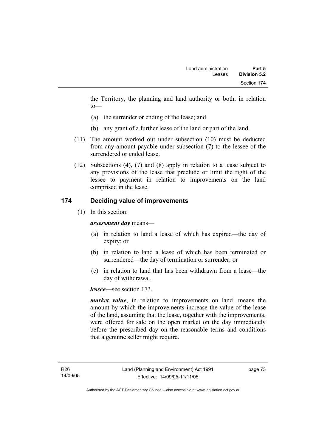the Territory, the planning and land authority or both, in relation to—

- (a) the surrender or ending of the lease; and
- (b) any grant of a further lease of the land or part of the land.
- (11) The amount worked out under subsection (10) must be deducted from any amount payable under subsection (7) to the lessee of the surrendered or ended lease.
- (12) Subsections (4), (7) and (8) apply in relation to a lease subject to any provisions of the lease that preclude or limit the right of the lessee to payment in relation to improvements on the land comprised in the lease.

### **174 Deciding value of improvements**

(1) In this section:

*assessment day* means—

- (a) in relation to land a lease of which has expired—the day of expiry; or
- (b) in relation to land a lease of which has been terminated or surrendered—the day of termination or surrender; or
- (c) in relation to land that has been withdrawn from a lease—the day of withdrawal.

*lessee*—see section 173.

*market value*, in relation to improvements on land, means the amount by which the improvements increase the value of the lease of the land, assuming that the lease, together with the improvements, were offered for sale on the open market on the day immediately before the prescribed day on the reasonable terms and conditions that a genuine seller might require.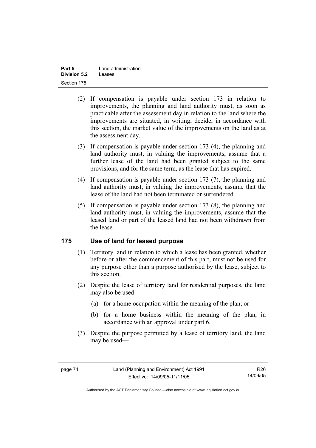| Part 5              | Land administration |
|---------------------|---------------------|
| <b>Division 5.2</b> | Leases              |
| Section 175         |                     |

- (2) If compensation is payable under section 173 in relation to improvements, the planning and land authority must, as soon as practicable after the assessment day in relation to the land where the improvements are situated, in writing, decide, in accordance with this section, the market value of the improvements on the land as at the assessment day.
- (3) If compensation is payable under section 173 (4), the planning and land authority must, in valuing the improvements, assume that a further lease of the land had been granted subject to the same provisions, and for the same term, as the lease that has expired.
- (4) If compensation is payable under section 173 (7), the planning and land authority must, in valuing the improvements, assume that the lease of the land had not been terminated or surrendered.
- (5) If compensation is payable under section 173 (8), the planning and land authority must, in valuing the improvements, assume that the leased land or part of the leased land had not been withdrawn from the lease.

### **175 Use of land for leased purpose**

- (1) Territory land in relation to which a lease has been granted, whether before or after the commencement of this part, must not be used for any purpose other than a purpose authorised by the lease, subject to this section.
- (2) Despite the lease of territory land for residential purposes, the land may also be used—
	- (a) for a home occupation within the meaning of the plan; or
	- (b) for a home business within the meaning of the plan, in accordance with an approval under part 6.
- (3) Despite the purpose permitted by a lease of territory land, the land may be used—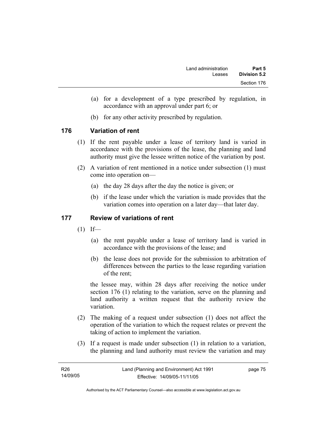- (a) for a development of a type prescribed by regulation, in accordance with an approval under part 6; or
- (b) for any other activity prescribed by regulation.

### **176 Variation of rent**

- (1) If the rent payable under a lease of territory land is varied in accordance with the provisions of the lease, the planning and land authority must give the lessee written notice of the variation by post.
- (2) A variation of rent mentioned in a notice under subsection (1) must come into operation on—
	- (a) the day 28 days after the day the notice is given; or
	- (b) if the lease under which the variation is made provides that the variation comes into operation on a later day—that later day.

### **177 Review of variations of rent**

- $(1)$  If—
	- (a) the rent payable under a lease of territory land is varied in accordance with the provisions of the lease; and
	- (b) the lease does not provide for the submission to arbitration of differences between the parties to the lease regarding variation of the rent;

the lessee may, within 28 days after receiving the notice under section 176 (1) relating to the variation, serve on the planning and land authority a written request that the authority review the variation.

- (2) The making of a request under subsection (1) does not affect the operation of the variation to which the request relates or prevent the taking of action to implement the variation.
- (3) If a request is made under subsection (1) in relation to a variation, the planning and land authority must review the variation and may

| R26      | Land (Planning and Environment) Act 1991 | page 75 |
|----------|------------------------------------------|---------|
| 14/09/05 | Effective: 14/09/05-11/11/05             |         |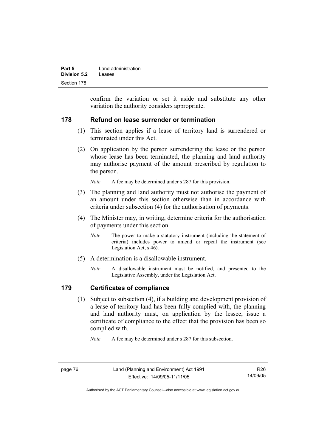| Part 5       | Land administration |
|--------------|---------------------|
| Division 5.2 | Leases              |
| Section 178  |                     |

confirm the variation or set it aside and substitute any other variation the authority considers appropriate.

#### **178 Refund on lease surrender or termination**

- (1) This section applies if a lease of territory land is surrendered or terminated under this Act.
- (2) On application by the person surrendering the lease or the person whose lease has been terminated, the planning and land authority may authorise payment of the amount prescribed by regulation to the person.

*Note* A fee may be determined under s 287 for this provision.

- (3) The planning and land authority must not authorise the payment of an amount under this section otherwise than in accordance with criteria under subsection (4) for the authorisation of payments.
- (4) The Minister may, in writing, determine criteria for the authorisation of payments under this section.
	- *Note* The power to make a statutory instrument (including the statement of criteria) includes power to amend or repeal the instrument (see Legislation Act, s 46).
- (5) A determination is a disallowable instrument.
	- *Note* A disallowable instrument must be notified, and presented to the Legislative Assembly, under the Legislation Act.

#### **179 Certificates of compliance**

 (1) Subject to subsection (4), if a building and development provision of a lease of territory land has been fully complied with, the planning and land authority must, on application by the lessee, issue a certificate of compliance to the effect that the provision has been so complied with.

*Note* A fee may be determined under s 287 for this subsection.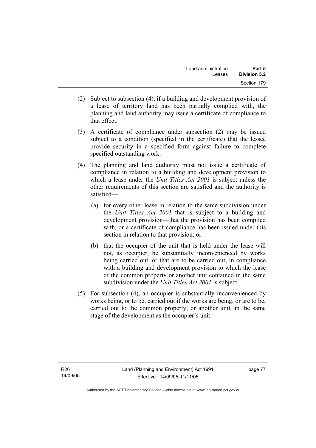- (2) Subject to subsection (4), if a building and development provision of a lease of territory land has been partially complied with, the planning and land authority may issue a certificate of compliance to that effect.
- (3) A certificate of compliance under subsection (2) may be issued subject to a condition (specified in the certificate) that the lessee provide security in a specified form against failure to complete specified outstanding work.
- (4) The planning and land authority must not issue a certificate of compliance in relation to a building and development provision to which a lease under the *Unit Titles Act 2001* is subject unless the other requirements of this section are satisfied and the authority is satisfied—
	- (a) for every other lease in relation to the same subdivision under the *Unit Titles Act 2001* that is subject to a building and development provision—that the provision has been complied with, or a certificate of compliance has been issued under this section in relation to that provision; or
	- (b) that the occupier of the unit that is held under the lease will not, as occupier, be substantially inconvenienced by works being carried out, or that are to be carried out, in compliance with a building and development provision to which the lease of the common property or another unit contained in the same subdivision under the *Unit Titles Act 2001* is subject.
- (5) For subsection (4), an occupier is substantially inconvenienced by works being, or to be, carried out if the works are being, or are to be, carried out to the common property, or another unit, in the same stage of the development as the occupier's unit.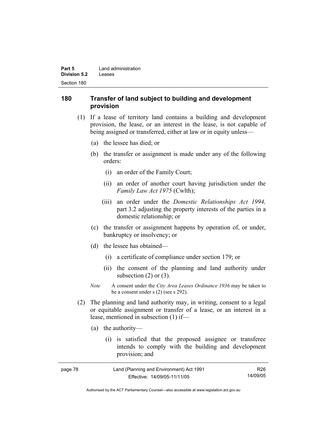| Part 5       | Land administration |
|--------------|---------------------|
| Division 5.2 | Leases              |
| Section 180  |                     |

#### **180 Transfer of land subject to building and development provision**

- (1) If a lease of territory land contains a building and development provision, the lease, or an interest in the lease, is not capable of being assigned or transferred, either at law or in equity unless—
	- (a) the lessee has died; or
	- (b) the transfer or assignment is made under any of the following orders:
		- (i) an order of the Family Court;
		- (ii) an order of another court having jurisdiction under the *Family Law Act 1975* (Cwlth);
		- (iii) an order under the *Domestic Relationships Act 1994,*  part 3.2 adjusting the property interests of the parties in a domestic relationship; or
	- (c) the transfer or assignment happens by operation of, or under, bankruptcy or insolvency; or
	- (d) the lessee has obtained—
		- (i) a certificate of compliance under section 179; or
		- (ii) the consent of the planning and land authority under subsection  $(2)$  or  $(3)$ .
	- *Note* A consent under the *City Area Leases Ordinance 1936* may be taken to be a consent under s (2) (see s 292).
- (2) The planning and land authority may, in writing, consent to a legal or equitable assignment or transfer of a lease, or an interest in a lease, mentioned in subsection (1) if—
	- (a) the authority—
		- (i) is satisfied that the proposed assignee or transferee intends to comply with the building and development provision; and

| page 78 | Land (Planning and Environment) Act 1991 | R26      |
|---------|------------------------------------------|----------|
|         | Effective: 14/09/05-11/11/05             | 14/09/05 |

Authorised by the ACT Parliamentary Counsel—also accessible at www.legislation.act.gov.au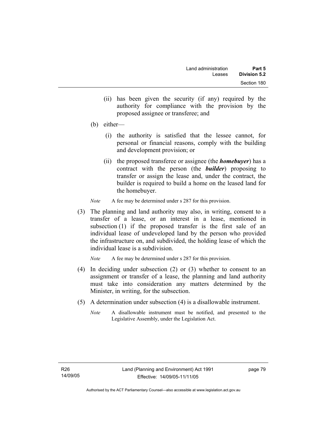- (ii) has been given the security (if any) required by the authority for compliance with the provision by the proposed assignee or transferee; and
- (b) either—
	- (i) the authority is satisfied that the lessee cannot, for personal or financial reasons, comply with the building and development provision; or
	- (ii) the proposed transferee or assignee (the *homebuyer*) has a contract with the person (the *builder*) proposing to transfer or assign the lease and, under the contract, the builder is required to build a home on the leased land for the homebuyer.
- *Note* A fee may be determined under s 287 for this provision.
- (3) The planning and land authority may also, in writing, consent to a transfer of a lease, or an interest in a lease, mentioned in subsection (1) if the proposed transfer is the first sale of an individual lease of undeveloped land by the person who provided the infrastructure on, and subdivided, the holding lease of which the individual lease is a subdivision.

*Note* A fee may be determined under s 287 for this provision.

- (4) In deciding under subsection (2) or (3) whether to consent to an assignment or transfer of a lease, the planning and land authority must take into consideration any matters determined by the Minister, in writing, for the subsection.
- (5) A determination under subsection (4) is a disallowable instrument.
	- *Note* A disallowable instrument must be notified, and presented to the Legislative Assembly, under the Legislation Act.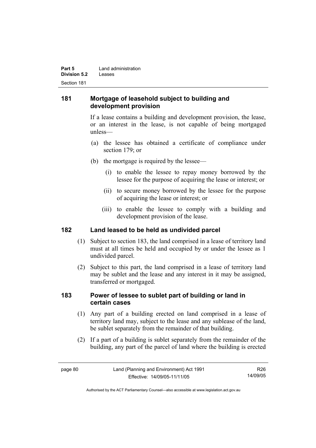| Part 5       | Land administration |
|--------------|---------------------|
| Division 5.2 | Leases              |
| Section 181  |                     |

### **181 Mortgage of leasehold subject to building and development provision**

If a lease contains a building and development provision, the lease, or an interest in the lease, is not capable of being mortgaged unless—

- (a) the lessee has obtained a certificate of compliance under section 179; or
- (b) the mortgage is required by the lessee—
	- (i) to enable the lessee to repay money borrowed by the lessee for the purpose of acquiring the lease or interest; or
	- (ii) to secure money borrowed by the lessee for the purpose of acquiring the lease or interest; or
	- (iii) to enable the lessee to comply with a building and development provision of the lease.

### **182 Land leased to be held as undivided parcel**

- (1) Subject to section 183, the land comprised in a lease of territory land must at all times be held and occupied by or under the lessee as 1 undivided parcel.
- (2) Subject to this part, the land comprised in a lease of territory land may be sublet and the lease and any interest in it may be assigned, transferred or mortgaged.

### **183 Power of lessee to sublet part of building or land in certain cases**

- (1) Any part of a building erected on land comprised in a lease of territory land may, subject to the lease and any sublease of the land, be sublet separately from the remainder of that building.
- (2) If a part of a building is sublet separately from the remainder of the building, any part of the parcel of land where the building is erected

R26 14/09/05

Authorised by the ACT Parliamentary Counsel—also accessible at www.legislation.act.gov.au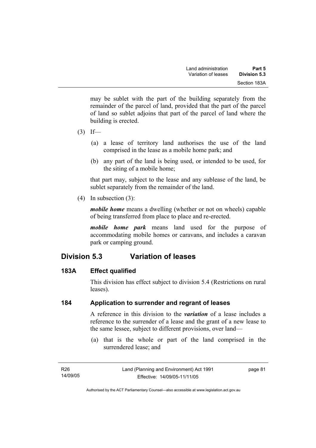may be sublet with the part of the building separately from the remainder of the parcel of land, provided that the part of the parcel of land so sublet adjoins that part of the parcel of land where the building is erected.

- $(3)$  If—
	- (a) a lease of territory land authorises the use of the land comprised in the lease as a mobile home park; and
	- (b) any part of the land is being used, or intended to be used, for the siting of a mobile home;

that part may, subject to the lease and any sublease of the land, be sublet separately from the remainder of the land.

(4) In subsection (3):

*mobile home* means a dwelling (whether or not on wheels) capable of being transferred from place to place and re-erected.

*mobile home park* means land used for the purpose of accommodating mobile homes or caravans, and includes a caravan park or camping ground.

# **Division 5.3 Variation of leases**

### **183A Effect qualified**

This division has effect subject to division 5.4 (Restrictions on rural leases).

### **184 Application to surrender and regrant of leases**

A reference in this division to the *variation* of a lease includes a reference to the surrender of a lease and the grant of a new lease to the same lessee, subject to different provisions, over land—

 (a) that is the whole or part of the land comprised in the surrendered lease; and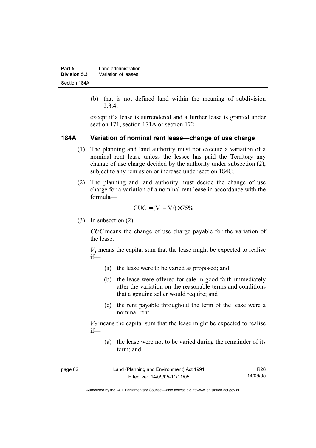| Part 5       | Land administration |
|--------------|---------------------|
| Division 5.3 | Variation of leases |
| Section 184A |                     |

 (b) that is not defined land within the meaning of subdivision 2.3.4;

except if a lease is surrendered and a further lease is granted under section 171, section 171A or section 172.

#### **184A Variation of nominal rent lease—change of use charge**

- (1) The planning and land authority must not execute a variation of a nominal rent lease unless the lessee has paid the Territory any change of use charge decided by the authority under subsection (2), subject to any remission or increase under section 184C.
- (2) The planning and land authority must decide the change of use charge for a variation of a nominal rent lease in accordance with the formula—

$$
CUC = (V_1 - V_2) \times 75\%
$$

(3) In subsection (2):

*CUC* means the change of use charge payable for the variation of the lease.

 $V_1$  means the capital sum that the lease might be expected to realise if—

- (a) the lease were to be varied as proposed; and
- (b) the lease were offered for sale in good faith immediately after the variation on the reasonable terms and conditions that a genuine seller would require; and
- (c) the rent payable throughout the term of the lease were a nominal rent.

 $V_2$  means the capital sum that the lease might be expected to realise if—

 (a) the lease were not to be varied during the remainder of its term; and

| page 82 | Land (Planning and Environment) Act 1991 | R26      |
|---------|------------------------------------------|----------|
|         | Effective: 14/09/05-11/11/05             | 14/09/05 |

Authorised by the ACT Parliamentary Counsel—also accessible at www.legislation.act.gov.au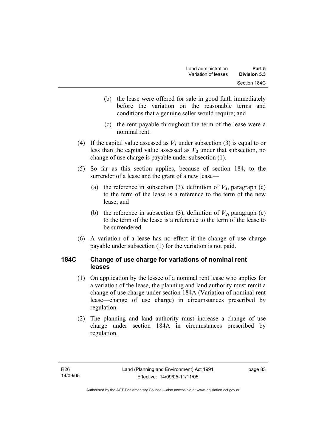- (b) the lease were offered for sale in good faith immediately before the variation on the reasonable terms and conditions that a genuine seller would require; and
- (c) the rent payable throughout the term of the lease were a nominal rent.
- (4) If the capital value assessed as  $V_1$  under subsection (3) is equal to or less than the capital value assessed as  $V_2$  under that subsection, no change of use charge is payable under subsection (1).
- (5) So far as this section applies, because of section 184, to the surrender of a lease and the grant of a new lease—
	- (a) the reference in subsection (3), definition of  $V_I$ , paragraph (c) to the term of the lease is a reference to the term of the new lease; and
	- (b) the reference in subsection (3), definition of  $V_2$ , paragraph (c) to the term of the lease is a reference to the term of the lease to be surrendered.
- (6) A variation of a lease has no effect if the change of use charge payable under subsection (1) for the variation is not paid.

### **184C Change of use charge for variations of nominal rent leases**

- (1) On application by the lessee of a nominal rent lease who applies for a variation of the lease, the planning and land authority must remit a change of use charge under section 184A (Variation of nominal rent lease—change of use charge) in circumstances prescribed by regulation.
- (2) The planning and land authority must increase a change of use charge under section 184A in circumstances prescribed by regulation.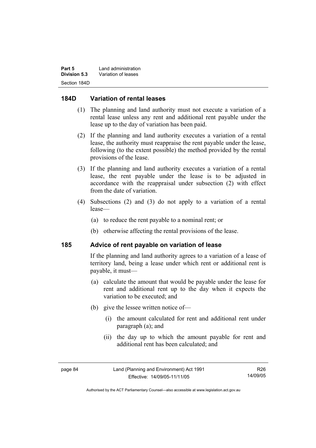| Part 5       | Land administration |
|--------------|---------------------|
| Division 5.3 | Variation of leases |
| Section 184D |                     |

#### **184D Variation of rental leases**

- (1) The planning and land authority must not execute a variation of a rental lease unless any rent and additional rent payable under the lease up to the day of variation has been paid.
- (2) If the planning and land authority executes a variation of a rental lease, the authority must reappraise the rent payable under the lease, following (to the extent possible) the method provided by the rental provisions of the lease.
- (3) If the planning and land authority executes a variation of a rental lease, the rent payable under the lease is to be adjusted in accordance with the reappraisal under subsection (2) with effect from the date of variation.
- (4) Subsections (2) and (3) do not apply to a variation of a rental lease—
	- (a) to reduce the rent payable to a nominal rent; or
	- (b) otherwise affecting the rental provisions of the lease.

#### **185 Advice of rent payable on variation of lease**

If the planning and land authority agrees to a variation of a lease of territory land, being a lease under which rent or additional rent is payable, it must—

- (a) calculate the amount that would be payable under the lease for rent and additional rent up to the day when it expects the variation to be executed; and
- (b) give the lessee written notice of—
	- (i) the amount calculated for rent and additional rent under paragraph (a); and
	- (ii) the day up to which the amount payable for rent and additional rent has been calculated; and

Authorised by the ACT Parliamentary Counsel—also accessible at www.legislation.act.gov.au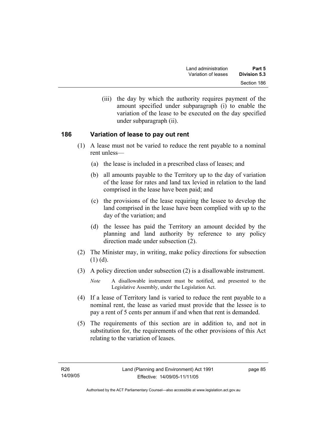(iii) the day by which the authority requires payment of the amount specified under subparagraph (i) to enable the variation of the lease to be executed on the day specified under subparagraph (ii).

### **186 Variation of lease to pay out rent**

- (1) A lease must not be varied to reduce the rent payable to a nominal rent unless—
	- (a) the lease is included in a prescribed class of leases; and
	- (b) all amounts payable to the Territory up to the day of variation of the lease for rates and land tax levied in relation to the land comprised in the lease have been paid; and
	- (c) the provisions of the lease requiring the lessee to develop the land comprised in the lease have been complied with up to the day of the variation; and
	- (d) the lessee has paid the Territory an amount decided by the planning and land authority by reference to any policy direction made under subsection (2).
- (2) The Minister may, in writing, make policy directions for subsection  $(1)$   $(d)$ .
- (3) A policy direction under subsection (2) is a disallowable instrument.
	- *Note* A disallowable instrument must be notified, and presented to the Legislative Assembly, under the Legislation Act.
- (4) If a lease of Territory land is varied to reduce the rent payable to a nominal rent, the lease as varied must provide that the lessee is to pay a rent of 5 cents per annum if and when that rent is demanded.
- (5) The requirements of this section are in addition to, and not in substitution for, the requirements of the other provisions of this Act relating to the variation of leases.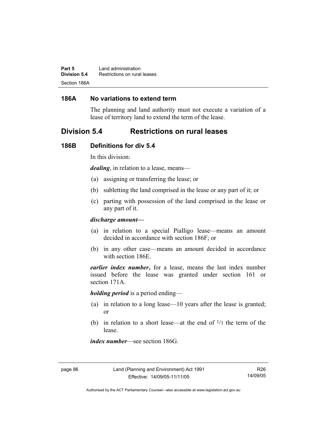**Part 5** Land administration **Division 5.4** Restrictions on rural leases Section 186A

#### **186A No variations to extend term**

The planning and land authority must not execute a variation of a lease of territory land to extend the term of the lease.

## **Division 5.4 Restrictions on rural leases**

#### **186B Definitions for div 5.4**

In this division:

*dealing*, in relation to a lease, means—

- (a) assigning or transferring the lease; or
- (b) subletting the land comprised in the lease or any part of it; or
- (c) parting with possession of the land comprised in the lease or any part of it.

#### *discharge amount—*

- (a) in relation to a special Pialligo lease—means an amount decided in accordance with section 186F; or
- (b) in any other case—means an amount decided in accordance with section 186E.

*earlier index number***,** for a lease, means the last index number issued before the lease was granted under section 161 or section 171A.

*holding period* is a period ending—

- (a) in relation to a long lease—10 years after the lease is granted; or
- (b) in relation to a short lease—at the end of  $\frac{1}{3}$  the term of the lease.

*index number*—see section 186G.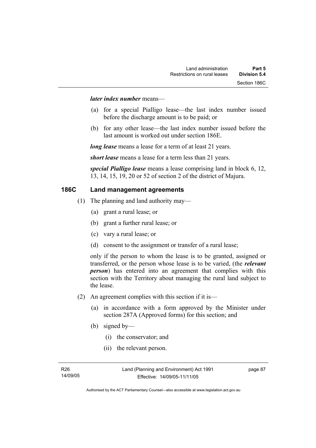#### *later index number* means—

- (a) for a special Pialligo lease—the last index number issued before the discharge amount is to be paid; or
- (b) for any other lease—the last index number issued before the last amount is worked out under section 186E.

*long lease* means a lease for a term of at least 21 years.

*short lease* means a lease for a term less than 21 years.

*special Pialligo lease* means a lease comprising land in block 6, 12, 13, 14, 15, 19, 20 or 52 of section 2 of the district of Majura.

### **186C Land management agreements**

- (1) The planning and land authority may—
	- (a) grant a rural lease; or
	- (b) grant a further rural lease; or
	- (c) vary a rural lease; or
	- (d) consent to the assignment or transfer of a rural lease;

only if the person to whom the lease is to be granted, assigned or transferred, or the person whose lease is to be varied, (the *relevant person*) has entered into an agreement that complies with this section with the Territory about managing the rural land subject to the lease.

- (2) An agreement complies with this section if it is—
	- (a) in accordance with a form approved by the Minister under section 287A (Approved forms) for this section; and
	- (b) signed by—
		- (i) the conservator; and
		- (ii) the relevant person.

R26 14/09/05 page 87

Authorised by the ACT Parliamentary Counsel—also accessible at www.legislation.act.gov.au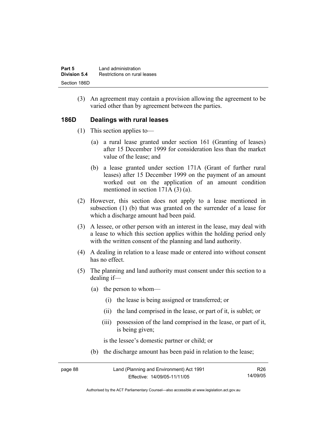| Part 5       | Land administration          |
|--------------|------------------------------|
| Division 5.4 | Restrictions on rural leases |
| Section 186D |                              |

 (3) An agreement may contain a provision allowing the agreement to be varied other than by agreement between the parties.

#### **186D Dealings with rural leases**

- (1) This section applies to—
	- (a) a rural lease granted under section 161 (Granting of leases) after 15 December 1999 for consideration less than the market value of the lease; and
	- (b) a lease granted under section 171A (Grant of further rural leases) after 15 December 1999 on the payment of an amount worked out on the application of an amount condition mentioned in section 171A (3) (a).
- (2) However, this section does not apply to a lease mentioned in subsection (1) (b) that was granted on the surrender of a lease for which a discharge amount had been paid.
- (3) A lessee, or other person with an interest in the lease, may deal with a lease to which this section applies within the holding period only with the written consent of the planning and land authority.
- (4) A dealing in relation to a lease made or entered into without consent has no effect.
- (5) The planning and land authority must consent under this section to a dealing if—
	- (a) the person to whom—
		- (i) the lease is being assigned or transferred; or
		- (ii) the land comprised in the lease, or part of it, is sublet; or
		- (iii) possession of the land comprised in the lease, or part of it, is being given;

is the lessee's domestic partner or child; or

(b) the discharge amount has been paid in relation to the lease;

| page 88 | Land (Planning and Environment) Act 1991 | R26      |
|---------|------------------------------------------|----------|
|         | Effective: 14/09/05-11/11/05             | 14/09/05 |

Authorised by the ACT Parliamentary Counsel—also accessible at www.legislation.act.gov.au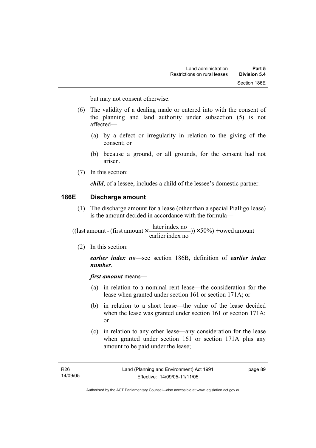but may not consent otherwise.

- (6) The validity of a dealing made or entered into with the consent of the planning and land authority under subsection (5) is not affected—
	- (a) by a defect or irregularity in relation to the giving of the consent; or
	- (b) because a ground, or all grounds, for the consent had not arisen.
- (7) In this section:

*child*, of a lessee, includes a child of the lessee's domestic partner.

#### **186E Discharge amount**

 (1) The discharge amount for a lease (other than a special Pialligo lease) is the amount decided in accordance with the formula—

 $(y) \times 50\%$  + owed amount earlier index no ((last amount - (first amount  $\times \frac{\text{later index no}}{\text{in} \cdot \cdot \cdot \cdot}$ )) $\times$  50%) +

(2) In this section:

*earlier index no*—see section 186B, definition of *earlier index number*.

*first amount* means—

- (a) in relation to a nominal rent lease—the consideration for the lease when granted under section 161 or section 171A; or
- (b) in relation to a short lease—the value of the lease decided when the lease was granted under section 161 or section 171A; or
- (c) in relation to any other lease—any consideration for the lease when granted under section 161 or section 171A plus any amount to be paid under the lease;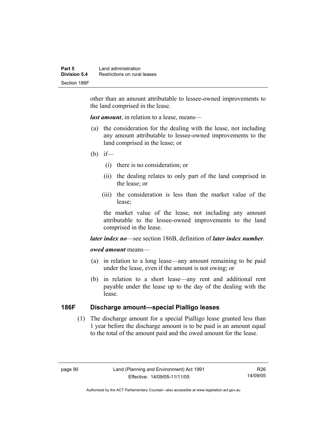other than an amount attributable to lessee-owned improvements to the land comprised in the lease.

*last amount*, in relation to a lease, means—

- (a) the consideration for the dealing with the lease, not including any amount attributable to lessee-owned improvements to the land comprised in the lease; or
- (b) if—
	- (i) there is no consideration; or
	- (ii) the dealing relates to only part of the land comprised in the lease; or
	- (iii) the consideration is less than the market value of the lease;

the market value of the lease, not including any amount attributable to the lessee-owned improvements to the land comprised in the lease.

#### *later index no*—see section 186B, definition of *later index number*.

#### *owed amount* means—

- (a) in relation to a long lease—any amount remaining to be paid under the lease, even if the amount is not owing; or
- (b) in relation to a short lease—any rent and additional rent payable under the lease up to the day of the dealing with the lease.

### **186F Discharge amount—special Pialligo leases**

 (1) The discharge amount for a special Pialligo lease granted less than 1 year before the discharge amount is to be paid is an amount equal to the total of the amount paid and the owed amount for the lease.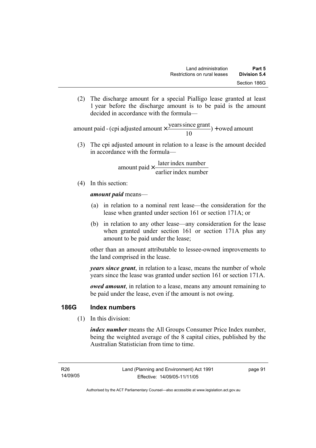(2) The discharge amount for a special Pialligo lease granted at least 1 year before the discharge amount is to be paid is the amount decided in accordance with the formula—

 $) +$  owed amount 10 amount paid - (cpi adjusted amount  $\times \frac{\text{years since grant}}{10}$ ) +

 (3) The cpi adjusted amount in relation to a lease is the amount decided in accordance with the formula—

> earlier index number amount paid  $\times \frac{\text{later index number}}{\text{lintermax}}$

(4) In this section:

*amount paid* means—

- (a) in relation to a nominal rent lease—the consideration for the lease when granted under section 161 or section 171A; or
- (b) in relation to any other lease—any consideration for the lease when granted under section 161 or section 171A plus any amount to be paid under the lease;

other than an amount attributable to lessee-owned improvements to the land comprised in the lease.

*years since grant*, in relation to a lease, means the number of whole years since the lease was granted under section 161 or section 171A.

*owed amount*, in relation to a lease, means any amount remaining to be paid under the lease, even if the amount is not owing.

### **186G Index numbers**

(1) In this division:

*index number* means the All Groups Consumer Price Index number, being the weighted average of the 8 capital cities, published by the Australian Statistician from time to time.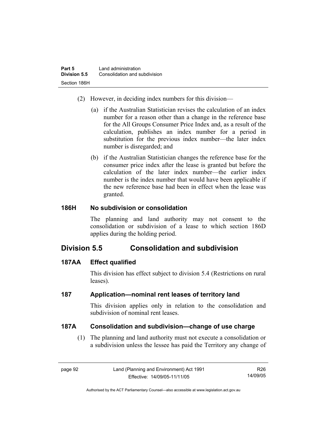- (2) However, in deciding index numbers for this division—
	- (a) if the Australian Statistician revises the calculation of an index number for a reason other than a change in the reference base for the All Groups Consumer Price Index and, as a result of the calculation, publishes an index number for a period in substitution for the previous index number—the later index number is disregarded; and
	- (b) if the Australian Statistician changes the reference base for the consumer price index after the lease is granted but before the calculation of the later index number—the earlier index number is the index number that would have been applicable if the new reference base had been in effect when the lease was granted.

## **186H No subdivision or consolidation**

The planning and land authority may not consent to the consolidation or subdivision of a lease to which section 186D applies during the holding period.

# **Division 5.5 Consolidation and subdivision**

# **187AA Effect qualified**

This division has effect subject to division 5.4 (Restrictions on rural leases).

# **187 Application—nominal rent leases of territory land**

This division applies only in relation to the consolidation and subdivision of nominal rent leases.

# **187A Consolidation and subdivision—change of use charge**

 (1) The planning and land authority must not execute a consolidation or a subdivision unless the lessee has paid the Territory any change of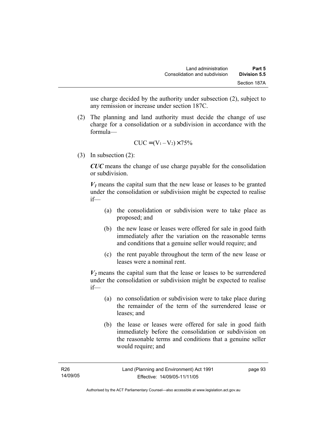use charge decided by the authority under subsection (2), subject to any remission or increase under section 187C.

 (2) The planning and land authority must decide the change of use charge for a consolidation or a subdivision in accordance with the formula—

$$
CUC = (V_1 - V_2) \times 75\%
$$

(3) In subsection (2):

*CUC* means the change of use charge payable for the consolidation or subdivision.

 $V_1$  means the capital sum that the new lease or leases to be granted under the consolidation or subdivision might be expected to realise if—

- (a) the consolidation or subdivision were to take place as proposed; and
- (b) the new lease or leases were offered for sale in good faith immediately after the variation on the reasonable terms and conditions that a genuine seller would require; and
- (c) the rent payable throughout the term of the new lease or leases were a nominal rent.

 $V_2$  means the capital sum that the lease or leases to be surrendered under the consolidation or subdivision might be expected to realise if—

- (a) no consolidation or subdivision were to take place during the remainder of the term of the surrendered lease or leases; and
- (b) the lease or leases were offered for sale in good faith immediately before the consolidation or subdivision on the reasonable terms and conditions that a genuine seller would require; and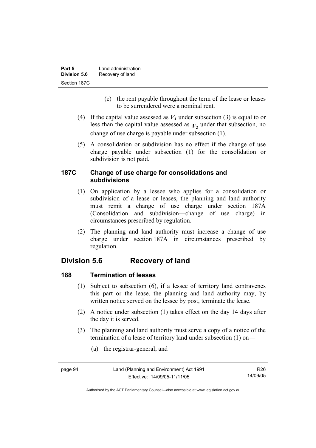| Part 5       | Land administration |
|--------------|---------------------|
| Division 5.6 | Recovery of land    |
| Section 187C |                     |

- (c) the rent payable throughout the term of the lease or leases to be surrendered were a nominal rent.
- (4) If the capital value assessed as  $V_I$  under subsection (3) is equal to or less than the capital value assessed as  $V_2$  under that subsection, no change of use charge is payable under subsection (1).
- (5) A consolidation or subdivision has no effect if the change of use charge payable under subsection (1) for the consolidation or subdivision is not paid.

### **187C Change of use charge for consolidations and subdivisions**

- (1) On application by a lessee who applies for a consolidation or subdivision of a lease or leases, the planning and land authority must remit a change of use charge under section 187A (Consolidation and subdivision—change of use charge) in circumstances prescribed by regulation.
- (2) The planning and land authority must increase a change of use charge under section 187A in circumstances prescribed by regulation.

# **Division 5.6 Recovery of land**

# **188 Termination of leases**

- (1) Subject to subsection (6), if a lessee of territory land contravenes this part or the lease, the planning and land authority may, by written notice served on the lessee by post, terminate the lease.
- (2) A notice under subsection (1) takes effect on the day 14 days after the day it is served.
- (3) The planning and land authority must serve a copy of a notice of the termination of a lease of territory land under subsection (1) on—
	- (a) the registrar-general; and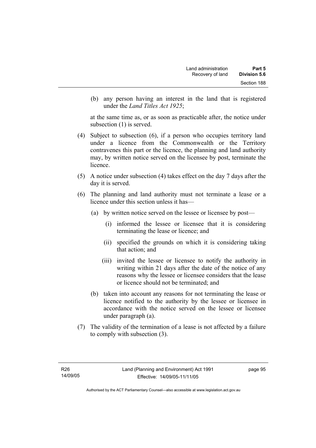(b) any person having an interest in the land that is registered under the *Land Titles Act 1925*;

at the same time as, or as soon as practicable after, the notice under subsection (1) is served.

- (4) Subject to subsection (6), if a person who occupies territory land under a licence from the Commonwealth or the Territory contravenes this part or the licence, the planning and land authority may, by written notice served on the licensee by post, terminate the licence.
- (5) A notice under subsection (4) takes effect on the day 7 days after the day it is served.
- (6) The planning and land authority must not terminate a lease or a licence under this section unless it has—
	- (a) by written notice served on the lessee or licensee by post—
		- (i) informed the lessee or licensee that it is considering terminating the lease or licence; and
		- (ii) specified the grounds on which it is considering taking that action; and
		- (iii) invited the lessee or licensee to notify the authority in writing within 21 days after the date of the notice of any reasons why the lessee or licensee considers that the lease or licence should not be terminated; and
	- (b) taken into account any reasons for not terminating the lease or licence notified to the authority by the lessee or licensee in accordance with the notice served on the lessee or licensee under paragraph (a).
- (7) The validity of the termination of a lease is not affected by a failure to comply with subsection (3).

page 95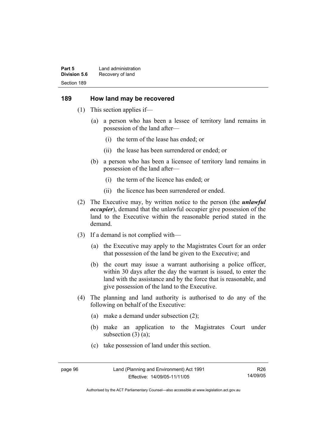**Part 5** Land administration **Division 5.6** Recovery of land Section 189

#### **189 How land may be recovered**

- (1) This section applies if—
	- (a) a person who has been a lessee of territory land remains in possession of the land after—
		- (i) the term of the lease has ended; or
		- (ii) the lease has been surrendered or ended; or
	- (b) a person who has been a licensee of territory land remains in possession of the land after—
		- (i) the term of the licence has ended; or
		- (ii) the licence has been surrendered or ended.
- (2) The Executive may, by written notice to the person (the *unlawful occupier*), demand that the unlawful occupier give possession of the land to the Executive within the reasonable period stated in the demand.
- (3) If a demand is not complied with—
	- (a) the Executive may apply to the Magistrates Court for an order that possession of the land be given to the Executive; and
	- (b) the court may issue a warrant authorising a police officer, within 30 days after the day the warrant is issued, to enter the land with the assistance and by the force that is reasonable, and give possession of the land to the Executive.
- (4) The planning and land authority is authorised to do any of the following on behalf of the Executive:
	- (a) make a demand under subsection (2);
	- (b) make an application to the Magistrates Court under subsection  $(3)$   $(a)$ ;
	- (c) take possession of land under this section.

R26 14/09/05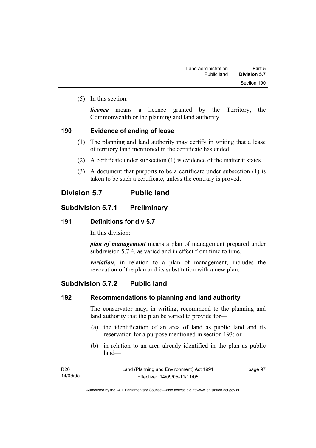(5) In this section:

*licence* means a licence granted by the Territory, the Commonwealth or the planning and land authority.

#### **190 Evidence of ending of lease**

- (1) The planning and land authority may certify in writing that a lease of territory land mentioned in the certificate has ended.
- (2) A certificate under subsection (1) is evidence of the matter it states.
- (3) A document that purports to be a certificate under subsection (1) is taken to be such a certificate, unless the contrary is proved.

# **Division 5.7 Public land**

# **Subdivision 5.7.1 Preliminary**

#### **191 Definitions for div 5.7**

In this division:

*plan of management* means a plan of management prepared under subdivision 5.7.4, as varied and in effect from time to time.

*variation*, in relation to a plan of management, includes the revocation of the plan and its substitution with a new plan.

# **Subdivision 5.7.2 Public land**

## **192 Recommendations to planning and land authority**

The conservator may, in writing, recommend to the planning and land authority that the plan be varied to provide for—

- (a) the identification of an area of land as public land and its reservation for a purpose mentioned in section 193; or
- (b) in relation to an area already identified in the plan as public land—

| R26      | Land (Planning and Environment) Act 1991 | page 97 |
|----------|------------------------------------------|---------|
| 14/09/05 | Effective: 14/09/05-11/11/05             |         |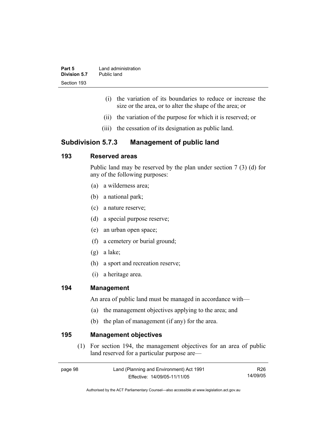| Part 5       | Land administration |
|--------------|---------------------|
| Division 5.7 | Public land         |
| Section 193  |                     |

- (i) the variation of its boundaries to reduce or increase the size or the area, or to alter the shape of the area; or
- (ii) the variation of the purpose for which it is reserved; or
- (iii) the cessation of its designation as public land.

# **Subdivision 5.7.3 Management of public land**

# **193 Reserved areas**

Public land may be reserved by the plan under section 7 (3) (d) for any of the following purposes:

- (a) a wilderness area;
- (b) a national park;
- (c) a nature reserve;
- (d) a special purpose reserve;
- (e) an urban open space;
- (f) a cemetery or burial ground;
- (g) a lake;
- (h) a sport and recreation reserve;
- (i) a heritage area.

#### **194 Management**

An area of public land must be managed in accordance with—

- (a) the management objectives applying to the area; and
- (b) the plan of management (if any) for the area.

#### **195 Management objectives**

 (1) For section 194, the management objectives for an area of public land reserved for a particular purpose are—

R26 14/09/05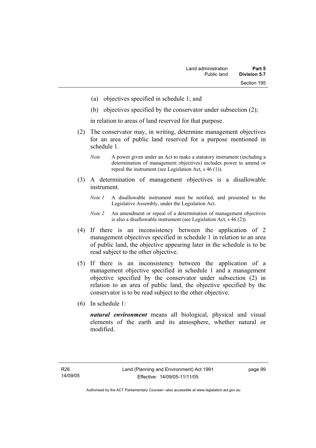- (a) objectives specified in schedule 1; and
- (b) objectives specified by the conservator under subsection (2);

in relation to areas of land reserved for that purpose.

- (2) The conservator may, in writing, determine management objectives for an area of public land reserved for a purpose mentioned in schedule 1.
	- *Note* A power given under an Act to make a statutory instrument (including a determination of management objectives) includes power to amend or repeal the instrument (see Legislation Act, s 46 (1)).
- (3) A determination of management objectives is a disallowable instrument.
	- *Note 1* A disallowable instrument must be notified, and presented to the Legislative Assembly, under the Legislation Act.
	- *Note 2* An amendment or repeal of a determination of management objectives is also a disallowable instrument (see Legislation Act, s 46 (2))*.*
- (4) If there is an inconsistency between the application of 2 management objectives specified in schedule 1 in relation to an area of public land, the objective appearing later in the schedule is to be read subject to the other objective.
- (5) If there is an inconsistency between the application of a management objective specified in schedule 1 and a management objective specified by the conservator under subsection (2) in relation to an area of public land, the objective specified by the conservator is to be read subject to the other objective.
- (6) In schedule 1:

*natural environment* means all biological, physical and visual elements of the earth and its atmosphere, whether natural or modified.

page 99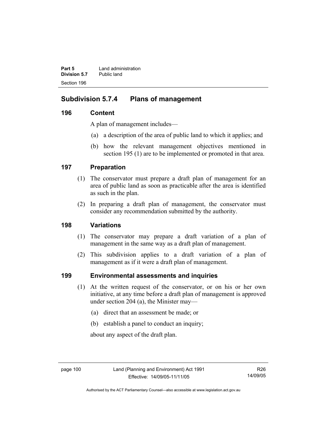**Part 5 Land administration Division 5.7** Public land Section 196

# **Subdivision 5.7.4 Plans of management**

# **196 Content**

A plan of management includes—

- (a) a description of the area of public land to which it applies; and
- (b) how the relevant management objectives mentioned in section 195 (1) are to be implemented or promoted in that area.

# **197 Preparation**

- (1) The conservator must prepare a draft plan of management for an area of public land as soon as practicable after the area is identified as such in the plan.
- (2) In preparing a draft plan of management, the conservator must consider any recommendation submitted by the authority.

# **198 Variations**

- (1) The conservator may prepare a draft variation of a plan of management in the same way as a draft plan of management.
- (2) This subdivision applies to a draft variation of a plan of management as if it were a draft plan of management.

# **199 Environmental assessments and inquiries**

- (1) At the written request of the conservator, or on his or her own initiative, at any time before a draft plan of management is approved under section 204 (a), the Minister may—
	- (a) direct that an assessment be made; or
	- (b) establish a panel to conduct an inquiry;

about any aspect of the draft plan.

R26 14/09/05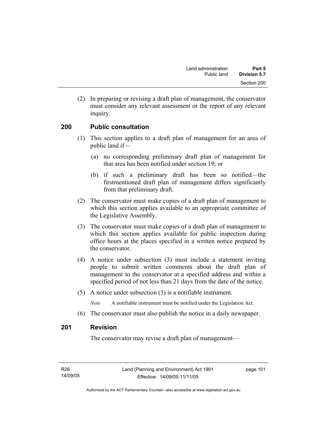(2) In preparing or revising a draft plan of management, the conservator must consider any relevant assessment or the report of any relevant inquiry.

# **200 Public consultation**

- (1) This section applies to a draft plan of management for an area of public land if—
	- (a) no corresponding preliminary draft plan of management for that area has been notified under section 19; or
	- (b) if such a preliminary draft has been so notified—the firstmentioned draft plan of management differs significantly from that preliminary draft.
- (2) The conservator must make copies of a draft plan of management to which this section applies available to an appropriate committee of the Legislative Assembly.
- (3) The conservator must make copies of a draft plan of management to which this section applies available for public inspection during office hours at the places specified in a written notice prepared by the conservator.
- (4) A notice under subsection (3) must include a statement inviting people to submit written comments about the draft plan of management to the conservator at a specified address and within a specified period of not less than 21 days from the date of the notice.
- (5) A notice under subsection (3) is a notifiable instrument.

*Note* A notifiable instrument must be notified under the Legislation Act.

(6) The conservator must also publish the notice in a daily newspaper.

## **201 Revision**

The conservator may revise a draft plan of management—

page 101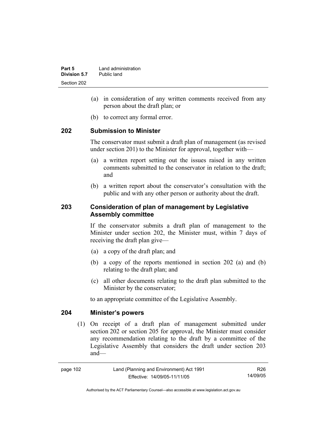- (a) in consideration of any written comments received from any person about the draft plan; or
- (b) to correct any formal error.

#### **202 Submission to Minister**

The conservator must submit a draft plan of management (as revised under section 201) to the Minister for approval, together with—

- (a) a written report setting out the issues raised in any written comments submitted to the conservator in relation to the draft; and
- (b) a written report about the conservator's consultation with the public and with any other person or authority about the draft.

# **203 Consideration of plan of management by Legislative Assembly committee**

If the conservator submits a draft plan of management to the Minister under section 202, the Minister must, within 7 days of receiving the draft plan give—

- (a) a copy of the draft plan; and
- (b) a copy of the reports mentioned in section 202 (a) and (b) relating to the draft plan; and
- (c) all other documents relating to the draft plan submitted to the Minister by the conservator;

to an appropriate committee of the Legislative Assembly.

#### **204 Minister's powers**

 (1) On receipt of a draft plan of management submitted under section 202 or section 205 for approval, the Minister must consider any recommendation relating to the draft by a committee of the Legislative Assembly that considers the draft under section 203 and—

R26 14/09/05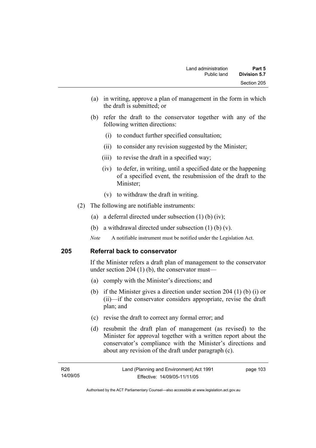- (a) in writing, approve a plan of management in the form in which the draft is submitted; or
- (b) refer the draft to the conservator together with any of the following written directions:
	- (i) to conduct further specified consultation;
	- (ii) to consider any revision suggested by the Minister;
	- (iii) to revise the draft in a specified way;
	- (iv) to defer, in writing, until a specified date or the happening of a specified event, the resubmission of the draft to the Minister;
	- (v) to withdraw the draft in writing.
- (2) The following are notifiable instruments:
	- (a) a deferral directed under subsection (1) (b) (iv);
	- (b) a withdrawal directed under subsection  $(1)$  (b)  $(v)$ .
	- *Note* A notifiable instrument must be notified under the Legislation Act.

#### **205 Referral back to conservator**

If the Minister refers a draft plan of management to the conservator under section 204 (1) (b), the conservator must—

- (a) comply with the Minister's directions; and
- (b) if the Minister gives a direction under section 204 (1) (b) (i) or (ii)—if the conservator considers appropriate, revise the draft plan; and
- (c) revise the draft to correct any formal error; and
- (d) resubmit the draft plan of management (as revised) to the Minister for approval together with a written report about the conservator's compliance with the Minister's directions and about any revision of the draft under paragraph (c).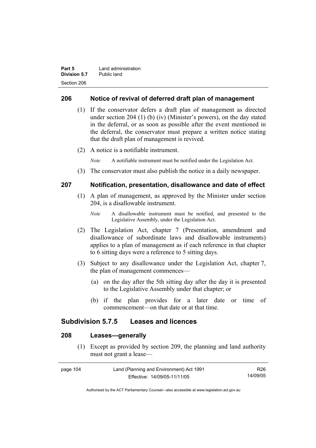| Part 5       | Land administration |
|--------------|---------------------|
| Division 5.7 | Public land         |
| Section 206  |                     |

## **206 Notice of revival of deferred draft plan of management**

- (1) If the conservator defers a draft plan of management as directed under section 204 (1) (b) (iv) (Minister's powers), on the day stated in the deferral, or as soon as possible after the event mentioned in the deferral, the conservator must prepare a written notice stating that the draft plan of management is revived.
- (2) A notice is a notifiable instrument.

*Note* A notifiable instrument must be notified under the Legislation Act.

(3) The conservator must also publish the notice in a daily newspaper.

#### **207 Notification, presentation, disallowance and date of effect**

- (1) A plan of management, as approved by the Minister under section 204, is a disallowable instrument.
	- *Note* A disallowable instrument must be notified, and presented to the Legislative Assembly, under the Legislation Act.
- (2) The Legislation Act, chapter 7 (Presentation, amendment and disallowance of subordinate laws and disallowable instruments) applies to a plan of management as if each reference in that chapter to 6 sitting days were a reference to 5 sitting days.
- (3) Subject to any disallowance under the Legislation Act, chapter 7, the plan of management commences—
	- (a) on the day after the 5th sitting day after the day it is presented to the Legislative Assembly under that chapter; or
	- (b) if the plan provides for a later date or time of commencement—on that date or at that time.

## **Subdivision 5.7.5 Leases and licences**

# **208 Leases—generally**

 (1) Except as provided by section 209, the planning and land authority must not grant a lease—

| page 104 | Land (Planning and Environment) Act 1991 | R26      |
|----------|------------------------------------------|----------|
|          | Effective: 14/09/05-11/11/05             | 14/09/05 |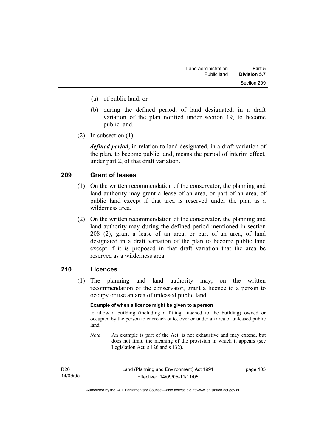- (a) of public land; or
- (b) during the defined period, of land designated, in a draft variation of the plan notified under section 19, to become public land.
- (2) In subsection (1):

*defined period*, in relation to land designated, in a draft variation of the plan, to become public land, means the period of interim effect, under part 2, of that draft variation.

# **209 Grant of leases**

- (1) On the written recommendation of the conservator, the planning and land authority may grant a lease of an area, or part of an area, of public land except if that area is reserved under the plan as a wilderness area.
- (2) On the written recommendation of the conservator, the planning and land authority may during the defined period mentioned in section 208 (2), grant a lease of an area, or part of an area, of land designated in a draft variation of the plan to become public land except if it is proposed in that draft variation that the area be reserved as a wilderness area.

## **210 Licences**

 (1) The planning and land authority may, on the written recommendation of the conservator, grant a licence to a person to occupy or use an area of unleased public land.

#### **Example of when a licence might be given to a person**

to allow a building (including a fitting attached to the building) owned or occupied by the person to encroach onto, over or under an area of unleased public land

*Note* An example is part of the Act, is not exhaustive and may extend, but does not limit, the meaning of the provision in which it appears (see Legislation Act, s 126 and s 132).

R26 14/09/05 page 105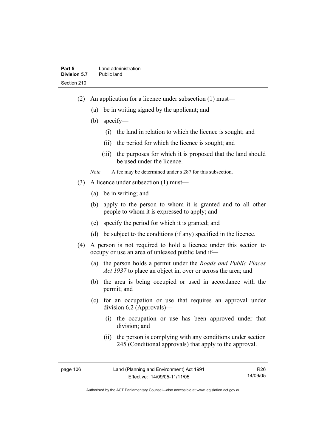- (2) An application for a licence under subsection (1) must—
	- (a) be in writing signed by the applicant; and
	- (b) specify—
		- (i) the land in relation to which the licence is sought; and
		- (ii) the period for which the licence is sought; and
		- (iii) the purposes for which it is proposed that the land should be used under the licence.

*Note* A fee may be determined under s 287 for this subsection.

- (3) A licence under subsection (1) must—
	- (a) be in writing; and
	- (b) apply to the person to whom it is granted and to all other people to whom it is expressed to apply; and
	- (c) specify the period for which it is granted; and
	- (d) be subject to the conditions (if any) specified in the licence.
- (4) A person is not required to hold a licence under this section to occupy or use an area of unleased public land if—
	- (a) the person holds a permit under the *Roads and Public Places Act 1937* to place an object in, over or across the area; and
	- (b) the area is being occupied or used in accordance with the permit; and
	- (c) for an occupation or use that requires an approval under division 6.2 (Approvals)—
		- (i) the occupation or use has been approved under that division; and
		- (ii) the person is complying with any conditions under section 245 (Conditional approvals) that apply to the approval.

R26 14/09/05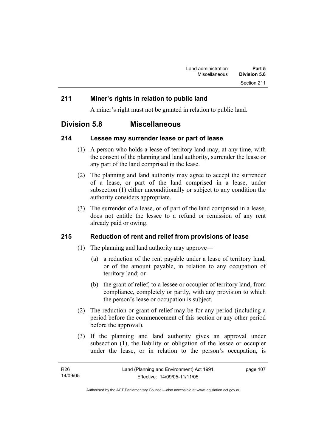# **211 Miner's rights in relation to public land**

A miner's right must not be granted in relation to public land.

# **Division 5.8 Miscellaneous**

## **214 Lessee may surrender lease or part of lease**

- (1) A person who holds a lease of territory land may, at any time, with the consent of the planning and land authority, surrender the lease or any part of the land comprised in the lease.
- (2) The planning and land authority may agree to accept the surrender of a lease, or part of the land comprised in a lease, under subsection (1) either unconditionally or subject to any condition the authority considers appropriate.
- (3) The surrender of a lease, or of part of the land comprised in a lease, does not entitle the lessee to a refund or remission of any rent already paid or owing.

# **215 Reduction of rent and relief from provisions of lease**

- (1) The planning and land authority may approve—
	- (a) a reduction of the rent payable under a lease of territory land, or of the amount payable, in relation to any occupation of territory land; or
	- (b) the grant of relief, to a lessee or occupier of territory land, from compliance, completely or partly, with any provision to which the person's lease or occupation is subject.
- (2) The reduction or grant of relief may be for any period (including a period before the commencement of this section or any other period before the approval).
- (3) If the planning and land authority gives an approval under subsection (1), the liability or obligation of the lessee or occupier under the lease, or in relation to the person's occupation, is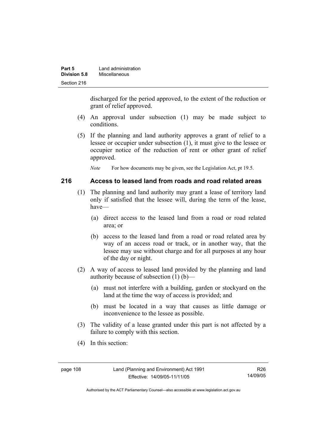| Part 5       | Land administration |
|--------------|---------------------|
| Division 5.8 | Miscellaneous       |
| Section 216  |                     |

discharged for the period approved, to the extent of the reduction or grant of relief approved.

- (4) An approval under subsection (1) may be made subject to conditions.
- (5) If the planning and land authority approves a grant of relief to a lessee or occupier under subsection (1), it must give to the lessee or occupier notice of the reduction of rent or other grant of relief approved.

*Note* For how documents may be given, see the Legislation Act, pt 19.5.

#### **216 Access to leased land from roads and road related areas**

- (1) The planning and land authority may grant a lease of territory land only if satisfied that the lessee will, during the term of the lease, have—
	- (a) direct access to the leased land from a road or road related area; or
	- (b) access to the leased land from a road or road related area by way of an access road or track, or in another way, that the lessee may use without charge and for all purposes at any hour of the day or night.
- (2) A way of access to leased land provided by the planning and land authority because of subsection (1) (b)—
	- (a) must not interfere with a building, garden or stockyard on the land at the time the way of access is provided; and
	- (b) must be located in a way that causes as little damage or inconvenience to the lessee as possible.
- (3) The validity of a lease granted under this part is not affected by a failure to comply with this section.
- (4) In this section: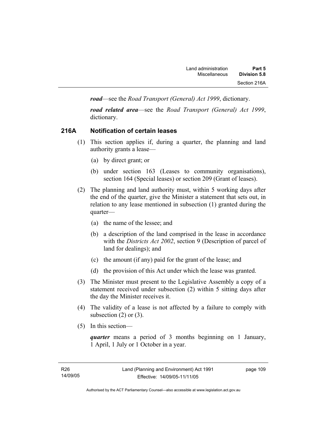*road*—see the *Road Transport (General) Act 1999*, dictionary.

*road related area*—see the *Road Transport (General) Act 1999*, dictionary.

# **216A Notification of certain leases**

- (1) This section applies if, during a quarter, the planning and land authority grants a lease—
	- (a) by direct grant; or
	- (b) under section 163 (Leases to community organisations), section 164 (Special leases) or section 209 (Grant of leases).
- (2) The planning and land authority must, within 5 working days after the end of the quarter, give the Minister a statement that sets out, in relation to any lease mentioned in subsection (1) granted during the quarter—
	- (a) the name of the lessee; and
	- (b) a description of the land comprised in the lease in accordance with the *Districts Act 2002*, section 9 (Description of parcel of land for dealings); and
	- (c) the amount (if any) paid for the grant of the lease; and
	- (d) the provision of this Act under which the lease was granted.
- (3) The Minister must present to the Legislative Assembly a copy of a statement received under subsection (2) within 5 sitting days after the day the Minister receives it.
- (4) The validity of a lease is not affected by a failure to comply with subsection  $(2)$  or  $(3)$ .
- (5) In this section—

*quarter* means a period of 3 months beginning on 1 January, 1 April, 1 July or 1 October in a year.

page 109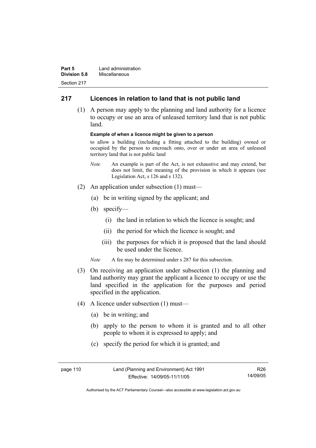| Part 5              | Land administration |
|---------------------|---------------------|
| <b>Division 5.8</b> | Miscellaneous       |
| Section 217         |                     |

# **217 Licences in relation to land that is not public land**

 (1) A person may apply to the planning and land authority for a licence to occupy or use an area of unleased territory land that is not public land.

#### **Example of when a licence might be given to a person**

to allow a building (including a fitting attached to the building) owned or occupied by the person to encroach onto, over or under an area of unleased territory land that is not public land

- *Note* An example is part of the Act, is not exhaustive and may extend, but does not limit, the meaning of the provision in which it appears (see Legislation Act, s 126 and s 132).
- (2) An application under subsection (1) must—
	- (a) be in writing signed by the applicant; and
	- (b) specify—
		- (i) the land in relation to which the licence is sought; and
		- (ii) the period for which the licence is sought; and
		- (iii) the purposes for which it is proposed that the land should be used under the licence.
	- *Note* A fee may be determined under s 287 for this subsection.
- (3) On receiving an application under subsection (1) the planning and land authority may grant the applicant a licence to occupy or use the land specified in the application for the purposes and period specified in the application.
- (4) A licence under subsection (1) must—
	- (a) be in writing; and
	- (b) apply to the person to whom it is granted and to all other people to whom it is expressed to apply; and
	- (c) specify the period for which it is granted; and

| page 110 | Land (Planning and Environment) Act 1991 | R <sub>26</sub> |
|----------|------------------------------------------|-----------------|
|          | Effective: 14/09/05-11/11/05             | 14/09/05        |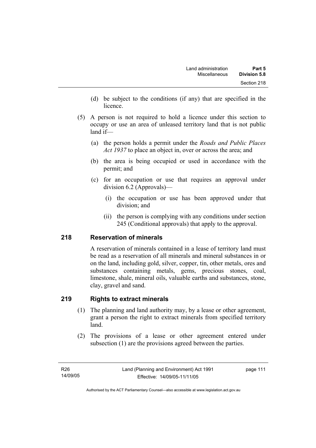- (d) be subject to the conditions (if any) that are specified in the licence.
- (5) A person is not required to hold a licence under this section to occupy or use an area of unleased territory land that is not public land if—
	- (a) the person holds a permit under the *Roads and Public Places Act 1937* to place an object in, over or across the area; and
	- (b) the area is being occupied or used in accordance with the permit; and
	- (c) for an occupation or use that requires an approval under division 6.2 (Approvals)—
		- (i) the occupation or use has been approved under that division; and
		- (ii) the person is complying with any conditions under section 245 (Conditional approvals) that apply to the approval.

# **218 Reservation of minerals**

A reservation of minerals contained in a lease of territory land must be read as a reservation of all minerals and mineral substances in or on the land, including gold, silver, copper, tin, other metals, ores and substances containing metals, gems, precious stones, coal, limestone, shale, mineral oils, valuable earths and substances, stone, clay, gravel and sand.

# **219 Rights to extract minerals**

- (1) The planning and land authority may, by a lease or other agreement, grant a person the right to extract minerals from specified territory land.
- (2) The provisions of a lease or other agreement entered under subsection (1) are the provisions agreed between the parties.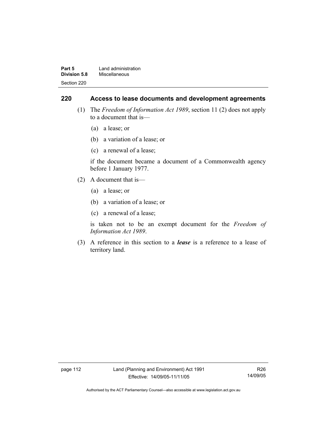| Part 5              | Land administration |
|---------------------|---------------------|
| <b>Division 5.8</b> | Miscellaneous       |
| Section 220         |                     |

## **220 Access to lease documents and development agreements**

- (1) The *Freedom of Information Act 1989*, section 11 (2) does not apply to a document that is—
	- (a) a lease; or
	- (b) a variation of a lease; or
	- (c) a renewal of a lease;

if the document became a document of a Commonwealth agency before 1 January 1977.

- (2) A document that is—
	- (a) a lease; or
	- (b) a variation of a lease; or
	- (c) a renewal of a lease;

is taken not to be an exempt document for the *Freedom of Information Act 1989*.

 (3) A reference in this section to a *lease* is a reference to a lease of territory land.

page 112 Land (Planning and Environment) Act 1991 Effective: 14/09/05-11/11/05

R26 14/09/05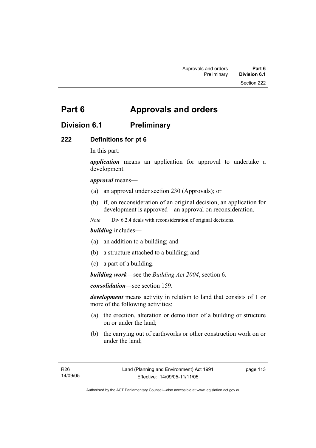# **Part 6 Approvals and orders**

# **Division 6.1 Preliminary**

# **222 Definitions for pt 6**

In this part:

*application* means an application for approval to undertake a development.

## *approval* means—

- (a) an approval under section 230 (Approvals); or
- (b) if, on reconsideration of an original decision, an application for development is approved—an approval on reconsideration.

*Note* Div 6.2.4 deals with reconsideration of original decisions.

## *building* includes—

- (a) an addition to a building; and
- (b) a structure attached to a building; and
- (c) a part of a building.

*building work*—see the *Building Act 2004*, section 6.

*consolidation*—see section 159.

*development* means activity in relation to land that consists of 1 or more of the following activities:

- (a) the erection, alteration or demolition of a building or structure on or under the land;
- (b) the carrying out of earthworks or other construction work on or under the land;

page 113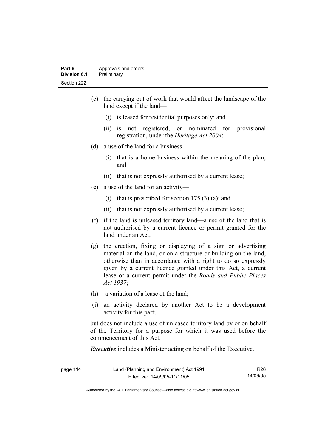#### **Part 6 Approvals and orders Division 6.1** Preliminary Section 222

- (c) the carrying out of work that would affect the landscape of the land except if the land—
	- (i) is leased for residential purposes only; and
	- (ii) is not registered, or nominated for provisional registration, under the *Heritage Act 2004*;
- (d) a use of the land for a business—
	- (i) that is a home business within the meaning of the plan; and
	- (ii) that is not expressly authorised by a current lease;
- (e) a use of the land for an activity—
	- (i) that is prescribed for section  $175(3)(a)$ ; and
	- (ii) that is not expressly authorised by a current lease;
- (f) if the land is unleased territory land—a use of the land that is not authorised by a current licence or permit granted for the land under an Act;
- (g) the erection, fixing or displaying of a sign or advertising material on the land, or on a structure or building on the land, otherwise than in accordance with a right to do so expressly given by a current licence granted under this Act, a current lease or a current permit under the *Roads and Public Places Act 1937*;
- (h) a variation of a lease of the land;
- (i) an activity declared by another Act to be a development activity for this part;

but does not include a use of unleased territory land by or on behalf of the Territory for a purpose for which it was used before the commencement of this Act.

*Executive* includes a Minister acting on behalf of the Executive.

| page 114 | Land (Planning and Environment) Act 1991 | R26      |
|----------|------------------------------------------|----------|
|          | Effective: 14/09/05-11/11/05             | 14/09/05 |

Authorised by the ACT Parliamentary Counsel—also accessible at www.legislation.act.gov.au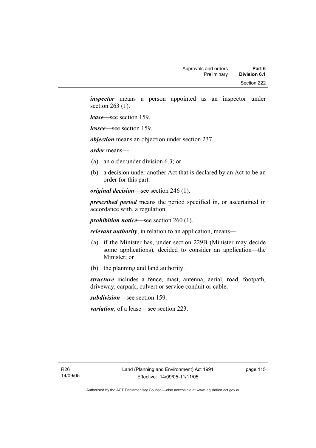*inspector* means a person appointed as an inspector under section 263 (1).

*lease*—see section 159.

*lessee*—see section 159.

*objection* means an objection under section 237.

*order* means—

- (a) an order under division 6.3; or
- (b) a decision under another Act that is declared by an Act to be an order for this part.

*original decision*—see section 246 (1).

*prescribed period* means the period specified in, or ascertained in accordance with, a regulation.

*prohibition notice*—see section 260 (1).

*relevant authority*, in relation to an application, means—

- (a) if the Minister has, under section 229B (Minister may decide some applications), decided to consider an application—the Minister; or
- (b) the planning and land authority.

*structure* includes a fence, mast, antenna, aerial, road, footpath, driveway, carpark, culvert or service conduit or cable.

*subdivision—*see section 159.

*variation*, of a lease—see section 223.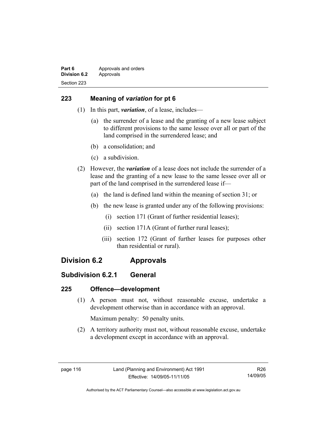# **223 Meaning of** *variation* **for pt 6**

- (1) In this part, *variation*, of a lease, includes—
	- (a) the surrender of a lease and the granting of a new lease subject to different provisions to the same lessee over all or part of the land comprised in the surrendered lease; and
	- (b) a consolidation; and
	- (c) a subdivision.
- (2) However, the *variation* of a lease does not include the surrender of a lease and the granting of a new lease to the same lessee over all or part of the land comprised in the surrendered lease if—
	- (a) the land is defined land within the meaning of section 31; or
	- (b) the new lease is granted under any of the following provisions:
		- (i) section 171 (Grant of further residential leases);
		- (ii) section 171A (Grant of further rural leases);
		- (iii) section 172 (Grant of further leases for purposes other than residential or rural).

# **Division 6.2 Approvals**

# **Subdivision 6.2.1 General**

# **225 Offence—development**

 (1) A person must not, without reasonable excuse, undertake a development otherwise than in accordance with an approval.

Maximum penalty: 50 penalty units.

 (2) A territory authority must not, without reasonable excuse, undertake a development except in accordance with an approval.

R26 14/09/05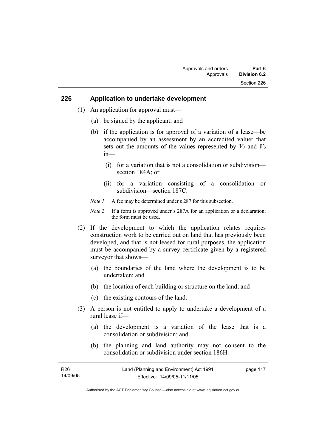#### **226 Application to undertake development**

- (1) An application for approval must—
	- (a) be signed by the applicant; and
	- (b) if the application is for approval of a variation of a lease—be accompanied by an assessment by an accredited valuer that sets out the amounts of the values represented by  $V_1$  and  $V_2$ in—
		- (i) for a variation that is not a consolidation or subdivision section 184A; or
		- (ii) for a variation consisting of a consolidation or subdivision—section 187C.
	- *Note 1* A fee may be determined under s 287 for this subsection.
	- *Note 2* If a form is approved under s 287A for an application or a declaration, the form must be used.
- (2) If the development to which the application relates requires construction work to be carried out on land that has previously been developed, and that is not leased for rural purposes, the application must be accompanied by a survey certificate given by a registered surveyor that shows—
	- (a) the boundaries of the land where the development is to be undertaken; and
	- (b) the location of each building or structure on the land; and
	- (c) the existing contours of the land.
- (3) A person is not entitled to apply to undertake a development of a rural lease if—
	- (a) the development is a variation of the lease that is a consolidation or subdivision; and
	- (b) the planning and land authority may not consent to the consolidation or subdivision under section 186H.

| R <sub>26</sub> | Land (Planning and Environment) Act 1991 | page 117 |
|-----------------|------------------------------------------|----------|
| 14/09/05        | Effective: 14/09/05-11/11/05             |          |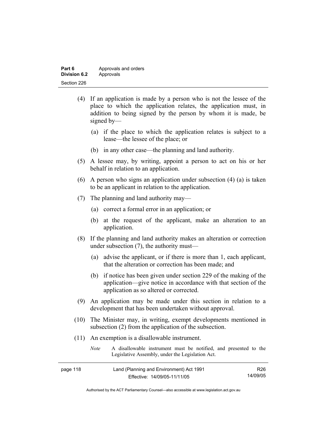| Part 6       | Approvals and orders |
|--------------|----------------------|
| Division 6.2 | Approvals            |
| Section 226  |                      |

- (4) If an application is made by a person who is not the lessee of the place to which the application relates, the application must, in addition to being signed by the person by whom it is made, be signed by—
	- (a) if the place to which the application relates is subject to a lease—the lessee of the place; or
	- (b) in any other case—the planning and land authority.
- (5) A lessee may, by writing, appoint a person to act on his or her behalf in relation to an application.
- (6) A person who signs an application under subsection (4) (a) is taken to be an applicant in relation to the application.
- (7) The planning and land authority may—
	- (a) correct a formal error in an application; or
	- (b) at the request of the applicant, make an alteration to an application.
- (8) If the planning and land authority makes an alteration or correction under subsection (7), the authority must—
	- (a) advise the applicant, or if there is more than 1, each applicant, that the alteration or correction has been made; and
	- (b) if notice has been given under section 229 of the making of the application—give notice in accordance with that section of the application as so altered or corrected.
- (9) An application may be made under this section in relation to a development that has been undertaken without approval.
- (10) The Minister may, in writing, exempt developments mentioned in subsection (2) from the application of the subsection.
- (11) An exemption is a disallowable instrument.

| <i>Note</i>                                      | A disallowable instrument must be notified, and presented to the |  |
|--------------------------------------------------|------------------------------------------------------------------|--|
| Legislative Assembly, under the Legislation Act. |                                                                  |  |

| page 118 | Land (Planning and Environment) Act 1991 | R <sub>26</sub> |
|----------|------------------------------------------|-----------------|
|          | Effective: 14/09/05-11/11/05             | 14/09/05        |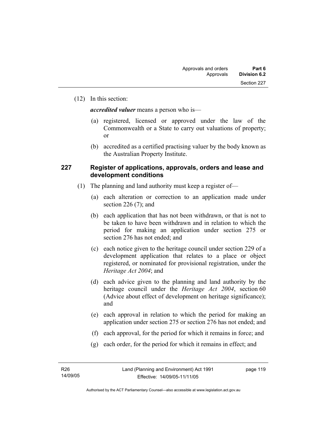(12) In this section:

*accredited valuer* means a person who is—

- (a) registered, licensed or approved under the law of the Commonwealth or a State to carry out valuations of property; or
- (b) accredited as a certified practising valuer by the body known as the Australian Property Institute.

#### **227 Register of applications, approvals, orders and lease and development conditions**

- (1) The planning and land authority must keep a register of—
	- (a) each alteration or correction to an application made under section 226 $(7)$ ; and
	- (b) each application that has not been withdrawn, or that is not to be taken to have been withdrawn and in relation to which the period for making an application under section 275 or section 276 has not ended; and
	- (c) each notice given to the heritage council under section 229 of a development application that relates to a place or object registered, or nominated for provisional registration, under the *Heritage Act 2004*; and
	- (d) each advice given to the planning and land authority by the heritage council under the *Heritage Act 2004*, section 60 (Advice about effect of development on heritage significance); and
	- (e) each approval in relation to which the period for making an application under section 275 or section 276 has not ended; and
	- (f) each approval, for the period for which it remains in force; and
	- (g) each order, for the period for which it remains in effect; and

page 119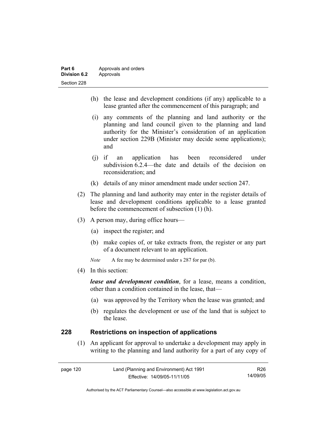| Part 6              | Approvals and orders |  |
|---------------------|----------------------|--|
| <b>Division 6.2</b> | Approvals            |  |
| Section 228         |                      |  |

- (h) the lease and development conditions (if any) applicable to a lease granted after the commencement of this paragraph; and
- (i) any comments of the planning and land authority or the planning and land council given to the planning and land authority for the Minister's consideration of an application under section 229B (Minister may decide some applications); and
- (j) if an application has been reconsidered under subdivision 6.2.4—the date and details of the decision on reconsideration; and
- (k) details of any minor amendment made under section 247.
- (2) The planning and land authority may enter in the register details of lease and development conditions applicable to a lease granted before the commencement of subsection (1) (h).
- (3) A person may, during office hours—
	- (a) inspect the register; and
	- (b) make copies of, or take extracts from, the register or any part of a document relevant to an application.
	- *Note* A fee may be determined under s 287 for par (b).
- (4) In this section:

*lease and development condition*, for a lease, means a condition, other than a condition contained in the lease, that—

- (a) was approved by the Territory when the lease was granted; and
- (b) regulates the development or use of the land that is subject to the lease.

#### **228 Restrictions on inspection of applications**

 (1) An applicant for approval to undertake a development may apply in writing to the planning and land authority for a part of any copy of

| page 120 | Land (Planning and Environment) Act 1991 | R26      |
|----------|------------------------------------------|----------|
|          | Effective: 14/09/05-11/11/05             | 14/09/05 |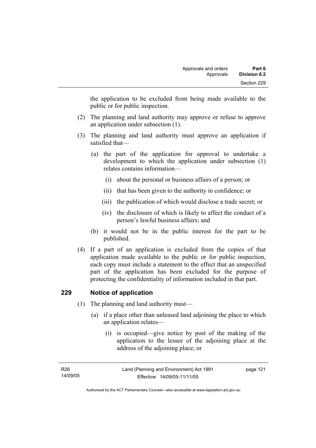the application to be excluded from being made available to the public or for public inspection.

- (2) The planning and land authority may approve or refuse to approve an application under subsection (1).
- (3) The planning and land authority must approve an application if satisfied that—
	- (a) the part of the application for approval to undertake a development to which the application under subsection (1) relates contains information—
		- (i) about the personal or business affairs of a person; or
		- (ii) that has been given to the authority in confidence; or
		- (iii) the publication of which would disclose a trade secret; or
		- (iv) the disclosure of which is likely to affect the conduct of a person's lawful business affairs; and
	- (b) it would not be in the public interest for the part to be published.
- (4) If a part of an application is excluded from the copies of that application made available to the public or for public inspection, each copy must include a statement to the effect that an unspecified part of the application has been excluded for the purpose of protecting the confidentiality of information included in that part.

## **229 Notice of application**

- (1) The planning and land authority must—
	- (a) if a place other than unleased land adjoining the place to which an application relates—
		- (i) is occupied—give notice by post of the making of the application to the lessee of the adjoining place at the address of the adjoining place; or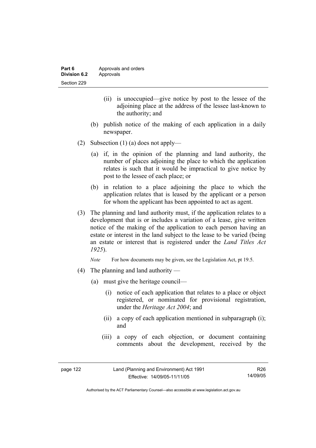- (ii) is unoccupied—give notice by post to the lessee of the adjoining place at the address of the lessee last-known to the authority; and
- (b) publish notice of the making of each application in a daily newspaper.
- (2) Subsection (1) (a) does not apply—
	- (a) if, in the opinion of the planning and land authority, the number of places adjoining the place to which the application relates is such that it would be impractical to give notice by post to the lessee of each place; or
	- (b) in relation to a place adjoining the place to which the application relates that is leased by the applicant or a person for whom the applicant has been appointed to act as agent.
- (3) The planning and land authority must, if the application relates to a development that is or includes a variation of a lease, give written notice of the making of the application to each person having an estate or interest in the land subject to the lease to be varied (being an estate or interest that is registered under the *Land Titles Act 1925*).

*Note* For how documents may be given, see the Legislation Act, pt 19.5.

- (4) The planning and land authority
	- (a) must give the heritage council—
		- (i) notice of each application that relates to a place or object registered, or nominated for provisional registration, under the *Heritage Act 2004*; and
		- (ii) a copy of each application mentioned in subparagraph (i); and
		- (iii) a copy of each objection, or document containing comments about the development, received by the

| page 122 | Land (Planning and Environment) Act 1991 | R26      |
|----------|------------------------------------------|----------|
|          | Effective: 14/09/05-11/11/05             | 14/09/05 |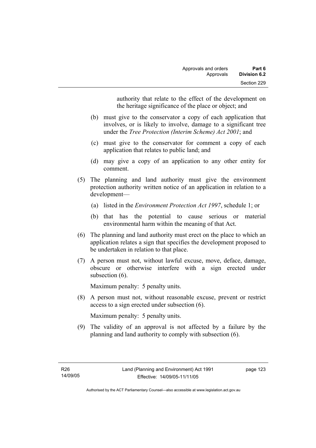authority that relate to the effect of the development on the heritage significance of the place or object; and

- (b) must give to the conservator a copy of each application that involves, or is likely to involve, damage to a significant tree under the *Tree Protection (Interim Scheme) Act 2001*; and
- (c) must give to the conservator for comment a copy of each application that relates to public land; and
- (d) may give a copy of an application to any other entity for comment.
- (5) The planning and land authority must give the environment protection authority written notice of an application in relation to a development—
	- (a) listed in the *Environment Protection Act 1997*, schedule 1; or
	- (b) that has the potential to cause serious or material environmental harm within the meaning of that Act.
- (6) The planning and land authority must erect on the place to which an application relates a sign that specifies the development proposed to be undertaken in relation to that place.
- (7) A person must not, without lawful excuse, move, deface, damage, obscure or otherwise interfere with a sign erected under subsection  $(6)$ .

Maximum penalty: 5 penalty units.

 (8) A person must not, without reasonable excuse, prevent or restrict access to a sign erected under subsection (6).

Maximum penalty: 5 penalty units.

 (9) The validity of an approval is not affected by a failure by the planning and land authority to comply with subsection (6).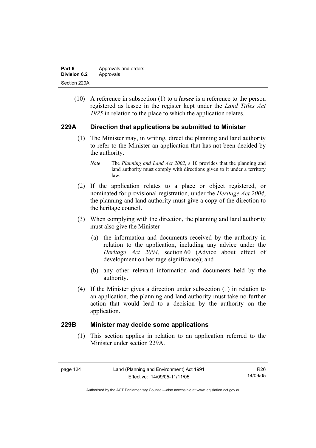| Part 6       | Approvals and orders |  |
|--------------|----------------------|--|
| Division 6.2 | Approvals            |  |
| Section 229A |                      |  |

 (10) A reference in subsection (1) to a *lessee* is a reference to the person registered as lessee in the register kept under the *Land Titles Act 1925* in relation to the place to which the application relates.

# **229A Direction that applications be submitted to Minister**

- (1) The Minister may, in writing, direct the planning and land authority to refer to the Minister an application that has not been decided by the authority.
	- *Note* The *Planning and Land Act 2002*, s 10 provides that the planning and land authority must comply with directions given to it under a territory law.
- (2) If the application relates to a place or object registered, or nominated for provisional registration, under the *Heritage Act 2004*, the planning and land authority must give a copy of the direction to the heritage council.
- (3) When complying with the direction, the planning and land authority must also give the Minister—
	- (a) the information and documents received by the authority in relation to the application, including any advice under the *Heritage Act 2004*, section 60 (Advice about effect of development on heritage significance); and
	- (b) any other relevant information and documents held by the authority.
- (4) If the Minister gives a direction under subsection (1) in relation to an application, the planning and land authority must take no further action that would lead to a decision by the authority on the application.

## **229B Minister may decide some applications**

 (1) This section applies in relation to an application referred to the Minister under section 229A.

| page | 2Δ |
|------|----|
|------|----|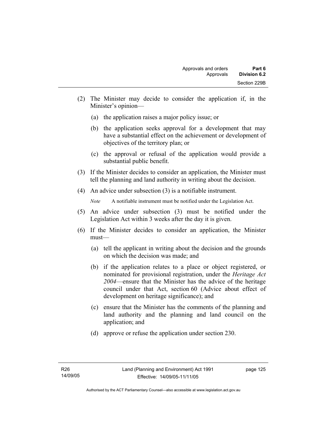- (2) The Minister may decide to consider the application if, in the Minister's opinion—
	- (a) the application raises a major policy issue; or
	- (b) the application seeks approval for a development that may have a substantial effect on the achievement or development of objectives of the territory plan; or
	- (c) the approval or refusal of the application would provide a substantial public benefit.
- (3) If the Minister decides to consider an application, the Minister must tell the planning and land authority in writing about the decision.
- (4) An advice under subsection (3) is a notifiable instrument.

*Note* A notifiable instrument must be notified under the Legislation Act.

- (5) An advice under subsection (3) must be notified under the Legislation Act within 3 weeks after the day it is given.
- (6) If the Minister decides to consider an application, the Minister must—
	- (a) tell the applicant in writing about the decision and the grounds on which the decision was made; and
	- (b) if the application relates to a place or object registered, or nominated for provisional registration, under the *Heritage Act 2004*—ensure that the Minister has the advice of the heritage council under that Act, section 60 (Advice about effect of development on heritage significance); and
	- (c) ensure that the Minister has the comments of the planning and land authority and the planning and land council on the application; and
	- (d) approve or refuse the application under section 230.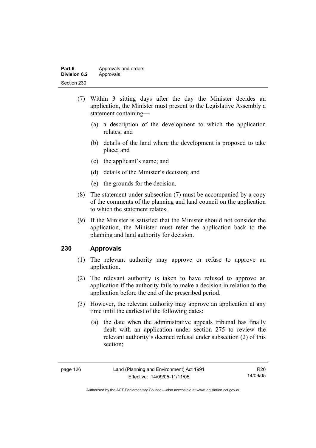| Part 6       | Approvals and orders |  |
|--------------|----------------------|--|
| Division 6.2 | Approvals            |  |
| Section 230  |                      |  |

- (7) Within 3 sitting days after the day the Minister decides an application, the Minister must present to the Legislative Assembly a statement containing—
	- (a) a description of the development to which the application relates; and
	- (b) details of the land where the development is proposed to take place; and
	- (c) the applicant's name; and
	- (d) details of the Minister's decision; and
	- (e) the grounds for the decision.
- (8) The statement under subsection (7) must be accompanied by a copy of the comments of the planning and land council on the application to which the statement relates.
- (9) If the Minister is satisfied that the Minister should not consider the application, the Minister must refer the application back to the planning and land authority for decision.

# **230 Approvals**

- (1) The relevant authority may approve or refuse to approve an application.
- (2) The relevant authority is taken to have refused to approve an application if the authority fails to make a decision in relation to the application before the end of the prescribed period.
- (3) However, the relevant authority may approve an application at any time until the earliest of the following dates:
	- (a) the date when the administrative appeals tribunal has finally dealt with an application under section 275 to review the relevant authority's deemed refusal under subsection (2) of this section;

R26 14/09/05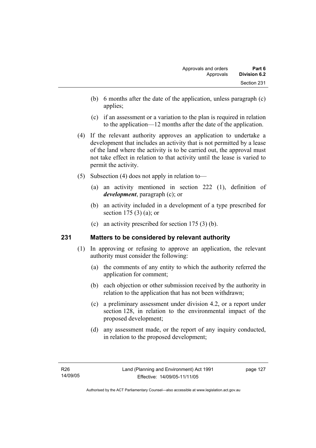- (b) 6 months after the date of the application, unless paragraph (c) applies;
- (c) if an assessment or a variation to the plan is required in relation to the application—12 months after the date of the application.
- (4) If the relevant authority approves an application to undertake a development that includes an activity that is not permitted by a lease of the land where the activity is to be carried out, the approval must not take effect in relation to that activity until the lease is varied to permit the activity.
- (5) Subsection (4) does not apply in relation to—
	- (a) an activity mentioned in section 222 (1), definition of *development*, paragraph (c); or
	- (b) an activity included in a development of a type prescribed for section 175 (3) (a); or
	- (c) an activity prescribed for section 175 (3) (b).

## **231 Matters to be considered by relevant authority**

- (1) In approving or refusing to approve an application, the relevant authority must consider the following:
	- (a) the comments of any entity to which the authority referred the application for comment;
	- (b) each objection or other submission received by the authority in relation to the application that has not been withdrawn;
	- (c) a preliminary assessment under division 4.2, or a report under section 128, in relation to the environmental impact of the proposed development;
	- (d) any assessment made, or the report of any inquiry conducted, in relation to the proposed development;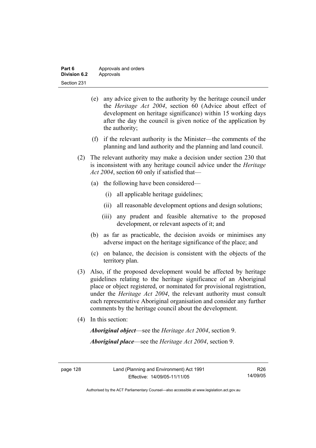| Part 6              | Approvals and orders |  |
|---------------------|----------------------|--|
| <b>Division 6.2</b> | Approvals            |  |
| Section 231         |                      |  |

- (e) any advice given to the authority by the heritage council under the *Heritage Act 2004*, section 60 (Advice about effect of development on heritage significance) within 15 working days after the day the council is given notice of the application by the authority;
- (f) if the relevant authority is the Minister—the comments of the planning and land authority and the planning and land council.
- (2) The relevant authority may make a decision under section 230 that is inconsistent with any heritage council advice under the *Heritage Act 2004*, section 60 only if satisfied that—
	- (a) the following have been considered—
		- (i) all applicable heritage guidelines;
		- (ii) all reasonable development options and design solutions;
		- (iii) any prudent and feasible alternative to the proposed development, or relevant aspects of it; and
	- (b) as far as practicable, the decision avoids or minimises any adverse impact on the heritage significance of the place; and
	- (c) on balance, the decision is consistent with the objects of the territory plan.
- (3) Also, if the proposed development would be affected by heritage guidelines relating to the heritage significance of an Aboriginal place or object registered, or nominated for provisional registration, under the *Heritage Act 2004*, the relevant authority must consult each representative Aboriginal organisation and consider any further comments by the heritage council about the development.
- (4) In this section:

*Aboriginal object*—see the *Heritage Act 2004*, section 9. *Aboriginal place*—see the *Heritage Act 2004*, section 9.

R26 14/09/05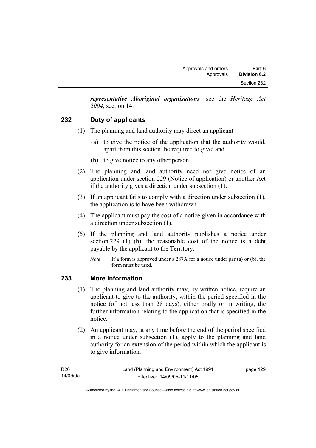*representative Aboriginal organisations*—see the *Heritage Act 2004*, section 14.

# **232 Duty of applicants**

- (1) The planning and land authority may direct an applicant—
	- (a) to give the notice of the application that the authority would, apart from this section, be required to give; and
	- (b) to give notice to any other person.
- (2) The planning and land authority need not give notice of an application under section 229 (Notice of application) or another Act if the authority gives a direction under subsection (1).
- (3) If an applicant fails to comply with a direction under subsection (1), the application is to have been withdrawn.
- (4) The applicant must pay the cost of a notice given in accordance with a direction under subsection (1).
- (5) If the planning and land authority publishes a notice under section 229 (1) (b), the reasonable cost of the notice is a debt payable by the applicant to the Territory.
	- *Note* If a form is approved under s 287A for a notice under par (a) or (b), the form must be used.

## **233 More information**

- (1) The planning and land authority may, by written notice, require an applicant to give to the authority, within the period specified in the notice (of not less than 28 days), either orally or in writing, the further information relating to the application that is specified in the notice.
- (2) An applicant may, at any time before the end of the period specified in a notice under subsection (1), apply to the planning and land authority for an extension of the period within which the applicant is to give information.

page 129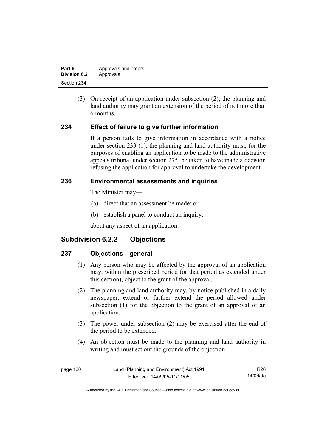| Part 6       | Approvals and orders |  |
|--------------|----------------------|--|
| Division 6.2 | Approvals            |  |
| Section 234  |                      |  |

 (3) On receipt of an application under subsection (2), the planning and land authority may grant an extension of the period of not more than 6 months.

# **234 Effect of failure to give further information**

If a person fails to give information in accordance with a notice under section 233 (1), the planning and land authority must, for the purposes of enabling an application to be made to the administrative appeals tribunal under section 275, be taken to have made a decision refusing the application for approval to undertake the development.

## **236 Environmental assessments and inquiries**

The Minister may—

- (a) direct that an assessment be made; or
- (b) establish a panel to conduct an inquiry;

about any aspect of an application.

# **Subdivision 6.2.2 Objections**

# **237 Objections—general**

- (1) Any person who may be affected by the approval of an application may, within the prescribed period (or that period as extended under this section), object to the grant of the approval.
- (2) The planning and land authority may, by notice published in a daily newspaper, extend or further extend the period allowed under subsection (1) for the objection to the grant of an approval of an application.
- (3) The power under subsection (2) may be exercised after the end of the period to be extended.
- (4) An objection must be made to the planning and land authority in writing and must set out the grounds of the objection.

| page 130 | Land (Planning and Environment) Act 1991 | R26      |
|----------|------------------------------------------|----------|
|          | Effective: 14/09/05-11/11/05             | 14/09/05 |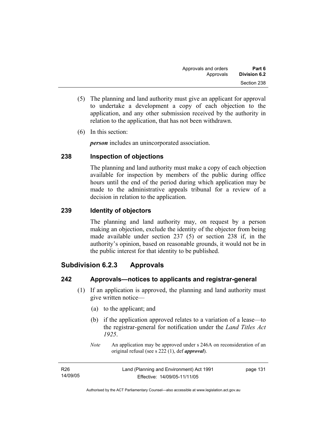- (5) The planning and land authority must give an applicant for approval to undertake a development a copy of each objection to the application, and any other submission received by the authority in relation to the application, that has not been withdrawn.
- (6) In this section:

*person* includes an unincorporated association.

# **238 Inspection of objections**

The planning and land authority must make a copy of each objection available for inspection by members of the public during office hours until the end of the period during which application may be made to the administrative appeals tribunal for a review of a decision in relation to the application.

# **239 Identity of objectors**

The planning and land authority may, on request by a person making an objection, exclude the identity of the objector from being made available under section 237 (5) or section 238 if, in the authority's opinion, based on reasonable grounds, it would not be in the public interest for that identity to be published.

# **Subdivision 6.2.3 Approvals**

# **242 Approvals—notices to applicants and registrar-general**

- (1) If an application is approved, the planning and land authority must give written notice—
	- (a) to the applicant; and
	- (b) if the application approved relates to a variation of a lease—to the registrar-general for notification under the *Land Titles Act 1925*.
	- *Note* An application may be approved under s 246A on reconsideration of an original refusal (see s 222 (1), def *approval*).

| R26      | Land (Planning and Environment) Act 1991 | page 131 |
|----------|------------------------------------------|----------|
| 14/09/05 | Effective: 14/09/05-11/11/05             |          |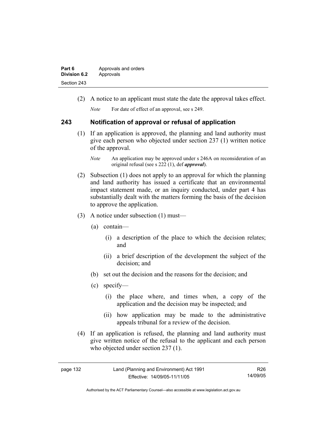| Part 6              | Approvals and orders |
|---------------------|----------------------|
| <b>Division 6.2</b> | Approvals            |
| Section 243         |                      |

(2) A notice to an applicant must state the date the approval takes effect.

*Note* For date of effect of an approval, see s 249.

#### **243 Notification of approval or refusal of application**

- (1) If an application is approved, the planning and land authority must give each person who objected under section 237 (1) written notice of the approval.
	- *Note* An application may be approved under s 246A on reconsideration of an original refusal (see s 222 (1), def *approval*).
- (2) Subsection (1) does not apply to an approval for which the planning and land authority has issued a certificate that an environmental impact statement made, or an inquiry conducted, under part 4 has substantially dealt with the matters forming the basis of the decision to approve the application.
- (3) A notice under subsection (1) must—
	- (a) contain—
		- (i) a description of the place to which the decision relates; and
		- (ii) a brief description of the development the subject of the decision; and
	- (b) set out the decision and the reasons for the decision; and
	- (c) specify—
		- (i) the place where, and times when, a copy of the application and the decision may be inspected; and
		- (ii) how application may be made to the administrative appeals tribunal for a review of the decision.
- (4) If an application is refused, the planning and land authority must give written notice of the refusal to the applicant and each person who objected under section 237 (1).

| page |  |
|------|--|
|------|--|

R26 14/09/05

Authorised by the ACT Parliamentary Counsel—also accessible at www.legislation.act.gov.au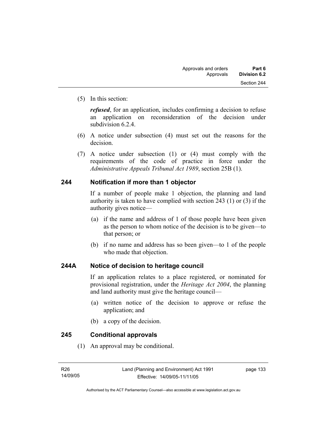(5) In this section:

*refused*, for an application, includes confirming a decision to refuse an application on reconsideration of the decision under subdivision 6.2.4.

- (6) A notice under subsection (4) must set out the reasons for the decision.
- (7) A notice under subsection (1) or (4) must comply with the requirements of the code of practice in force under the *Administrative Appeals Tribunal Act 1989*, section 25B (1).

#### **244 Notification if more than 1 objector**

If a number of people make 1 objection, the planning and land authority is taken to have complied with section 243 (1) or (3) if the authority gives notice—

- (a) if the name and address of 1 of those people have been given as the person to whom notice of the decision is to be given—to that person; or
- (b) if no name and address has so been given—to 1 of the people who made that objection.

# **244A Notice of decision to heritage council**

If an application relates to a place registered, or nominated for provisional registration, under the *Heritage Act 2004*, the planning and land authority must give the heritage council—

- (a) written notice of the decision to approve or refuse the application; and
- (b) a copy of the decision.

#### **245 Conditional approvals**

(1) An approval may be conditional.

page 133

Authorised by the ACT Parliamentary Counsel—also accessible at www.legislation.act.gov.au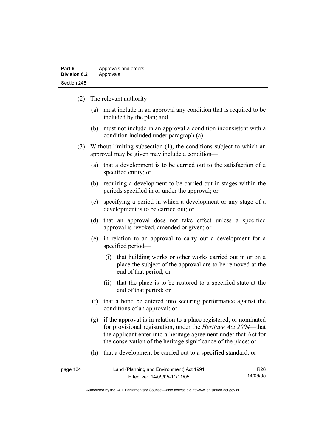| Part 6              | Approvals and orders |
|---------------------|----------------------|
| <b>Division 6.2</b> | Approvals            |
| Section 245         |                      |

- (2) The relevant authority—
	- (a) must include in an approval any condition that is required to be included by the plan; and
	- (b) must not include in an approval a condition inconsistent with a condition included under paragraph (a).
- (3) Without limiting subsection (1), the conditions subject to which an approval may be given may include a condition—
	- (a) that a development is to be carried out to the satisfaction of a specified entity; or
	- (b) requiring a development to be carried out in stages within the periods specified in or under the approval; or
	- (c) specifying a period in which a development or any stage of a development is to be carried out; or
	- (d) that an approval does not take effect unless a specified approval is revoked, amended or given; or
	- (e) in relation to an approval to carry out a development for a specified period—
		- (i) that building works or other works carried out in or on a place the subject of the approval are to be removed at the end of that period; or
		- (ii) that the place is to be restored to a specified state at the end of that period; or
	- (f) that a bond be entered into securing performance against the conditions of an approval; or
	- (g) if the approval is in relation to a place registered, or nominated for provisional registration, under the *Heritage Act 2004*—that the applicant enter into a heritage agreement under that Act for the conservation of the heritage significance of the place; or
	- (h) that a development be carried out to a specified standard; or

| page 134 | Land (Planning and Environment) Act 1991 | R26      |
|----------|------------------------------------------|----------|
|          | Effective: 14/09/05-11/11/05             | 14/09/05 |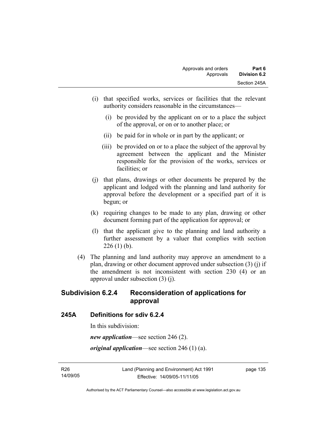- (i) that specified works, services or facilities that the relevant authority considers reasonable in the circumstances—
	- (i) be provided by the applicant on or to a place the subject of the approval, or on or to another place; or
	- (ii) be paid for in whole or in part by the applicant; or
	- (iii) be provided on or to a place the subject of the approval by agreement between the applicant and the Minister responsible for the provision of the works, services or facilities; or
- (j) that plans, drawings or other documents be prepared by the applicant and lodged with the planning and land authority for approval before the development or a specified part of it is begun; or
- (k) requiring changes to be made to any plan, drawing or other document forming part of the application for approval; or
- (l) that the applicant give to the planning and land authority a further assessment by a valuer that complies with section  $226(1)$  (b).
- (4) The planning and land authority may approve an amendment to a plan, drawing or other document approved under subsection (3) (j) if the amendment is not inconsistent with section 230 (4) or an approval under subsection (3) (j).

# **Subdivision 6.2.4 Reconsideration of applications for approval**

#### **245A Definitions for sdiv 6.2.4**

In this subdivision:

*new application*—see section 246 (2).

*original application*—see section 246 (1) (a).

R26 14/09/05 page 135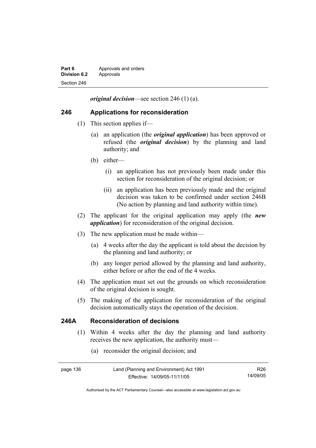| Part 6              | Approvals and orders |
|---------------------|----------------------|
| <b>Division 6.2</b> | Approvals            |
| Section 246         |                      |

*original decision*—see section 246 (1) (a).

### **246 Applications for reconsideration**

- (1) This section applies if—
	- (a) an application (the *original application*) has been approved or refused (the *original decision*) by the planning and land authority; and
	- (b) either—
		- (i) an application has not previously been made under this section for reconsideration of the original decision; or
		- (ii) an application has been previously made and the original decision was taken to be confirmed under section 246B (No action by planning and land authority within time).
- (2) The applicant for the original application may apply (the *new application*) for reconsideration of the original decision.
- (3) The new application must be made within—
	- (a) 4 weeks after the day the applicant is told about the decision by the planning and land authority; or
	- (b) any longer period allowed by the planning and land authority, either before or after the end of the 4 weeks.
- (4) The application must set out the grounds on which reconsideration of the original decision is sought.
- (5) The making of the application for reconsideration of the original decision automatically stays the operation of the decision.

## **246A Reconsideration of decisions**

- (1) Within 4 weeks after the day the planning and land authority receives the new application, the authority must—
	- (a) reconsider the original decision; and

| page 136 | Land (Planning and Environment) Act 1991 | R26      |
|----------|------------------------------------------|----------|
|          | Effective: 14/09/05-11/11/05             | 14/09/05 |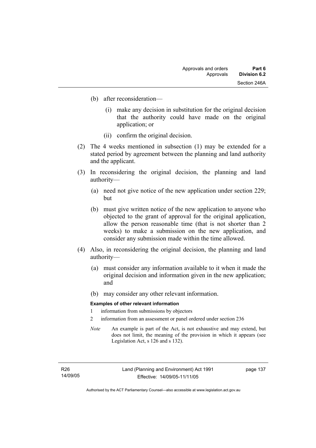- (b) after reconsideration—
	- (i) make any decision in substitution for the original decision that the authority could have made on the original application; or
	- (ii) confirm the original decision.
- (2) The 4 weeks mentioned in subsection (1) may be extended for a stated period by agreement between the planning and land authority and the applicant.
- (3) In reconsidering the original decision, the planning and land authority—
	- (a) need not give notice of the new application under section 229; but
	- (b) must give written notice of the new application to anyone who objected to the grant of approval for the original application, allow the person reasonable time (that is not shorter than 2 weeks) to make a submission on the new application, and consider any submission made within the time allowed.
- (4) Also, in reconsidering the original decision, the planning and land authority—
	- (a) must consider any information available to it when it made the original decision and information given in the new application; and
	- (b) may consider any other relevant information.

#### **Examples of other relevant information**

- 1 information from submissions by objectors
- 2 information from an assessment or panel ordered under section 236
- *Note* An example is part of the Act, is not exhaustive and may extend, but does not limit, the meaning of the provision in which it appears (see Legislation Act, s 126 and s 132).

page 137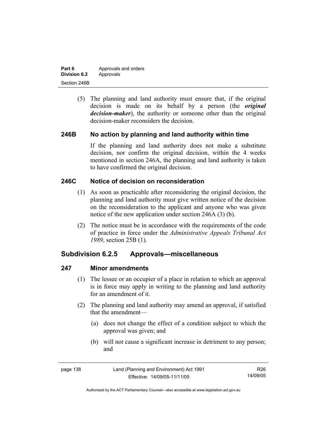| Part 6              | Approvals and orders |
|---------------------|----------------------|
| <b>Division 6.2</b> | Approvals            |
| Section 246B        |                      |

 (5) The planning and land authority must ensure that, if the original decision is made on its behalf by a person (the *original decision-maker*), the authority or someone other than the original decision-maker reconsiders the decision.

#### **246B No action by planning and land authority within time**

If the planning and land authority does not make a substitute decision, nor confirm the original decision, within the 4 weeks mentioned in section 246A, the planning and land authority is taken to have confirmed the original decision.

# **246C Notice of decision on reconsideration**

- (1) As soon as practicable after reconsidering the original decision, the planning and land authority must give written notice of the decision on the reconsideration to the applicant and anyone who was given notice of the new application under section 246A (3) (b).
- (2) The notice must be in accordance with the requirements of the code of practice in force under the *Administrative Appeals Tribunal Act 1989*, section 25B (1).

# **Subdivision 6.2.5 Approvals—miscellaneous**

#### **247 Minor amendments**

- (1) The lessee or an occupier of a place in relation to which an approval is in force may apply in writing to the planning and land authority for an amendment of it.
- (2) The planning and land authority may amend an approval, if satisfied that the amendment—
	- (a) does not change the effect of a condition subject to which the approval was given; and
	- (b) will not cause a significant increase in detriment to any person; and

| page 138 | Land (Planning and Environment) Act 1991 | R26      |
|----------|------------------------------------------|----------|
|          | Effective: 14/09/05-11/11/05             | 14/09/05 |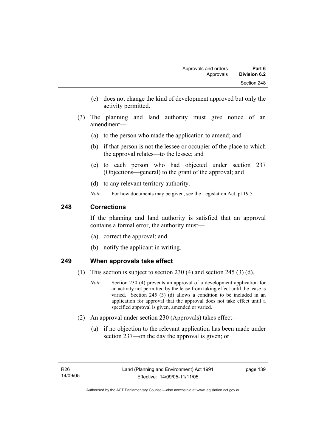- (c) does not change the kind of development approved but only the activity permitted.
- (3) The planning and land authority must give notice of an amendment—
	- (a) to the person who made the application to amend; and
	- (b) if that person is not the lessee or occupier of the place to which the approval relates—to the lessee; and
	- (c) to each person who had objected under section 237 (Objections—general) to the grant of the approval; and
	- (d) to any relevant territory authority.
	- *Note* For how documents may be given, see the Legislation Act, pt 19.5.

# **248 Corrections**

If the planning and land authority is satisfied that an approval contains a formal error, the authority must—

- (a) correct the approval; and
- (b) notify the applicant in writing.

#### **249 When approvals take effect**

- (1) This section is subject to section 230 (4) and section 245 (3) (d).
	- *Note* Section 230 (4) prevents an approval of a development application for an activity not permitted by the lease from taking effect until the lease is varied. Section 245 (3) (d) allows a condition to be included in an application for approval that the approval does not take effect until a specified approval is given, amended or varied.
- (2) An approval under section 230 (Approvals) takes effect—
	- (a) if no objection to the relevant application has been made under section 237—on the day the approval is given; or

page 139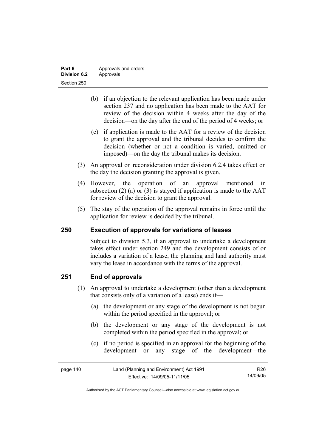| Part 6       | Approvals and orders |
|--------------|----------------------|
| Division 6.2 | Approvals            |
| Section 250  |                      |

- (b) if an objection to the relevant application has been made under section 237 and no application has been made to the AAT for review of the decision within 4 weeks after the day of the decision—on the day after the end of the period of 4 weeks; or
- (c) if application is made to the AAT for a review of the decision to grant the approval and the tribunal decides to confirm the decision (whether or not a condition is varied, omitted or imposed)—on the day the tribunal makes its decision.
- (3) An approval on reconsideration under division 6.2.4 takes effect on the day the decision granting the approval is given.
- (4) However, the operation of an approval mentioned in subsection (2) (a) or (3) is stayed if application is made to the  $AAT$ for review of the decision to grant the approval.
- (5) The stay of the operation of the approval remains in force until the application for review is decided by the tribunal.

#### **250 Execution of approvals for variations of leases**

Subject to division 5.3, if an approval to undertake a development takes effect under section 249 and the development consists of or includes a variation of a lease, the planning and land authority must vary the lease in accordance with the terms of the approval.

#### **251 End of approvals**

- (1) An approval to undertake a development (other than a development that consists only of a variation of a lease) ends if—
	- (a) the development or any stage of the development is not begun within the period specified in the approval; or
	- (b) the development or any stage of the development is not completed within the period specified in the approval; or
	- (c) if no period is specified in an approval for the beginning of the development or any stage of the development—the

| page 140 | Land (Planning and Environment) Act 1991 | R26.     |
|----------|------------------------------------------|----------|
|          | Effective: 14/09/05-11/11/05             | 14/09/05 |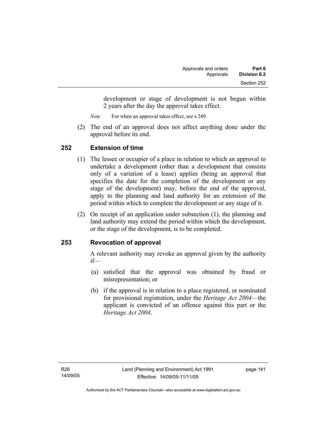development or stage of development is not begun within 2 years after the day the approval takes effect.

*Note* For when an approval takes effect, see s 249.

 (2) The end of an approval does not affect anything done under the approval before its end.

# **252 Extension of time**

- (1) The lessee or occupier of a place in relation to which an approval to undertake a development (other than a development that consists only of a variation of a lease) applies (being an approval that specifies the date for the completion of the development or any stage of the development) may, before the end of the approval, apply to the planning and land authority for an extension of the period within which to complete the development or any stage of it.
- (2) On receipt of an application under subsection (1), the planning and land authority may extend the period within which the development, or the stage of the development, is to be completed.

# **253 Revocation of approval**

A relevant authority may revoke an approval given by the authority if—

- (a) satisfied that the approval was obtained by fraud or misrepresentation; or
- (b) if the approval is in relation to a place registered, or nominated for provisional registration, under the *Heritage Act 2004*—the applicant is convicted of an offence against this part or the *Heritage Act 2004*.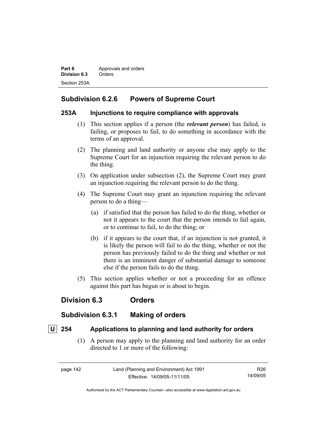**Part 6 Approvals and orders Division 6.3** Orders Section 253A

# **Subdivision 6.2.6 Powers of Supreme Court**

#### **253A Injunctions to require compliance with approvals**

- (1) This section applies if a person (the *relevant person*) has failed, is failing, or proposes to fail, to do something in accordance with the terms of an approval.
- (2) The planning and land authority or anyone else may apply to the Supreme Court for an injunction requiring the relevant person to do the thing.
- (3) On application under subsection (2), the Supreme Court may grant an injunction requiring the relevant person to do the thing.
- (4) The Supreme Court may grant an injunction requiring the relevant person to do a thing—
	- (a) if satisfied that the person has failed to do the thing, whether or not it appears to the court that the person intends to fail again, or to continue to fail, to do the thing; or
	- (b) if it appears to the court that, if an injunction is not granted, it is likely the person will fail to do the thing, whether or not the person has previously failed to do the thing and whether or not there is an imminent danger of substantial damage to someone else if the person fails to do the thing.
- (5) This section applies whether or not a proceeding for an offence against this part has begun or is about to begin.

# **Division 6.3 Orders**

# **Subdivision 6.3.1 Making of orders**

# **U 254 Applications to planning and land authority for orders**

 (1) A person may apply to the planning and land authority for an order directed to 1 or more of the following:

| page 142 | Land (Planning and Environment) Act 1991 | R26      |
|----------|------------------------------------------|----------|
|          | Effective: 14/09/05-11/11/05             | 14/09/05 |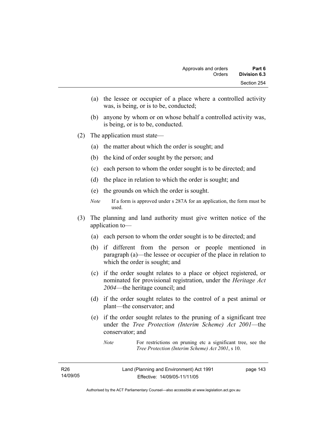- (a) the lessee or occupier of a place where a controlled activity was, is being, or is to be, conducted;
- (b) anyone by whom or on whose behalf a controlled activity was, is being, or is to be, conducted.
- (2) The application must state—
	- (a) the matter about which the order is sought; and
	- (b) the kind of order sought by the person; and
	- (c) each person to whom the order sought is to be directed; and
	- (d) the place in relation to which the order is sought; and
	- (e) the grounds on which the order is sought.
	- *Note* If a form is approved under s 287A for an application, the form must be used.
- (3) The planning and land authority must give written notice of the application to—
	- (a) each person to whom the order sought is to be directed; and
	- (b) if different from the person or people mentioned in paragraph (a)—the lessee or occupier of the place in relation to which the order is sought; and
	- (c) if the order sought relates to a place or object registered, or nominated for provisional registration, under the *Heritage Act 2004*—the heritage council; and
	- (d) if the order sought relates to the control of a pest animal or plant—the conservator; and
	- (e) if the order sought relates to the pruning of a significant tree under the *Tree Protection (Interim Scheme) Act 2001*—the conservator; and

page 143

*Note* For restrictions on pruning etc a significant tree, see the *Tree Protection (Interim Scheme) Act 2001*, s 10.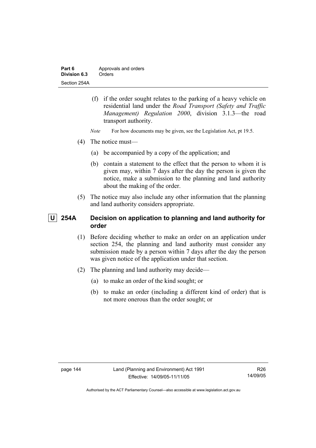| Part 6       | Approvals and orders |
|--------------|----------------------|
| Division 6.3 | Orders               |
| Section 254A |                      |

- (f) if the order sought relates to the parking of a heavy vehicle on residential land under the *Road Transport (Safety and Traffic Management) Regulation 2000*, division 3.1.3—the road transport authority.
- *Note* For how documents may be given, see the Legislation Act, pt 19.5.
- (4) The notice must—
	- (a) be accompanied by a copy of the application; and
	- (b) contain a statement to the effect that the person to whom it is given may, within 7 days after the day the person is given the notice, make a submission to the planning and land authority about the making of the order.
- (5) The notice may also include any other information that the planning and land authority considers appropriate.

# **U 254A Decision on application to planning and land authority for order**

- (1) Before deciding whether to make an order on an application under section 254, the planning and land authority must consider any submission made by a person within 7 days after the day the person was given notice of the application under that section.
- (2) The planning and land authority may decide—
	- (a) to make an order of the kind sought; or
	- (b) to make an order (including a different kind of order) that is not more onerous than the order sought; or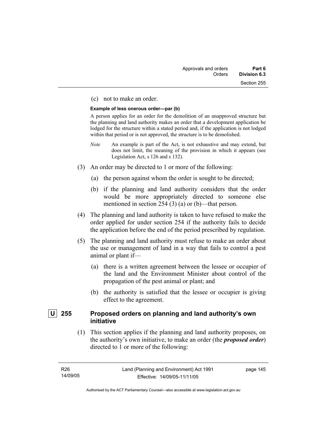#### (c) not to make an order.

#### **Example of less onerous order—par (b)**

A person applies for an order for the demolition of an unapproved structure but the planning and land authority makes an order that a development application be lodged for the structure within a stated period and, if the application is not lodged within that period or is not approved, the structure is to be demolished.

- *Note* An example is part of the Act, is not exhaustive and may extend, but does not limit, the meaning of the provision in which it appears (see Legislation Act, s 126 and s 132).
- (3) An order may be directed to 1 or more of the following:
	- (a) the person against whom the order is sought to be directed;
	- (b) if the planning and land authority considers that the order would be more appropriately directed to someone else mentioned in section 254 (3) (a) or (b)—that person.
- (4) The planning and land authority is taken to have refused to make the order applied for under section 254 if the authority fails to decide the application before the end of the period prescribed by regulation.
- (5) The planning and land authority must refuse to make an order about the use or management of land in a way that fails to control a pest animal or plant if—
	- (a) there is a written agreement between the lessee or occupier of the land and the Environment Minister about control of the propagation of the pest animal or plant; and
	- (b) the authority is satisfied that the lessee or occupier is giving effect to the agreement.

# **U 255 Proposed orders on planning and land authority's own initiative**

 (1) This section applies if the planning and land authority proposes, on the authority's own initiative, to make an order (the *proposed order*) directed to 1 or more of the following:

page 145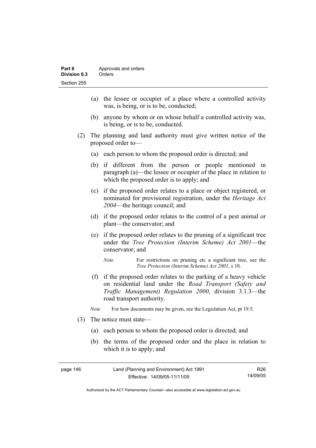- (a) the lessee or occupier of a place where a controlled activity was, is being, or is to be, conducted;
- (b) anyone by whom or on whose behalf a controlled activity was, is being, or is to be, conducted.
- (2) The planning and land authority must give written notice of the proposed order to—
	- (a) each person to whom the proposed order is directed; and
	- (b) if different from the person or people mentioned in paragraph (a)—the lessee or occupier of the place in relation to which the proposed order is to apply; and
	- (c) if the proposed order relates to a place or object registered, or nominated for provisional registration, under the *Heritage Act 2004*—the heritage council; and
	- (d) if the proposed order relates to the control of a pest animal or plant—the conservator; and
	- (e) if the proposed order relates to the pruning of a significant tree under the *Tree Protection (Interim Scheme) Act 2001*—the conservator; and
		- *Note* For restrictions on pruning etc a significant tree, see the *Tree Protection (Interim Scheme) Act 2001*, s 10.
	- (f) if the proposed order relates to the parking of a heavy vehicle on residential land under the *Road Transport (Safety and Traffic Management) Regulation 2000*, division 3.1.3—the road transport authority.
	- *Note* For how documents may be given, see the Legislation Act, pt 19.5.
- (3) The notice must state—
	- (a) each person to whom the proposed order is directed; and
	- (b) the terms of the proposed order and the place in relation to which it is to apply; and

| page 146 | Land (Planning and Environment) Act 1991 | R26      |
|----------|------------------------------------------|----------|
|          | Effective: 14/09/05-11/11/05             | 14/09/05 |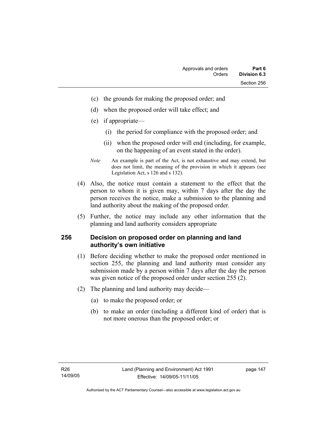- (c) the grounds for making the proposed order; and
- (d) when the proposed order will take effect; and
- (e) if appropriate—
	- (i) the period for compliance with the proposed order; and
	- (ii) when the proposed order will end (including, for example, on the happening of an event stated in the order).
- *Note* An example is part of the Act, is not exhaustive and may extend, but does not limit, the meaning of the provision in which it appears (see Legislation Act, s 126 and s 132).
- (4) Also, the notice must contain a statement to the effect that the person to whom it is given may, within 7 days after the day the person receives the notice, make a submission to the planning and land authority about the making of the proposed order.
- (5) Further, the notice may include any other information that the planning and land authority considers appropriate

#### **256 Decision on proposed order on planning and land authority's own initiative**

- (1) Before deciding whether to make the proposed order mentioned in section 255, the planning and land authority must consider any submission made by a person within 7 days after the day the person was given notice of the proposed order under section 255 (2).
- (2) The planning and land authority may decide—
	- (a) to make the proposed order; or
	- (b) to make an order (including a different kind of order) that is not more onerous than the proposed order; or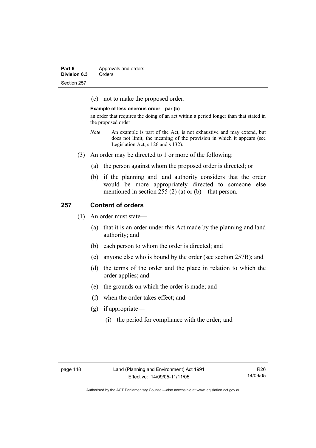| Part 6       | Approvals and orders |
|--------------|----------------------|
| Division 6.3 | Orders               |
| Section 257  |                      |

(c) not to make the proposed order.

#### **Example of less onerous order—par (b)**

an order that requires the doing of an act within a period longer than that stated in the proposed order

- *Note* An example is part of the Act, is not exhaustive and may extend, but does not limit, the meaning of the provision in which it appears (see Legislation Act, s 126 and s 132).
- (3) An order may be directed to 1 or more of the following:
	- (a) the person against whom the proposed order is directed; or
	- (b) if the planning and land authority considers that the order would be more appropriately directed to someone else mentioned in section 255 (2) (a) or (b)—that person.

#### **257 Content of orders**

- (1) An order must state—
	- (a) that it is an order under this Act made by the planning and land authority; and
	- (b) each person to whom the order is directed; and
	- (c) anyone else who is bound by the order (see section 257B); and
	- (d) the terms of the order and the place in relation to which the order applies; and
	- (e) the grounds on which the order is made; and
	- (f) when the order takes effect; and
	- (g) if appropriate—
		- (i) the period for compliance with the order; and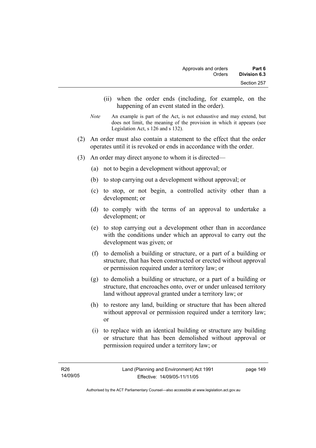- (ii) when the order ends (including, for example, on the happening of an event stated in the order).
- *Note* An example is part of the Act, is not exhaustive and may extend, but does not limit, the meaning of the provision in which it appears (see Legislation Act, s 126 and s 132).
- (2) An order must also contain a statement to the effect that the order operates until it is revoked or ends in accordance with the order.
- (3) An order may direct anyone to whom it is directed—
	- (a) not to begin a development without approval; or
	- (b) to stop carrying out a development without approval; or
	- (c) to stop, or not begin, a controlled activity other than a development; or
	- (d) to comply with the terms of an approval to undertake a development; or
	- (e) to stop carrying out a development other than in accordance with the conditions under which an approval to carry out the development was given; or
	- (f) to demolish a building or structure, or a part of a building or structure, that has been constructed or erected without approval or permission required under a territory law; or
	- (g) to demolish a building or structure, or a part of a building or structure, that encroaches onto, over or under unleased territory land without approval granted under a territory law; or
	- (h) to restore any land, building or structure that has been altered without approval or permission required under a territory law; or
	- (i) to replace with an identical building or structure any building or structure that has been demolished without approval or permission required under a territory law; or

page 149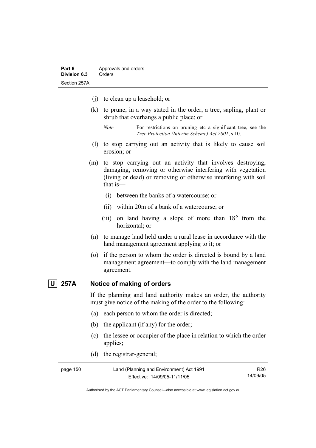- (j) to clean up a leasehold; or
- (k) to prune, in a way stated in the order, a tree, sapling, plant or shrub that overhangs a public place; or
	- *Note* For restrictions on pruning etc a significant tree, see the *Tree Protection (Interim Scheme) Act 2001*, s 10.
- (l) to stop carrying out an activity that is likely to cause soil erosion; or
- (m) to stop carrying out an activity that involves destroying, damaging, removing or otherwise interfering with vegetation (living or dead) or removing or otherwise interfering with soil that is—
	- (i) between the banks of a watercourse; or
	- (ii) within 20m of a bank of a watercourse; or
	- (iii) on land having a slope of more than 18° from the horizontal; or
- (n) to manage land held under a rural lease in accordance with the land management agreement applying to it; or
- (o) if the person to whom the order is directed is bound by a land management agreement—to comply with the land management agreement.

# **U 257A Notice of making of orders**

If the planning and land authority makes an order, the authority must give notice of the making of the order to the following:

- (a) each person to whom the order is directed;
- (b) the applicant (if any) for the order;
- (c) the lessee or occupier of the place in relation to which the order applies;
- (d) the registrar-general;

| page 150 | Land (Planning and Environment) Act 1991 | R26.     |
|----------|------------------------------------------|----------|
|          | Effective: 14/09/05-11/11/05             | 14/09/05 |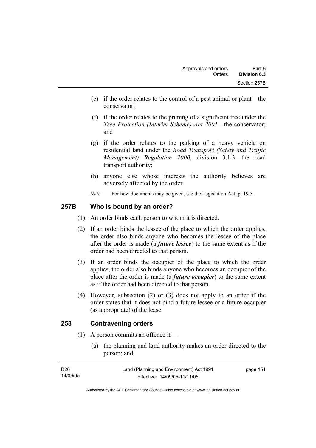- (e) if the order relates to the control of a pest animal or plant—the conservator;
- (f) if the order relates to the pruning of a significant tree under the *Tree Protection (Interim Scheme) Act 2001*—the conservator; and
- (g) if the order relates to the parking of a heavy vehicle on residential land under the *Road Transport (Safety and Traffic Management) Regulation 2000*, division 3.1.3—the road transport authority;
- (h) anyone else whose interests the authority believes are adversely affected by the order.
- *Note* For how documents may be given, see the Legislation Act, pt 19.5.

# **257B Who is bound by an order?**

- (1) An order binds each person to whom it is directed.
- (2) If an order binds the lessee of the place to which the order applies, the order also binds anyone who becomes the lessee of the place after the order is made (a *future lessee*) to the same extent as if the order had been directed to that person.
- (3) If an order binds the occupier of the place to which the order applies, the order also binds anyone who becomes an occupier of the place after the order is made (a *future occupier*) to the same extent as if the order had been directed to that person.
- (4) However, subsection (2) or (3) does not apply to an order if the order states that it does not bind a future lessee or a future occupier (as appropriate) of the lease.

# **258 Contravening orders**

- (1) A person commits an offence if—
	- (a) the planning and land authority makes an order directed to the person; and

| R26      | Land (Planning and Environment) Act 1991 | page 151 |
|----------|------------------------------------------|----------|
| 14/09/05 | Effective: 14/09/05-11/11/05             |          |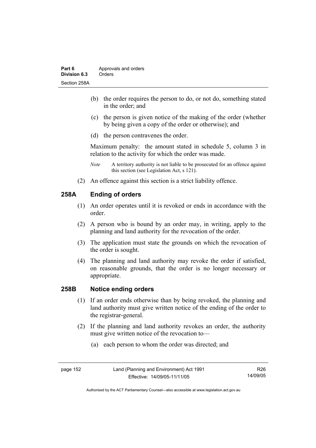- (b) the order requires the person to do, or not do, something stated in the order; and
- (c) the person is given notice of the making of the order (whether by being given a copy of the order or otherwise); and
- (d) the person contravenes the order.

Maximum penalty: the amount stated in schedule 5, column 3 in relation to the activity for which the order was made.

- *Note* A territory authority is not liable to be prosecuted for an offence against this section (see Legislation Act, s 121).
- (2) An offence against this section is a strict liability offence.

# **258A Ending of orders**

- (1) An order operates until it is revoked or ends in accordance with the order.
- (2) A person who is bound by an order may, in writing, apply to the planning and land authority for the revocation of the order.
- (3) The application must state the grounds on which the revocation of the order is sought.
- (4) The planning and land authority may revoke the order if satisfied, on reasonable grounds, that the order is no longer necessary or appropriate.

# **258B Notice ending orders**

- (1) If an order ends otherwise than by being revoked, the planning and land authority must give written notice of the ending of the order to the registrar-general.
- (2) If the planning and land authority revokes an order, the authority must give written notice of the revocation to—
	- (a) each person to whom the order was directed; and

R26 14/09/05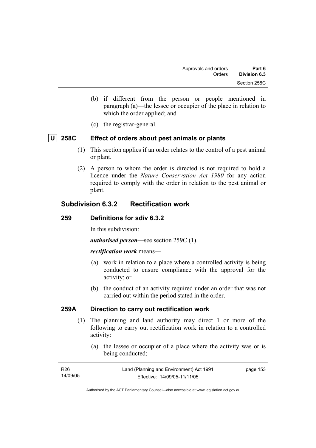- (b) if different from the person or people mentioned in paragraph (a)—the lessee or occupier of the place in relation to which the order applied; and
- (c) the registrar-general.

# **U 258C Effect of orders about pest animals or plants**

- (1) This section applies if an order relates to the control of a pest animal or plant.
- (2) A person to whom the order is directed is not required to hold a licence under the *Nature Conservation Act 1980* for any action required to comply with the order in relation to the pest animal or plant.

# **Subdivision 6.3.2 Rectification work**

#### **259 Definitions for sdiv 6.3.2**

In this subdivision:

*authorised person*—see section 259C (1).

#### *rectification work* means—

- (a) work in relation to a place where a controlled activity is being conducted to ensure compliance with the approval for the activity; or
- (b) the conduct of an activity required under an order that was not carried out within the period stated in the order.

#### **259A Direction to carry out rectification work**

- (1) The planning and land authority may direct 1 or more of the following to carry out rectification work in relation to a controlled activity:
	- (a) the lessee or occupier of a place where the activity was or is being conducted;

| R26      | Land (Planning and Environment) Act 1991 | page 153 |
|----------|------------------------------------------|----------|
| 14/09/05 | Effective: 14/09/05-11/11/05             |          |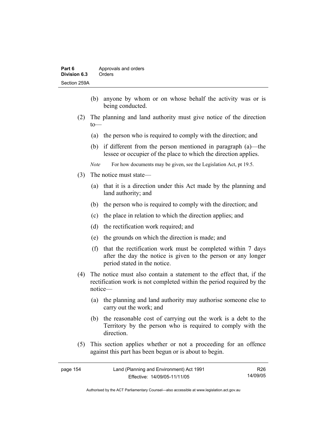- (b) anyone by whom or on whose behalf the activity was or is being conducted.
- (2) The planning and land authority must give notice of the direction to—
	- (a) the person who is required to comply with the direction; and
	- (b) if different from the person mentioned in paragraph (a)—the lessee or occupier of the place to which the direction applies.
	- *Note* For how documents may be given, see the Legislation Act, pt 19.5.
- (3) The notice must state—
	- (a) that it is a direction under this Act made by the planning and land authority; and
	- (b) the person who is required to comply with the direction; and
	- (c) the place in relation to which the direction applies; and
	- (d) the rectification work required; and
	- (e) the grounds on which the direction is made; and
	- (f) that the rectification work must be completed within 7 days after the day the notice is given to the person or any longer period stated in the notice.
- (4) The notice must also contain a statement to the effect that, if the rectification work is not completed within the period required by the notice—
	- (a) the planning and land authority may authorise someone else to carry out the work; and
	- (b) the reasonable cost of carrying out the work is a debt to the Territory by the person who is required to comply with the direction.
- (5) This section applies whether or not a proceeding for an offence against this part has been begun or is about to begin.

| page 154 | Land (Planning and Environment) Act 1991 | R26      |
|----------|------------------------------------------|----------|
|          | Effective: 14/09/05-11/11/05             | 14/09/05 |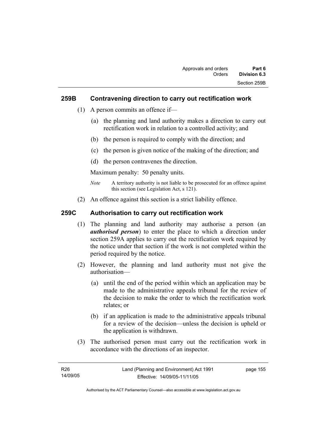## **259B Contravening direction to carry out rectification work**

- (1) A person commits an offence if—
	- (a) the planning and land authority makes a direction to carry out rectification work in relation to a controlled activity; and
	- (b) the person is required to comply with the direction; and
	- (c) the person is given notice of the making of the direction; and
	- (d) the person contravenes the direction.

Maximum penalty: 50 penalty units.

- *Note* A territory authority is not liable to be prosecuted for an offence against this section (see Legislation Act, s 121).
- (2) An offence against this section is a strict liability offence.

# **259C Authorisation to carry out rectification work**

- (1) The planning and land authority may authorise a person (an *authorised person*) to enter the place to which a direction under section 259A applies to carry out the rectification work required by the notice under that section if the work is not completed within the period required by the notice.
- (2) However, the planning and land authority must not give the authorisation—
	- (a) until the end of the period within which an application may be made to the administrative appeals tribunal for the review of the decision to make the order to which the rectification work relates; or
	- (b) if an application is made to the administrative appeals tribunal for a review of the decision—unless the decision is upheld or the application is withdrawn.
- (3) The authorised person must carry out the rectification work in accordance with the directions of an inspector.

| R26      | Land (Planning and Environment) Act 1991 | page 155 |
|----------|------------------------------------------|----------|
| 14/09/05 | Effective: 14/09/05-11/11/05             |          |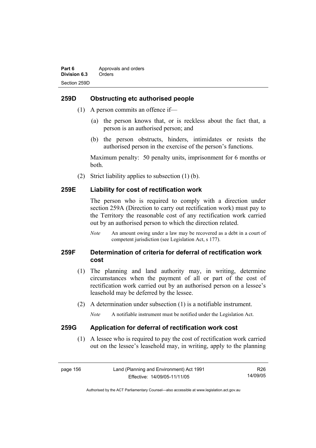## **259D Obstructing etc authorised people**

- (1) A person commits an offence if—
	- (a) the person knows that, or is reckless about the fact that, a person is an authorised person; and
	- (b) the person obstructs, hinders, intimidates or resists the authorised person in the exercise of the person's functions.

Maximum penalty: 50 penalty units, imprisonment for 6 months or both.

(2) Strict liability applies to subsection (1) (b).

#### **259E Liability for cost of rectification work**

The person who is required to comply with a direction under section 259A (Direction to carry out rectification work) must pay to the Territory the reasonable cost of any rectification work carried out by an authorised person to which the direction related.

*Note* An amount owing under a law may be recovered as a debt in a court of competent jurisdiction (see Legislation Act, s 177).

# **259F Determination of criteria for deferral of rectification work cost**

- (1) The planning and land authority may, in writing, determine circumstances when the payment of all or part of the cost of rectification work carried out by an authorised person on a lessee's leasehold may be deferred by the lessee.
- (2) A determination under subsection (1) is a notifiable instrument.

*Note* A notifiable instrument must be notified under the Legislation Act.

#### **259G Application for deferral of rectification work cost**

 (1) A lessee who is required to pay the cost of rectification work carried out on the lessee's leasehold may, in writing, apply to the planning

page 156 Land (Planning and Environment) Act 1991 Effective: 14/09/05-11/11/05 R26 14/09/05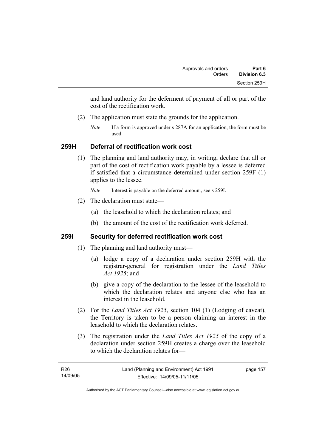and land authority for the deferment of payment of all or part of the cost of the rectification work.

- (2) The application must state the grounds for the application.
	- *Note* If a form is approved under s 287A for an application, the form must be used.

# **259H Deferral of rectification work cost**

 (1) The planning and land authority may, in writing, declare that all or part of the cost of rectification work payable by a lessee is deferred if satisfied that a circumstance determined under section 259F (1) applies to the lessee.

*Note* Interest is payable on the deferred amount, see s 259I.

- (2) The declaration must state—
	- (a) the leasehold to which the declaration relates; and
	- (b) the amount of the cost of the rectification work deferred.

# **259I Security for deferred rectification work cost**

- (1) The planning and land authority must—
	- (a) lodge a copy of a declaration under section 259H with the registrar-general for registration under the *Land Titles Act 1925*; and
	- (b) give a copy of the declaration to the lessee of the leasehold to which the declaration relates and anyone else who has an interest in the leasehold.
- (2) For the *Land Titles Act 1925*, section 104 (1) (Lodging of caveat), the Territory is taken to be a person claiming an interest in the leasehold to which the declaration relates.
- (3) The registration under the *Land Titles Act 1925* of the copy of a declaration under section 259H creates a charge over the leasehold to which the declaration relates for—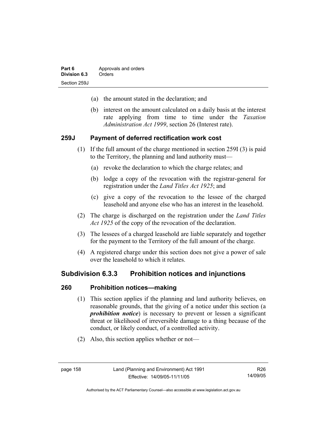- (a) the amount stated in the declaration; and
- (b) interest on the amount calculated on a daily basis at the interest rate applying from time to time under the *Taxation Administration Act 1999*, section 26 (Interest rate).

#### **259J Payment of deferred rectification work cost**

- (1) If the full amount of the charge mentioned in section 259I (3) is paid to the Territory, the planning and land authority must—
	- (a) revoke the declaration to which the charge relates; and
	- (b) lodge a copy of the revocation with the registrar-general for registration under the *Land Titles Act 1925*; and
	- (c) give a copy of the revocation to the lessee of the charged leasehold and anyone else who has an interest in the leasehold.
- (2) The charge is discharged on the registration under the *Land Titles Act 1925* of the copy of the revocation of the declaration.
- (3) The lessees of a charged leasehold are liable separately and together for the payment to the Territory of the full amount of the charge.
- (4) A registered charge under this section does not give a power of sale over the leasehold to which it relates.

## **Subdivision 6.3.3 Prohibition notices and injunctions**

#### **260 Prohibition notices—making**

- (1) This section applies if the planning and land authority believes, on reasonable grounds, that the giving of a notice under this section (a *prohibition notice*) is necessary to prevent or lessen a significant threat or likelihood of irreversible damage to a thing because of the conduct, or likely conduct, of a controlled activity.
- (2) Also, this section applies whether or not—

R26 14/09/05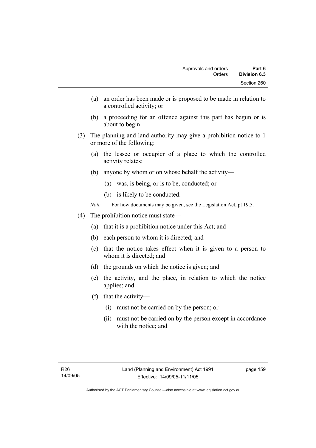- (a) an order has been made or is proposed to be made in relation to a controlled activity; or
- (b) a proceeding for an offence against this part has begun or is about to begin.
- (3) The planning and land authority may give a prohibition notice to 1 or more of the following:
	- (a) the lessee or occupier of a place to which the controlled activity relates;
	- (b) anyone by whom or on whose behalf the activity—
		- (a) was, is being, or is to be, conducted; or
		- (b) is likely to be conducted.
	- *Note* For how documents may be given, see the Legislation Act, pt 19.5.
- (4) The prohibition notice must state—
	- (a) that it is a prohibition notice under this Act; and
	- (b) each person to whom it is directed; and
	- (c) that the notice takes effect when it is given to a person to whom it is directed; and
	- (d) the grounds on which the notice is given; and
	- (e) the activity, and the place, in relation to which the notice applies; and
	- (f) that the activity—
		- (i) must not be carried on by the person; or
		- (ii) must not be carried on by the person except in accordance with the notice; and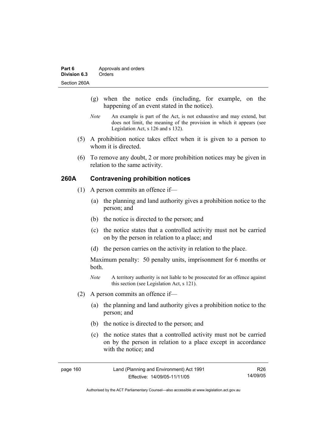- (g) when the notice ends (including, for example, on the happening of an event stated in the notice).
- *Note* An example is part of the Act, is not exhaustive and may extend, but does not limit, the meaning of the provision in which it appears (see Legislation Act, s 126 and s 132).
- (5) A prohibition notice takes effect when it is given to a person to whom it is directed.
- (6) To remove any doubt, 2 or more prohibition notices may be given in relation to the same activity.

# **260A Contravening prohibition notices**

- (1) A person commits an offence if—
	- (a) the planning and land authority gives a prohibition notice to the person; and
	- (b) the notice is directed to the person; and
	- (c) the notice states that a controlled activity must not be carried on by the person in relation to a place; and
	- (d) the person carries on the activity in relation to the place.

Maximum penalty: 50 penalty units, imprisonment for 6 months or both.

- *Note* A territory authority is not liable to be prosecuted for an offence against this section (see Legislation Act, s 121).
- (2) A person commits an offence if—
	- (a) the planning and land authority gives a prohibition notice to the person; and
	- (b) the notice is directed to the person; and
	- (c) the notice states that a controlled activity must not be carried on by the person in relation to a place except in accordance with the notice; and

| page 160 | Land (Planning and Environment) Act 1991 | R26.     |
|----------|------------------------------------------|----------|
|          | Effective: 14/09/05-11/11/05             | 14/09/05 |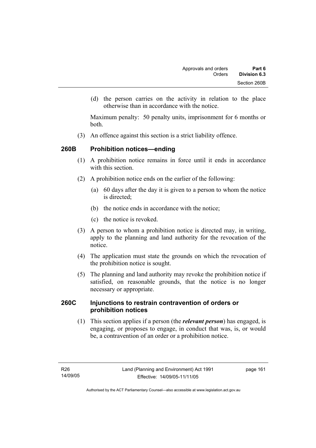(d) the person carries on the activity in relation to the place otherwise than in accordance with the notice.

Maximum penalty: 50 penalty units, imprisonment for 6 months or both.

(3) An offence against this section is a strict liability offence.

# **260B Prohibition notices—ending**

- (1) A prohibition notice remains in force until it ends in accordance with this section
- (2) A prohibition notice ends on the earlier of the following:
	- (a) 60 days after the day it is given to a person to whom the notice is directed:
	- (b) the notice ends in accordance with the notice;
	- (c) the notice is revoked.
- (3) A person to whom a prohibition notice is directed may, in writing, apply to the planning and land authority for the revocation of the notice.
- (4) The application must state the grounds on which the revocation of the prohibition notice is sought.
- (5) The planning and land authority may revoke the prohibition notice if satisfied, on reasonable grounds, that the notice is no longer necessary or appropriate.

# **260C Injunctions to restrain contravention of orders or prohibition notices**

 (1) This section applies if a person (the *relevant person*) has engaged, is engaging, or proposes to engage, in conduct that was, is, or would be, a contravention of an order or a prohibition notice.

page 161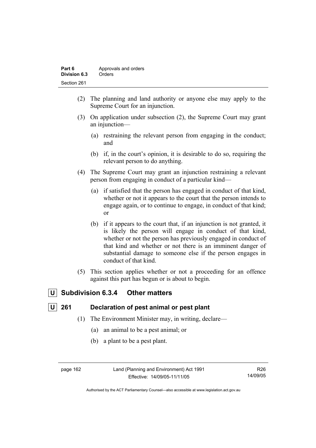| Part 6       | Approvals and orders |
|--------------|----------------------|
| Division 6.3 | Orders               |
| Section 261  |                      |

- (2) The planning and land authority or anyone else may apply to the Supreme Court for an injunction.
- (3) On application under subsection (2), the Supreme Court may grant an injunction—
	- (a) restraining the relevant person from engaging in the conduct; and
	- (b) if, in the court's opinion, it is desirable to do so, requiring the relevant person to do anything.
- (4) The Supreme Court may grant an injunction restraining a relevant person from engaging in conduct of a particular kind—
	- (a) if satisfied that the person has engaged in conduct of that kind, whether or not it appears to the court that the person intends to engage again, or to continue to engage, in conduct of that kind; or
	- (b) if it appears to the court that, if an injunction is not granted, it is likely the person will engage in conduct of that kind, whether or not the person has previously engaged in conduct of that kind and whether or not there is an imminent danger of substantial damage to someone else if the person engages in conduct of that kind.
- (5) This section applies whether or not a proceeding for an offence against this part has begun or is about to begin.

# **U Subdivision 6.3.4 Other matters**

# **U 261 Declaration of pest animal or pest plant**

- (1) The Environment Minister may, in writing, declare—
	- (a) an animal to be a pest animal; or
	- (b) a plant to be a pest plant.

page 162 Land (Planning and Environment) Act 1991 Effective: 14/09/05-11/11/05

R26 14/09/05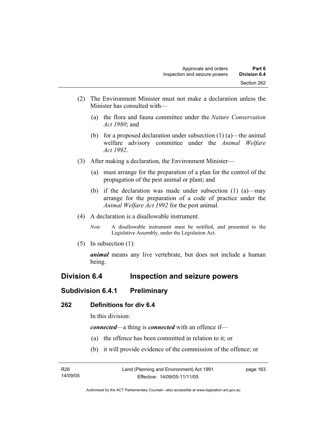- (2) The Environment Minister must not make a declaration unless the Minister has consulted with—
	- (a) the flora and fauna committee under the *Nature Conservation Act 1980*; and
	- (b) for a proposed declaration under subsection  $(1)$  (a)—the animal welfare advisory committee under the *Animal Welfare Act 1992*.
- (3) After making a declaration, the Environment Minister—
	- (a) must arrange for the preparation of a plan for the control of the propagation of the pest animal or plant; and
	- (b) if the declaration was made under subsection (1) (a)—may arrange for the preparation of a code of practice under the *Animal Welfare Act 1992* for the pest animal.
- (4) A declaration is a disallowable instrument.
	- *Note* A disallowable instrument must be notified, and presented to the Legislative Assembly, under the Legislation Act.
- (5) In subsection (1):

*animal* means any live vertebrate, but does not include a human being.

# **Division 6.4 Inspection and seizure powers**

# **Subdivision 6.4.1 Preliminary**

#### **262 Definitions for div 6.4**

In this division:

*connected*—a thing is *connected* with an offence if—

- (a) the offence has been committed in relation to it; or
- (b) it will provide evidence of the commission of the offence; or

| R <sub>26</sub> | Land (Planning and Environment) Act 1991 | page 163 |
|-----------------|------------------------------------------|----------|
| 14/09/05        | Effective: 14/09/05-11/11/05             |          |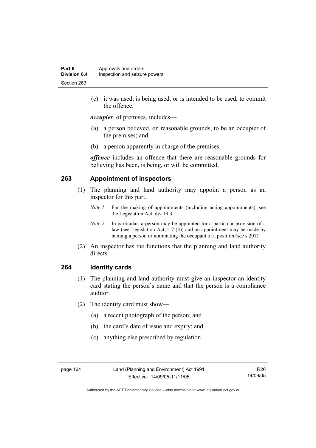(c) it was used, is being used, or is intended to be used, to commit the offence.

*occupier*, of premises, includes—

- (a) a person believed, on reasonable grounds, to be an occupier of the premises; and
- (b) a person apparently in charge of the premises.

*offence* includes an offence that there are reasonable grounds for believing has been, is being, or will be committed.

# **263 Appointment of inspectors**

- (1) The planning and land authority may appoint a person as an inspector for this part.
	- *Note 1* For the making of appointments (including acting appointments), see the Legislation Act, div 19.3.
	- *Note 2* In particular, a person may be appointed for a particular provision of a law (see Legislation Act, s 7 (3)) and an appointment may be made by naming a person or nominating the occupant of a position (see s 207).
- (2) An inspector has the functions that the planning and land authority directs.

#### **264 Identity cards**

- (1) The planning and land authority must give an inspector an identity card stating the person's name and that the person is a compliance auditor.
- (2) The identity card must show—
	- (a) a recent photograph of the person; and
	- (b) the card's date of issue and expiry; and
	- (c) anything else prescribed by regulation.

R26 14/09/05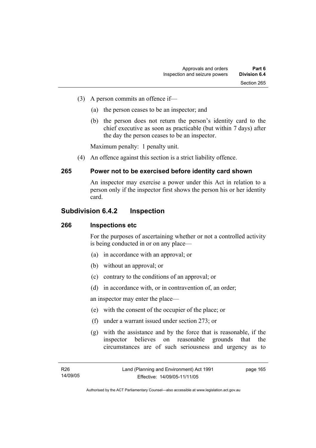- (3) A person commits an offence if—
	- (a) the person ceases to be an inspector; and
	- (b) the person does not return the person's identity card to the chief executive as soon as practicable (but within 7 days) after the day the person ceases to be an inspector.

Maximum penalty: 1 penalty unit.

(4) An offence against this section is a strict liability offence.

# **265 Power not to be exercised before identity card shown**

An inspector may exercise a power under this Act in relation to a person only if the inspector first shows the person his or her identity card.

# **Subdivision 6.4.2 Inspection**

#### **266 Inspections etc**

For the purposes of ascertaining whether or not a controlled activity is being conducted in or on any place—

- (a) in accordance with an approval; or
- (b) without an approval; or
- (c) contrary to the conditions of an approval; or
- (d) in accordance with, or in contravention of, an order;

an inspector may enter the place—

- (e) with the consent of the occupier of the place; or
- (f) under a warrant issued under section 273; or
- (g) with the assistance and by the force that is reasonable, if the inspector believes on reasonable grounds that the circumstances are of such seriousness and urgency as to

page 165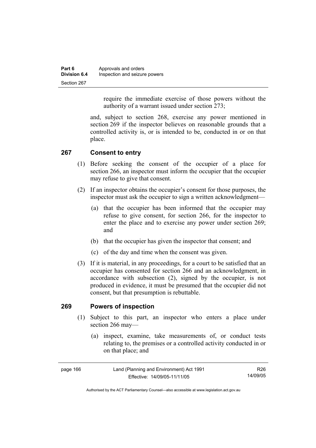| Part 6              | Approvals and orders          |
|---------------------|-------------------------------|
| <b>Division 6.4</b> | Inspection and seizure powers |
| Section 267         |                               |

require the immediate exercise of those powers without the authority of a warrant issued under section 273;

and, subject to section 268, exercise any power mentioned in section 269 if the inspector believes on reasonable grounds that a controlled activity is, or is intended to be, conducted in or on that place.

# **267 Consent to entry**

- (1) Before seeking the consent of the occupier of a place for section 266, an inspector must inform the occupier that the occupier may refuse to give that consent.
- (2) If an inspector obtains the occupier's consent for those purposes, the inspector must ask the occupier to sign a written acknowledgment—
	- (a) that the occupier has been informed that the occupier may refuse to give consent, for section 266, for the inspector to enter the place and to exercise any power under section 269; and
	- (b) that the occupier has given the inspector that consent; and
	- (c) of the day and time when the consent was given.
- (3) If it is material, in any proceedings, for a court to be satisfied that an occupier has consented for section 266 and an acknowledgment, in accordance with subsection (2), signed by the occupier, is not produced in evidence, it must be presumed that the occupier did not consent, but that presumption is rebuttable.

#### **269 Powers of inspection**

- (1) Subject to this part, an inspector who enters a place under section 266 may—
	- (a) inspect, examine, take measurements of, or conduct tests relating to, the premises or a controlled activity conducted in or on that place; and

| page 166 | Land (Planning and Environment) Act 1991 | R26      |
|----------|------------------------------------------|----------|
|          | Effective: 14/09/05-11/11/05             | 14/09/05 |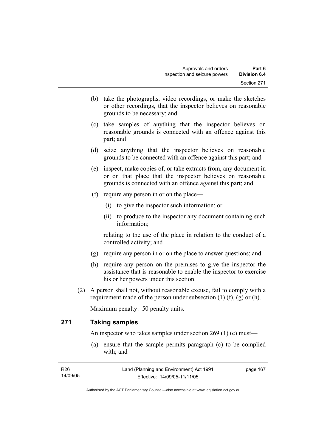- (b) take the photographs, video recordings, or make the sketches or other recordings, that the inspector believes on reasonable grounds to be necessary; and
- (c) take samples of anything that the inspector believes on reasonable grounds is connected with an offence against this part; and
- (d) seize anything that the inspector believes on reasonable grounds to be connected with an offence against this part; and
- (e) inspect, make copies of, or take extracts from, any document in or on that place that the inspector believes on reasonable grounds is connected with an offence against this part; and
- (f) require any person in or on the place—
	- (i) to give the inspector such information; or
	- (ii) to produce to the inspector any document containing such information;

relating to the use of the place in relation to the conduct of a controlled activity; and

- (g) require any person in or on the place to answer questions; and
- (h) require any person on the premises to give the inspector the assistance that is reasonable to enable the inspector to exercise his or her powers under this section.
- (2) A person shall not, without reasonable excuse, fail to comply with a requirement made of the person under subsection  $(1)$   $(f)$ ,  $(g)$  or  $(h)$ .

Maximum penalty: 50 penalty units.

## **271 Taking samples**

An inspector who takes samples under section 269 (1) (c) must—

 (a) ensure that the sample permits paragraph (c) to be complied with; and

| R26      | Land (Planning and Environment) Act 1991 | page 167 |
|----------|------------------------------------------|----------|
| 14/09/05 | Effective: 14/09/05-11/11/05             |          |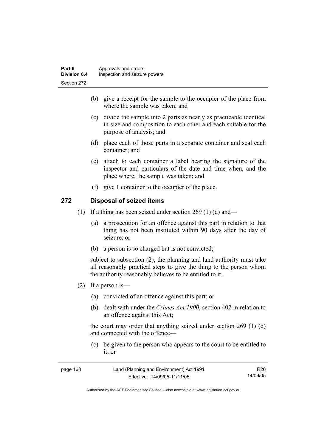- (b) give a receipt for the sample to the occupier of the place from where the sample was taken; and
- (c) divide the sample into 2 parts as nearly as practicable identical in size and composition to each other and each suitable for the purpose of analysis; and
- (d) place each of those parts in a separate container and seal each container; and
- (e) attach to each container a label bearing the signature of the inspector and particulars of the date and time when, and the place where, the sample was taken; and
- (f) give 1 container to the occupier of the place.

## **272 Disposal of seized items**

- (1) If a thing has been seized under section 269 (1) (d) and—
	- (a) a prosecution for an offence against this part in relation to that thing has not been instituted within 90 days after the day of seizure; or
	- (b) a person is so charged but is not convicted;

subject to subsection (2), the planning and land authority must take all reasonably practical steps to give the thing to the person whom the authority reasonably believes to be entitled to it.

- (2) If a person is—
	- (a) convicted of an offence against this part; or
	- (b) dealt with under the *Crimes Act 1900*, section 402 in relation to an offence against this Act;

the court may order that anything seized under section 269 (1) (d) and connected with the offence—

 (c) be given to the person who appears to the court to be entitled to it; or

| page 168 | Land (Planning and Environment) Act 1991 | R26      |
|----------|------------------------------------------|----------|
|          | Effective: 14/09/05-11/11/05             | 14/09/05 |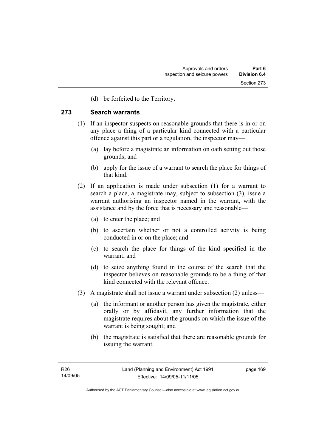(d) be forfeited to the Territory.

### **273 Search warrants**

- (1) If an inspector suspects on reasonable grounds that there is in or on any place a thing of a particular kind connected with a particular offence against this part or a regulation, the inspector may—
	- (a) lay before a magistrate an information on oath setting out those grounds; and
	- (b) apply for the issue of a warrant to search the place for things of that kind.
- (2) If an application is made under subsection (1) for a warrant to search a place, a magistrate may, subject to subsection (3), issue a warrant authorising an inspector named in the warrant, with the assistance and by the force that is necessary and reasonable—
	- (a) to enter the place; and
	- (b) to ascertain whether or not a controlled activity is being conducted in or on the place; and
	- (c) to search the place for things of the kind specified in the warrant; and
	- (d) to seize anything found in the course of the search that the inspector believes on reasonable grounds to be a thing of that kind connected with the relevant offence.
- (3) A magistrate shall not issue a warrant under subsection (2) unless—
	- (a) the informant or another person has given the magistrate, either orally or by affidavit, any further information that the magistrate requires about the grounds on which the issue of the warrant is being sought; and
	- (b) the magistrate is satisfied that there are reasonable grounds for issuing the warrant.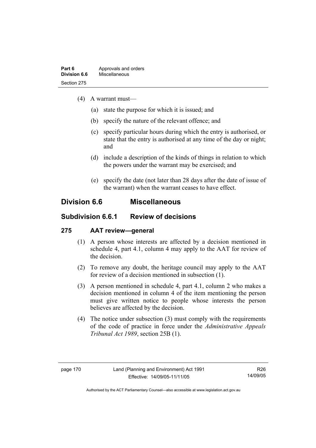- (4) A warrant must—
	- (a) state the purpose for which it is issued; and
	- (b) specify the nature of the relevant offence; and
	- (c) specify particular hours during which the entry is authorised, or state that the entry is authorised at any time of the day or night; and
	- (d) include a description of the kinds of things in relation to which the powers under the warrant may be exercised; and
	- (e) specify the date (not later than 28 days after the date of issue of the warrant) when the warrant ceases to have effect.

## **Division 6.6 Miscellaneous**

## **Subdivision 6.6.1 Review of decisions**

## **275 AAT review—general**

- (1) A person whose interests are affected by a decision mentioned in schedule 4, part 4.1, column 4 may apply to the AAT for review of the decision.
- (2) To remove any doubt, the heritage council may apply to the AAT for review of a decision mentioned in subsection (1).
- (3) A person mentioned in schedule 4, part 4.1, column 2 who makes a decision mentioned in column 4 of the item mentioning the person must give written notice to people whose interests the person believes are affected by the decision.
- (4) The notice under subsection (3) must comply with the requirements of the code of practice in force under the *Administrative Appeals Tribunal Act 1989*, section 25B (1).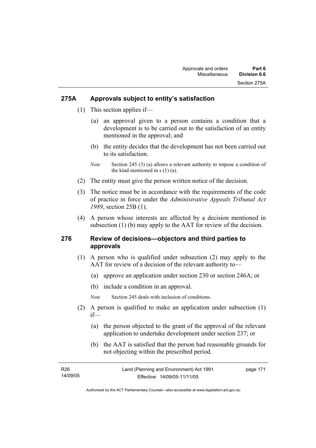## **275A Approvals subject to entity's satisfaction**

- (1) This section applies if—
	- (a) an approval given to a person contains a condition that a development is to be carried out to the satisfaction of an entity mentioned in the approval; and
	- (b) the entity decides that the development has not been carried out to its satisfaction.
	- *Note* Section 245 (3) (a) allows a relevant authority to impose a condition of the kind mentioned in s (1) (a).
- (2) The entity must give the person written notice of the decision.
- (3) The notice must be in accordance with the requirements of the code of practice in force under the *Administrative Appeals Tribunal Act 1989*, section 25B (1).
- (4) A person whose interests are affected by a decision mentioned in subsection (1) (b) may apply to the AAT for review of the decision.

## **276 Review of decisions—objectors and third parties to approvals**

- (1) A person who is qualified under subsection (2) may apply to the AAT for review of a decision of the relevant authority to—
	- (a) approve an application under section 230 or section 246A; or
	- (b) include a condition in an approval.
	- *Note* Section 245 deals with inclusion of conditions.
- (2) A person is qualified to make an application under subsection (1) if—
	- (a) the person objected to the grant of the approval of the relevant application to undertake development under section 237; or
	- (b) the AAT is satisfied that the person had reasonable grounds for not objecting within the prescribed period.

| R26      | Land (Planning and Environment) Act 1991 | page 171 |
|----------|------------------------------------------|----------|
| 14/09/05 | Effective: 14/09/05-11/11/05             |          |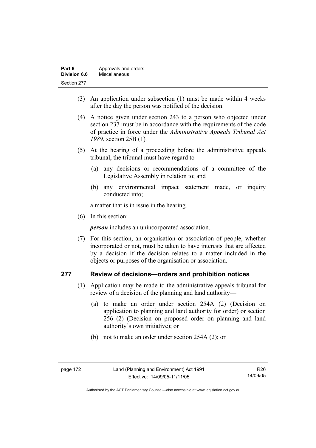| Part 6       | Approvals and orders |
|--------------|----------------------|
| Division 6.6 | Miscellaneous        |
| Section 277  |                      |

- (3) An application under subsection (1) must be made within 4 weeks after the day the person was notified of the decision.
- (4) A notice given under section 243 to a person who objected under section 237 must be in accordance with the requirements of the code of practice in force under the *Administrative Appeals Tribunal Act 1989*, section 25B (1)*.*
- (5) At the hearing of a proceeding before the administrative appeals tribunal, the tribunal must have regard to—
	- (a) any decisions or recommendations of a committee of the Legislative Assembly in relation to; and
	- (b) any environmental impact statement made, or inquiry conducted into;

a matter that is in issue in the hearing.

(6) In this section:

*person* includes an unincorporated association.

 (7) For this section, an organisation or association of people, whether incorporated or not, must be taken to have interests that are affected by a decision if the decision relates to a matter included in the objects or purposes of the organisation or association.

## **277 Review of decisions—orders and prohibition notices**

- (1) Application may be made to the administrative appeals tribunal for review of a decision of the planning and land authority—
	- (a) to make an order under section 254A (2) (Decision on application to planning and land authority for order) or section 256 (2) (Decision on proposed order on planning and land authority's own initiative); or
	- (b) not to make an order under section 254A (2); or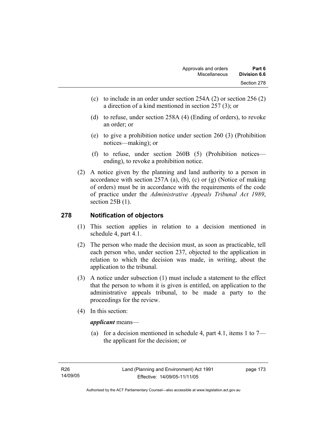- (c) to include in an order under section 254A (2) or section 256 (2) a direction of a kind mentioned in section 257 (3); or
- (d) to refuse, under section 258A (4) (Ending of orders), to revoke an order; or
- (e) to give a prohibition notice under section 260 (3) (Prohibition notices—making); or
- (f) to refuse, under section 260B (5) (Prohibition notices ending), to revoke a prohibition notice.
- (2) A notice given by the planning and land authority to a person in accordance with section 257A (a), (b), (c) or (g) (Notice of making of orders) must be in accordance with the requirements of the code of practice under the *Administrative Appeals Tribunal Act 1989*, section 25B (1).

## **278 Notification of objectors**

- (1) This section applies in relation to a decision mentioned in schedule 4, part 4.1.
- (2) The person who made the decision must, as soon as practicable, tell each person who, under section 237, objected to the application in relation to which the decision was made, in writing, about the application to the tribunal.
- (3) A notice under subsection (1) must include a statement to the effect that the person to whom it is given is entitled, on application to the administrative appeals tribunal, to be made a party to the proceedings for the review.
- (4) In this section:

## *applicant* means—

(a) for a decision mentioned in schedule 4, part 4.1, items 1 to  $7$ the applicant for the decision; or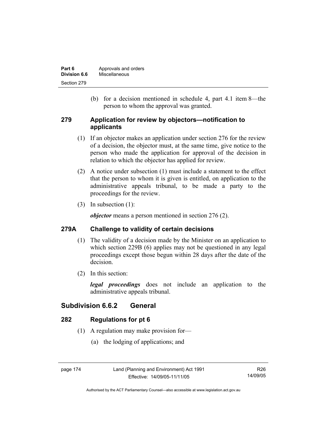| Part 6       | Approvals and orders |
|--------------|----------------------|
| Division 6.6 | Miscellaneous        |
| Section 279  |                      |

 (b) for a decision mentioned in schedule 4, part 4.1 item 8—the person to whom the approval was granted.

## **279 Application for review by objectors—notification to applicants**

- (1) If an objector makes an application under section 276 for the review of a decision, the objector must, at the same time, give notice to the person who made the application for approval of the decision in relation to which the objector has applied for review.
- (2) A notice under subsection (1) must include a statement to the effect that the person to whom it is given is entitled, on application to the administrative appeals tribunal, to be made a party to the proceedings for the review.
- (3) In subsection (1):

*objector* means a person mentioned in section 276 (2).

## **279A Challenge to validity of certain decisions**

- (1) The validity of a decision made by the Minister on an application to which section 229B (6) applies may not be questioned in any legal proceedings except those begun within 28 days after the date of the decision.
- (2) In this section:

*legal proceedings* does not include an application to the administrative appeals tribunal.

## **Subdivision 6.6.2 General**

## **282 Regulations for pt 6**

- (1) A regulation may make provision for—
	- (a) the lodging of applications; and

page 174 Land (Planning and Environment) Act 1991 Effective: 14/09/05-11/11/05

Authorised by the ACT Parliamentary Counsel—also accessible at www.legislation.act.gov.au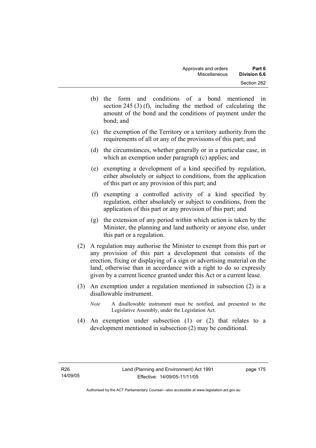- (b) the form and conditions of a bond mentioned in section 245 (3) (f), including the method of calculating the amount of the bond and the conditions of payment under the bond; and
- (c) the exemption of the Territory or a territory authority from the requirements of all or any of the provisions of this part; and
- (d) the circumstances, whether generally or in a particular case, in which an exemption under paragraph (c) applies; and
- (e) exempting a development of a kind specified by regulation, either absolutely or subject to conditions, from the application of this part or any provision of this part; and
- (f) exempting a controlled activity of a kind specified by regulation, either absolutely or subject to conditions, from the application of this part or any provision of this part; and
- (g) the extension of any period within which action is taken by the Minister, the planning and land authority or anyone else, under this part or a regulation.
- (2) A regulation may authorise the Minister to exempt from this part or any provision of this part a development that consists of the erection, fixing or displaying of a sign or advertising material on the land, otherwise than in accordance with a right to do so expressly given by a current licence granted under this Act or a current lease.
- (3) An exemption under a regulation mentioned in subsection (2) is a disallowable instrument.
	- *Note* A disallowable instrument must be notified, and presented to the Legislative Assembly, under the Legislation Act.
- (4) An exemption under subsection (1) or (2) that relates to a development mentioned in subsection (2) may be conditional.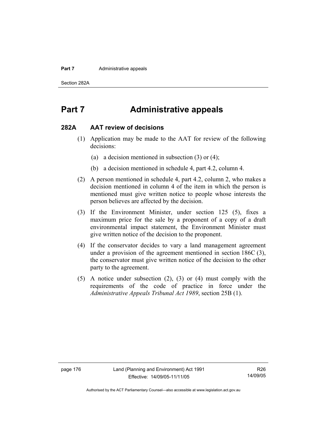#### **Part 7 Administrative appeals**

Section 282A

## **Part 7 Administrative appeals**

#### **282A AAT review of decisions**

- (1) Application may be made to the AAT for review of the following decisions:
	- (a) a decision mentioned in subsection (3) or (4);
	- (b) a decision mentioned in schedule 4, part 4.2, column 4.
- (2) A person mentioned in schedule 4, part 4.2, column 2, who makes a decision mentioned in column 4 of the item in which the person is mentioned must give written notice to people whose interests the person believes are affected by the decision.
- (3) If the Environment Minister, under section 125 (5), fixes a maximum price for the sale by a proponent of a copy of a draft environmental impact statement, the Environment Minister must give written notice of the decision to the proponent.
- (4) If the conservator decides to vary a land management agreement under a provision of the agreement mentioned in section 186C (3), the conservator must give written notice of the decision to the other party to the agreement.
- (5) A notice under subsection (2), (3) or (4) must comply with the requirements of the code of practice in force under the *Administrative Appeals Tribunal Act 1989*, section 25B (1).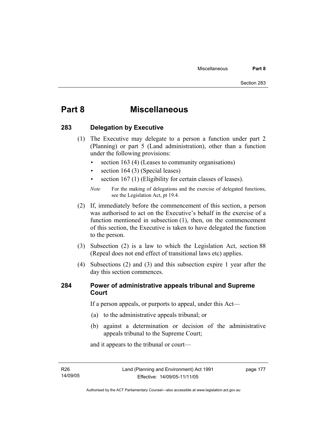## **Part 8 Miscellaneous**

## **283 Delegation by Executive**

- (1) The Executive may delegate to a person a function under part 2 (Planning) or part 5 (Land administration), other than a function under the following provisions:
	- section 163 (4) (Leases to community organisations)
	- section 164 (3) (Special leases)
	- section 167 (1) (Eligibility for certain classes of leases).

- (2) If, immediately before the commencement of this section, a person was authorised to act on the Executive's behalf in the exercise of a function mentioned in subsection (1), then, on the commencement of this section, the Executive is taken to have delegated the function to the person.
- (3) Subsection (2) is a law to which the Legislation Act, section 88 (Repeal does not end effect of transitional laws etc) applies.
- (4) Subsections (2) and (3) and this subsection expire 1 year after the day this section commences.

## **284 Power of administrative appeals tribunal and Supreme Court**

If a person appeals, or purports to appeal, under this Act—

- (a) to the administrative appeals tribunal; or
- (b) against a determination or decision of the administrative appeals tribunal to the Supreme Court;

and it appears to the tribunal or court—

R26 14/09/05

*Note* For the making of delegations and the exercise of delegated functions, see the Legislation Act, pt 19.4.

Authorised by the ACT Parliamentary Counsel—also accessible at www.legislation.act.gov.au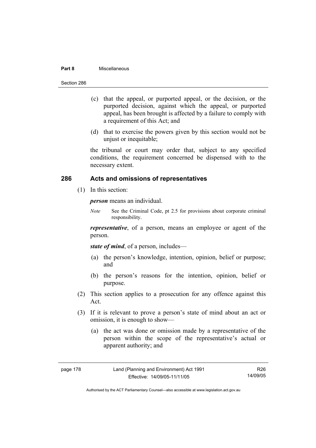#### **Part 8** Miscellaneous

- (c) that the appeal, or purported appeal, or the decision, or the purported decision, against which the appeal, or purported appeal, has been brought is affected by a failure to comply with a requirement of this Act; and
- (d) that to exercise the powers given by this section would not be unjust or inequitable;

the tribunal or court may order that, subject to any specified conditions, the requirement concerned be dispensed with to the necessary extent.

## **286 Acts and omissions of representatives**

(1) In this section:

*person* means an individual.

*Note* See the Criminal Code, pt 2.5 for provisions about corporate criminal responsibility.

*representative*, of a person, means an employee or agent of the person.

*state of mind*, of a person, includes—

- (a) the person's knowledge, intention, opinion, belief or purpose; and
- (b) the person's reasons for the intention, opinion, belief or purpose.
- (2) This section applies to a prosecution for any offence against this Act.
- (3) If it is relevant to prove a person's state of mind about an act or omission, it is enough to show—
	- (a) the act was done or omission made by a representative of the person within the scope of the representative's actual or apparent authority; and

| page 178 |  |
|----------|--|
|----------|--|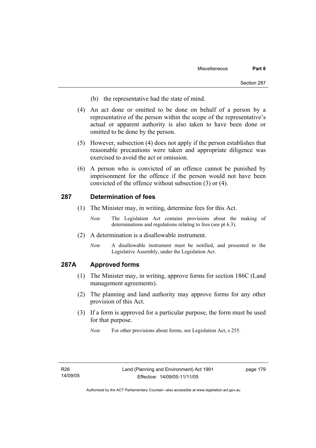- (b) the representative had the state of mind.
- (4) An act done or omitted to be done on behalf of a person by a representative of the person within the scope of the representative's actual or apparent authority is also taken to have been done or omitted to be done by the person.
- (5) However, subsection (4) does not apply if the person establishes that reasonable precautions were taken and appropriate diligence was exercised to avoid the act or omission.
- (6) A person who is convicted of an offence cannot be punished by imprisonment for the offence if the person would not have been convicted of the offence without subsection (3) or (4).

### **287 Determination of fees**

- (1) The Minister may, in writing, determine fees for this Act.
	- *Note* The Legislation Act contains provisions about the making of determinations and regulations relating to fees (see pt 6.3).
- (2) A determination is a disallowable instrument.
	- *Note* A disallowable instrument must be notified, and presented to the Legislative Assembly, under the Legislation Act.

### **287A Approved forms**

- (1) The Minister may, in writing, approve forms for section 186C (Land management agreements).
- (2) The planning and land authority may approve forms for any other provision of this Act.
- (3) If a form is approved for a particular purpose, the form must be used for that purpose.

*Note* For other provisions about forms, see Legislation Act, s 255.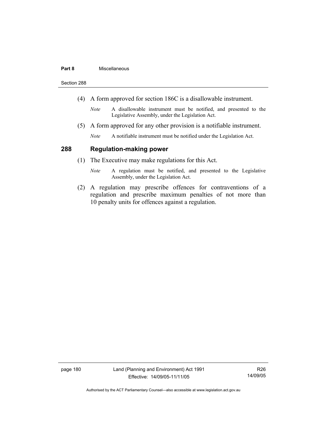#### **Part 8** Miscellaneous

Section 288

- (4) A form approved for section 186C is a disallowable instrument.
	- *Note* A disallowable instrument must be notified, and presented to the Legislative Assembly, under the Legislation Act.
- (5) A form approved for any other provision is a notifiable instrument.
	- *Note* A notifiable instrument must be notified under the Legislation Act.

## **288 Regulation-making power**

- (1) The Executive may make regulations for this Act.
	- *Note* A regulation must be notified, and presented to the Legislative Assembly, under the Legislation Act.
- (2) A regulation may prescribe offences for contraventions of a regulation and prescribe maximum penalties of not more than 10 penalty units for offences against a regulation.

page 180 Land (Planning and Environment) Act 1991 Effective: 14/09/05-11/11/05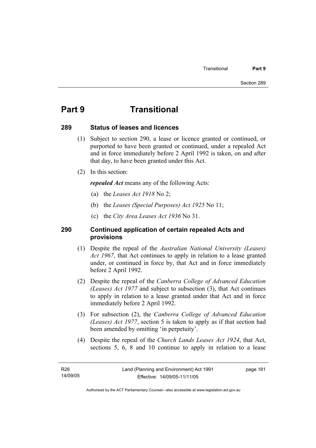## **Part 9 Transitional**

#### **289 Status of leases and licences**

- (1) Subject to section 290, a lease or licence granted or continued, or purported to have been granted or continued, under a repealed Act and in force immediately before 2 April 1992 is taken, on and after that day, to have been granted under this Act.
- (2) In this section:

*repealed Act* means any of the following Acts:

- (a) the *Leases Act 1918* No 2;
- (b) the *Leases (Special Purposes) Act 1925* No 11;
- (c) the *City Area Leases Act 1936* No 31.

## **290 Continued application of certain repealed Acts and provisions**

- (1) Despite the repeal of the *Australian National University (Leases) Act 1967*, that Act continues to apply in relation to a lease granted under, or continued in force by, that Act and in force immediately before 2 April 1992.
- (2) Despite the repeal of the *Canberra College of Advanced Education (Leases) Act 1977* and subject to subsection (3), that Act continues to apply in relation to a lease granted under that Act and in force immediately before 2 April 1992.
- (3) For subsection (2), the *Canberra College of Advanced Education (Leases) Act 1977*, section 5 is taken to apply as if that section had been amended by omitting 'in perpetuity'.
- (4) Despite the repeal of the *Church Lands Leases Act 1924*, that Act, sections 5, 6, 8 and 10 continue to apply in relation to a lease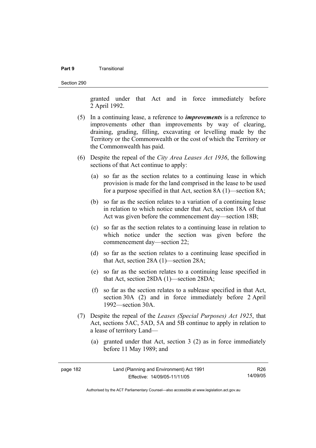#### **Part 9** Transitional

Section 290

granted under that Act and in force immediately before 2 April 1992.

- (5) In a continuing lease, a reference to *improvements* is a reference to improvements other than improvements by way of clearing, draining, grading, filling, excavating or levelling made by the Territory or the Commonwealth or the cost of which the Territory or the Commonwealth has paid.
- (6) Despite the repeal of the *City Area Leases Act 1936*, the following sections of that Act continue to apply:
	- (a) so far as the section relates to a continuing lease in which provision is made for the land comprised in the lease to be used for a purpose specified in that Act, section 8A (1)—section 8A;
	- (b) so far as the section relates to a variation of a continuing lease in relation to which notice under that Act, section 18A of that Act was given before the commencement day—section 18B;
	- (c) so far as the section relates to a continuing lease in relation to which notice under the section was given before the commencement day—section 22;
	- (d) so far as the section relates to a continuing lease specified in that Act, section 28A (1)—section 28A;
	- (e) so far as the section relates to a continuing lease specified in that Act, section 28DA (1)—section 28DA;
	- (f) so far as the section relates to a sublease specified in that Act, section 30A (2) and in force immediately before 2 April 1992—section 30A.
- (7) Despite the repeal of the *Leases (Special Purposes) Act 1925*, that Act, sections 5AC, 5AD, 5A and 5B continue to apply in relation to a lease of territory Land—
	- (a) granted under that Act, section 3 (2) as in force immediately before 11 May 1989; and

| page 182 | Land (Planning and Environment) Act 1991 | R26.     |
|----------|------------------------------------------|----------|
|          | Effective: 14/09/05-11/11/05             | 14/09/05 |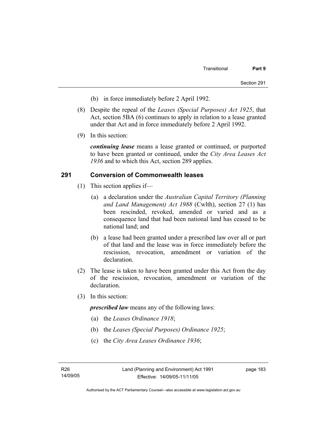- (b) in force immediately before 2 April 1992.
- (8) Despite the repeal of the *Leases (Special Purposes) Act 1925*, that Act, section 5BA (6) continues to apply in relation to a lease granted under that Act and in force immediately before 2 April 1992.
- (9) In this section:

*continuing lease* means a lease granted or continued, or purported to have been granted or continued, under the *City Area Leases Act 1936* and to which this Act, section 289 applies.

### **291 Conversion of Commonwealth leases**

- (1) This section applies if—
	- (a) a declaration under the *Australian Capital Territory (Planning and Land Management) Act 1988* (Cwlth), section 27 (1) has been rescinded, revoked, amended or varied and as a consequence land that had been national land has ceased to be national land; and
	- (b) a lease had been granted under a prescribed law over all or part of that land and the lease was in force immediately before the rescission, revocation, amendment or variation of the declaration.
- (2) The lease is taken to have been granted under this Act from the day of the rescission, revocation, amendment or variation of the declaration.
- (3) In this section:

*prescribed law* means any of the following laws:

- (a) the *Leases Ordinance 1918*;
- (b) the *Leases (Special Purposes) Ordinance 1925*;
- (c) the *City Area Leases Ordinance 1936*;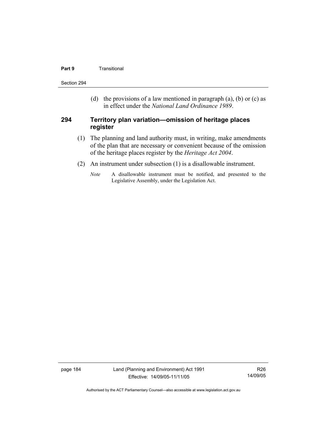#### **Part 9 Transitional**

Section 294

(d) the provisions of a law mentioned in paragraph (a), (b) or (c) as in effect under the *National Land Ordinance 1989*.

### **294 Territory plan variation—omission of heritage places register**

- (1) The planning and land authority must, in writing, make amendments of the plan that are necessary or convenient because of the omission of the heritage places register by the *Heritage Act 2004*.
- (2) An instrument under subsection (1) is a disallowable instrument.
	- *Note* A disallowable instrument must be notified, and presented to the Legislative Assembly, under the Legislation Act.

page 184 Land (Planning and Environment) Act 1991 Effective: 14/09/05-11/11/05

R26 14/09/05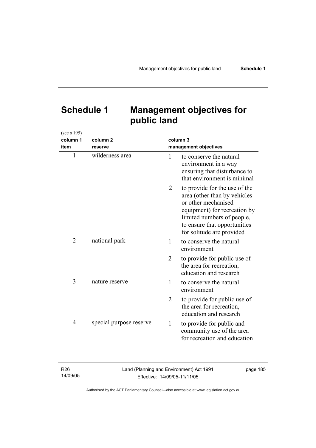# **Schedule 1 Management objectives for public land**

| (see s 195)    |                         |                |                                                                                                                                                                                                                 |
|----------------|-------------------------|----------------|-----------------------------------------------------------------------------------------------------------------------------------------------------------------------------------------------------------------|
| column 1       | column <sub>2</sub>     |                | column 3                                                                                                                                                                                                        |
| item           | reserve                 |                | management objectives                                                                                                                                                                                           |
| 1              | wilderness area         | 1              | to conserve the natural<br>environment in a way<br>ensuring that disturbance to<br>that environment is minimal                                                                                                  |
|                |                         | 2              | to provide for the use of the<br>area (other than by vehicles<br>or other mechanised<br>equipment) for recreation by<br>limited numbers of people,<br>to ensure that opportunities<br>for solitude are provided |
| $\overline{2}$ | national park           | 1              | to conserve the natural<br>environment                                                                                                                                                                          |
|                |                         | 2              | to provide for public use of<br>the area for recreation,<br>education and research                                                                                                                              |
| 3              | nature reserve          | 1              | to conserve the natural<br>environment                                                                                                                                                                          |
|                |                         | $\overline{2}$ | to provide for public use of<br>the area for recreation,<br>education and research                                                                                                                              |
| $\overline{4}$ | special purpose reserve | 1              | to provide for public and<br>community use of the area<br>for recreation and education                                                                                                                          |

R26 14/09/05 Land (Planning and Environment) Act 1991 Effective: 14/09/05-11/11/05

page 185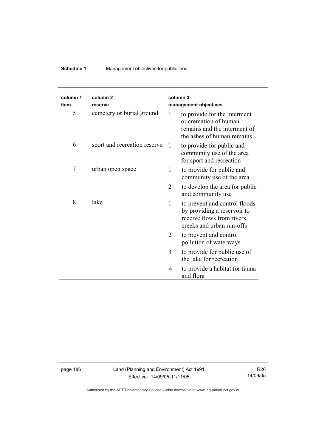## **Schedule 1** Management objectives for public land

| column 1<br>item | column <sub>2</sub><br>reserve |                | column <sub>3</sub><br>management objectives                                                                            |
|------------------|--------------------------------|----------------|-------------------------------------------------------------------------------------------------------------------------|
| 5                | cemetery or burial ground      | 1              | to provide for the interment<br>or cremation of human<br>remains and the interment of<br>the ashes of human remains     |
| 6                | sport and recreation reserve   | $\mathbf{1}$   | to provide for public and<br>community use of the area<br>for sport and recreation                                      |
| 7                | urban open space               | 1              | to provide for public and<br>community use of the area                                                                  |
|                  |                                | $\overline{2}$ | to develop the area for public<br>and community use                                                                     |
| 8                | lake                           | 1              | to prevent and control floods<br>by providing a reservoir to<br>receive flows from rivers,<br>creeks and urban run-offs |
|                  |                                | 2              | to prevent and control<br>pollution of waterways                                                                        |
|                  |                                | 3              | to provide for public use of<br>the lake for recreation                                                                 |
|                  |                                | 4              | to provide a habitat for fauna<br>and flora                                                                             |

page 186 Land (Planning and Environment) Act 1991 Effective: 14/09/05-11/11/05

R26 14/09/05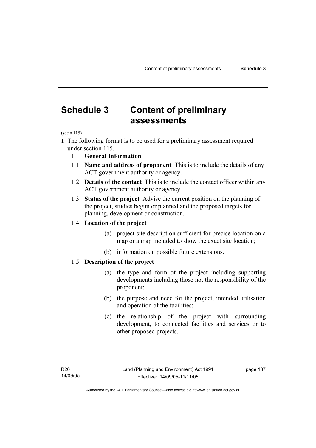## **Schedule 3 Content of preliminary assessments**

(see s 115)

**1** The following format is to be used for a preliminary assessment required under section 115.

- 1. **General Information**
- 1.1 **Name and address of proponent** This is to include the details of any ACT government authority or agency.
- 1.2 **Details of the contact** This is to include the contact officer within any ACT government authority or agency.
- 1.3 **Status of the project** Advise the current position on the planning of the project, studies begun or planned and the proposed targets for planning, development or construction.

### 1.4 **Location of the project**

- (a) project site description sufficient for precise location on a map or a map included to show the exact site location;
- (b) information on possible future extensions.

## 1.5 **Description of the project**

- (a) the type and form of the project including supporting developments including those not the responsibility of the proponent;
- (b) the purpose and need for the project, intended utilisation and operation of the facilities;
- (c) the relationship of the project with surrounding development, to connected facilities and services or to other proposed projects.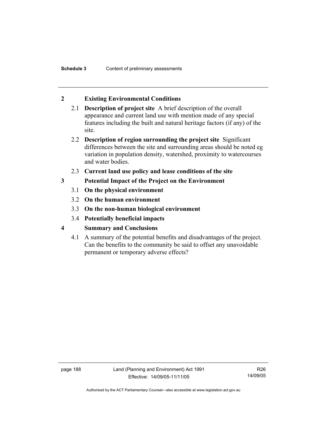## **2 Existing Environmental Conditions**

- 2.1 **Description of project site** A brief description of the overall appearance and current land use with mention made of any special features including the built and natural heritage factors (if any) of the site.
- 2.2 **Description of region surrounding the project site** Significant differences between the site and surrounding areas should be noted eg variation in population density, watershed, proximity to watercourses and water bodies.
- 2.3 **Current land use policy and lease conditions of the site**
- **3 Potential Impact of the Project on the Environment** 
	- 3.1 **On the physical environment**
	- 3.2 **On the human environment**
	- 3.3 **On the non-human biological environment**
	- 3.4 **Potentially beneficial impacts**
- **4 Summary and Conclusions** 
	- 4.1 A summary of the potential benefits and disadvantages of the project. Can the benefits to the community be said to offset any unavoidable permanent or temporary adverse effects?

page 188 Land (Planning and Environment) Act 1991 Effective: 14/09/05-11/11/05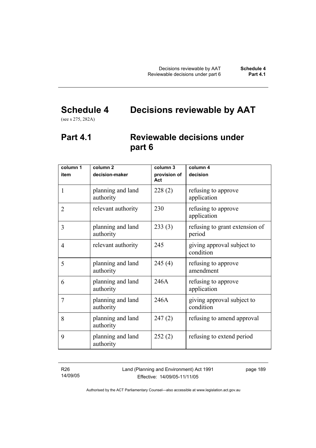# **Schedule 4 Decisions reviewable by AAT**

(see s 275, 282A)

## **Part 4.1 Reviewable decisions under part 6**

| column 1       | column <sub>2</sub>            | column 3            | column $\overline{4}$                    |
|----------------|--------------------------------|---------------------|------------------------------------------|
| item           | decision-maker                 | provision of<br>Act | decision                                 |
| 1              | planning and land<br>authority | 228(2)              | refusing to approve<br>application       |
| $\overline{2}$ | relevant authority             | 230                 | refusing to approve<br>application       |
| 3              | planning and land<br>authority | 233(3)              | refusing to grant extension of<br>period |
| 4              | relevant authority             | 245                 | giving approval subject to<br>condition  |
| 5              | planning and land<br>authority | 245(4)              | refusing to approve<br>amendment         |
| 6              | planning and land<br>authority | 246A                | refusing to approve<br>application       |
| 7              | planning and land<br>authority | 246A                | giving approval subject to<br>condition  |
| 8              | planning and land<br>authority | 247(2)              | refusing to amend approval               |
| 9              | planning and land<br>authority | 252(2)              | refusing to extend period                |

R26 14/09/05 Land (Planning and Environment) Act 1991 Effective: 14/09/05-11/11/05

page 189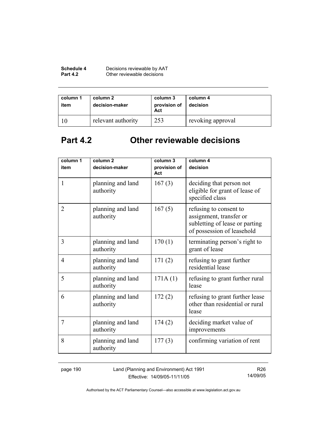| Schedule 4      | Decisions reviewable by AAT |
|-----------------|-----------------------------|
| <b>Part 4.2</b> | Other reviewable decisions  |

| column 1<br>item | column 2<br>decision-maker | column 3<br>provision of<br>Act | column 4<br>decision |
|------------------|----------------------------|---------------------------------|----------------------|
|                  | relevant authority         | 253                             | revoking approval    |

# **Part 4.2 Other reviewable decisions**

| column 1<br>item | column <sub>2</sub><br>decision-maker | column 3<br>provision of | column 4<br>decision                                                                                              |
|------------------|---------------------------------------|--------------------------|-------------------------------------------------------------------------------------------------------------------|
| 1                | planning and land<br>authority        | Act<br>167(3)            | deciding that person not<br>eligible for grant of lease of<br>specified class                                     |
| $\overline{2}$   | planning and land<br>authority        | 167(5)                   | refusing to consent to<br>assignment, transfer or<br>subletting of lease or parting<br>of possession of leasehold |
| 3                | planning and land<br>authority        | 170(1)                   | terminating person's right to<br>grant of lease                                                                   |
| 4                | planning and land<br>authority        | 171(2)                   | refusing to grant further<br>residential lease                                                                    |
| 5                | planning and land<br>authority        | 171A(1)                  | refusing to grant further rural<br>lease                                                                          |
| 6                | planning and land<br>authority        | 172(2)                   | refusing to grant further lease<br>other than residential or rural<br>lease                                       |
| 7                | planning and land<br>authority        | 174(2)                   | deciding market value of<br>improvements                                                                          |
| 8                | planning and land<br>authority        | 177(3)                   | confirming variation of rent                                                                                      |

page 190 Land (Planning and Environment) Act 1991 Effective: 14/09/05-11/11/05

R26 14/09/05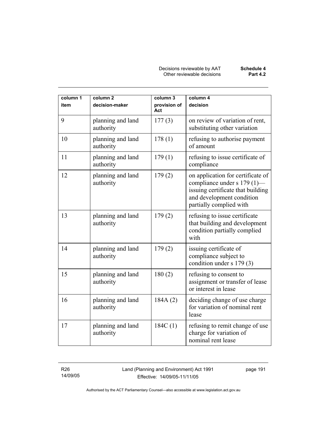| column 1<br>item | column <sub>2</sub><br>decision-maker | column 3<br>provision of<br>Act | column 4<br>decision                                                                                                                                          |
|------------------|---------------------------------------|---------------------------------|---------------------------------------------------------------------------------------------------------------------------------------------------------------|
| 9                | planning and land<br>authority        | 177(3)                          | on review of variation of rent,<br>substituting other variation                                                                                               |
| 10               | planning and land<br>authority        | 178(1)                          | refusing to authorise payment<br>of amount                                                                                                                    |
| 11               | planning and land<br>authority        | 179(1)                          | refusing to issue certificate of<br>compliance                                                                                                                |
| 12               | planning and land<br>authority        | 179(2)                          | on application for certificate of<br>compliance under s 179 (1)—<br>issuing certificate that building<br>and development condition<br>partially complied with |
| 13               | planning and land<br>authority        | 179(2)                          | refusing to issue certificate<br>that building and development<br>condition partially complied<br>with                                                        |
| 14               | planning and land<br>authority        | 179(2)                          | issuing certificate of<br>compliance subject to<br>condition under s 179 (3)                                                                                  |
| 15               | planning and land<br>authority        | 180(2)                          | refusing to consent to<br>assignment or transfer of lease<br>or interest in lease                                                                             |
| 16               | planning and land<br>authority        | 184A(2)                         | deciding change of use charge<br>for variation of nominal rent<br>lease                                                                                       |
| 17               | planning and land<br>authority        | 184C(1)                         | refusing to remit change of use<br>charge for variation of<br>nominal rent lease                                                                              |

R26 14/09/05 Land (Planning and Environment) Act 1991 Effective: 14/09/05-11/11/05

page 191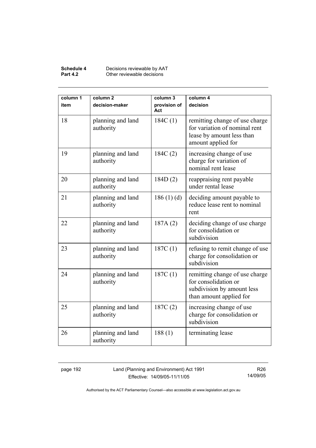#### **Schedule 4** Decisions reviewable by AAT **Part 4.2 Other reviewable decisions**

| column 1<br>item | column <sub>2</sub><br>decision-maker | column 3<br>provision of<br>Act | column 4<br>decision                                                                                               |
|------------------|---------------------------------------|---------------------------------|--------------------------------------------------------------------------------------------------------------------|
| 18               | planning and land<br>authority        | 184C(1)                         | remitting change of use charge<br>for variation of nominal rent<br>lease by amount less than<br>amount applied for |
| 19               | planning and land<br>authority        | 184C(2)                         | increasing change of use<br>charge for variation of<br>nominal rent lease                                          |
| 20               | planning and land<br>authority        | 184D(2)                         | reappraising rent payable<br>under rental lease                                                                    |
| 21               | planning and land<br>authority        | 186(1)(d)                       | deciding amount payable to<br>reduce lease rent to nominal<br>rent                                                 |
| 22               | planning and land<br>authority        | 187A(2)                         | deciding change of use charge<br>for consolidation or<br>subdivision                                               |
| 23               | planning and land<br>authority        | 187C(1)                         | refusing to remit change of use<br>charge for consolidation or<br>subdivision                                      |
| 24               | planning and land<br>authority        | 187C(1)                         | remitting change of use charge<br>for consolidation or<br>subdivision by amount less<br>than amount applied for    |
| 25               | planning and land<br>authority        | 187C(2)                         | increasing change of use<br>charge for consolidation or<br>subdivision                                             |
| 26               | planning and land<br>authority        | 188(1)                          | terminating lease                                                                                                  |

page 192 Land (Planning and Environment) Act 1991 Effective: 14/09/05-11/11/05

R26 14/09/05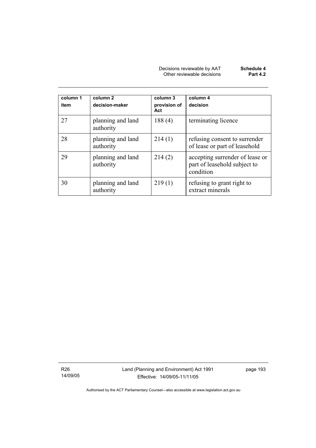| Decisions reviewable by AAT | Schedule 4      |
|-----------------------------|-----------------|
| Other reviewable decisions  | <b>Part 4.2</b> |

| column 1<br>item | column <sub>2</sub><br>decision-maker | column 3<br>provision of<br>Act | column 4<br>decision                                                         |
|------------------|---------------------------------------|---------------------------------|------------------------------------------------------------------------------|
| 27               | planning and land<br>authority        | 188(4)                          | terminating licence                                                          |
| 28               | planning and land<br>authority        | 214(1)                          | refusing consent to surrender<br>of lease or part of leasehold               |
| 29               | planning and land<br>authority        | 214(2)                          | accepting surrender of lease or<br>part of leasehold subject to<br>condition |
| 30               | planning and land<br>authority        | 219(1)                          | refusing to grant right to<br>extract minerals                               |

R26 14/09/05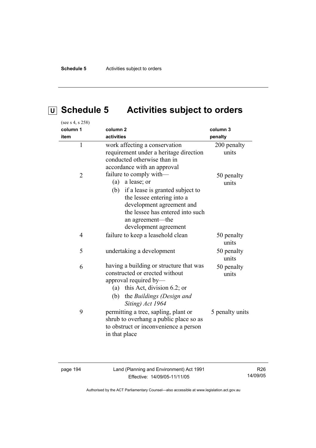# **U Schedule 5 Activities subject to orders**

| (see s 4, s 258) |                                                                                                                                                                                                                                   |                      |
|------------------|-----------------------------------------------------------------------------------------------------------------------------------------------------------------------------------------------------------------------------------|----------------------|
| column 1         | column <sub>2</sub>                                                                                                                                                                                                               | column 3             |
| item             | activities                                                                                                                                                                                                                        | penalty              |
| $\mathbf{1}$     | work affecting a conservation<br>requirement under a heritage direction<br>conducted otherwise than in<br>accordance with an approval                                                                                             | 200 penalty<br>units |
| $\overline{2}$   | failure to comply with-<br>a lease; or<br>(a)<br>(b) if a lease is granted subject to<br>the lessee entering into a<br>development agreement and<br>the lessee has entered into such<br>an agreement-the<br>development agreement | 50 penalty<br>units  |
| 4                | failure to keep a leasehold clean                                                                                                                                                                                                 | 50 penalty<br>units  |
| 5                | undertaking a development                                                                                                                                                                                                         | 50 penalty<br>units  |
| 6                | having a building or structure that was<br>constructed or erected without<br>approval required by-<br>(a) this Act, division 6.2; or<br>the Buildings (Design and<br>(b)<br>Siting) Act 1964                                      | 50 penalty<br>units  |
| 9                | permitting a tree, sapling, plant or<br>shrub to overhang a public place so as<br>to obstruct or inconvenience a person<br>in that place                                                                                          | 5 penalty units      |

page 194 Land (Planning and Environment) Act 1991 Effective: 14/09/05-11/11/05

R26 14/09/05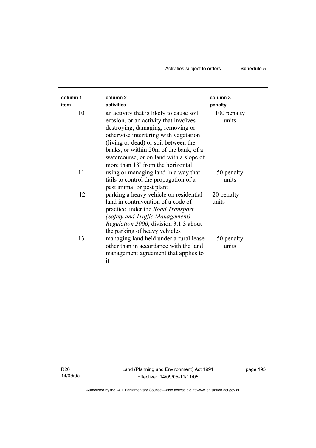## Activities subject to orders **Schedule 5**

| column 1 | column <sub>2</sub>                                                                                                                                                                                                               | column 3             |
|----------|-----------------------------------------------------------------------------------------------------------------------------------------------------------------------------------------------------------------------------------|----------------------|
| item     | activities                                                                                                                                                                                                                        | penalty              |
| 10       | an activity that is likely to cause soil<br>erosion, or an activity that involves<br>destroying, damaging, removing or                                                                                                            | 100 penalty<br>units |
|          | otherwise interfering with vegetation<br>(living or dead) or soil between the<br>banks, or within 20m of the bank, of a<br>watercourse, or on land with a slope of                                                                |                      |
| 11       | more than 18 <sup>°</sup> from the horizontal<br>using or managing land in a way that<br>fails to control the propagation of a                                                                                                    | 50 penalty<br>units  |
| 12       | pest animal or pest plant<br>parking a heavy vehicle on residential<br>land in contravention of a code of<br>practice under the <i>Road Transport</i><br>(Safety and Traffic Management)<br>Regulation 2000, division 3.1.3 about | 20 penalty<br>units  |
| 13       | the parking of heavy vehicles<br>managing land held under a rural lease<br>other than in accordance with the land<br>management agreement that applies to<br>it                                                                   | 50 penalty<br>units  |

R26 14/09/05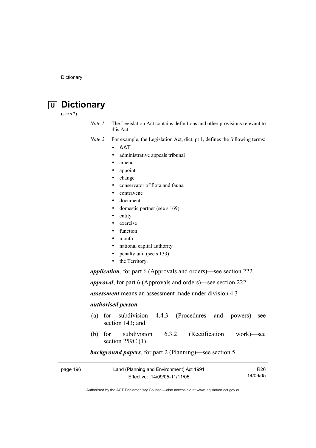# **U Dictionary**

(see s 2)

*Note 1* The Legislation Act contains definitions and other provisions relevant to this Act.

*Note 2* For example, the Legislation Act, dict, pt 1, defines the following terms:

- ΑΑΤ
	- administrative appeals tribunal
	- amend
	- appoint
	- change
	- conservator of flora and fauna
	- contravene
	- document
	- domestic partner (see s 169)
	- entity
	- exercise
	- function
	- month
	- national capital authority
	- penalty unit (see s 133)
	- the Territory.

*application*, for part 6 (Approvals and orders)—see section 222.

*approval*, for part 6 (Approvals and orders)—see section 222.

*assessment* means an assessment made under division 4.3

#### *authorised person*—

- (a) for subdivision 4.4.3 (Procedures and powers)—see section 143; and
- (b) for subdivision 6.3.2 (Rectification work)—see section 259C (1).

### *background papers*, for part 2 (Planning)—see section 5.

| page 196 | Land (Planning and Environment) Act 1991 |          |
|----------|------------------------------------------|----------|
|          | Effective: 14/09/05-11/11/05             | 14/09/05 |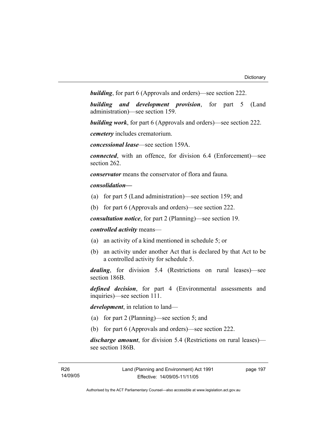*building*, for part 6 (Approvals and orders)—see section 222.

*building and development provision*, for part 5 (Land administration)—see section 159.

*building work*, for part 6 (Approvals and orders)—see section 222.

*cemetery* includes crematorium.

*concessional lease*—see section 159A.

*connected*, with an offence, for division 6.4 (Enforcement)—see section 262.

*conservator* means the conservator of flora and fauna*.*

#### *consolidation—*

- (a) for part 5 (Land administration)—see section 159; and
- (b) for part 6 (Approvals and orders)—see section 222.

*consultation notice*, for part 2 (Planning)—see section 19.

*controlled activity* means—

- (a) an activity of a kind mentioned in schedule 5; or
- (b) an activity under another Act that is declared by that Act to be a controlled activity for schedule 5.

*dealing*, for division 5.4 (Restrictions on rural leases)—see section 186B.

*defined decision*, for part 4 (Environmental assessments and inquiries)—see section 111.

*development*, in relation to land—

- (a) for part 2 (Planning)—see section 5; and
- (b) for part 6 (Approvals and orders)—see section 222.

*discharge amount*, for division 5.4 (Restrictions on rural leases) see section 186B.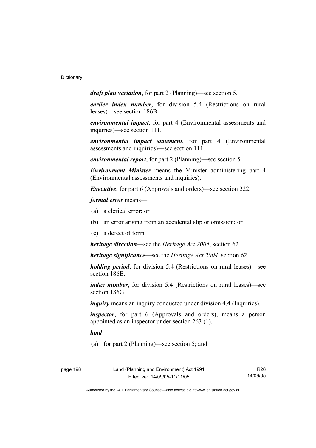*draft plan variation*, for part 2 (Planning)—see section 5.

*earlier index number*, for division 5.4 (Restrictions on rural leases)—see section 186B.

*environmental impact*, for part 4 (Environmental assessments and inquiries)—see section 111.

*environmental impact statement*, for part 4 (Environmental assessments and inquiries)—see section 111.

*environmental report*, for part 2 (Planning)—see section 5.

*Environment Minister* means the Minister administering part 4 (Environmental assessments and inquiries).

*Executive*, for part 6 (Approvals and orders)—see section 222.

*formal error* means—

- (a) a clerical error; or
- (b) an error arising from an accidental slip or omission; or
- (c) a defect of form.

*heritage direction*—see the *Heritage Act 2004*, section 62.

*heritage significance*—see the *Heritage Act 2004*, section 62.

*holding period*, for division 5.4 (Restrictions on rural leases)—see section 186B.

*index number*, for division 5.4 (Restrictions on rural leases)—see section 186G.

*inquiry* means an inquiry conducted under division 4.4 (Inquiries).

*inspector*, for part 6 (Approvals and orders), means a person appointed as an inspector under section 263 (1).

*land*—

(a) for part 2 (Planning)—see section 5; and

page 198 Land (Planning and Environment) Act 1991 Effective: 14/09/05-11/11/05

R26 14/09/05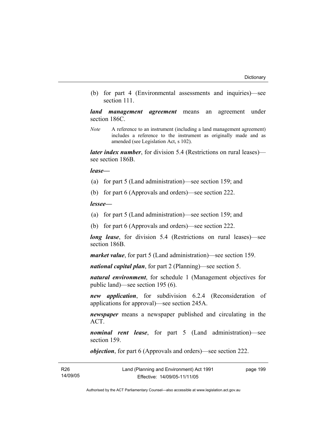(b) for part 4 (Environmental assessments and inquiries)—see section 111.

*land management agreement* means an agreement under section 186C.

*Note* A reference to an instrument (including a land management agreement) includes a reference to the instrument as originally made and as amended (see Legislation Act, s 102).

*later index number*, for division 5.4 (Restrictions on rural leases) see section 186B.

*lease—*

- (a) for part 5 (Land administration)—see section 159; and
- (b) for part 6 (Approvals and orders)—see section 222.

*lessee—*

- (a) for part 5 (Land administration)—see section 159; and
- (b) for part 6 (Approvals and orders)—see section 222.

*long lease*, for division 5.4 (Restrictions on rural leases)—see section 186B.

*market value*, for part 5 (Land administration)—see section 159.

*national capital plan*, for part 2 (Planning)—see section 5.

*natural environment*, for schedule 1 (Management objectives for public land)—see section 195 (6).

*new application*, for subdivision 6.2.4 (Reconsideration of applications for approval)—see section 245A.

*newspaper* means a newspaper published and circulating in the ACT.

*nominal rent lease*, for part 5 (Land administration)—see section 159.

*objection*, for part 6 (Approvals and orders)—see section 222.

| <b>R26</b> | Land (Planning and Environment) Act 1991 | page 199 |
|------------|------------------------------------------|----------|
| 14/09/05   | Effective: 14/09/05-11/11/05             |          |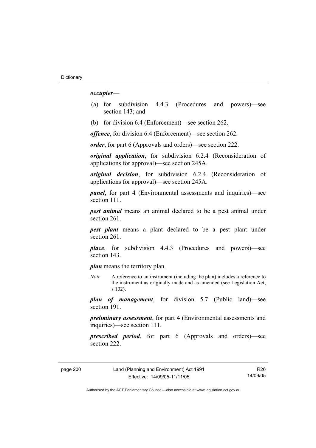#### *occupier*—

- (a) for subdivision 4.4.3 (Procedures and powers)—see section 143; and
- (b) for division 6.4 (Enforcement)—see section 262.

*offence*, for division 6.4 (Enforcement)—see section 262.

*order*, for part 6 (Approvals and orders)—see section 222.

*original application*, for subdivision 6.2.4 (Reconsideration of applications for approval)—see section 245A.

*original decision*, for subdivision 6.2.4 (Reconsideration of applications for approval)—see section 245A.

*panel*, for part 4 (Environmental assessments and inquiries)—see section 111.

*pest animal* means an animal declared to be a pest animal under section 261.

*pest plant* means a plant declared to be a pest plant under section 261

*place*, for subdivision 4.4.3 (Procedures and powers)—see section 143.

*plan* means the territory plan.

*Note* A reference to an instrument (including the plan) includes a reference to the instrument as originally made and as amended (see Legislation Act, s 102).

*plan of management*, for division 5.7 (Public land)—see section 191.

*preliminary assessment*, for part 4 (Environmental assessments and inquiries)—see section 111.

*prescribed period*, for part 6 (Approvals and orders)—see section 222.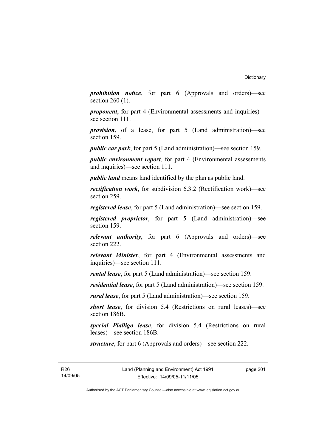*prohibition notice*, for part 6 (Approvals and orders)—see section 260 (1).

*proponent*, for part 4 (Environmental assessments and inquiries) see section 111.

*provision*, of a lease, for part 5 (Land administration)—see section 159.

*public car park*, for part 5 (Land administration)—see section 159.

*public environment report*, for part 4 (Environmental assessments and inquiries)—see section 111.

*public land* means land identified by the plan as public land.

*rectification work*, for subdivision 6.3.2 (Rectification work)—see section 259.

*registered lease*, for part 5 (Land administration)—see section 159.

*registered proprietor*, for part 5 (Land administration)—see section 159.

*relevant authority*, for part 6 (Approvals and orders)—see section 222.

*relevant Minister*, for part 4 (Environmental assessments and inquiries)—see section 111.

*rental lease*, for part 5 (Land administration)—see section 159.

*residential lease*, for part 5 (Land administration)—see section 159.

*rural lease*, for part 5 (Land administration)—see section 159.

*short lease*, for division 5.4 (Restrictions on rural leases)—see section 186B.

*special Pialligo lease*, for division 5.4 (Restrictions on rural leases)—see section 186B.

*structure*, for part 6 (Approvals and orders)—see section 222.

R26 14/09/05 page 201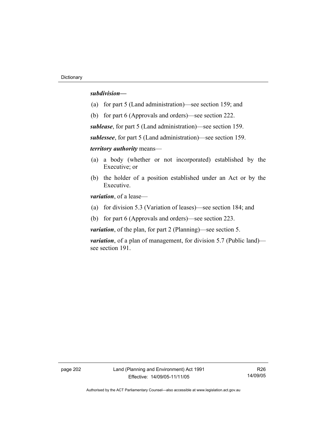#### *subdivision—*

- (a) for part 5 (Land administration)—see section 159; and
- (b) for part 6 (Approvals and orders)—see section 222.

*sublease*, for part 5 (Land administration)—see section 159.

*sublessee*, for part 5 (Land administration)—see section 159.

*territory authority* means—

- (a) a body (whether or not incorporated) established by the Executive; or
- (b) the holder of a position established under an Act or by the Executive.

*variation*, of a lease—

- (a) for division 5.3 (Variation of leases)—see section 184; and
- (b) for part 6 (Approvals and orders)—see section 223.

*variation*, of the plan, for part 2 (Planning)—see section 5.

*variation*, of a plan of management, for division 5.7 (Public land) see section 191.

page 202 Land (Planning and Environment) Act 1991 Effective: 14/09/05-11/11/05

R26 14/09/05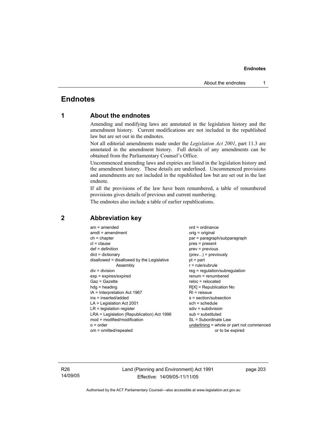# **Endnotes**

# **1 About the endnotes**

Amending and modifying laws are annotated in the legislation history and the amendment history. Current modifications are not included in the republished law but are set out in the endnotes.

Not all editorial amendments made under the *Legislation Act 2001*, part 11.3 are annotated in the amendment history. Full details of any amendments can be obtained from the Parliamentary Counsel's Office.

Uncommenced amending laws and expiries are listed in the legislation history and the amendment history. These details are underlined. Uncommenced provisions and amendments are not included in the republished law but are set out in the last endnote.

If all the provisions of the law have been renumbered, a table of renumbered provisions gives details of previous and current numbering.

The endnotes also include a table of earlier republications.

| $am = amended$<br>$amdt = amendment$<br>$ch = chapter$<br>$cl = clause$<br>$def = definition$<br>$dict = dictionary$<br>disallowed = disallowed by the Legislative<br>Assembly<br>$div = division$<br>$exp = expires/expired$<br>$Gaz = Gazette$<br>$hda =$ heading<br>IA = Interpretation Act 1967<br>ins = inserted/added | $ord = ordinance$<br>orig = original<br>par = paragraph/subparagraph<br>$pres = present$<br>$prev = previous$<br>$(\text{prev})$ = previously<br>$pt = part$<br>$r = rule/subrule$<br>reg = regulation/subregulation<br>$renum = renumbered$<br>$reloc = relocated$<br>$R[X]$ = Republication No<br>$RI =$ reissue<br>s = section/subsection |
|-----------------------------------------------------------------------------------------------------------------------------------------------------------------------------------------------------------------------------------------------------------------------------------------------------------------------------|----------------------------------------------------------------------------------------------------------------------------------------------------------------------------------------------------------------------------------------------------------------------------------------------------------------------------------------------|
|                                                                                                                                                                                                                                                                                                                             |                                                                                                                                                                                                                                                                                                                                              |
|                                                                                                                                                                                                                                                                                                                             |                                                                                                                                                                                                                                                                                                                                              |
| $LA =$ Legislation Act 2001                                                                                                                                                                                                                                                                                                 | $sch = schedule$                                                                                                                                                                                                                                                                                                                             |
| $LR =$ legislation register                                                                                                                                                                                                                                                                                                 | $sdiv = subdivision$                                                                                                                                                                                                                                                                                                                         |
| LRA = Legislation (Republication) Act 1996                                                                                                                                                                                                                                                                                  | $sub =$ substituted                                                                                                                                                                                                                                                                                                                          |
| $mod = modified/modification$                                                                                                                                                                                                                                                                                               | SL = Subordinate Law                                                                                                                                                                                                                                                                                                                         |
| $o = order$                                                                                                                                                                                                                                                                                                                 | $underlining = whole or part not commenced$                                                                                                                                                                                                                                                                                                  |
| om = omitted/repealed                                                                                                                                                                                                                                                                                                       | or to be expired                                                                                                                                                                                                                                                                                                                             |

## **2 Abbreviation key**

R26 14/09/05 Land (Planning and Environment) Act 1991 Effective: 14/09/05-11/11/05

page 203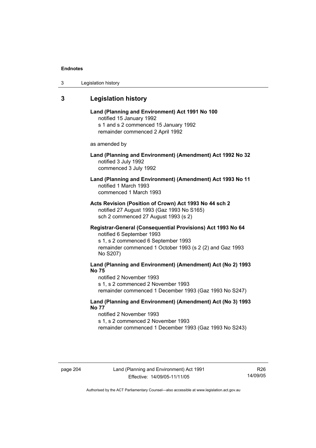| 3 | Legislation history |  |
|---|---------------------|--|
|---|---------------------|--|

# **3 Legislation history**

| Land (Planning and Environment) Act 1991 No 100 |
|-------------------------------------------------|
| notified 15 January 1992                        |
| s 1 and s 2 commenced 15 January 1992           |
| remainder commenced 2 April 1992                |

as amended by

## **Land (Planning and Environment) (Amendment) Act 1992 No 32**  notified 3 July 1992 commenced 3 July 1992

## **Land (Planning and Environment) (Amendment) Act 1993 No 11**  notified 1 March 1993 commenced 1 March 1993

**Acts Revision (Position of Crown) Act 1993 No 44 sch 2**  notified 27 August 1993 (Gaz 1993 No S165) sch 2 commenced 27 August 1993 (s 2)

## **Registrar-General (Consequential Provisions) Act 1993 No 64**  notified 6 September 1993

s 1, s 2 commenced 6 September 1993 remainder commenced 1 October 1993 (s 2 (2) and Gaz 1993 No S207)

# **Land (Planning and Environment) (Amendment) Act (No 2) 1993 No 75**

notified 2 November 1993 s 1, s 2 commenced 2 November 1993 remainder commenced 1 December 1993 (Gaz 1993 No S247)

## **Land (Planning and Environment) (Amendment) Act (No 3) 1993 No 77**

notified 2 November 1993 s 1, s 2 commenced 2 November 1993 remainder commenced 1 December 1993 (Gaz 1993 No S243)

R26 14/09/05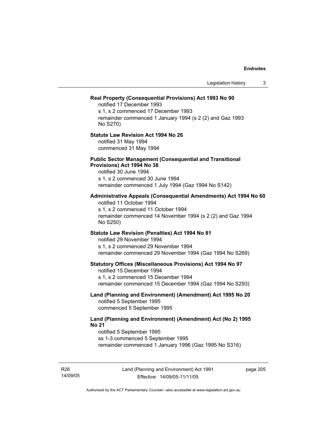| Legislation history                                                                                                                                                                                             | 3 |
|-----------------------------------------------------------------------------------------------------------------------------------------------------------------------------------------------------------------|---|
| Real Property (Consequential Provisions) Act 1993 No 90<br>notified 17 December 1993<br>s 1, s 2 commenced 17 December 1993<br>remainder commenced 1 January 1994 (s 2 (2) and Gaz 1993<br>No S270)             |   |
| <b>Statute Law Revision Act 1994 No 26</b><br>notified 31 May 1994<br>commenced 31 May 1994                                                                                                                     |   |
| <b>Public Sector Management (Consequential and Transitional</b><br>Provisions) Act 1994 No 38<br>notified 30 June 1994<br>s 1, s 2 commenced 30 June 1994<br>remainder commenced 1 July 1994 (Gaz 1994 No S142) |   |
| Administrative Appeals (Consequential Amendments) Act 1994 No 60<br>notified 11 October 1994<br>s 1, s 2 commenced 11 October 1994<br>remainder commenced 14 November 1994 (s 2 (2) and Gaz 1994<br>No S250)    |   |
| Statute Law Revision (Penalties) Act 1994 No 81<br>notified 29 November 1994<br>s 1, s 2 commenced 29 November 1994<br>remainder commenced 29 November 1994 (Gaz 1994 No S269)                                  |   |
| <b>Statutory Offices (Miscellaneous Provisions) Act 1994 No 97</b><br>notified 15 December 1994<br>s 1, s 2 commenced 15 December 1994<br>remainder commenced 15 December 1994 (Gaz 1994 No S293)               |   |
| Land (Planning and Environment) (Amendment) Act 1995 No 20<br>notified 5 September 1995<br>commenced 5 September 1995                                                                                           |   |
| Land (Planning and Environment) (Amendment) Act (No 2) 1995<br><b>No 21</b><br>notified 5 September 1995<br>ss 1-3 commenced 5 September 1995<br>remainder commenced 1 January 1996 (Gaz 1995 No S316)          |   |

R26 14/09/05 page 205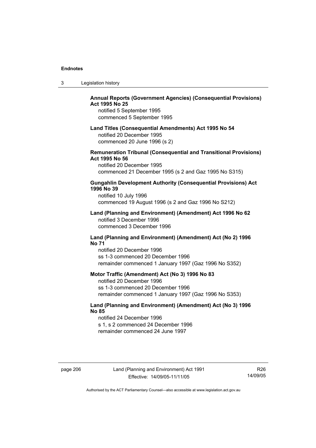| 3 | Legislation history |  |
|---|---------------------|--|
|---|---------------------|--|

## **Annual Reports (Government Agencies) (Consequential Provisions) Act 1995 No 25**

notified 5 September 1995 commenced 5 September 1995

#### **Land Titles (Consequential Amendments) Act 1995 No 54**

notified 20 December 1995 commenced 20 June 1996 (s 2)

## **Remuneration Tribunal (Consequential and Transitional Provisions) Act 1995 No 56**

notified 20 December 1995 commenced 21 December 1995 (s 2 and Gaz 1995 No S315)

## **Gungahlin Development Authority (Consequential Provisions) Act 1996 No 39**

notified 10 July 1996 commenced 19 August 1996 (s 2 and Gaz 1996 No S212)

#### **Land (Planning and Environment) (Amendment) Act 1996 No 62**  notified 3 December 1996 commenced 3 December 1996

#### **Land (Planning and Environment) (Amendment) Act (No 2) 1996 No 71**

notified 20 December 1996 ss 1-3 commenced 20 December 1996 remainder commenced 1 January 1997 (Gaz 1996 No S352)

## **Motor Traffic (Amendment) Act (No 3) 1996 No 83**

notified 20 December 1996 ss 1-3 commenced 20 December 1996 remainder commenced 1 January 1997 (Gaz 1996 No S353)

## **Land (Planning and Environment) (Amendment) Act (No 3) 1996 No 85**

notified 24 December 1996 s 1, s 2 commenced 24 December 1996 remainder commenced 24 June 1997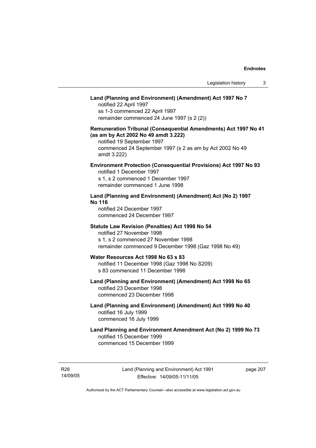# **Land (Planning and Environment) (Amendment) Act 1997 No 7**

notified 22 April 1997 ss 1-3 commenced 22 April 1997 remainder commenced 24 June 1997 (s 2 (2))

## **Remuneration Tribunal (Consequential Amendments) Act 1997 No 41 (as am by Act 2002 No 49 amdt 3.222)**

notified 19 September 1997 commenced 24 September 1997 (s 2 as am by Act 2002 No 49 amdt 3.222)

## **Environment Protection (Consequential Provisions) Act 1997 No 93**

notified 1 December 1997 s 1, s 2 commenced 1 December 1997 remainder commenced 1 June 1998

## **Land (Planning and Environment) (Amendment) Act (No 2) 1997 No 116**

notified 24 December 1997 commenced 24 December 1997

#### **Statute Law Revision (Penalties) Act 1998 No 54**

notified 27 November 1998 s 1, s 2 commenced 27 November 1998 remainder commenced 9 December 1998 (Gaz 1998 No 49)

# **Water Resources Act 1998 No 63 s 83**

notified 11 December 1998 (Gaz 1998 No S209) s 83 commenced 11 December 1998

# **Land (Planning and Environment) (Amendment) Act 1998 No 65**  notified 23 December 1998

commenced 23 December 1998

## **Land (Planning and Environment) (Amendment) Act 1999 No 40**  notified 16 July 1999 commenced 16 July 1999

# **Land Planning and Environment Amendment Act (No 2) 1999 No 73**  notified 15 December 1999 commenced 15 December 1999

R26 14/09/05 page 207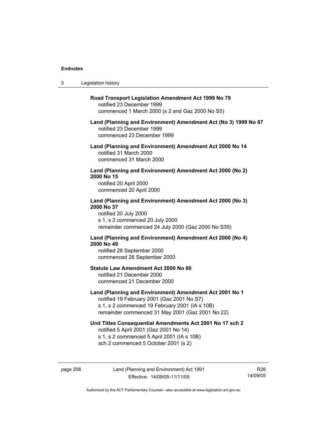$3<sub>l</sub>$ 

R26 14/09/05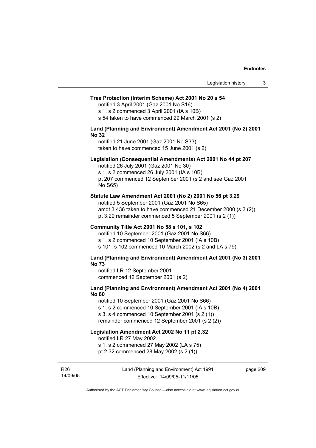#### **Tree Protection (Interim Scheme) Act 2001 No 20 s 54**

notified 3 April 2001 (Gaz 2001 No S16)

s 1, s 2 commenced 3 April 2001 (IA s 10B)

s 54 taken to have commenced 29 March 2001 (s 2)

#### **Land (Planning and Environment) Amendment Act 2001 (No 2) 2001 No 32**

notified 21 June 2001 (Gaz 2001 No S33) taken to have commenced 15 June 2001 (s 2)

#### **Legislation (Consequential Amendments) Act 2001 No 44 pt 207**

notified 26 July 2001 (Gaz 2001 No 30) s 1, s 2 commenced 26 July 2001 (IA s 10B) pt 207 commenced 12 September 2001 (s 2 and see Gaz 2001 No S65)

#### **Statute Law Amendment Act 2001 (No 2) 2001 No 56 pt 3.29**

notified 5 September 2001 (Gaz 2001 No S65) amdt 3.436 taken to have commenced 21 December 2000 (s 2 (2)) pt 3.29 remainder commenced 5 September 2001 (s 2 (1))

#### **Community Title Act 2001 No 58 s 101, s 102**

notified 10 September 2001 (Gaz 2001 No S66) s 1, s 2 commenced 10 September 2001 (IA s 10B) s 101, s 102 commenced 10 March 2002 (s 2 and LA s 79)

#### **Land (Planning and Environment) Amendment Act 2001 (No 3) 2001 No 73**

notified LR 12 September 2001 commenced 12 September 2001 (s 2)

## **Land (Planning and Environment) Amendment Act 2001 (No 4) 2001 No 80**

notified 10 September 2001 (Gaz 2001 No S66) s 1, s 2 commenced 10 September 2001 (IA s 10B) s 3, s 4 commenced 10 September 2001 (s 2 (1)) remainder commenced 12 September 2001 (s 2 (2))

# **Legislation Amendment Act 2002 No 11 pt 2.32**

notified LR 27 May 2002

s 1, s 2 commenced 27 May 2002 (LA s 75)

pt 2.32 commenced 28 May 2002 (s 2 (1))

R26 14/09/05 page 209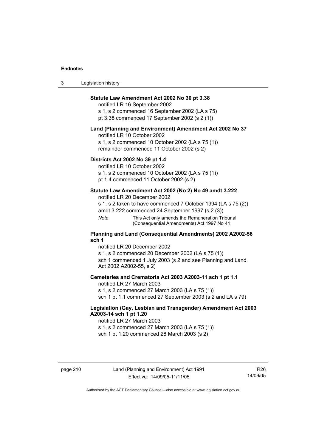| 3 | Legislation history |  |
|---|---------------------|--|
|---|---------------------|--|

## **Statute Law Amendment Act 2002 No 30 pt 3.38**

notified LR 16 September 2002 s 1, s 2 commenced 16 September 2002 (LA s 75) pt 3.38 commenced 17 September 2002 (s 2 (1))

#### **Land (Planning and Environment) Amendment Act 2002 No 37**

notified LR 10 October 2002

s 1, s 2 commenced 10 October 2002 (LA s 75 (1)) remainder commenced 11 October 2002 (s 2)

#### **Districts Act 2002 No 39 pt 1.4**

notified LR 10 October 2002

s 1, s 2 commenced 10 October 2002 (LA s 75 (1))

pt 1.4 commenced 11 October 2002 (s 2)

## **Statute Law Amendment Act 2002 (No 2) No 49 amdt 3.222**

notified LR 20 December 2002

s 1, s 2 taken to have commenced 7 October 1994 (LA s 75 (2)) amdt 3.222 commenced 24 September 1997 (s 2 (3))

*Note* This Act only amends the Remuneration Tribunal (Consequential Amendments) Act 1997 No 41.

#### **Planning and Land (Consequential Amendments) 2002 A2002-56 sch 1**

notified LR 20 December 2002 s 1, s 2 commenced 20 December 2002 (LA s 75 (1)) sch 1 commenced 1 July 2003 (s 2 and see Planning and Land Act 2002 A2002-55, s 2)

## **Cemeteries and Crematoria Act 2003 A2003-11 sch 1 pt 1.1**

notified LR 27 March 2003 s 1, s 2 commenced 27 March 2003 (LA s 75 (1)) sch 1 pt 1.1 commenced 27 September 2003 (s 2 and LA s 79)

## **Legislation (Gay, Lesbian and Transgender) Amendment Act 2003 A2003-14 sch 1 pt 1.20**

notified LR 27 March 2003 s 1, s 2 commenced 27 March 2003 (LA s 75 (1)) sch 1 pt 1.20 commenced 28 March 2003 (s 2)

R26 14/09/05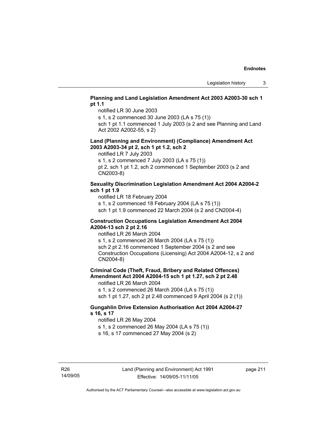## **Planning and Land Legislation Amendment Act 2003 A2003-30 sch 1 pt 1.1**

notified LR 30 June 2003

s 1, s 2 commenced 30 June 2003 (LA s 75 (1))

sch 1 pt 1.1 commenced 1 July 2003 (s 2 and see Planning and Land Act 2002 A2002-55, s 2)

#### **Land (Planning and Environment) (Compliance) Amendment Act 2003 A2003-34 pt 2, sch 1 pt 1.2, sch 2**

notified LR 7 July 2003

s 1, s 2 commenced 7 July 2003 (LA s 75 (1))

pt 2, sch 1 pt 1.2, sch 2 commenced 1 September 2003 (s 2 and CN2003-8)

## **Sexuality Discrimination Legislation Amendment Act 2004 A2004-2 sch 1 pt 1.9**

notified LR 18 February 2004

s 1, s 2 commenced 18 February 2004 (LA s 75 (1))

sch 1 pt 1.9 commenced 22 March 2004 (s 2 and CN2004-4)

#### **Construction Occupations Legislation Amendment Act 2004 A2004-13 sch 2 pt 2.16**

notified LR 26 March 2004

s 1, s 2 commenced 26 March 2004 (LA s 75 (1)) sch 2 pt 2.16 commenced 1 September 2004 (s 2 and see Construction Occupations (Licensing) Act 2004 A2004-12, s 2 and CN2004-8)

# **Criminal Code (Theft, Fraud, Bribery and Related Offences) Amendment Act 2004 A2004-15 sch 1 pt 1.27, sch 2 pt 2.48**

notified LR 26 March 2004

s 1, s 2 commenced 26 March 2004 (LA s 75 (1))

sch 1 pt 1.27, sch 2 pt 2.48 commenced 9 April 2004 (s 2 (1))

## **Gungahlin Drive Extension Authorisation Act 2004 A2004-27 s 16, s 17**

notified LR 26 May 2004

s 1, s 2 commenced 26 May 2004 (LA s 75 (1))

s 16, s 17 commenced 27 May 2004 (s 2)

page 211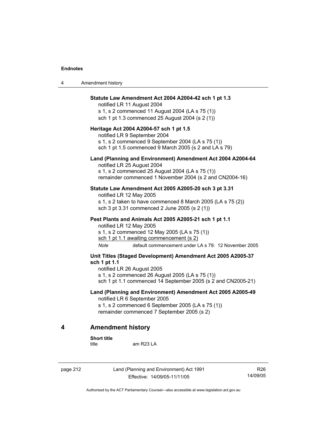4 American American American American American American American American American American American American <br>American American American American American American American American American American American American A<br>A

| 4 | Amendment history                                                                                                                                                                                                                             |
|---|-----------------------------------------------------------------------------------------------------------------------------------------------------------------------------------------------------------------------------------------------|
|   | Statute Law Amendment Act 2004 A2004-42 sch 1 pt 1.3<br>notified LR 11 August 2004<br>s 1, s 2 commenced 11 August 2004 (LA s 75 (1))<br>sch 1 pt 1.3 commenced 25 August 2004 (s 2 (1))                                                      |
|   | Heritage Act 2004 A2004-57 sch 1 pt 1.5<br>notified LR 9 September 2004<br>s 1, s 2 commenced 9 September 2004 (LA s 75 (1))<br>sch 1 pt 1.5 commenced 9 March 2005 (s 2 and LA s 79)                                                         |
|   | Land (Planning and Environment) Amendment Act 2004 A2004-64<br>notified LR 25 August 2004<br>s 1, s 2 commenced 25 August 2004 (LA s 75 (1))<br>remainder commenced 1 November 2004 (s 2 and CN2004-16)                                       |
|   | Statute Law Amendment Act 2005 A2005-20 sch 3 pt 3.31<br>notified LR 12 May 2005<br>s 1, s 2 taken to have commenced 8 March 2005 (LA s 75 (2))<br>sch 3 pt 3.31 commenced 2 June 2005 (s 2 (1))                                              |
|   | Pest Plants and Animals Act 2005 A2005-21 sch 1 pt 1.1<br>notified LR 12 May 2005<br>s 1, s 2 commenced 12 May 2005 (LA s 75 (1))<br>sch 1 pt 1.1 awaiting commencement (s 2)<br>default commencement under LA s 79: 12 November 2005<br>Note |
|   | Unit Titles (Staged Development) Amendment Act 2005 A2005-37<br>sch 1 pt 1.1<br>notified LR 26 August 2005<br>s 1, s 2 commenced 26 August 2005 (LA s 75 (1))<br>sch 1 pt 1.1 commenced 14 September 2005 (s 2 and CN2005-21)                 |
|   | Land (Planning and Environment) Amendment Act 2005 A2005-49<br>notified LR 6 September 2005<br>s 1, s 2 commenced 6 September 2005 (LA s 75 (1))<br>remainder commenced 7 September 2005 (s 2)                                                |
| 4 | <b>Amendment history</b>                                                                                                                                                                                                                      |
|   |                                                                                                                                                                                                                                               |

**Short title** 

am R23 LA

page 212 Land (Planning and Environment) Act 1991 Effective: 14/09/05-11/11/05

R26 14/09/05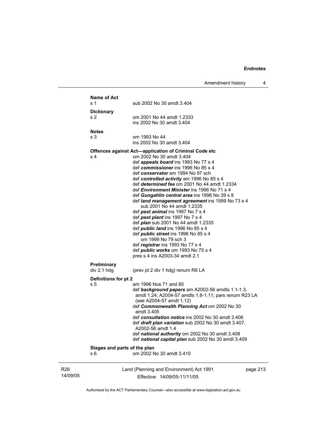Amendment history 4

|                             | <b>Name of Act</b><br>s 1    | sub 2002 No 30 amdt 3.404                                                                                 |          |
|-----------------------------|------------------------------|-----------------------------------------------------------------------------------------------------------|----------|
|                             | <b>Dictionary</b>            |                                                                                                           |          |
|                             | s 2                          | om 2001 No 44 amdt 1.2333                                                                                 |          |
|                             |                              | ins 2002 No 30 amdt 3.404                                                                                 |          |
|                             | <b>Notes</b>                 |                                                                                                           |          |
|                             | s 3                          | om 1993 No 44                                                                                             |          |
|                             |                              | ins 2002 No 30 amdt 3.404                                                                                 |          |
|                             |                              | <b>Offences against Act-application of Criminal Code etc</b>                                              |          |
|                             | s 4                          | om 2002 No 30 amdt 3.404<br>def <i>appeals board</i> ins 1993 No 77 s 4                                   |          |
|                             |                              | def commissioner ins 1996 No 85 s 4                                                                       |          |
|                             |                              | def conservator am 1994 No 97 sch                                                                         |          |
|                             |                              | def controlled activity am 1996 No 85 s 4                                                                 |          |
|                             |                              | def <i>determined fee</i> om 2001 No 44 amdt 1.2334<br>def <i>Environment Minister</i> ins 1996 No 71 s 4 |          |
|                             |                              | def Gungahlin central area ins 1996 No 39 s 8                                                             |          |
|                             |                              | def land management agreement ins 1999 No 73 s 4                                                          |          |
|                             |                              | sub 2001 No 44 amdt 1.2335                                                                                |          |
|                             |                              | def pest animal ins 1997 No 7 s 4<br>def pest plant ins 1997 No 7 s 4                                     |          |
|                             |                              | def <i>plan</i> sub 2001 No 44 amdt 1.2335                                                                |          |
|                             |                              | def <i>public land</i> ins 1996 No 85 s 4                                                                 |          |
|                             |                              | def <i>public</i> street ins 1996 No 85 s 4                                                               |          |
|                             |                              | om 1999 No 79 sch 3                                                                                       |          |
|                             |                              | def registrar ins 1993 No 77 s 4<br>def <i>public</i> works om 1993 No 75 s 4                             |          |
|                             |                              | pres s 4 ins A2003-34 amdt 2.1                                                                            |          |
|                             | Preliminary                  |                                                                                                           |          |
|                             | div 2.1 hdg                  | (prev pt 2 div 1 hdg) renum R6 LA                                                                         |          |
|                             | Definitions for pt 2         |                                                                                                           |          |
|                             | s 5                          | am 1996 Nos 71 and 85                                                                                     |          |
|                             |                              | def background papers am A2002-56 amdts 1.1-1.3,<br>amdt 1.24; A2004-57 amdts 1.8-1.11; pars renum R23 LA |          |
|                             |                              | (see A2004-57 amdt 1.12)                                                                                  |          |
|                             |                              | def Commonwealth Planning Act om 2002 No 30                                                               |          |
|                             |                              | amdt 3.405                                                                                                |          |
|                             |                              | def consultation notice ins 2002 No 30 amdt 3.406<br>def draft plan variation sub 2002 No 30 amdt 3.407,  |          |
|                             |                              | A2002-56 amdt 1.4                                                                                         |          |
|                             |                              | def national authority om 2002 No 30 amdt 3.408                                                           |          |
|                             |                              | def national capital plan sub 2002 No 30 amdt 3.409                                                       |          |
|                             | Stages and parts of the plan |                                                                                                           |          |
|                             | s 6                          | om 2002 No 30 amdt 3.410                                                                                  |          |
|                             |                              |                                                                                                           |          |
| R <sub>26</sub><br>14/09/05 |                              | Land (Planning and Environment) Act 1991<br>Fffective: 14/09/05-11/11/05                                  | page 213 |
|                             |                              |                                                                                                           |          |

Effective: 14/09/05-11/11/05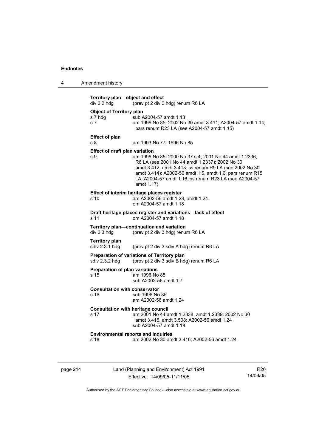| 4 | Amendment history |
|---|-------------------|
|---|-------------------|

|                                                   | (prev pt 2 div 2 hdg) renum R6 LA<br>div 2.2 hdg                                                                                                                                                                                                                                                      |  |  |  |
|---------------------------------------------------|-------------------------------------------------------------------------------------------------------------------------------------------------------------------------------------------------------------------------------------------------------------------------------------------------------|--|--|--|
| <b>Object of Territory plan</b><br>s 7 hdg<br>s 7 | sub A2004-57 amdt 1.13<br>am 1996 No 85; 2002 No 30 amdt 3.411; A2004-57 amdt 1.14;<br>pars renum R23 LA (see A2004-57 amdt 1.15)                                                                                                                                                                     |  |  |  |
| <b>Effect of plan</b><br>s 8                      | am 1993 No 77; 1996 No 85                                                                                                                                                                                                                                                                             |  |  |  |
| <b>Effect of draft plan variation</b><br>s 9      | am 1996 No 85; 2000 No 37 s 4; 2001 No 44 amdt 1.2336;<br>R6 LA (see 2001 No 44 amdt 1.2337); 2002 No 30<br>amdt 3.412, amdt 3.413; ss renum R9 LA (see 2002 No 30<br>amdt 3.414); A2002-56 amdt 1.5, amdt 1.6; pars renum R15<br>LA; A2004-57 amdt 1.16; ss renum R23 LA (see A2004-57<br>amdt 1.17) |  |  |  |
| s 10                                              | Effect of interim heritage places register<br>am A2002-56 amdt 1.23, amdt 1.24<br>om A2004-57 amdt 1.18                                                                                                                                                                                               |  |  |  |
| s 11                                              | Draft heritage places register and variations-lack of effect<br>om A2004-57 amdt 1.18                                                                                                                                                                                                                 |  |  |  |
| div 2.3 hdg                                       | Territory plan-continuation and variation<br>(prev pt 2 div 3 hdg) renum R6 LA                                                                                                                                                                                                                        |  |  |  |
| <b>Territory plan</b><br>sdiv 2.3.1 hdg           | (prev pt 2 div 3 sdiv A hdg) renum R6 LA                                                                                                                                                                                                                                                              |  |  |  |
| sdiv 2.3.2 hdg                                    | Preparation of variations of Territory plan<br>(prev pt 2 div 3 sdiv B hdg) renum R6 LA                                                                                                                                                                                                               |  |  |  |
| Preparation of plan variations<br>s 15            | am 1996 No 85<br>sub A2002-56 amdt 1.7                                                                                                                                                                                                                                                                |  |  |  |
|                                                   |                                                                                                                                                                                                                                                                                                       |  |  |  |
| <b>Consultation with conservator</b><br>s 16      | sub 1996 No 85<br>am A2002-56 amdt 1.24                                                                                                                                                                                                                                                               |  |  |  |
| s 17                                              | <b>Consultation with heritage council</b><br>am 2001 No 44 amdt 1.2338, amdt 1.2339; 2002 No 30<br>amdt 3.415, amdt 3.508; A2002-56 amdt 1.24<br>sub A2004-57 amdt 1.19                                                                                                                               |  |  |  |

page 214 Land (Planning and Environment) Act 1991 Effective: 14/09/05-11/11/05

R26 14/09/05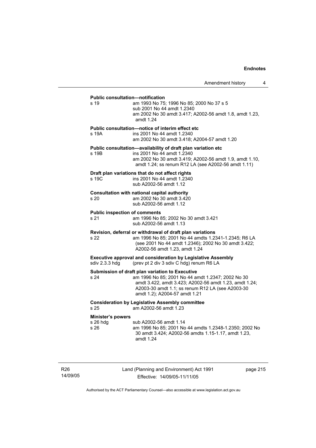# **Public consultation—notification**  s 19 am 1993 No 75; 1996 No 85; 2000 No 37 s 5 sub 2001 No 44 amdt 1.2340 am 2002 No 30 amdt 3.417; A2002-56 amdt 1.8, amdt 1.23, amdt 1.24 **Public consultation—notice of interim effect etc**  s 19A ins 2001 No 44 amdt 1.2340 am 2002 No 30 amdt 3.418; A2004-57 amdt 1.20 **Public consultation—availability of draft plan variation etc**  s 19B ins 2001 No 44 amdt 1.2340 am 2002 No 30 amdt 3.419; A2002-56 amdt 1.9, amdt 1.10, amdt 1.24; ss renum R12 LA (see A2002-56 amdt 1.11) **Draft plan variations that do not affect rights**  s 19C ins 2001 No 44 amdt 1.2340 sub A2002-56 amdt 1.12 **Consultation with national capital authority**  s 20 am 2002 No 30 amdt 3.420 sub A2002-56 amdt 1.12 **Public inspection of comments**  s 21 am 1996 No 85; 2002 No 30 amdt 3.421 sub A2002-56 amdt 1.13 **Revision, deferral or withdrawal of draft plan variations**  s 22 am 1996 No 85; 2001 No 44 amdts 1.2341-1.2345; R6 LA (see 2001 No 44 amdt 1.2346); 2002 No 30 amdt 3.422; A2002-56 amdt 1.23, amdt 1.24 **Executive approval and consideration by Legislative Assembly**  sdiv 2.3.3 hdg (prev pt 2 div 3 sdiv C hdg) renum R6 LA **Submission of draft plan variation to Executive**  s 24 am 1996 No 85; 2001 No 44 amdt 1.2347; 2002 No 30 A2003-30 amdt 1.1; ss renum R12 LA (see A2003-30 amdt 1.2); A2004-57 amdt 1.21 **Consideration by Legislative Assembly committee**  s 25 am A2002-56 amdt 1.23 **Minister's powers**  s 26 hdg sub A2002-56 amdt 1.14

amdt 3.422, amdt 3.423; A2002-56 amdt 1.23, amdt 1.24;

s 26 am 1996 No 85; 2001 No 44 amdts 1.2348-1.2350; 2002 No 30 amdt 3.424; A2002-56 amdts 1.15-1.17, amdt 1.23, amdt 1.24

R26 14/09/05 Land (Planning and Environment) Act 1991 Effective: 14/09/05-11/11/05

page 215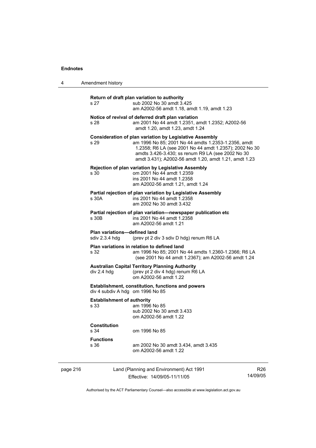4 American history of  $\overline{4}$ 

| 4        | Amendment history                                                                            |                                                                                                                                                                                                                                                                                               |                             |  |
|----------|----------------------------------------------------------------------------------------------|-----------------------------------------------------------------------------------------------------------------------------------------------------------------------------------------------------------------------------------------------------------------------------------------------|-----------------------------|--|
|          | s 27                                                                                         | Return of draft plan variation to authority<br>sub 2002 No 30 amdt 3.425<br>am A2002-56 amdt 1.18, amdt 1.19, amdt 1.23                                                                                                                                                                       |                             |  |
|          | s 28                                                                                         | Notice of revival of deferred draft plan variation<br>am 2001 No 44 amdt 1.2351, amdt 1.2352; A2002-56<br>amdt 1.20, amdt 1.23, amdt 1.24                                                                                                                                                     |                             |  |
|          | s 29                                                                                         | <b>Consideration of plan variation by Legislative Assembly</b><br>am 1996 No 85; 2001 No 44 amdts 1.2353-1.2356, amdt<br>1.2358; R6 LA (see 2001 No 44 amdt 1.2357); 2002 No 30<br>amdts 3.426-3.430; ss renum R9 LA (see 2002 No 30<br>amdt 3.431); A2002-56 amdt 1.20, amdt 1.21, amdt 1.23 |                             |  |
|          | s 30                                                                                         | <b>Rejection of plan variation by Legislative Assembly</b><br>om 2001 No 44 amdt 1.2359<br>ins 2001 No 44 amdt 1.2358<br>am A2002-56 amdt 1.21, amdt 1.24                                                                                                                                     |                             |  |
|          | s 30A                                                                                        | Partial rejection of plan variation by Legislative Assembly<br>ins 2001 No 44 amdt 1.2358<br>am 2002 No 30 amdt 3.432                                                                                                                                                                         |                             |  |
|          | s 30B                                                                                        | Partial rejection of plan variation—newspaper publication etc<br>ins 2001 No 44 amdt 1.2358<br>am A2002-56 amdt 1.21                                                                                                                                                                          |                             |  |
|          | <b>Plan variations-defined land</b><br>sdiv 2.3.4 hdg                                        | (prev pt 2 div 3 sdiv D hdg) renum R6 LA                                                                                                                                                                                                                                                      |                             |  |
|          | s 32                                                                                         | Plan variations in relation to defined land<br>am 1996 No 85; 2001 No 44 amdts 1.2360-1.2366; R6 LA<br>(see 2001 No 44 amdt 1.2367); am A2002-56 amdt 1.24                                                                                                                                    |                             |  |
|          | div 2.4 hdq                                                                                  | <b>Australian Capital Territory Planning Authority</b><br>(prev pt 2 div 4 hdg) renum R6 LA<br>om A2002-56 amdt 1.22                                                                                                                                                                          |                             |  |
|          | <b>Establishment, constitution, functions and powers</b><br>div 4 subdiv A hdg om 1996 No 85 |                                                                                                                                                                                                                                                                                               |                             |  |
|          | <b>Establishment of authority</b><br>s 33                                                    | am 1996 No 85<br>sub 2002 No 30 amdt 3.433<br>om A2002-56 amdt 1.22                                                                                                                                                                                                                           |                             |  |
|          | <b>Constitution</b><br>s 34                                                                  | om 1996 No 85                                                                                                                                                                                                                                                                                 |                             |  |
|          | <b>Functions</b><br>s 36                                                                     | am 2002 No 30 amdt 3.434, amdt 3.435<br>om A2002-56 amdt 1.22                                                                                                                                                                                                                                 |                             |  |
| page 216 |                                                                                              | Land (Planning and Environment) Act 1991<br>Effective: 14/09/05-11/11/05                                                                                                                                                                                                                      | R <sub>26</sub><br>14/09/05 |  |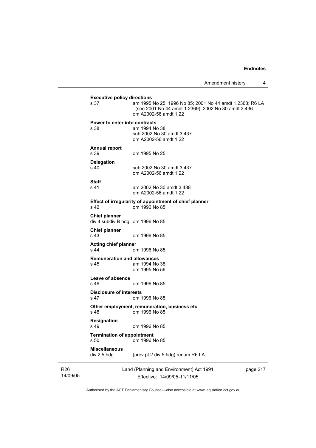| <b>Executive policy directions</b>         |                                                                                                                                          |  |
|--------------------------------------------|------------------------------------------------------------------------------------------------------------------------------------------|--|
| s 37                                       | am 1995 No 25; 1996 No 85; 2001 No 44 amdt 1.2368; R6 LA<br>(see 2001 No 44 amdt 1.2369); 2002 No 30 amdt 3.436<br>om A2002-56 amdt 1.22 |  |
| Power to enter into contracts              |                                                                                                                                          |  |
| s 38                                       | am 1994 No 38                                                                                                                            |  |
|                                            | sub 2002 No 30 amdt 3.437<br>om A2002-56 amdt 1.22                                                                                       |  |
| <b>Annual report</b>                       |                                                                                                                                          |  |
| s 39                                       | om 1995 No 25                                                                                                                            |  |
| <b>Delegation</b>                          |                                                                                                                                          |  |
| s 40                                       | sub 2002 No 30 amdt 3.437                                                                                                                |  |
|                                            | om A2002-56 amdt 1.22                                                                                                                    |  |
| <b>Staff</b>                               |                                                                                                                                          |  |
| s 41                                       | am 2002 No 30 amdt 3.438<br>om A2002-56 amdt 1.22                                                                                        |  |
|                                            | Effect of irregularity of appointment of chief planner                                                                                   |  |
| s <sub>42</sub>                            | om 1996 No 85                                                                                                                            |  |
| <b>Chief planner</b>                       |                                                                                                                                          |  |
| div 4 subdiv B hdg om 1996 No 85           |                                                                                                                                          |  |
| <b>Chief planner</b>                       |                                                                                                                                          |  |
| s 43                                       | om 1996 No 85                                                                                                                            |  |
| <b>Acting chief planner</b>                |                                                                                                                                          |  |
| s 44                                       | om 1996 No 85                                                                                                                            |  |
| <b>Remuneration and allowances</b><br>s 45 | am 1994 No 38                                                                                                                            |  |
|                                            | om 1995 No 56                                                                                                                            |  |
| Leave of absence                           |                                                                                                                                          |  |
| s 46                                       | om 1996 No 85                                                                                                                            |  |
| <b>Disclosure of interests</b>             |                                                                                                                                          |  |
| s 47                                       | om 1996 No 85                                                                                                                            |  |
| s 48                                       | Other employment, remuneration, business etc<br>om 1996 No 85                                                                            |  |
| Resignation                                |                                                                                                                                          |  |
| s 49                                       | om 1996 No 85                                                                                                                            |  |
| <b>Termination of appointment</b>          |                                                                                                                                          |  |
| s 50                                       | om 1996 No 85                                                                                                                            |  |
| <b>Miscellaneous</b><br>div 2.5 hdg        | (prev pt 2 div 5 hdg) renum R6 LA                                                                                                        |  |
|                                            |                                                                                                                                          |  |
|                                            | Land (Planning and Environment) Act 1991<br>page 217                                                                                     |  |
|                                            | Effective: 14/09/05-11/11/05                                                                                                             |  |

Authorised by the ACT Parliamentary Counsel—also accessible at www.legislation.act.gov.au

R26 14/09/05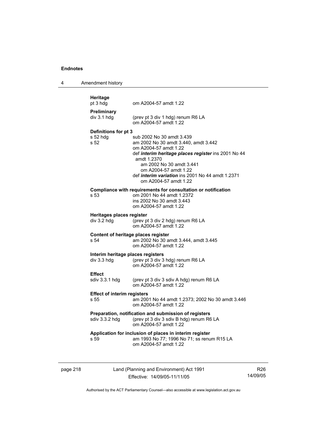| 4 | Amendment history                                |                                                                                                                                                                                                                                                                                                           |
|---|--------------------------------------------------|-----------------------------------------------------------------------------------------------------------------------------------------------------------------------------------------------------------------------------------------------------------------------------------------------------------|
|   | Heritage<br>pt 3 hdg                             | om A2004-57 amdt 1.22                                                                                                                                                                                                                                                                                     |
|   | Preliminary<br>div 3.1 hdg                       | (prev pt 3 div 1 hdg) renum R6 LA<br>om A2004-57 amdt 1.22                                                                                                                                                                                                                                                |
|   | Definitions for pt 3<br>s 52 hdg<br>s 52         | sub 2002 No 30 amdt 3.439<br>am 2002 No 30 amdt 3.440, amdt 3.442<br>om A2004-57 amdt 1.22<br>def interim heritage places register ins 2001 No 44<br>amdt 1.2370<br>am 2002 No 30 amdt 3.441<br>om A2004-57 amdt 1.22<br>def <i>interim variation</i> ins 2001 No 44 amdt 1.2371<br>om A2004-57 amdt 1.22 |
|   | s 53                                             | Compliance with requirements for consultation or notification<br>om 2001 No 44 amdt 1.2372<br>ins 2002 No 30 amdt 3.443<br>om A2004-57 amdt 1.22                                                                                                                                                          |
|   | Heritages places register<br>$div$ 3.2 hdg       | (prev pt 3 div 2 hdg) renum R6 LA<br>om A2004-57 amdt 1.22                                                                                                                                                                                                                                                |
|   | Content of heritage places register<br>s 54      | am 2002 No 30 amdt 3.444, amdt 3.445<br>om A2004-57 amdt 1.22                                                                                                                                                                                                                                             |
|   | Interim heritage places registers<br>div 3.3 hdg | (prev pt 3 div 3 hdg) renum R6 LA<br>om A2004-57 amdt 1.22                                                                                                                                                                                                                                                |
|   | <b>Effect</b><br>sdiv 3.3.1 hdg                  | (prev pt 3 div 3 sdiv A hdg) renum R6 LA<br>om A2004-57 amdt 1.22                                                                                                                                                                                                                                         |
|   | <b>Effect of interim registers</b><br>s 55       | am 2001 No 44 amdt 1.2373; 2002 No 30 amdt 3.446<br>om A2004-57 amdt 1.22                                                                                                                                                                                                                                 |
|   |                                                  | Preparation, notification and submission of registers<br>sdiv 3.3.2 hdg (prev pt 3 div 3 sdiv B hdg) renum R6 LA<br>om A2004-57 amdt 1.22                                                                                                                                                                 |
|   | s 59                                             | Application for inclusion of places in interim register<br>am 1993 No 77; 1996 No 71; ss renum R15 LA<br>om A2004-57 amdt 1.22                                                                                                                                                                            |

page 218 Land (Planning and Environment) Act 1991 Effective: 14/09/05-11/11/05

R26 14/09/05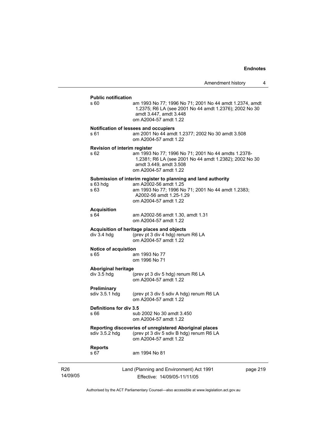#### **Public notification**

|                              | s 60                                      | am 1993 No 77; 1996 No 71; 2001 No 44 amdt 1.2374, amdt<br>1.2375; R6 LA (see 2001 No 44 amdt 1.2376); 2002 No 30<br>amdt 3.447, amdt 3.448<br>om A2004-57 amdt 1.22                             |          |
|------------------------------|-------------------------------------------|--------------------------------------------------------------------------------------------------------------------------------------------------------------------------------------------------|----------|
|                              | s 61                                      | Notification of lessees and occupiers<br>am 2001 No 44 amdt 1.2377; 2002 No 30 amdt 3.508<br>om A2004-57 amdt 1.22                                                                               |          |
|                              | Revision of interim register<br>s 62      | am 1993 No 77; 1996 No 71; 2001 No 44 amdts 1.2378-<br>1.2381; R6 LA (see 2001 No 44 amdt 1.2382); 2002 No 30<br>amdt 3.449, amdt 3.508<br>om A2004-57 amdt 1.22                                 |          |
|                              | $s$ 63 hdg<br>s 63                        | Submission of interim register to planning and land authority<br>am A2002-56 amdt 1.25<br>am 1993 No 77; 1996 No 71; 2001 No 44 amdt 1.2383;<br>A2002-56 amdt 1.25-1.29<br>om A2004-57 amdt 1.22 |          |
|                              | <b>Acquisition</b><br>s 64                | am A2002-56 amdt 1.30, amdt 1.31<br>om A2004-57 amdt 1.22                                                                                                                                        |          |
|                              | $div$ 3.4 hdg                             | Acquisition of heritage places and objects<br>(prev pt 3 div 4 hdg) renum R6 LA<br>om A2004-57 amdt 1.22                                                                                         |          |
| Notice of acquistion<br>s 65 |                                           | am 1993 No 77<br>om 1996 No 71                                                                                                                                                                   |          |
|                              | <b>Aboriginal heritage</b><br>div 3.5 hdg | (prev pt 3 div 5 hdg) renum R6 LA<br>om A2004-57 amdt 1.22                                                                                                                                       |          |
|                              | Preliminary<br>sdiv 3.5.1 hdg             | (prev pt 3 div 5 sdiv A hdg) renum R6 LA<br>om A2004-57 amdt 1.22                                                                                                                                |          |
|                              | Definitions for div 3.5<br>s 66           | sub 2002 No 30 amdt 3.450<br>om A2004-57 amdt 1.22                                                                                                                                               |          |
|                              | sdiv $3.5.2$ hdg                          | Reporting discoveries of unregistered Aboriginal places<br>(prev pt 3 div 5 sdiv B hdg) renum R6 LA<br>om A2004-57 amdt 1.22                                                                     |          |
|                              | <b>Reports</b><br>s 67                    | am 1994 No 81                                                                                                                                                                                    |          |
| R <sub>26</sub><br>14/09/05  |                                           | Land (Planning and Environment) Act 1991<br>Effective: 14/09/05-11/11/05                                                                                                                         | page 219 |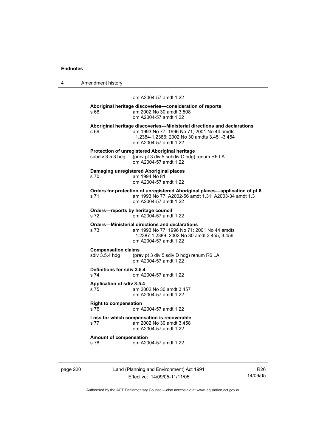| 4 | Amendment history |
|---|-------------------|
|---|-------------------|

#### om A2004-57 amdt 1.22

#### **Aboriginal heritage discoveries—consideration of reports**  s 68 am 2002 No 30 amdt 3.508 om A2004-57 amdt 1.22

**Aboriginal heritage discoveries—Ministerial directions and declarations**  s 69 am 1993 No 77; 1996 No 71; 2001 No 44 amdts 1.2384-1.2386; 2002 No 30 amdts 3.451-3.454 om A2004-57 amdt 1.22 **Protection of unregistered Aboriginal heritage**  subdiv 3.5.3 hdg (prev pt 3 div 5 subdiv C hdg) renum R6 LA om A2004-57 amdt 1.22 **Damaging unregistered Aboriginal places**  s 70 am 1994 No 81 om A2004-57 amdt 1.22 **Orders for protection of unregistered Aboriginal places—application of pt 6**  s 71 am 1993 No 77; A2002-56 amdt 1.31; A2003-34 amdt 1.3 om A2004-57 amdt 1.22 **Orders—reports by heritage council**  s 72 om A2004-57 amdt 1.22 **Orders—Ministerial directions and declarations**  am 1993 No 77; 1996 No 71; 2001 No 44 amdts 1.2387-1.2389; 2002 No 30 amdt 3.455, 3.456 om A2004-57 amdt 1.22 **Compensation claims**  sdiv 3.5.4 hdg (prev pt 3 div 5 sdiv D hdg) renum R6 LA om A2004-57 amdt 1.22 **Definitions for sdiv 3.5.4**  s 74 om A2004-57 amdt 1.22 **Application of sdiv 3.5.4**  s 75 am 2002 No 30 amdt 3.457 om A2004-57 amdt 1.22 **Right to compensation**  s 76 om A2004-57 amdt 1.22 **Loss for which compensation is recoverable**  s 77 am 2002 No 30 amdt 3.458 om A2004-57 amdt 1.22 **Amount of compensation**  s 78 om A2004-57 amdt 1.22

page 220 Land (Planning and Environment) Act 1991 Effective: 14/09/05-11/11/05

R26 14/09/05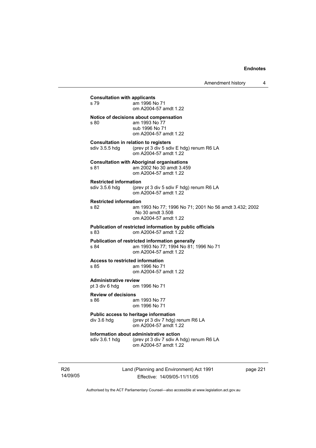| <b>Consultation with applicants</b><br>s 79                  | am 1996 No 71<br>om A2004-57 amdt 1.22                                                                                           |
|--------------------------------------------------------------|----------------------------------------------------------------------------------------------------------------------------------|
| s 80                                                         | Notice of decisions about compensation<br>am 1993 No 77<br>sub 1996 No 71<br>om A2004-57 amdt 1.22                               |
|                                                              | <b>Consultation in relation to registers</b><br>sdiv 3.5.5 hdg (prev pt 3 div 5 sdiv E hdg) renum R6 LA<br>om A2004-57 amdt 1.22 |
| s 81                                                         | <b>Consultation with Aboriginal organisations</b><br>am 2002 No 30 amdt 3.459<br>om A2004-57 amdt 1.22                           |
| <b>Restricted information</b><br>sdiv 3.5.6 hdg              | (prev pt 3 div 5 sdiv F hdg) renum R6 LA<br>om A2004-57 amdt 1.22                                                                |
| <b>Restricted information</b><br>s 82                        | am 1993 No 77; 1996 No 71; 2001 No 56 amdt 3.432; 2002<br>No 30 amdt 3.508<br>om A2004-57 amdt 1.22                              |
| s 83                                                         | Publication of restricted information by public officials<br>om A2004-57 amdt 1.22                                               |
| s 84                                                         | Publication of restricted information generally<br>am 1993 No 77; 1994 No 81; 1996 No 71<br>om A2004-57 amdt 1.22                |
| <b>Access to restricted information</b><br>s 85              | am 1996 No 71<br>om A2004-57 amdt 1.22                                                                                           |
| <b>Administrative review</b><br>pt 3 div 6 hdg om 1996 No 71 |                                                                                                                                  |
| <b>Review of decisions</b><br>s 86                           | am 1993 No 77<br>om 1996 No 71                                                                                                   |
| div 3.6 hdg                                                  | Public access to heritage information<br>(prev pt 3 div 7 hdg) renum R6 LA<br>om A2004-57 amdt 1.22                              |
| sdiv 3.6.1 hdg                                               | Information about administrative action<br>(prev pt 3 div 7 sdiv A hdg) renum R6 LA<br>om A2004-57 amdt 1.22                     |
|                                                              |                                                                                                                                  |

R26 14/09/05 Land (Planning and Environment) Act 1991 Effective: 14/09/05-11/11/05

page 221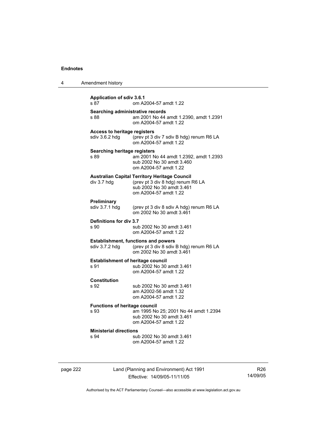| 4 | Amendment history                                     |                                                                                                                                                 |
|---|-------------------------------------------------------|-------------------------------------------------------------------------------------------------------------------------------------------------|
|   | <b>Application of sdiv 3.6.1</b><br>s 87              | om A2004-57 amdt 1.22                                                                                                                           |
|   | Searching administrative records<br>s 88              | am 2001 No 44 amdt 1.2390, amdt 1.2391<br>om A2004-57 amdt 1.22                                                                                 |
|   | <b>Access to heritage registers</b><br>sdiv 3.6.2 hdg | (prev pt 3 div 7 sdiv B hdg) renum R6 LA<br>om A2004-57 amdt 1.22                                                                               |
|   | Searching heritage registers<br>s 89                  | am 2001 No 44 amdt 1.2392, amdt 1.2393<br>sub 2002 No 30 amdt 3.460<br>om A2004-57 amdt 1.22                                                    |
|   | div 3.7 hdg                                           | <b>Australian Capital Territory Heritage Council</b><br>(prev pt 3 div 8 hdg) renum R6 LA<br>sub 2002 No 30 amdt 3.461<br>om A2004-57 amdt 1.22 |
|   | <b>Preliminary</b><br>sdiv 3.7.1 hdg                  | (prev pt 3 div 8 sdiv A hdg) renum R6 LA<br>om 2002 No 30 amdt 3.461                                                                            |
|   | Definitions for div 3.7<br>s 90                       | sub 2002 No 30 amdt 3.461<br>om A2004-57 amdt 1.22                                                                                              |
|   | sdiv 3.7.2 hdg                                        | <b>Establishment, functions and powers</b><br>(prev pt 3 div 8 sdiv B hdg) renum R6 LA<br>om 2002 No 30 amdt 3.461                              |
|   | <b>Establishment of heritage council</b><br>s 91      | sub 2002 No 30 amdt 3.461<br>om A2004-57 amdt 1.22                                                                                              |
|   | <b>Constitution</b><br>s 92                           | sub 2002 No 30 amdt 3.461<br>am A2002-56 amdt 1.32<br>om A2004-57 amdt 1.22                                                                     |
|   | <b>Functions of heritage council</b><br>s 93          | am 1995 No 25; 2001 No 44 amdt 1.2394<br>sub 2002 No 30 amdt 3.461<br>om A2004-57 amdt 1.22                                                     |
|   | <b>Ministerial directions</b><br>s 94                 | sub 2002 No 30 amdt 3.461<br>om A2004-57 amdt 1.22                                                                                              |

page 222 Land (Planning and Environment) Act 1991 Effective: 14/09/05-11/11/05

R26 14/09/05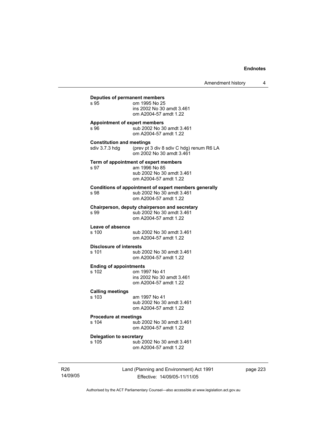| Deputies of permanent members<br>s 95             | om 1995 No 25<br>ins 2002 No 30 amdt 3.461<br>om A2004-57 amdt 1.22                                          |
|---------------------------------------------------|--------------------------------------------------------------------------------------------------------------|
| <b>Appointment of expert members</b><br>s 96      | sub 2002 No 30 amdt 3.461<br>om A2004-57 amdt 1.22                                                           |
| <b>Constitution and meetings</b>                  | sdiv 3.7.3 hdg (prev pt 3 div 8 sdiv C hdg) renum R6 LA<br>om 2002 No 30 amdt 3.461                          |
| s 97                                              | Term of appointment of expert members<br>am 1996 No 85<br>sub 2002 No 30 amdt 3.461<br>om A2004-57 amdt 1.22 |
| s 98                                              | Conditions of appointment of expert members generally<br>sub 2002 No 30 amdt 3.461<br>om A2004-57 amdt 1.22  |
| s 99                                              | Chairperson, deputy chairperson and secretary<br>sub 2002 No 30 amdt 3.461<br>om A2004-57 amdt 1.22          |
| Leave of absence<br>s 100                         | sub 2002 No 30 amdt 3.461<br>om A2004-57 amdt 1.22                                                           |
| <b>Disclosure of interests</b><br>s 101           | sub 2002 No 30 amdt 3.461<br>om A2004-57 amdt 1.22                                                           |
| <b>Ending of appointments</b><br>s <sub>102</sub> | om 1997 No 41<br>ins 2002 No 30 amdt 3.461<br>om A2004-57 amdt 1.22                                          |
| <b>Calling meetings</b><br>s 103                  | am 1997 No 41<br>sub 2002 No 30 amdt 3.461<br>om A2004-57 amdt 1.22                                          |
| <b>Procedure at meetings</b><br>s 104             | sub 2002 No 30 amdt 3.461<br>om A2004-57 amdt 1.22                                                           |
| <b>Delegation to secretary</b><br>s 105           | sub 2002 No 30 amdt 3.461<br>om A2004-57 amdt 1.22                                                           |

R26 14/09/05 Land (Planning and Environment) Act 1991 Effective: 14/09/05-11/11/05

page 223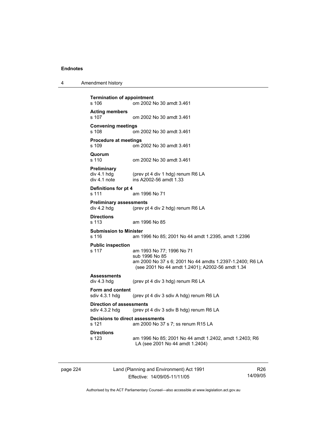4 Amendment history

```
Termination of appointment 
s 106 om 2002 No 30 amdt 3.461 
Acting members 
s 107 om 2002 No 30 amdt 3.461 
Convening meetings 
s 108 om 2002 No 30 amdt 3.461 
Procedure at meetings 
s 109 om 2002 No 30 amdt 3.461 
Quorum 
                 om 2002 No 30 amdt 3.461
Preliminary 
div 4.1 hdg (prev pt 4 div 1 hdg) renum R6 LA<br>div 4.1 note ins A2002-56 amdt 1.33
                 ins A2002-56 amdt 1.33
Definitions for pt 4 
s 111 am 1996 No 71 
Preliminary assessments<br>div 4.2 hdg (prev pt
                 (prev pt 4 div 2 hdg) renum R6 LA
Directions 
s 113 am 1996 No 85 
Submission to Minister 
s 116 am 1996 No 85; 2001 No 44 amdt 1.2395, amdt 1.2396 
Public inspection 
s 117 am 1993 No 77; 1996 No 71 
                  sub 1996 No 85 
                  am 2000 No 37 s 6; 2001 No 44 amdts 1.2397-1.2400; R6 LA 
                  (see 2001 No 44 amdt 1.2401); A2002-56 amdt 1.34 
Assessments 
div 4.3 hdg (prev pt 4 div 3 hdg) renum R6 LA 
Form and content 
sdiv 4.3.1 hdg (prev pt 4 div 3 sdiv A hdg) renum R6 LA 
Direction of assessments 
sdiv 4.3.2 hdg (prev pt 4 div 3 sdiv B hdg) renum R6 LA 
Decisions to direct assessments 
s 121 am 2000 No 37 s 7; ss renum R15 LA 
Directions 
s 123 am 1996 No 85; 2001 No 44 amdt 1.2402, amdt 1.2403; R6 
                  LA (see 2001 No 44 amdt 1.2404)
```
page 224 Land (Planning and Environment) Act 1991 Effective: 14/09/05-11/11/05

R26 14/09/05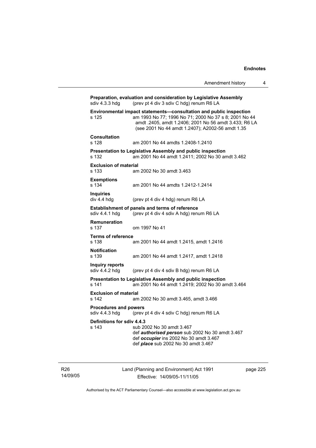|                                                | Amendment history                                                                                                                                                                                                                        | 4 |
|------------------------------------------------|------------------------------------------------------------------------------------------------------------------------------------------------------------------------------------------------------------------------------------------|---|
| sdiv 4.3.3 hdg                                 | Preparation, evaluation and consideration by Legislative Assembly<br>(prev pt 4 div 3 sdiv C hdg) renum R6 LA                                                                                                                            |   |
| s 125                                          | Environmental impact statements-consultation and public inspection<br>am 1993 No 77; 1996 No 71; 2000 No 37 s 8; 2001 No 44<br>amdt .2405, amdt 1.2406; 2001 No 56 amdt 3.433; R6 LA<br>(see 2001 No 44 amdt 1.2407); A2002-56 amdt 1.35 |   |
| <b>Consultation</b><br>s 128                   | am 2001 No 44 amdts 1.2408-1.2410                                                                                                                                                                                                        |   |
| s 132                                          | Presentation to Legislative Assembly and public inspection<br>am 2001 No 44 amdt 1.2411; 2002 No 30 amdt 3.462                                                                                                                           |   |
| <b>Exclusion of material</b><br>s 133          | am 2002 No 30 amdt 3.463                                                                                                                                                                                                                 |   |
| <b>Exemptions</b><br>s 134                     | am 2001 No 44 amdts 1.2412-1.2414                                                                                                                                                                                                        |   |
| <b>Inquiries</b><br>div 4.4 hdg                | (prev pt 4 div 4 hdg) renum R6 LA                                                                                                                                                                                                        |   |
| sdiv 4.4.1 hdg                                 | Establishment of panels and terms of reference<br>(prev pt 4 div 4 sdiv A hdg) renum R6 LA                                                                                                                                               |   |
| <b>Remuneration</b><br>s 137                   | om 1997 No 41                                                                                                                                                                                                                            |   |
| <b>Terms of reference</b><br>s 138             | am 2001 No 44 amdt 1.2415, amdt 1.2416                                                                                                                                                                                                   |   |
| <b>Notification</b><br>s 139                   | am 2001 No 44 amdt 1.2417, amdt 1.2418                                                                                                                                                                                                   |   |
| Inquiry reports<br>sdiv 4.4.2 hdg              | (prev pt 4 div 4 sdiv B hdg) renum R6 LA                                                                                                                                                                                                 |   |
| s 141                                          | Presentation to Legislative Assembly and public inspection<br>am 2001 No 44 amdt 1.2419; 2002 No 30 amdt 3.464                                                                                                                           |   |
| <b>Exclusion of material</b><br>s 142          | am 2002 No 30 amdt 3.465, amdt 3.466                                                                                                                                                                                                     |   |
| <b>Procedures and powers</b><br>sdiv 4.4.3 hdg | (prev pt 4 div 4 sdiv C hdg) renum R6 LA                                                                                                                                                                                                 |   |
| Definitions for sdiv 4.4.3<br>s 143            | sub 2002 No 30 amdt 3.467<br>def authorised person sub 2002 No 30 amdt 3.467<br>def occupier ins 2002 No 30 amdt 3.467<br>def <i>place</i> sub 2002 No 30 amdt 3.467                                                                     |   |

R26 14/09/05 Land (Planning and Environment) Act 1991 Effective: 14/09/05-11/11/05

page 225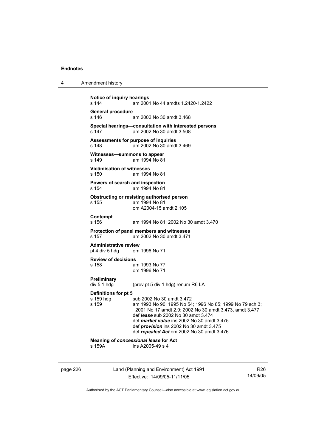| 4 | Amendment history |
|---|-------------------|
|---|-------------------|

```
Notice of inquiry hearings 
s 144 am 2001 No 44 amdts 1.2420-1.2422 
General procedure 
                 am 2002 No 30 amdt 3.468
Special hearings—consultation with interested persons 
s 147 am 2002 No 30 amdt 3.508 
Assessments for purpose of inquiries 
s 148 am 2002 No 30 amdt 3.469 
Witnesses—summons to appear<br>s 149 am 1994 No 81
                 am 1994 No 81
Victimisation of witnesses 
s 150 am 1994 No 81 
Powers of search and inspection 
s 154 am 1994 No 81 
Obstructing or resisting authorised person 
s 155 am 1994 No 81 
                  om A2004-15 amdt 2.105 
Contempt 
s 156 am 1994 No 81; 2002 No 30 amdt 3.470 
Protection of panel members and witnesses 
                 am 2002 No 30 amdt 3.471
Administrative review 
pt 4 div 5 hdg om 1996 No 71 
Review of decisions 
                 am 1993 No 77
                  om 1996 No 71 
Preliminary 
div 5.1 hdg (prev pt 5 div 1 hdg) renum R6 LA 
Definitions for pt 5 
s 159 hdg sub 2002 No 30 amdt 3.472
s 159 am 1993 No 90; 1995 No 54; 1996 No 85; 1999 No 79 sch 3; 
                  2001 No 17 amdt 2.9; 2002 No 30 amdt 3.473, amdt 3.477 
                  def lease sub 2002 No 30 amdt 3.474 
                  def market value ins 2002 No 30 amdt 3.475 
                  def provision ins 2002 No 30 amdt 3.475 
                  def repealed Act om 2002 No 30 amdt 3.476 
Meaning of concessional lease for Act 
s 159A ins A2005-49 s 4
```
page 226 Land (Planning and Environment) Act 1991 Effective: 14/09/05-11/11/05

R26 14/09/05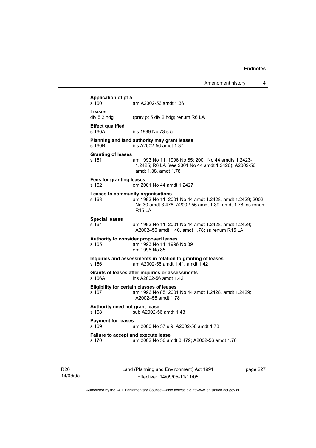| s 160                                    | am A2002-56 amdt 1.36                                                                                                                                                       |
|------------------------------------------|-----------------------------------------------------------------------------------------------------------------------------------------------------------------------------|
| Leases<br>div 5.2 hdg                    | (prev pt 5 div 2 hdg) renum R6 LA                                                                                                                                           |
| <b>Effect qualified</b><br>$s$ 160 $A$   | ins 1999 No 73 s 5                                                                                                                                                          |
| s 160 <sub>B</sub>                       | Planning and land authority may grant leases<br>ins A2002-56 amdt 1.37                                                                                                      |
| <b>Granting of leases</b><br>s 161       | am 1993 No 11; 1996 No 85; 2001 No 44 amdts 1.2423-<br>1.2425; R6 LA (see 2001 No 44 amdt 1.2426); A2002-56<br>amdt 1.38, amdt 1.78                                         |
| <b>Fees for granting leases</b><br>s 162 | om 2001 No 44 amdt 1.2427                                                                                                                                                   |
| s 163                                    | Leases to community organisations<br>am 1993 No 11; 2001 No 44 amdt 1.2428, amdt 1.2429; 2002<br>No 30 amdt 3.478; A2002-56 amdt 1.39, amdt 1.78; ss renum<br><b>R15 LA</b> |
| <b>Special leases</b><br>s 164           | am 1993 No 11; 2001 No 44 amdt 1.2428, amdt 1.2429;<br>A2002-56 amdt 1.40, amdt 1.78; ss renum R15 LA                                                                       |
| s 165                                    | Authority to consider proposed leases<br>am 1993 No 11; 1996 No 39<br>om 1996 No 85                                                                                         |
| s 166                                    | Inquiries and assessments in relation to granting of leases<br>am A2002-56 amdt 1.41, amdt 1.42                                                                             |
| s 166A                                   | Grants of leases after inquiries or assessments<br>ins A2002-56 amdt 1.42                                                                                                   |
| s 167                                    | Eligibility for certain classes of leases<br>am 1996 No 85; 2001 No 44 amdt 1.2428, amdt 1.2429;<br>A2002-56 amdt 1.78                                                      |
| Authority need not grant lease<br>s 168  | sub A2002-56 amdt 1.43                                                                                                                                                      |
| <b>Payment for leases</b><br>s 169       | am 2000 No 37 s 9; A2002-56 amdt 1.78                                                                                                                                       |
| s 170                                    | Failure to accept and execute lease<br>am 2002 No 30 amdt 3.479; A2002-56 amdt 1.78                                                                                         |

R26 14/09/05 Land (Planning and Environment) Act 1991 Effective: 14/09/05-11/11/05

page 227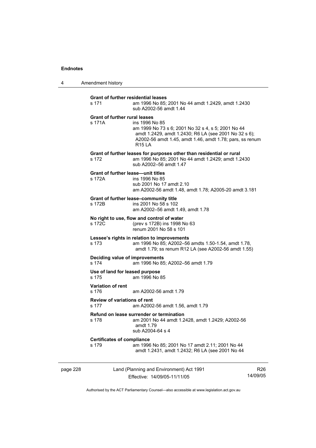4 Amendment history

| page 228 |                                                     | Land (Planning and Environment) Act 1991                                                                                                                                                           | R2 |
|----------|-----------------------------------------------------|----------------------------------------------------------------------------------------------------------------------------------------------------------------------------------------------------|----|
|          | <b>Certificates of compliance</b><br>s 179          | am 1996 No 85; 2001 No 17 amdt 2.11; 2001 No 44<br>amdt 1.2431, amdt 1.2432; R6 LA (see 2001 No 44                                                                                                 |    |
|          | s 178                                               | Refund on lease surrender or termination<br>am 2001 No 44 amdt 1.2428, amdt 1.2429; A2002-56<br>amdt 1.79<br>sub A2004-64 s 4                                                                      |    |
|          | <b>Review of variations of rent</b><br>s 177        | am A2002-56 amdt 1.56, amdt 1.79                                                                                                                                                                   |    |
|          | <b>Variation of rent</b><br>s 176                   | am A2002-56 amdt 1.79                                                                                                                                                                              |    |
|          | Use of land for leased purpose<br>s 175             | am 1996 No 85                                                                                                                                                                                      |    |
|          | Deciding value of improvements<br>s 174             | am 1996 No 85; A2002-56 amdt 1.79                                                                                                                                                                  |    |
|          | s 173                                               | Lessee's rights in relation to improvements<br>am 1996 No 85; A2002-56 amdts 1.50-1.54, amdt 1.78,<br>amdt 1.79; ss renum R12 LA (see A2002-56 amdt 1.55)                                          |    |
|          | s 172C                                              | No right to use, flow and control of water<br>(prev s 172B) ins 1998 No 63<br>renum 2001 No 58 s 101                                                                                               |    |
|          | s 172B                                              | Grant of further lease-community title<br>ins 2001 No 58 s 102<br>am A2002-56 amdt 1.49, amdt 1.78                                                                                                 |    |
|          | <b>Grant of further lease—unit titles</b><br>s 172A | ins 1996 No 85<br>sub 2001 No 17 amdt 2.10<br>am A2002-56 amdt 1.48, amdt 1.78; A2005-20 amdt 3.181                                                                                                |    |
|          | s 172                                               | Grant of further leases for purposes other than residential or rural<br>am 1996 No 85; 2001 No 44 amdt 1.2429; amdt 1.2430<br>sub A2002-56 amdt 1.47                                               |    |
|          | <b>Grant of further rural leases</b><br>s 171A      | ins 1996 No 85<br>am 1999 No 73 s 6; 2001 No 32 s 4, s 5; 2001 No 44<br>amdt 1.2429, amdt 1.2430; R6 LA (see 2001 No 32 s 6);<br>A2002-56 amdt 1.45, amdt 1.46, amdt 1.78; pars, ss renum<br>R15IA |    |
|          | <b>Grant of further residential leases</b><br>s 171 | am 1996 No 85; 2001 No 44 amdt 1.2429, amdt 1.2430<br>sub A2002-56 amdt 1.44                                                                                                                       |    |
|          |                                                     |                                                                                                                                                                                                    |    |

Effective: 14/09/05-11/11/05

R26 14/09/05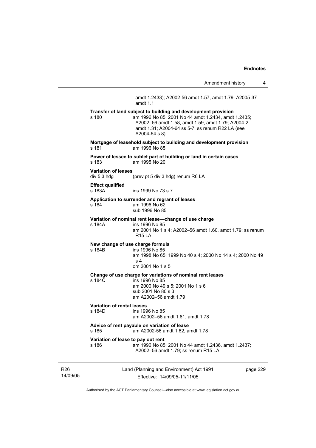$\overline{4}$ 

|                                             | Amendment history                                                                                                                                                                                                                               | 4 |
|---------------------------------------------|-------------------------------------------------------------------------------------------------------------------------------------------------------------------------------------------------------------------------------------------------|---|
|                                             | amdt 1.2433); A2002-56 amdt 1.57, amdt 1.79; A2005-37<br>amdt $1.1$                                                                                                                                                                             |   |
| s 180                                       | Transfer of land subject to building and development provision<br>am 1996 No 85; 2001 No 44 amdt 1.2434, amdt 1.2435;<br>A2002-56 amdt 1.58, amdt 1.59, amdt 1.79; A2004-2<br>amdt 1.31; A2004-64 ss 5-7; ss renum R22 LA (see<br>A2004-64 s 8) |   |
| s 181                                       | Mortgage of leasehold subject to building and development provision<br>am 1996 No 85                                                                                                                                                            |   |
| s 183                                       | Power of lessee to sublet part of building or land in certain cases<br>am 1995 No 20                                                                                                                                                            |   |
| Variation of leases<br>div 5.3 hdg          | (prev pt 5 div 3 hdg) renum R6 LA                                                                                                                                                                                                               |   |
| Effect qualified<br>s 183A                  | ins 1999 No 73 s 7                                                                                                                                                                                                                              |   |
| s 184                                       | Application to surrender and regrant of leases<br>am 1996 No 62<br>sub 1996 No 85                                                                                                                                                               |   |
| s 184A                                      | Variation of nominal rent lease-change of use charge<br>ins 1996 No 85<br>am 2001 No 1 s 4; A2002-56 amdt 1.60, amdt 1.79; ss renum<br><b>R15 LA</b>                                                                                            |   |
| New change of use charge formula<br>s 184B  | ins 1996 No 85<br>am 1998 No 65; 1999 No 40 s 4; 2000 No 14 s 4; 2000 No 49<br>s <sub>4</sub><br>om 2001 No 1 s 5                                                                                                                               |   |
| s 184C                                      | Change of use charge for variations of nominal rent leases<br>ins 1996 No 85<br>am 2000 No 49 s 5; 2001 No 1 s 6<br>sub 2001 No 80 s 3<br>am A2002-56 amdt 1.79                                                                                 |   |
| Variation of rental leases<br>s 184D        | ins 1996 No 85<br>am A2002-56 amdt 1.61, amdt 1.78                                                                                                                                                                                              |   |
| s 185                                       | Advice of rent payable on variation of lease<br>am A2002-56 amdt 1.62, amdt 1.78                                                                                                                                                                |   |
| Variation of lease to pay out rent<br>s 186 | am 1996 No 85; 2001 No 44 amdt 1.2436, amdt 1.2437;<br>A2002-56 amdt 1.79; ss renum R15 LA                                                                                                                                                      |   |
|                                             |                                                                                                                                                                                                                                                 |   |

R26 14/09/05 Land (Planning and Environment) Act 1991 Effective: 14/09/05-11/11/05

page 229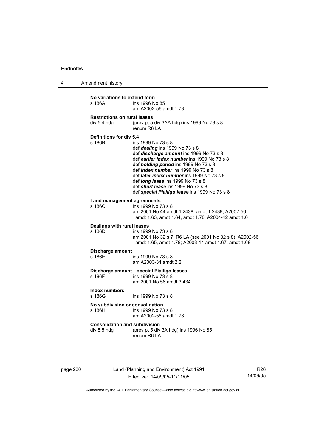4 Amendment history

| No variations to extend term         | ins 1996 No 85                                                                                                                                                                                                                                                                                                                                                                                                                      |
|--------------------------------------|-------------------------------------------------------------------------------------------------------------------------------------------------------------------------------------------------------------------------------------------------------------------------------------------------------------------------------------------------------------------------------------------------------------------------------------|
| s 186A                               | am A2002-56 amdt 1.78                                                                                                                                                                                                                                                                                                                                                                                                               |
| <b>Restrictions on rural leases</b>  | (prev pt 5 div 3AA hdg) ins 1999 No 73 s 8                                                                                                                                                                                                                                                                                                                                                                                          |
| div 5.4 hdq                          | renum R6 LA                                                                                                                                                                                                                                                                                                                                                                                                                         |
| Definitions for div 5.4<br>s 186B    | ins 1999 No 73 s 8<br>def <i>dealing</i> ins 1999 No 73 s 8<br>def discharge amount ins 1999 No 73 s 8<br>def earlier index number ins 1999 No 73 s 8<br>def <i>holding period</i> ins 1999 No 73 s 8<br>def index number ins 1999 No 73 s 8<br>def <i>later index number</i> ins 1999 No 73 s 8<br>def <i>long</i> lease ins 1999 No 73 s 8<br>def short lease ins 1999 No 73 s 8<br>def special Pialligo lease ins 1999 No 73 s 8 |
| Land management agreements<br>s 186C | ins 1999 No 73 s 8<br>am 2001 No 44 amdt 1.2438, amdt 1.2439; A2002-56<br>amdt 1.63, amdt 1.64, amdt 1.78; A2004-42 amdt 1.6                                                                                                                                                                                                                                                                                                        |
| Dealings with rural leases<br>s 186D | ins 1999 No 73 s 8<br>am 2001 No 32 s 7; R6 LA (see 2001 No 32 s 8); A2002-56<br>amdt 1.65, amdt 1.78; A2003-14 amdt 1.67, amdt 1.68                                                                                                                                                                                                                                                                                                |
| Discharge amount                     | ins 1999 No 73 s 8                                                                                                                                                                                                                                                                                                                                                                                                                  |
| s 186F                               | am A2003-34 amdt 2.2                                                                                                                                                                                                                                                                                                                                                                                                                |
| s 186F                               | Discharge amount-special Pialligo leases<br>ins 1999 No 73 s 8<br>am 2001 No 56 amdt 3.434                                                                                                                                                                                                                                                                                                                                          |
| Index numbers<br>s 186G              | ins 1999 No 73 s 8                                                                                                                                                                                                                                                                                                                                                                                                                  |
| No subdivision or consolidation      | ins 1999 No 73 s 8                                                                                                                                                                                                                                                                                                                                                                                                                  |
| s 186H _                             | am A2002-56 amdt 1.78                                                                                                                                                                                                                                                                                                                                                                                                               |
| <b>Consolidation and subdivision</b> | (prev pt 5 div 3A hdg) ins 1996 No 85                                                                                                                                                                                                                                                                                                                                                                                               |
| div 5.5 hdg                          | renum R6 LA                                                                                                                                                                                                                                                                                                                                                                                                                         |

page 230 Land (Planning and Environment) Act 1991 Effective: 14/09/05-11/11/05

R26 14/09/05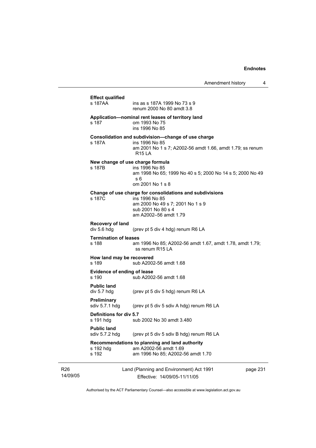| s 187AA                               | ins as s 187A 1999 No 73 s 9<br>renum 2000 No 80 amdt 3.8                                                                                                     |         |
|---------------------------------------|---------------------------------------------------------------------------------------------------------------------------------------------------------------|---------|
| s 187                                 | Application--nominal rent leases of territory land<br>om 1993 No 75<br>ins 1996 No 85                                                                         |         |
| s 187A                                | Consolidation and subdivision-change of use charge<br>ins 1996 No 85<br>am 2001 No 1 s 7; A2002-56 amdt 1.66, amdt 1.79; ss renum<br><b>R15 LA</b>            |         |
| s 187B                                | New change of use charge formula<br>ins 1996 No 85<br>am 1998 No 65; 1999 No 40 s 5; 2000 No 14 s 5; 2000 No 49<br>s 6<br>om 2001 No 1 s 8                    |         |
| s 187C                                | Change of use charge for consolidations and subdivisions<br>ins 1996 No 85<br>am 2000 No 49 s 7; 2001 No 1 s 9<br>sub 2001 No 80 s 4<br>am A2002-56 amdt 1.79 |         |
| Recovery of land<br>div 5.6 hdg       | (prev pt 5 div 4 hdg) renum R6 LA                                                                                                                             |         |
| <b>Termination of leases</b><br>s 188 | am 1996 No 85; A2002-56 amdt 1.67, amdt 1.78, amdt 1.79;<br>ss renum R15 LA                                                                                   |         |
| How land may be recovered<br>s 189    | sub A2002-56 amdt 1.68                                                                                                                                        |         |
| Evidence of ending of lease<br>s 190  | sub A2002-56 amdt 1.68                                                                                                                                        |         |
| <b>Public land</b><br>div 5.7 hdg     | (prev pt 5 div 5 hdg) renum R6 LA                                                                                                                             |         |
| <b>Preliminary</b><br>sdiv 5.7.1 hdg  | (prev pt 5 div 5 sdiv A hdg) renum R6 LA                                                                                                                      |         |
| Definitions for div 5.7<br>s 191 hdg  | sub 2002 No 30 amdt 3.480                                                                                                                                     |         |
| <b>Public land</b><br>sdiv 5.7.2 hdg  | (prev pt 5 div 5 sdiv B hdg) renum R6 LA                                                                                                                      |         |
| s 192 hdg<br>s 192                    | Recommendations to planning and land authority<br>am A2002-56 amdt 1.69<br>am 1996 No 85; A2002-56 amdt 1.70                                                  |         |
|                                       | Land (Planning and Environment) Act 1991                                                                                                                      | page 23 |

14/09/05

R26

Effective: 14/09/05-11/11/05

 $\mathbf{31}$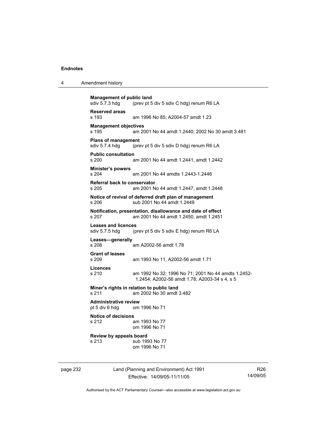|  | Amendment history |
|--|-------------------|
|--|-------------------|

```
Management of public land<br>sdiv 5.7.3 hda (prev pt 5
                 (prev pt 5 div 5 sdiv C hdg) renum R6 LA
Reserved areas 
s 193 am 1996 No 85; A2004-57 amdt 1.23 
Management objectives 
s 195 am 2001 No 44 amdt 1.2440; 2002 No 30 amdt 3.481 
Plans of management 
sdiv 5.7.4 hdg (prev pt 5 div 5 sdiv D hdg) renum R6 LA 
Public consultation 
                 am 2001 No 44 amdt 1.2441, amdt 1.2442
Minister's powers 
s 204 am 2001 No 44 amdts 1.2443-1.2446 
Referral back to conservator 
s 205 am 2001 No 44 amdt 1.2447, amdt 1.2448 
Notice of revival of deferred draft plan of management 
s 206 sub 2001 No 44 amdt 1.2449 
Notification, presentation, disallowance and date of effect 
s 207 am 2001 No 44 amdt 1.2450, amdt 1.2451 
Leases and licences 
sdiv 5.7.5 hdg (prev pt 5 div 5 sdiv E hdg) renum R6 LA 
Leases—generally 
s 208 am A2002-56 amdt 1.78 
Grant of leases 
s 209 am 1993 No 11, A2002-56 amdt 1.71 
Licences 
s 210 am 1992 No 32; 1996 No 71; 2001 No 44 amdts 1.2452-
                  1.2454; A2002-56 amdt 1.78; A2003-34 s 4, s 5 
Miner's rights in relation to public land 
s 211 am 2002 No 30 amdt 3.482 
Administrative review 
pt 5 div 6 hdg om 1996 No 71 
Notice of decisions 
s 212 am 1993 No 77 
                  om 1996 No 71 
Review by appeals board 
s 213 sub 1993 No 77
                  om 1996 No 71
```
page 232 Land (Planning and Environment) Act 1991 Effective: 14/09/05-11/11/05

R26 14/09/05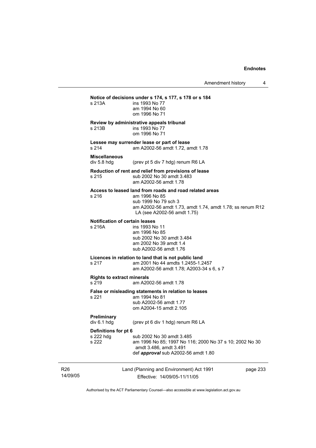|                                                 | ins 1993 No 77<br>am 1994 No 60<br>om 1996 No 71                                                                                                                                             |  |
|-------------------------------------------------|----------------------------------------------------------------------------------------------------------------------------------------------------------------------------------------------|--|
| s 213B                                          | Review by administrative appeals tribunal<br>ins 1993 No 77<br>om 1996 No 71                                                                                                                 |  |
| s 214                                           | Lessee may surrender lease or part of lease<br>am A2002-56 amdt 1.72, amdt 1.78                                                                                                              |  |
| <b>Miscellaneous</b><br>div 5.8 hdg             | (prev pt 5 div 7 hdg) renum R6 LA                                                                                                                                                            |  |
| s 215                                           | Reduction of rent and relief from provisions of lease<br>sub 2002 No 30 amdt 3.483<br>am A2002-56 amdt 1.78                                                                                  |  |
| s 216                                           | Access to leased land from roads and road related areas<br>am 1996 No 85<br>sub 1999 No 79 sch 3<br>am A2002-56 amdt 1.73, amdt 1.74, amdt 1.78; ss renum R12<br>LA (see A2002-56 amdt 1.75) |  |
| <b>Notification of certain leases</b><br>s 216A | ins 1993 No 11<br>am 1996 No 85<br>sub 2002 No 30 amdt 3.484<br>am 2002 No 39 amdt 1.4<br>sub A2002-56 amdt 1.76                                                                             |  |
| s 217                                           | Licences in relation to land that is not public land<br>am 2001 No 44 amdts 1.2455-1.2457<br>am A2002-56 amdt 1.78; A2003-34 s 6, s 7                                                        |  |
| <b>Rights to extract minerals</b><br>s 219      | am A2002-56 amdt 1.78                                                                                                                                                                        |  |
| s 221                                           | False or misleading statements in relation to leases<br>am 1994 No 81<br>sub A2002-56 amdt 1.77<br>om A2004-15 amdt 2.105                                                                    |  |
| Preliminary<br>div 6.1 hdg                      | (prev pt 6 div 1 hdg) renum R6 LA                                                                                                                                                            |  |
| Definitions for pt 6<br>s 222 hdg<br>s 222      | sub 2002 No 30 amdt 3.485<br>am 1996 No 85; 1997 No 116; 2000 No 37 s 10; 2002 No 30<br>amdt 3.486, amdt 3.491<br>def approval sub A2002-56 amdt 1.80                                        |  |

R26 14/09/05 Effective: 14/09/05-11/11/05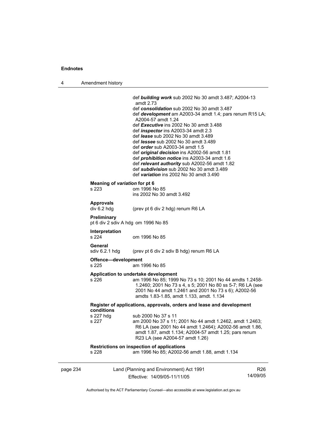L.

4 Amendment history

|                                                    | def <b>building work</b> sub 2002 No 30 amdt 3.487; A2004-13<br>amdt 2.73<br>def consolidation sub 2002 No 30 amdt 3.487<br>def <b>development</b> am A2003-34 amdt 1.4; pars renum R15 LA;<br>A2004-57 amdt 1.24<br>def Executive ins 2002 No 30 amdt 3.488<br>def <i>inspector</i> ins A2003-34 amdt 2.3<br>def lease sub 2002 No 30 amdt 3.489<br>def <i>lessee</i> sub 2002 No 30 amdt 3.489<br>def <i>order</i> sub A2003-34 amdt 1.5<br>def original decision ins A2002-56 amdt 1.81<br>def <i>prohibition notice</i> ins A2003-34 amdt 1.6<br>def relevant authority sub A2002-56 amdt 1.82<br>def subdivision sub 2002 No 30 amdt 3.489 |
|----------------------------------------------------|-------------------------------------------------------------------------------------------------------------------------------------------------------------------------------------------------------------------------------------------------------------------------------------------------------------------------------------------------------------------------------------------------------------------------------------------------------------------------------------------------------------------------------------------------------------------------------------------------------------------------------------------------|
|                                                    | def variation ins 2002 No 30 amdt 3.490                                                                                                                                                                                                                                                                                                                                                                                                                                                                                                                                                                                                         |
| Meaning of variation for pt 6<br>s 223             | om 1996 No 85<br>ins 2002 No 30 amdt 3.492                                                                                                                                                                                                                                                                                                                                                                                                                                                                                                                                                                                                      |
| <b>Approvals</b><br>div 6.2 hdg                    | (prev pt 6 div 2 hdg) renum R6 LA                                                                                                                                                                                                                                                                                                                                                                                                                                                                                                                                                                                                               |
| Preliminary<br>pt 6 div 2 sdiv A hdg om 1996 No 85 |                                                                                                                                                                                                                                                                                                                                                                                                                                                                                                                                                                                                                                                 |
| Interpretation<br>s 224                            | om 1996 No 85                                                                                                                                                                                                                                                                                                                                                                                                                                                                                                                                                                                                                                   |
| General<br>sdiv 6.2.1 hdg                          | (prev pt 6 div 2 sdiv B hdg) renum R6 LA                                                                                                                                                                                                                                                                                                                                                                                                                                                                                                                                                                                                        |
| Offence-development<br>s 225                       | am 1996 No 85                                                                                                                                                                                                                                                                                                                                                                                                                                                                                                                                                                                                                                   |
| s 226                                              | Application to undertake development<br>am 1996 No 85; 1999 No 73 s 10; 2001 No 44 amdts 1.2458-<br>1.2460; 2001 No 73 s 4, s 5; 2001 No 80 ss 5-7; R6 LA (see<br>2001 No 44 amdt 1.2461 and 2001 No 73 s 6); A2002-56<br>amdts 1.83-1.85, amdt 1.133, amdt. 1.134                                                                                                                                                                                                                                                                                                                                                                              |
| conditions                                         | Register of applications, approvals, orders and lease and development                                                                                                                                                                                                                                                                                                                                                                                                                                                                                                                                                                           |
| s 227 hdg<br>s 227                                 | sub 2000 No 37 s 11<br>am 2000 No 37 s 11; 2001 No 44 amdt 1.2462, amdt 1.2463;<br>R6 LA (see 2001 No 44 amdt 1.2464); A2002-56 amdt 1.86,<br>amdt 1.87, amdt 1.134; A2004-57 amdt 1.25; pars renum<br>R23 LA (see A2004-57 amdt 1.26)                                                                                                                                                                                                                                                                                                                                                                                                          |
| s 228                                              | Restrictions on inspection of applications<br>am 1996 No 85; A2002-56 amdt 1.88, amdt 1.134                                                                                                                                                                                                                                                                                                                                                                                                                                                                                                                                                     |
|                                                    |                                                                                                                                                                                                                                                                                                                                                                                                                                                                                                                                                                                                                                                 |

| page 234 | Land (Planning and Environment) Act 1991 | R26      |
|----------|------------------------------------------|----------|
|          | Effective: 14/09/05-11/11/05             | 14/09/05 |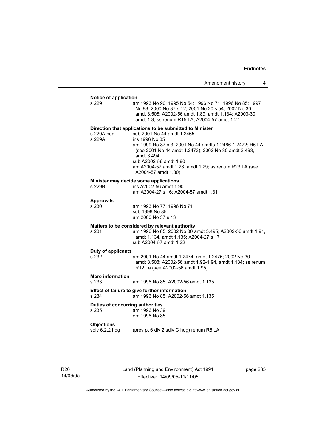| Amendment history |  |
|-------------------|--|
|-------------------|--|

#### **Notice of application**

| s 229                                     | nouve or applicano<br>am 1993 No 90; 1995 No 54; 1996 No 71; 1996 No 85; 1997<br>No 93; 2000 No 37 s 12; 2001 No 20 s 54; 2002 No 30<br>amdt 3.508; A2002-56 amdt 1.89, amdt 1.134; A2003-30<br>amdt 1.3; ss renum R15 LA; A2004-57 amdt 1.27                                                                                                        |
|-------------------------------------------|------------------------------------------------------------------------------------------------------------------------------------------------------------------------------------------------------------------------------------------------------------------------------------------------------------------------------------------------------|
| s 229A hdg<br>s 229A                      | Direction that applications to be submitted to Minister<br>sub 2001 No 44 amdt 1.2465<br>ins 1996 No 85<br>am 1999 No 87 s 3; 2001 No 44 amdts 1.2466-1.2472; R6 LA<br>(see 2001 No 44 amdt 1.2473); 2002 No 30 amdt 3.493,<br>amdt 3.494<br>sub A2002-56 amdt 1.90<br>am A2004-57 amdt 1.28, amdt 1.29; ss renum R23 LA (see<br>A2004-57 amdt 1.30) |
| s 229B                                    | Minister may decide some applications<br>ins A2002-56 amdt 1.90<br>am A2004-27 s 16; A2004-57 amdt 1.31                                                                                                                                                                                                                                              |
| <b>Approvals</b><br>s 230                 | am 1993 No 77; 1996 No 71<br>sub 1996 No 85<br>am 2000 No 37 s 13                                                                                                                                                                                                                                                                                    |
| s 231                                     | Matters to be considered by relevant authority<br>am 1996 No 85; 2002 No 30 amdt 3.495; A2002-56 amdt 1.91,<br>amdt 1.134, amdt 1.135; A2004-27 s 17                                                                                                                                                                                                 |
|                                           | sub A2004-57 amdt 1.32                                                                                                                                                                                                                                                                                                                               |
| Duty of applicants<br>s 232               | am 2001 No 44 amdt 1.2474, amdt 1.2475; 2002 No 30<br>amdt 3.508; A2002-56 amdt 1.92-1.94, amdt 1.134; ss renum<br>R12 La (see A2002-56 amdt 1.95)                                                                                                                                                                                                   |
| <b>More information</b><br>s 233          | am 1996 No 85; A2002-56 amdt 1.135                                                                                                                                                                                                                                                                                                                   |
| s 234                                     | Effect of failure to give further information<br>am 1996 No 85; A2002-56 amdt 1.135                                                                                                                                                                                                                                                                  |
| Duties of concurring authorities<br>s 235 | am 1996 No 39<br>om 1996 No 85                                                                                                                                                                                                                                                                                                                       |
| <b>Objections</b><br>sdiv 6.2.2 hdg       | (prev pt 6 div 2 sdiv C hdg) renum R6 LA                                                                                                                                                                                                                                                                                                             |

R26 14/09/05 Land (Planning and Environment) Act 1991 Effective: 14/09/05-11/11/05

page 235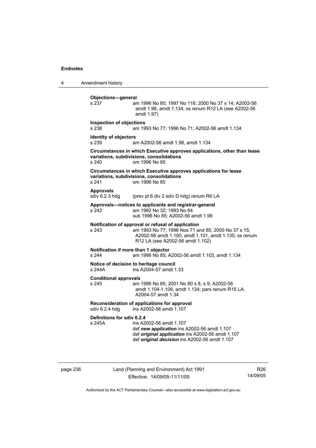4 Amendment history **Objections—general**  s 237 am 1996 No 85; 1997 No 116; 2000 No 37 s 14; A2002-56 amdt 1.96, amdt 1.134; ss renum R12 LA (see A2002-56 amdt 1.97) **Inspection of objections**  s 238 am 1993 No 77; 1996 No 71; A2002-56 amdt 1.134 **Identity of objectors**  s 239 am A2002-56 amdt 1.98, amdt 1.134 **Circumstances in which Executive approves applications, other than lease variations, subdivisions, consolidations**  s 240 om 1996 No 85 **Circumstances in which Executive approves applications for lease variations, subdivisions, consolidations**  s 241 om 1996 No 85 Approvals<br>sdiv 6.2.3 hdg (prev pt 6 div 2 sdiv D hdg) renum R6 LA **Approvals—notices to applicants and registrar-general**  s 242 am 1992 No 32; 1993 No 64 sub 1996 No 85; A2002-56 amdt 1.99 **Notification of approval or refusal of application**<br>s 243 am 1993 No 77; 1996 Nos 71 ar am 1993 No 77; 1996 Nos 71 and 85; 2000 No 37 s 15; A2002-56 amdt 1.100, amdt 1.101, amdt 1.135; ss renum R12 LA (see A2002-56 amdt 1.102) **Notification if more than 1 objector**  s 244 am 1996 No 85; A2002-56 amdt 1.103, amdt 1.134 **Notice of decision to heritage council**  s 244A ins A2004-57 amdt 1.33 **Conditional approvals**  s 245 am 1996 No 85; 2001 No 80 s 8, s 9; A2002-56 amdt 1.104-1.106, amdt 1.134; pars renum R15 LA; A2004-57 amdt 1.34 **Reconsideration of applications for approval**  sdiv 6.2.4 hdg ins A2002-56 amdt 1.107 **Definitions for sdiv 6.2.4**  ins A2002-56 amdt 1.107 def *new application* ins A2002-56 amdt 1.107 def *original application* ins A2002-56 amdt 1.107 def *original decision* ins A2002-56 amdt 1.107

page 236 Land (Planning and Environment) Act 1991 Effective: 14/09/05-11/11/05

R26 14/09/05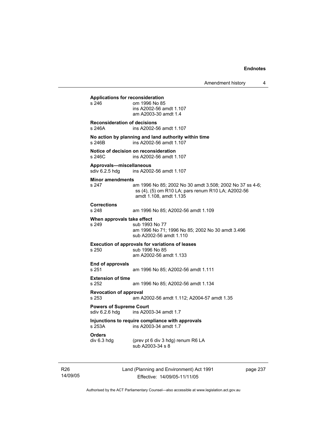**Applications for reconsideration**  om 1996 No 85 ins A2002-56 amdt 1.107 am A2003-30 amdt 1.4 **Reconsideration of decisions**  s 246A ins A2002-56 amdt 1.107 **No action by planning and land authority within time**  s 246B ins A2002-56 amdt 1.107 **Notice of decision on reconsideration**  s 246C ins A2002-56 amdt 1.107 **Approvals—miscellaneous**  ins A2002-56 amdt 1.107 **Minor amendments**  s 247 am 1996 No 85; 2002 No 30 amdt 3.508; 2002 No 37 ss 4-6; ss (4), (5) om R10 LA; pars renum R10 LA; A2002-56 amdt 1.108, amdt 1.135 **Corrections**  s 248 am 1996 No 85; A2002-56 amdt 1.109 **When approvals take effect**<br>s 249 **Sub** 1993 sub 1993 No 77 am 1996 No 71; 1996 No 85; 2002 No 30 amdt 3.496 sub A2002-56 amdt 1.110 **Execution of approvals for variations of leases**  s 250 sub 1996 No 85 am A2002-56 amdt 1.133 **End of approvals**  s 251 am 1996 No 85; A2002-56 amdt 1.111 **Extension of time**  s 252 am 1996 No 85; A2002-56 amdt 1.134 **Revocation of approval**  s 253 am A2002-56 amdt 1.112; A2004-57 amdt 1.35 **Powers of Supreme Court**<br>sdiv 6.2.6 hdg ins A200 ins A2003-34 amdt 1.7 **Injunctions to require compliance with approvals**  ins A2003-34 amdt 1.7 **Orders**  (prev pt 6 div 3 hdg) renum R6 LA sub A2003-34 s 8

R26 14/09/05 Land (Planning and Environment) Act 1991 Effective: 14/09/05-11/11/05

page 237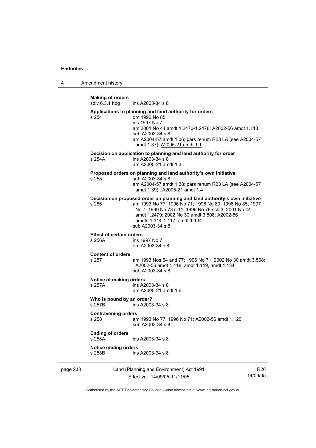4 Amendment history

**Making of orders**  ins A2003-34 s 8 **Applications to planning and land authority for orders**  s 254 om 1996 No 85 ins 1997 No 7 am 2001 No 44 amdt 1.2476-1.2478; A2002-56 amdt 1.113 sub A2003-34 s 8 am A2004-57 amdt 1.36; pars renum R23 LA (see A2004-57 amdt 1.37); A2005-21 amdt 1.1 **Decision on application to planning and land authority for order**  s 254A ins A2003-34 s 8 am A2005-21 amdt 1.3 **Proposed orders on planning and land authority's own initiative**  s 255 sub A2003-34 s 8 am A2004-57 amdt 1.38; pars renum R23 LA (see A2004-57 amdt 1.39) ; A2005-21 amdt 1.4 **Decision on proposed order on planning and land authority's own initiative**  s 256 am 1993 No 77; 1996 No 71; 1996 No 83; 1996 No 85; 1997 No 7; 1999 No 73 s 11; 1999 No 79 sch 3; 2001 No 44 amdt 1.2479; 2002 No 30 amdt 3.508; A2002-56 amdts 1.114-1.117, amdt 1.134 sub A2003-34 s 8 **Effect of certain orders**  s 256A ins 1997 No 7 om A2003-34 s 8 **Content of orders**  am 1993 Nos 64 and 77; 1996 No 71; 2002 No 30 amdt 3.508; A2002-56 amdt 1.118, amdt 1.119, amdt 1.134 sub A2003-34 s 8 **Notice of making orders**  s 257A ins A2003-34 s 8 am A2005-21 amdt 1.6 **Who is bound by an order?**  s 257B ins A2003-34 s 8 **Contravening orders**  s 258 am 1993 No 77; 1996 No 71; A2002-56 amdt 1.120 sub A2003-34 s 8 **Ending of orders**  s 258A ins A2003-34 s 8 **Notice ending orders**   $ins A2003-34 s 8$ 

page 238 Land (Planning and Environment) Act 1991 Effective: 14/09/05-11/11/05

R26 14/09/05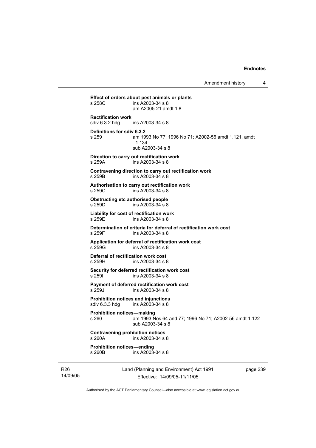**Effect of orders about pest animals or plants**   $ins$  A2003-34 s 8 am A2005-21 amdt 1.8 **Rectification work**  ins A2003-34 s 8 **Definitions for sdiv 6.3.2**  s 259 am 1993 No 77; 1996 No 71; A2002-56 amdt 1.121, amdt 1.134 sub A2003-34 s 8 **Direction to carry out rectification work**  s 259A ins A2003-34 s 8 **Contravening direction to carry out rectification work**  s 259B ins A2003-34 s 8 **Authorisation to carry out rectification work**  s 259C ins A2003-34 s 8 **Obstructing etc authorised people**  s 259D ins A2003-34 s 8 **Liability for cost of rectification work**  s 259E ins A2003-34 s 8 **Determination of criteria for deferral of rectification work cost**  s 259F ins A2003-34 s 8 **Application for deferral of rectification work cost**  s 259G ins A2003-34 s 8 **Deferral of rectification work cost**  s 259H ins A2003-34 s 8 **Security for deferred rectification work cost**  s 259I ins A2003-34 s 8 **Payment of deferred rectification work cost**  s 259J ins A2003-34 s 8 **Prohibition notices and injunctions**  sdiv 6.3.3 hdg ins A2003-34 s 8 **Prohibition notices—making**  s 260 am 1993 Nos 64 and 77; 1996 No 71; A2002-56 amdt 1.122 sub A2003-34 s 8 **Contravening prohibition notices**  s 260A ins A2003-34 s 8 **Prohibition notices—ending**   $ins A2003-34 s 8$ 

R26 14/09/05 Land (Planning and Environment) Act 1991 Effective: 14/09/05-11/11/05

page 239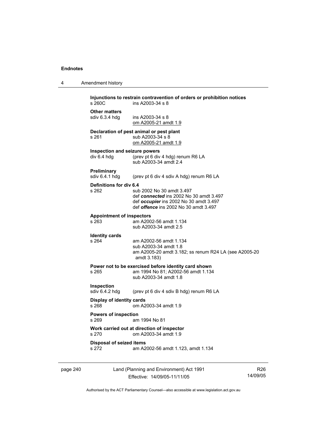page 240

| Amendment history<br>$\overline{\mathbf{4}}$ |  |
|----------------------------------------------|--|
|----------------------------------------------|--|

| s 260C                                                                      | Injunctions to restrain contravention of orders or prohibition notices<br>ins A2003-34 s 8                                                                     |                             |
|-----------------------------------------------------------------------------|----------------------------------------------------------------------------------------------------------------------------------------------------------------|-----------------------------|
| <b>Other matters</b><br>sdiv 6.3.4 hdg                                      | ins $A2003-34$ s $8$<br>om A2005-21 amdt 1.9                                                                                                                   |                             |
| s 261                                                                       | Declaration of pest animal or pest plant<br>sub A2003-34 s 8<br>om A2005-21 amdt 1.9                                                                           |                             |
| Inspection and seizure powers<br>div 6.4 hdg                                | (prev pt 6 div 4 hdg) renum R6 LA<br>sub A2003-34 amdt 2.4                                                                                                     |                             |
| Preliminary<br>sdiv 6.4.1 hdg                                               | (prev pt 6 div 4 sdiv A hdg) renum R6 LA                                                                                                                       |                             |
| Definitions for div 6.4<br>s 262                                            | sub 2002 No 30 amdt 3.497<br>def connected ins 2002 No 30 amdt 3.497<br>def occupier ins 2002 No 30 amdt 3.497<br>def <i>offence</i> ins 2002 No 30 amdt 3.497 |                             |
| <b>Appointment of inspectors</b><br>s 263                                   | am A2002-56 amdt 1.134<br>sub A2003-34 amdt 2.5                                                                                                                |                             |
| <b>Identity cards</b><br>s 264                                              | am A2002-56 amdt 1.134<br>sub A2003-34 amdt 1.8<br>am A2005-20 amdt 3.182; ss renum R24 LA (see A2005-20<br>amdt 3.183)                                        |                             |
| s 265                                                                       | Power not to be exercised before identity card shown<br>am 1994 No 81; A2002-56 amdt 1.134<br>sub A2003-34 amdt 1.8                                            |                             |
| Inspection<br>sdiv 6.4.2 hdg                                                | (prev pt 6 div 4 sdiv B hdg) renum R6 LA                                                                                                                       |                             |
| Display of identity cards<br>s 268                                          | om A2003-34 amdt 1.9                                                                                                                                           |                             |
| <b>Powers of inspection</b><br>s 269<br>am 1994 No 81                       |                                                                                                                                                                |                             |
| Work carried out at direction of inspector<br>s 270<br>om A2003-34 amdt 1.9 |                                                                                                                                                                |                             |
| <b>Disposal of seized items</b><br>s 272                                    | am A2002-56 amdt 1.123, amdt 1.134                                                                                                                             |                             |
|                                                                             | Land (Planning and Environment) Act 1991<br>Effective: 14/09/05-11/11/05                                                                                       | R <sub>26</sub><br>14/09/05 |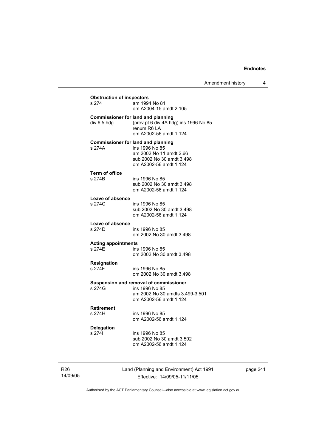| <b>Obstruction of inspectors</b><br>s 274                | am 1994 No 81<br>om A2004-15 amdt 2.105                                                                               |
|----------------------------------------------------------|-----------------------------------------------------------------------------------------------------------------------|
| <b>Commissioner for land and planning</b><br>div 6.5 hdg | (prev pt 6 div 4A hdg) ins 1996 No 85<br>renum R6 LA<br>om A2002-56 amdt 1.124                                        |
| <b>Commissioner for land and planning</b><br>s 274A      | ins 1996 No 85<br>am 2002 No 11 amdt 2.66<br>sub 2002 No 30 amdt 3.498<br>om A2002-56 amdt 1.124                      |
| Term of office<br>s 274B                                 | ins 1996 No 85<br>sub 2002 No 30 amdt 3.498<br>om A2002-56 amdt 1.124                                                 |
| Leave of absence<br>s 274C                               | ins 1996 No 85<br>sub 2002 No 30 amdt 3.498<br>om A2002-56 amdt 1.124                                                 |
| Leave of absence<br>s 274D                               | ins 1996 No 85<br>om 2002 No 30 amdt 3.498                                                                            |
| <b>Acting appointments</b><br>s 274E                     | ins 1996 No 85<br>om 2002 No 30 amdt 3.498                                                                            |
| Resignation<br>s 274F                                    | ins 1996 No 85<br>om 2002 No 30 amdt 3.498                                                                            |
| s 274G                                                   | Suspension and removal of commissioner<br>ins 1996 No 85<br>am 2002 No 30 amdts 3.499-3.501<br>om A2002-56 amdt 1.124 |
| <b>Retirement</b><br>s 274H                              | ins 1996 No 85<br>om A2002-56 amdt 1.124                                                                              |
| <b>Delegation</b><br>s 2741                              | ins 1996 No 85<br>sub 2002 No 30 amdt 3.502<br>om A2002-56 amdt 1.124                                                 |

page 241

14/09/05

R26

Land (Planning and Environment) Act 1991 Effective: 14/09/05-11/11/05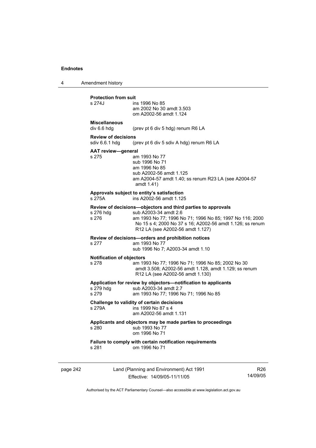4 Amendment history

# **Protection from suit**

| s 274J                              | ins 1996 No 85<br>am 2002 No 30 amdt 3.503<br>om A2002-56 amdt 1.124                                                                              |
|-------------------------------------|---------------------------------------------------------------------------------------------------------------------------------------------------|
| <b>Miscellaneous</b><br>div 6.6 hdg | (prev pt 6 div 5 hdg) renum R6 LA                                                                                                                 |
| <b>Review of decisions</b>          | sdiv 6.6.1 hdg (prev pt 6 div 5 sdiv A hdg) renum R6 LA                                                                                           |
| <b>AAT review-general</b><br>s 275  | am 1993 No 77<br>sub 1996 No 71<br>am 1996 No 85<br>sub A2002-56 amdt 1.125<br>am A2004-57 amdt 1.40; ss renum R23 LA (see A2004-57<br>amdt 1.41) |
| s 275A                              | Approvals subject to entity's satisfaction<br>ins A2002-56 amdt 1.125                                                                             |
|                                     | Review of decisions-objectors and third parties to approvals                                                                                      |

|           | <u>keview of decisions—objectors and third parties to approvals</u> |
|-----------|---------------------------------------------------------------------|
| s 276 hdg | sub A2003-34 amdt 2.6                                               |

s 276 am 1993 No 77; 1996 No 71; 1996 No 85; 1997 No 116; 2000 No 15 s 4; 2000 No 37 s 16; A2002-56 amdt 1.126; ss renum R12 LA (see A2002-56 amdt 1.127)

**Review of decisions—orders and prohibition notices** 

## s 277 am 1993 No 77

sub 1996 No 7; A2003-34 amdt 1.10

### **Notification of objectors**

s 278 am 1993 No 77; 1996 No 71; 1996 No 85; 2002 No 30 amdt 3.508; A2002-56 amdt 1.128, amdt 1.129; ss renum R12 LA (see A2002-56 amdt 1.130)

### **Application for review by objectors—notification to applicants**

| s 279 hdq | sub A2003-34 amdt 2.7                 |  |
|-----------|---------------------------------------|--|
| s 279     | am 1993 No 77; 1996 No 71; 1996 No 85 |  |

# **Challenge to validity of certain decisions**

 $ins$  1999 No 87 s 4

am A2002-56 amdt 1.131

#### **Applicants and objectors may be made parties to proceedings**  s 280 sub 1993 No 77

| ---- |               |
|------|---------------|
|      | om 1996 No 71 |
|      |               |

# **Failure to comply with certain notification requirements**  $s$  281 cm 1996 No 71

om 1996 No 71

page 242 Land (Planning and Environment) Act 1991 Effective: 14/09/05-11/11/05

R26 14/09/05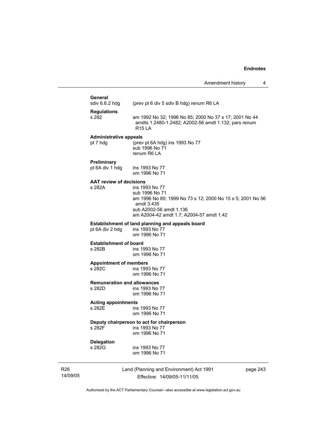# **General**<br>sdiv 6.6.2 hdg

(prev pt 6 div 5 sdiv B hdg) renum R6 LA

| <b>Regulations</b> |                                                        |
|--------------------|--------------------------------------------------------|
| s 282              | am 1992 No 32: 1996 No 85: 2000 No 37 s 17: 2001 No 44 |
|                    | amdts 1.2480-1.2482; A2002-56 amdt 1.132; pars renum   |
|                    | R <sub>15</sub>   A                                    |

### **Administrative appeals**

pt 7 hdg (prev pt 6A hdg) ins 1993 No 77 sub 1996 No 71 renum R6 LA

### **Preliminary**

pt 6A div 1 hdg ins 1993 No 77 om 1996 No 71

# **AAT review of decisions**

ins 1993 No 77 sub 1996 No 71 am 1996 No 85; 1999 No 73 s 12; 2000 No 15 s 5; 2001 No 56 amdt 3.435 sub A2002-56 amdt 1.136 am A2004-42 amdt 1.7; A2004-57 amdt 1.42

# **Establishment of land planning and appeals board** pt 6A div 2 hdg ins 1993 No 77

pt 6A div 2 hdg om 1996 No 71

# **Establishment of board**<br>**a** 282B **ins** 19

ins 1993 No 77 om 1996 No 71

#### **Appointment of members**

s 282C ins 1993 No 77 om 1996 No 71

# **Remuneration and allowances**

ins 1993 No 77 om 1996 No 71

## **Acting appointments**

ins 1993 No 77 om 1996 No 71

#### **Deputy chairperson to act for chairperson**

s 282F ins 1993 No 77 om 1996 No 71

# **Delegation**

ins 1993 No 77 om 1996 No 71

R26 14/09/05 Land (Planning and Environment) Act 1991 Effective: 14/09/05-11/11/05

page 243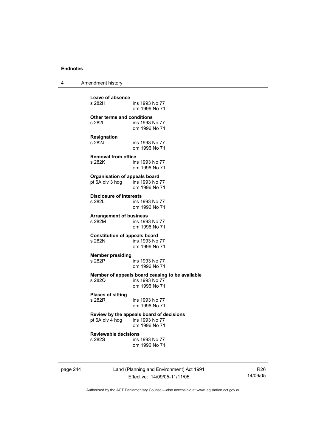4 Amendment history

**Leave of absence**  ins 1993 No 77 om 1996 No 71 **Other terms and conditions**  ins 1993 No 77 om 1996 No 71 **Resignation**  s 282J ins 1993 No 77 om 1996 No 71 **Removal from office**  s 282K ins 1993 No 77 om 1996 No 71 **Organisation of appeals board**  pt 6A div 3 hdg ins 1993 No 77 om 1996 No 71 **Disclosure of interests**  ins 1993 No 77 om 1996 No 71 **Arrangement of business**  ins 1993 No 77 om 1996 No 71 **Constitution of appeals board**  ins 1993 No 77 om 1996 No 71 **Member presiding**  ins 1993 No 77 om 1996 No 71 **Member of appeals board ceasing to be available**  s 282Q ins 1993 No 77 om 1996 No 71 **Places of sitting**  ins 1993 No 77 om 1996 No 71 **Review by the appeals board of decisions**   $pt 6A$  div  $4$  hdg om 1996 No 71 **Reviewable decisions**  ins 1993 No 77 om 1996 No 71

page 244 Land (Planning and Environment) Act 1991 Effective: 14/09/05-11/11/05

R26 14/09/05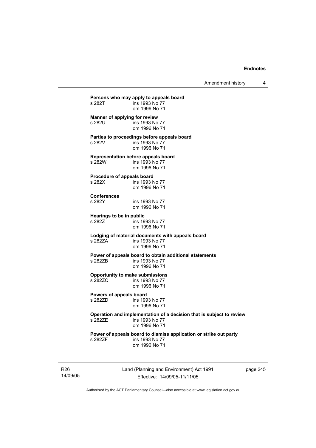Amendment history 4

**Persons who may apply to appeals board**  ins 1993 No 77 om 1996 No 71 **Manner of applying for review**  s 282U ins 1993 No 77 om 1996 No 71 **Parties to proceedings before appeals board**  s 282V ins 1993 No 77 om 1996 No 71 **Representation before appeals board**  s 282W ins 1993 No 77 om 1996 No 71 **Procedure of appeals board**  s 282X ins 1993 No 77 om 1996 No 71 **Conferences**  ins 1993 No 77 om 1996 No 71 **Hearings to be in public**  s 282Z **ins 1993** No 77 om 1996 No 71 **Lodging of material documents with appeals board**  ins 1993 No 77 om 1996 No 71 **Power of appeals board to obtain additional statements**  ins 1993 No 77 om 1996 No 71 **Opportunity to make submissions**  s 282ZC ins 1993 No 77 om 1996 No 71 **Powers of appeals board**  ins 1993 No 77 om 1996 No 71 **Operation and implementation of a decision that is subject to review**  ins 1993 No 77 om 1996 No 71 **Power of appeals board to dismiss application or strike out party**  s 282ZF ins 1993 No 77 om 1996 No 71

R26 14/09/05 Land (Planning and Environment) Act 1991 Effective: 14/09/05-11/11/05

page 245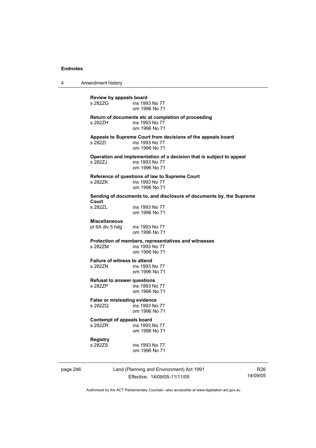4 Amendment history

**Review by appeals board**  ins 1993 No 77 om 1996 No 71 **Return of documents etc at completion of proceeding**  ins 1993 No  $77$  om 1996 No 71 **Appeals to Supreme Court from decisions of the appeals board**  s 282ZI ins 1993 No 77 om 1996 No 71 **Operation and implementation of a decision that is subject to appeal**  s 282ZJ ins 1993 No 77 om 1996 No 71 **Reference of questions of law to Supreme Court**  s 282ZK ins 1993 No 77 om 1996 No 71 **Sending of documents to, and disclosure of documents by, the Supreme Court**  ins 1993 No 77 om 1996 No 71 **Miscellaneous**  pt 6A div 5 hdg ins 1993 No 77 om 1996 No 71 **Protection of members, representatives and witnesses**  s 282ZM ins 1993 No 77 om 1996 No 71 **Failure of witness to attend<br>s 2827N** ins 1993 ins 1993 No 77 om 1996 No 71 **Refusal to answer questions**  s 282ZP ins 1993 No 77 om 1996 No 71 **False or misleading evidence**  s 282ZQ ins 1993 No 77 om 1996 No 71 **Contempt of appeals board**  s 282ZR ins 1993 No 77 om 1996 No 71 **Registry**  s 282ZS ins 1993 No 77 om 1996 No 71

page 246 Land (Planning and Environment) Act 1991 Effective: 14/09/05-11/11/05

R26 14/09/05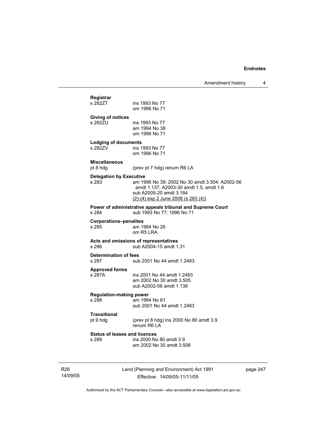| Registrar                               |                                                            |
|-----------------------------------------|------------------------------------------------------------|
| s 282ZT                                 | ins 1993 No 77                                             |
|                                         | om 1996 No 71                                              |
| <b>Giving of notices</b>                |                                                            |
| s 282ZU                                 | ins 1993 No 77                                             |
|                                         | am 1994 No 38                                              |
|                                         | om 1996 No 71                                              |
| <b>Lodging of documents</b>             |                                                            |
| s 282ZV                                 | ins 1993 No 77<br>om 1996 No 71                            |
|                                         |                                                            |
| <b>Miscellaneous</b><br>pt 8 hdg        | (prev pt 7 hdg) renum R6 LA                                |
|                                         |                                                            |
| <b>Delegation by Executive</b><br>s 283 | am 1996 No 39; 2002 No 30 amdt 3.504; A2002-56             |
|                                         | amdt 1.137; A2003-30 amdt 1.5, amdt 1.6                    |
|                                         | sub A2005-20 amdt 3.184                                    |
|                                         | $(2)-(4)$ exp 2 June 2006 (s 283 $(4)$ )                   |
|                                         | Power of administrative appeals tribunal and Supreme Court |
|                                         |                                                            |
| s 284                                   | sub 1993 No 77; 1996 No 71                                 |
| <b>Corporations-penalites</b>           |                                                            |
| s 285                                   | am 1994 No 26                                              |
|                                         | om R5 LRA                                                  |
|                                         | Acts and omissions of representatives                      |
| s 286                                   | sub A2004-15 amdt 1.31                                     |
| Determination of fees                   |                                                            |
| s 287                                   | sub 2001 No 44 amdt 1.2483                                 |
| <b>Approved forms</b>                   |                                                            |
| s 287A                                  | ins 2001 No 44 amdt 1.2483                                 |
|                                         | am 2002 No 30 amdt 3.505                                   |
|                                         | sub A2002-56 amdt 1.138                                    |
| <b>Regulation-making power</b><br>s 288 | am 1994 No 81                                              |
|                                         | sub 2001 No 44 amdt 1.2483                                 |
| <b>Transitional</b>                     |                                                            |
| pt 9 hdg                                | (prev pt 8 hdg) ins 2000 No 80 amdt 3.9                    |
|                                         | renum R6 LA                                                |
| <b>Status of leases and licences</b>    |                                                            |
| s 289                                   | ins 2000 No 80 amdt 3.9<br>am 2002 No 30 amdt 3.506        |

R26 14/09/05 Land (Planning and Environment) Act 1991 Effective: 14/09/05-11/11/05

page 247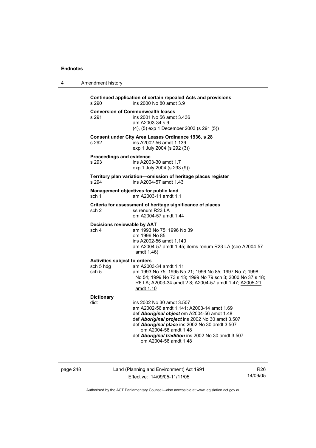4 Amendment history

| s 290                                                     | Continued application of certain repealed Acts and provisions<br>ins 2000 No 80 amdt 3.9                                                                                                                                                                                                                                             |
|-----------------------------------------------------------|--------------------------------------------------------------------------------------------------------------------------------------------------------------------------------------------------------------------------------------------------------------------------------------------------------------------------------------|
| s 291                                                     | <b>Conversion of Commonwealth leases</b><br>ins 2001 No 56 amdt 3.436<br>am A2003-34 s 9<br>(4), (5) exp 1 December 2003 (s 291 (5))                                                                                                                                                                                                 |
| s 292                                                     | Consent under City Area Leases Ordinance 1936, s 28<br>ins A2002-56 amdt 1.139<br>exp 1 July 2004 (s 292 (3))                                                                                                                                                                                                                        |
| <b>Proceedings and evidence</b><br>s 293                  | ins A2003-30 amdt 1.7<br>exp 1 July 2004 (s 293 (9))                                                                                                                                                                                                                                                                                 |
| s 294                                                     | Territory plan variation-omission of heritage places register<br>ins A2004-57 amdt 1.43                                                                                                                                                                                                                                              |
| sch 1                                                     | Management objectives for public land<br>am A2003-11 amdt 1.1                                                                                                                                                                                                                                                                        |
| sch <sub>2</sub>                                          | Criteria for assessment of heritage significance of places<br>ss renum R23 LA<br>om A2004-57 amdt 1.44                                                                                                                                                                                                                               |
| Decisions reviewable by AAT<br>sch 4                      | am 1993 No 75; 1996 No 39<br>om 1996 No 85<br>ins A2002-56 amdt 1.140<br>am A2004-57 amdt 1.45; items renum R23 LA (see A2004-57<br>amdt 1.46)                                                                                                                                                                                       |
| <b>Activities subject to orders</b><br>sch 5 hdg<br>sch 5 | am A2003-34 amdt 1.11<br>am 1993 No 75; 1995 No 21; 1996 No 85; 1997 No 7; 1998<br>No 54; 1999 No 73 s 13; 1999 No 79 sch 3; 2000 No 37 s 18;<br>R6 LA; A2003-34 amdt 2.8; A2004-57 amdt 1.47; A2005-21<br>amdt 1.10                                                                                                                 |
| <b>Dictionary</b><br>dict                                 | ins 2002 No 30 amdt 3.507<br>am A2002-56 amdt 1.141; A2003-14 amdt 1.69<br>def Aboriginal object om A2004-56 amdt 1.48<br>def Aboriginal project ins 2002 No 30 amdt 3.507<br>def Aboriginal place ins 2002 No 30 amdt 3.507<br>om A2004-56 amdt 1.48<br>def Aboriginal tradition ins 2002 No 30 amdt 3.507<br>om A2004-56 amdt 1.48 |

page 248 Land (Planning and Environment) Act 1991 Effective: 14/09/05-11/11/05

R26 14/09/05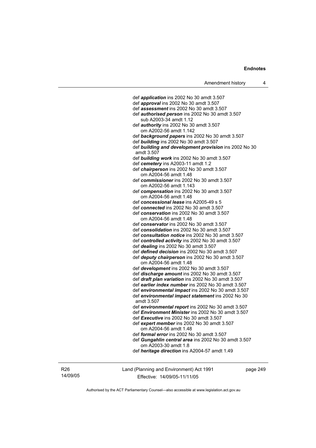def *application* ins 2002 No 30 amdt 3.507 def *approval* ins 2002 No 30 amdt 3.507 def *assessment* ins 2002 No 30 amdt 3.507 def *authorised person* ins 2002 No 30 amdt 3.507 sub A2003-34 amdt 1.12 def *authority* ins 2002 No 30 amdt 3.507 om A2002-56 amdt 1.142 def *background papers* ins 2002 No 30 amdt 3.507 def *building* ins 2002 No 30 amdt 3.507 def *building and development provision* ins 2002 No 30 amdt 3.507 def *building work* ins 2002 No 30 amdt 3.507 def *cemetery* ins A2003-11 amdt 1.2 def *chairperson* ins 2002 No 30 amdt 3.507 om A2004-56 amdt 1.48 def *commissioner* ins 2002 No 30 amdt 3.507 om A2002-56 amdt 1.143 def *compensation* ins 2002 No 30 amdt 3.507 om A2004-56 amdt 1.48 def *concessional lease* ins A2005-49 s 5 def *connected* ins 2002 No 30 amdt 3.507 def *conservation* ins 2002 No 30 amdt 3.507 om A2004-56 amdt 1.48 def *conservator* ins 2002 No 30 amdt 3.507 def *consolidation* ins 2002 No 30 amdt 3.507 def *consultation notice* ins 2002 No 30 amdt 3.507 def *controlled activity* ins 2002 No 30 amdt 3.507 def *dealing* ins 2002 No 30 amdt 3.507 def *defined decision* ins 2002 No 30 amdt 3.507 def *deputy chairperson* ins 2002 No 30 amdt 3.507 om A2004-56 amdt 1.48 def *development* ins 2002 No 30 amdt 3.507 def *discharge amount* ins 2002 No 30 amdt 3.507 def *draft plan variation* ins 2002 No 30 amdt 3.507 def *earlier index number* ins 2002 No 30 amdt 3.507 def *environmental impact* ins 2002 No 30 amdt 3.507 def *environmental impact statement* ins 2002 No 30 amdt 3.507 def *environmental report* ins 2002 No 30 amdt 3.507 def *Environment Minister* ins 2002 No 30 amdt 3.507 def *Executive* ins 2002 No 30 amdt 3.507 def *expert member* ins 2002 No 30 amdt 3.507 om A2004-56 amdt 1.48 def *formal error* ins 2002 No 30 amdt 3.507 def *Gungahlin central area* ins 2002 No 30 amdt 3.507 om A2003-30 amdt 1.8 def *heritage direction* ins A2004-57 amdt 1.49

R26 14/09/05 Land (Planning and Environment) Act 1991 Effective: 14/09/05-11/11/05

page 249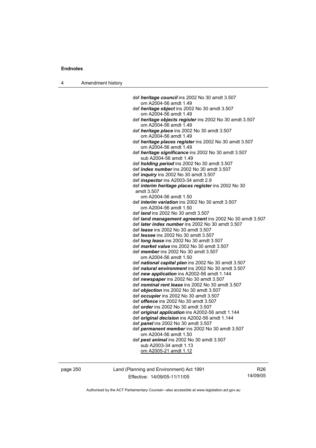| Amendment history |  |
|-------------------|--|
|-------------------|--|

| def heritage council ins 2002 No 30 amdt 3.507                                         |
|----------------------------------------------------------------------------------------|
| om A2004-56 amdt 1.49                                                                  |
| def heritage object ins 2002 No 30 amdt 3.507                                          |
| om A2004-56 amdt 1.49                                                                  |
| def heritage objects register ins 2002 No 30 amdt 3.507                                |
| om A2004-56 amdt 1.49                                                                  |
| def heritage place ins 2002 No 30 amdt 3.507                                           |
| om A2004-56 amdt 1.49                                                                  |
| def heritage places register ins 2002 No 30 amdt 3.507<br>om A2004-56 amdt 1.49        |
| def heritage significance ins 2002 No 30 amdt 3.507                                    |
| sub A2004-56 amdt 1.49                                                                 |
| def holding period ins 2002 No 30 amdt 3.507                                           |
| def <i>index number</i> ins 2002 No 30 amdt 3.507                                      |
| def <i>inquiry</i> ins 2002 No 30 amdt 3.507                                           |
| def <i>inspector</i> ins A2003-34 amdt 2.9                                             |
| def interim heritage places register ins 2002 No 30                                    |
| amdt 3.507                                                                             |
| om A2004-56 amdt 1.50                                                                  |
| def interim variation ins 2002 No 30 amdt 3.507                                        |
| om A2004-56 amdt 1.50                                                                  |
| def <i>land</i> ins 2002 No 30 amdt 3.507                                              |
| def land management agreement ins 2002 No 30 amdt 3.507                                |
| def later index number ins 2002 No 30 amdt 3.507                                       |
| def lease ins 2002 No 30 amdt 3.507                                                    |
| def <i>lessee</i> ins 2002 No 30 amdt 3.507                                            |
| def long lease ins 2002 No 30 amdt 3.507                                               |
| def market value ins 2002 No 30 amdt 3.507                                             |
| def <i>member</i> ins 2002 No 30 amdt 3.507                                            |
| om A2004-56 amdt 1.50                                                                  |
| def national capital plan ins 2002 No 30 amdt 3.507                                    |
| def natural environment ins 2002 No 30 amdt 3.507                                      |
| def new application ins A2002-56 amdt 1.144<br>def newspaper ins 2002 No 30 amdt 3.507 |
| def nominal rent lease ins 2002 No 30 amdt 3.507                                       |
| def objection ins 2002 No 30 amdt 3.507                                                |
| def occupier ins 2002 No 30 amdt 3.507                                                 |
| def offence ins 2002 No 30 amdt 3.507                                                  |
| def <i>order</i> ins 2002 No 30 amdt 3.507                                             |
| def original application ins A2002-56 amdt 1.144                                       |
| def original decision ins A2002-56 amdt 1.144                                          |
| def panel ins 2002 No 30 amdt 3.507                                                    |
| def permanent member ins 2002 No 30 amdt 3.507                                         |
| om A2004-56 amdt 1.50                                                                  |
| def pest animal ins 2002 No 30 amdt 3.507                                              |
| sub A2003-34 amdt 1.13                                                                 |
| om A2005-21 amdt 1.12                                                                  |
|                                                                                        |

page 250 Land (Planning and Environment) Act 1991 Effective: 14/09/05-11/11/05

R26 14/09/05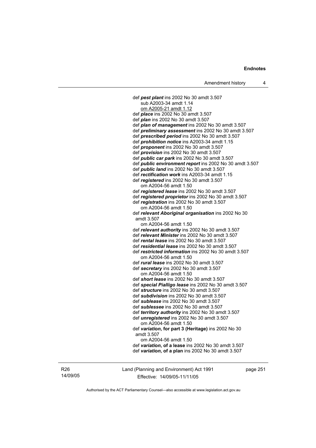def *pest plant* ins 2002 No 30 amdt 3.507 sub A2003-34 amdt 1.14 om A2005-21 amdt 1.12 def *place* ins 2002 No 30 amdt 3.507 def *plan* ins 2002 No 30 amdt 3.507 def *plan of management* ins 2002 No 30 amdt 3.507 def *preliminary assessment* ins 2002 No 30 amdt 3.507 def *prescribed period* ins 2002 No 30 amdt 3.507 def *prohibition notice* ins A2003-34 amdt 1.15 def *proponent* ins 2002 No 30 amdt 3.507 def *provision* ins 2002 No 30 amdt 3.507 def *public car park* ins 2002 No 30 amdt 3.507 def *public environment report* ins 2002 No 30 amdt 3.507 def *public land* ins 2002 No 30 amdt 3.507 def *rectification work* ins A2003-34 amdt 1.15 def *registered* ins 2002 No 30 amdt 3.507 om A2004-56 amdt 1.50 def *registered lease* ins 2002 No 30 amdt 3.507 def *registered proprietor* ins 2002 No 30 amdt 3.507 def *registration* ins 2002 No 30 amdt 3.507 om A2004-56 amdt 1.50 def *relevant Aboriginal organisation* ins 2002 No 30 amdt 3.507 om A2004-56 amdt 1.50 def *relevant authority* ins 2002 No 30 amdt 3.507 def *relevant Minister* ins 2002 No 30 amdt 3.507 def *rental lease* ins 2002 No 30 amdt 3.507 def *residential lease* ins 2002 No 30 amdt 3.507 def *restricted information* ins 2002 No 30 amdt 3.507 om A2004-56 amdt 1.50 def *rural lease* ins 2002 No 30 amdt 3.507 def *secretary* ins 2002 No 30 amdt 3.507 om A2004-56 amdt 1.50 def *short lease* ins 2002 No 30 amdt 3.507 def *special Pialligo lease* ins 2002 No 30 amdt 3.507 def *structure* ins 2002 No 30 amdt 3.507 def *subdivision* ins 2002 No 30 amdt 3.507 def *sublease* ins 2002 No 30 amdt 3.507 def *sublessee* ins 2002 No 30 amdt 3.507 def *territory authority* ins 2002 No 30 amdt 3.507 def *unregistered* ins 2002 No 30 amdt 3.507 om A2004-56 amdt 1.50 def *variation***, for part 3 (Heritage)** ins 2002 No 30 amdt 3.507 om A2004-56 amdt 1.50 def *variation***, of a lease** ins 2002 No 30 amdt 3.507 def *variation***, of a plan** ins 2002 No 30 amdt 3.507

R26 14/09/05 Land (Planning and Environment) Act 1991 Effective: 14/09/05-11/11/05

page 251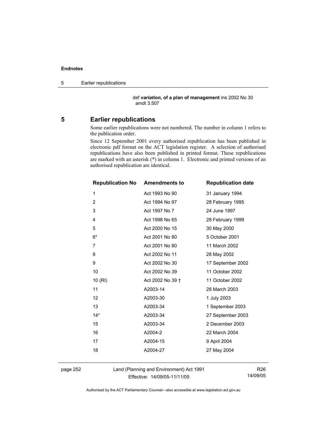5 Earlier republications

 def *variation***, of a plan of management** ins 2002 No 30 amdt 3.507

## **5 Earlier republications**

Some earlier republications were not numbered. The number in column 1 refers to the publication order.

Since 12 September 2001 every authorised republication has been published in electronic pdf format on the ACT legislation register. A selection of authorised republications have also been published in printed format. These republications are marked with an asterisk (\*) in column 1. Electronic and printed versions of an authorised republication are identical.

| <b>Republication No Amendments to</b> |                  | <b>Republication date</b> |
|---------------------------------------|------------------|---------------------------|
| 1                                     | Act 1993 No 90   | 31 January 1994           |
| $\overline{2}$                        | Act 1994 No 97   | 28 February 1995          |
| 3                                     | Act 1997 No 7    | 24 June 1997              |
| 4                                     | Act 1998 No 65   | 28 February 1999          |
| 5                                     | Act 2000 No 15   | 30 May 2000               |
| $6*$                                  | Act 2001 No 80   | 5 October 2001            |
| 7                                     | Act 2001 No 80   | 11 March 2002             |
| 8                                     | Act 2002 No 11   | 28 May 2002               |
| 9                                     | Act 2002 No 30   | 17 September 2002         |
| 10                                    | Act 2002 No 39   | 11 October 2002           |
| 10(RI)                                | Act 2002 No 39 + | 11 October 2002           |
| 11                                    | A2003-14         | 28 March 2003             |
| 12                                    | A2003-30         | 1 July 2003               |
| 13                                    | A2003-34         | 1 September 2003          |
| $14*$                                 | A2003-34         | 27 September 2003         |
| 15                                    | A2003-34         | 2 December 2003           |
| 16                                    | A2004-2          | 22 March 2004             |
| 17                                    | A2004-15         | 9 April 2004              |
| 18                                    | A2004-27         | 27 May 2004               |
|                                       |                  |                           |

page 252 Land (Planning and Environment) Act 1991 Effective: 14/09/05-11/11/05

R26 14/09/05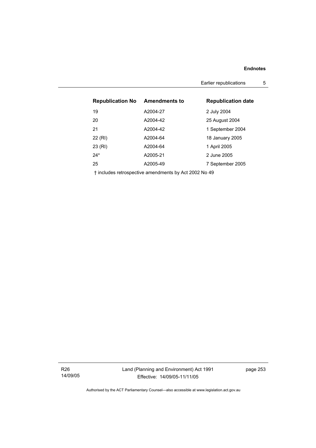Earlier republications 5

| <b>Republication No</b> | <b>Amendments to</b> | <b>Republication date</b> |
|-------------------------|----------------------|---------------------------|
| 19                      | A2004-27             | 2 July 2004               |
| 20                      | A2004-42             | 25 August 2004            |
| 21                      | A2004-42             | 1 September 2004          |
| 22 (RI)                 | A2004-64             | 18 January 2005           |
| 23 (RI)                 | A2004-64             | 1 April 2005              |
| $24*$                   | A2005-21             | 2 June 2005               |
| 25                      | A2005-49             | 7 September 2005          |
|                         |                      |                           |

† includes retrospective amendments by Act 2002 No 49

R26 14/09/05 page 253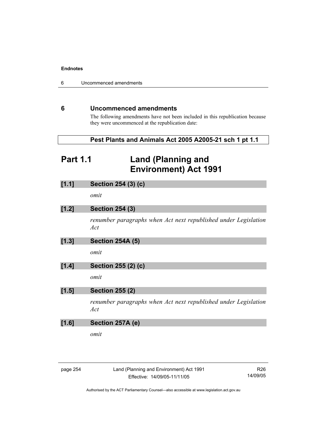6 Uncommenced amendments

## **6 Uncommenced amendments**

The following amendments have not been included in this republication because they were uncommenced at the republication date:

| Pest Plants and Animals Act 2005 A2005-21 sch 1 pt 1.1 |  |
|--------------------------------------------------------|--|
|--------------------------------------------------------|--|

# **Part 1.1 Land (Planning and Environment) Act 1991**

| [1.1] | Section 254 (3) (c)                                                    |
|-------|------------------------------------------------------------------------|
|       | omit                                                                   |
| [1.2] | <b>Section 254 (3)</b>                                                 |
|       | renumber paragraphs when Act next republished under Legislation<br>Act |
| [1.3] | <b>Section 254A (5)</b>                                                |
|       | omit                                                                   |
| [1.4] | Section 255 (2) (c)                                                    |
|       | omit                                                                   |
| [1.5] | <b>Section 255 (2)</b>                                                 |
|       | renumber paragraphs when Act next republished under Legislation<br>Act |
| [1.6] | Section 257A (e)                                                       |
|       | omit                                                                   |
|       |                                                                        |
|       |                                                                        |

| aae |  |
|-----|--|
|-----|--|

Land (Planning and Environment) Act 1991 Effective: 14/09/05-11/11/05

R26 14/09/05